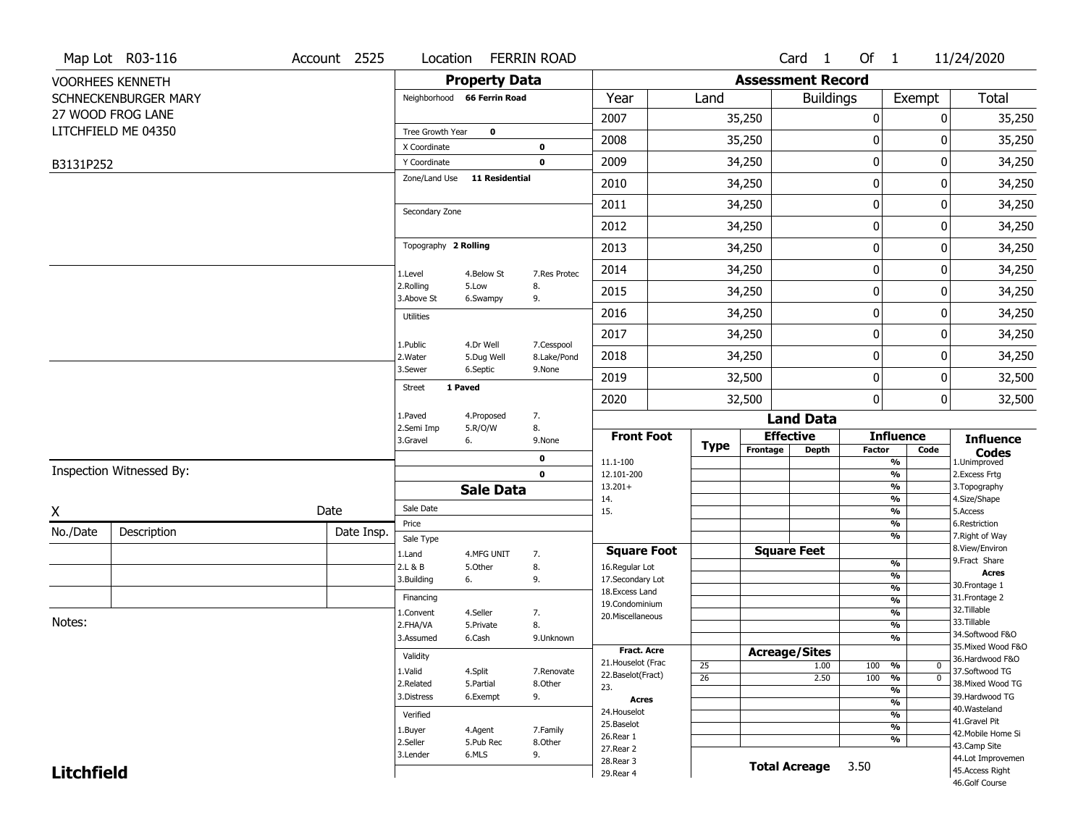|                   | Map Lot R03-116          | Account 2525 |                              |                             | Location FERRIN ROAD       |                                         |                 |                          | Card <sub>1</sub>    | Of 1          |                                           | 11/24/2020                            |
|-------------------|--------------------------|--------------|------------------------------|-----------------------------|----------------------------|-----------------------------------------|-----------------|--------------------------|----------------------|---------------|-------------------------------------------|---------------------------------------|
|                   | <b>VOORHEES KENNETH</b>  |              |                              | <b>Property Data</b>        |                            |                                         |                 | <b>Assessment Record</b> |                      |               |                                           |                                       |
|                   | SCHNECKENBURGER MARY     |              |                              | Neighborhood 66 Ferrin Road |                            | Year                                    | Land            |                          | <b>Buildings</b>     |               | Exempt                                    | <b>Total</b>                          |
|                   | 27 WOOD FROG LANE        |              |                              |                             |                            | 2007                                    |                 | 35,250                   |                      | $\bf{0}$      | 0                                         | 35,250                                |
|                   | LITCHFIELD ME 04350      |              | Tree Growth Year             | $\bf{0}$                    |                            | 2008                                    |                 | 35,250                   |                      | 0             | 0                                         | 35,250                                |
|                   |                          |              | X Coordinate<br>Y Coordinate |                             | $\mathbf 0$<br>$\mathbf 0$ | 2009                                    |                 | 34,250                   |                      | 0             | 0                                         | 34,250                                |
| B3131P252         |                          |              | Zone/Land Use                | <b>11 Residential</b>       |                            |                                         |                 |                          |                      | $\mathbf 0$   |                                           |                                       |
|                   |                          |              |                              |                             |                            | 2010                                    |                 | 34,250                   |                      |               | 0                                         | 34,250                                |
|                   |                          |              | Secondary Zone               |                             |                            | 2011                                    |                 | 34,250                   |                      | $\pmb{0}$     | 0                                         | 34,250                                |
|                   |                          |              |                              |                             |                            | 2012                                    |                 | 34,250                   |                      | 0             | 0                                         | 34,250                                |
|                   |                          |              | Topography 2 Rolling         |                             |                            | 2013                                    |                 | 34,250                   |                      | 0             | 0                                         | 34,250                                |
|                   |                          |              | 1.Level                      | 4.Below St                  | 7.Res Protec               | 2014                                    |                 | 34,250                   |                      | $\pmb{0}$     | 0                                         | 34,250                                |
|                   |                          |              | 2.Rolling<br>3.Above St      | 5.Low<br>6.Swampy           | 8.<br>9.                   | 2015                                    |                 | 34,250                   |                      | 0             | 0                                         | 34,250                                |
|                   |                          |              | <b>Utilities</b>             |                             |                            | 2016                                    |                 | 34,250                   |                      | $\mathbf 0$   | 0                                         | 34,250                                |
|                   |                          |              |                              | 4.Dr Well                   |                            | 2017                                    |                 | 34,250                   |                      | 0             | 0                                         | 34,250                                |
|                   |                          |              | 1.Public<br>2. Water         | 5.Dug Well                  | 7.Cesspool<br>8.Lake/Pond  | 2018                                    |                 | 34,250                   |                      | $\mathbf 0$   | 0                                         | 34,250                                |
|                   |                          |              | 3.Sewer                      | 6.Septic                    | 9.None                     | 2019                                    |                 | 32,500                   |                      | $\pmb{0}$     | 0                                         | 32,500                                |
|                   |                          |              | <b>Street</b>                | 1 Paved                     |                            | 2020                                    |                 | 32,500                   |                      | $\mathbf{0}$  | 0                                         | 32,500                                |
|                   |                          |              | 1.Paved                      | 4.Proposed                  | 7.                         |                                         |                 |                          | <b>Land Data</b>     |               |                                           |                                       |
|                   |                          |              | 2.Semi Imp<br>3.Gravel       | 5.R/O/W<br>6.               | 8.<br>9.None               | <b>Front Foot</b>                       |                 | <b>Effective</b>         |                      |               | <b>Influence</b>                          | <b>Influence</b>                      |
|                   |                          |              |                              |                             | 0                          | 11.1-100                                | <b>Type</b>     | Frontage                 | <b>Depth</b>         | <b>Factor</b> | Code<br>%                                 | <b>Codes</b><br>1.Unimproved          |
|                   | Inspection Witnessed By: |              |                              |                             | $\mathbf 0$                | 12.101-200                              |                 |                          |                      |               | $\frac{9}{6}$                             | 2.Excess Frtg                         |
|                   |                          |              |                              | <b>Sale Data</b>            |                            | $13.201+$<br>14.                        |                 |                          |                      |               | $\frac{9}{6}$<br>$\frac{9}{6}$            | 3. Topography<br>4.Size/Shape         |
| χ                 |                          | Date         | Sale Date                    |                             |                            | 15.                                     |                 |                          |                      |               | $\frac{9}{6}$                             | 5.Access                              |
| No./Date          | Description              | Date Insp.   | Price                        |                             |                            |                                         |                 |                          |                      |               | %                                         | 6.Restriction                         |
|                   |                          |              | Sale Type                    |                             |                            | <b>Square Foot</b>                      |                 | <b>Square Feet</b>       |                      |               | %                                         | 7. Right of Way<br>8.View/Environ     |
|                   |                          |              | 1.Land<br>2.L & B            | 4.MFG UNIT<br>5.Other       | 7.<br>8.                   | 16.Regular Lot                          |                 |                          |                      |               | $\frac{9}{6}$                             | 9.Fract Share                         |
|                   |                          |              | 3.Building                   | 6.                          | 9.                         | 17.Secondary Lot                        |                 |                          |                      |               | $\frac{9}{6}$                             | <b>Acres</b><br>30. Frontage 1        |
|                   |                          |              | Financing                    |                             |                            | 18.Excess Land                          |                 |                          |                      |               | $\frac{9}{6}$<br>$\overline{\frac{9}{6}}$ | 31. Frontage 2                        |
|                   |                          |              | 1.Convent                    | 4.Seller                    | 7.                         | 19.Condominium<br>20.Miscellaneous      |                 |                          |                      |               | $\overline{\frac{9}{6}}$                  | 32.Tillable                           |
| Notes:            |                          |              | 2.FHA/VA                     | 5.Private                   | 8.                         |                                         |                 |                          |                      |               | $\overline{\frac{9}{6}}$                  | 33.Tillable                           |
|                   |                          |              | 3.Assumed                    | 6.Cash                      | 9.Unknown                  |                                         |                 |                          |                      |               | $\overline{\frac{9}{6}}$                  | 34.Softwood F&O<br>35. Mixed Wood F&O |
|                   |                          |              | Validity                     |                             |                            | <b>Fract. Acre</b>                      |                 | <b>Acreage/Sites</b>     |                      |               |                                           | 36.Hardwood F&O                       |
|                   |                          |              | 1.Valid                      | 4.Split                     | 7.Renovate                 | 21. Houselot (Frac<br>22.Baselot(Fract) | 25              |                          | 1.00                 | 100 %         | $\bf{0}$                                  | 37.Softwood TG                        |
|                   |                          |              | 2.Related                    | 5.Partial                   | 8.Other                    | 23.                                     | $\overline{26}$ |                          | 2.50                 | 100           | %<br>$\mathbf 0$<br>%                     | 38. Mixed Wood TG                     |
|                   |                          |              | 3.Distress                   | 6.Exempt                    | 9.                         | Acres                                   |                 |                          |                      |               | $\frac{9}{6}$                             | 39.Hardwood TG                        |
|                   |                          |              | Verified                     |                             |                            | 24. Houselot                            |                 |                          |                      |               | %                                         | 40. Wasteland                         |
|                   |                          |              | 1.Buyer                      | 4.Agent                     | 7.Family                   | 25.Baselot                              |                 |                          |                      |               | %                                         | 41.Gravel Pit<br>42. Mobile Home Si   |
|                   |                          |              | 2.Seller                     | 5.Pub Rec                   | 8.Other                    | 26.Rear 1<br>27.Rear 2                  |                 |                          |                      |               | %                                         | 43.Camp Site                          |
|                   |                          |              | 3.Lender                     | 6.MLS                       | 9.                         | 28. Rear 3                              |                 |                          |                      |               |                                           | 44.Lot Improvemen                     |
| <b>Litchfield</b> |                          |              |                              |                             |                            | 29. Rear 4                              |                 |                          | <b>Total Acreage</b> | 3.50          |                                           | 45.Access Right<br>46.Golf Course     |
|                   |                          |              |                              |                             |                            |                                         |                 |                          |                      |               |                                           |                                       |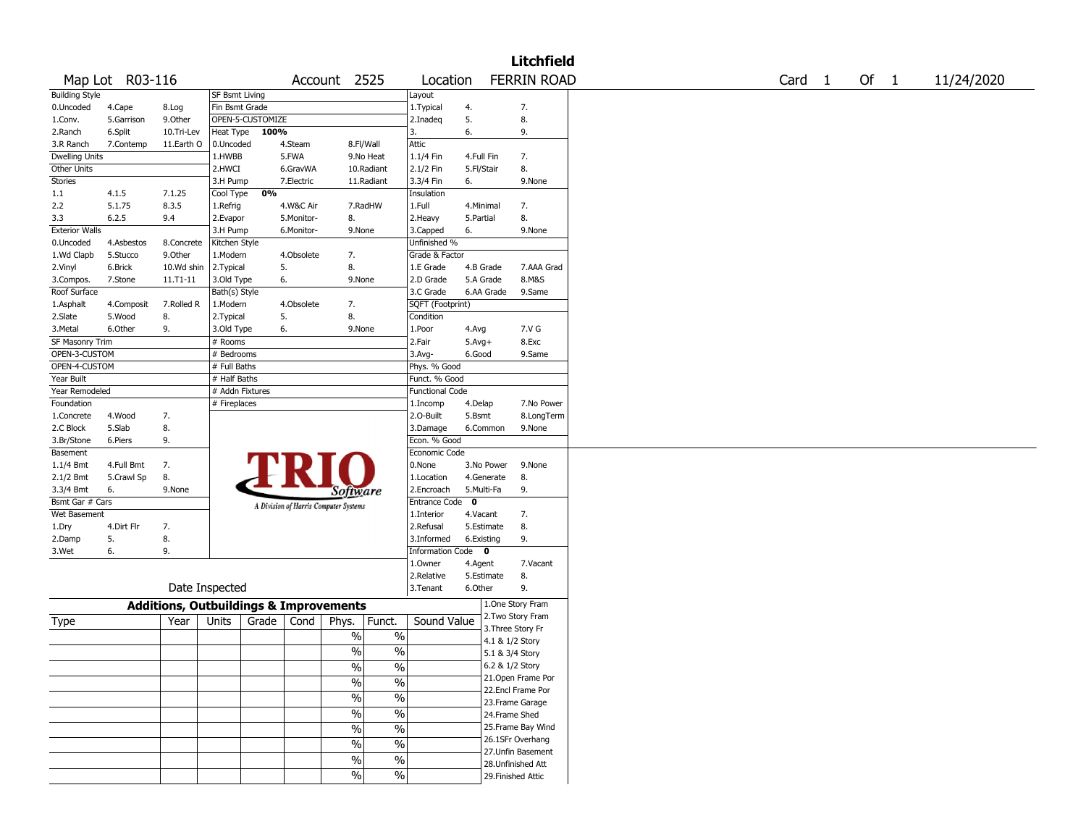|                       |                 |                                                   |                       |                  |            |                                       |                        |                   |                 | <b>Litchfield</b>                       |        |      |            |
|-----------------------|-----------------|---------------------------------------------------|-----------------------|------------------|------------|---------------------------------------|------------------------|-------------------|-----------------|-----------------------------------------|--------|------|------------|
|                       | Map Lot R03-116 |                                                   |                       |                  |            | Account 2525                          | Location               |                   |                 | <b>FERRIN ROAD</b>                      | Card 1 | Of 1 | 11/24/2020 |
| <b>Building Style</b> |                 |                                                   | <b>SF Bsmt Living</b> |                  |            |                                       | Layout                 |                   |                 |                                         |        |      |            |
| 0.Uncoded             | 4.Cape          | 8.Log                                             | Fin Bsmt Grade        |                  |            |                                       | 1. Typical             | 4.                |                 | 7.                                      |        |      |            |
| 1.Conv.               | 5.Garrison      | 9.0ther                                           |                       | OPEN-5-CUSTOMIZE |            |                                       | 2.Inadeq               | 5.                |                 | 8.                                      |        |      |            |
| 2.Ranch               | 6.Split         | 10.Tri-Lev                                        | Heat Type             | 100%             |            |                                       | 3.                     | 6.                |                 | 9.                                      |        |      |            |
| 3.R Ranch             | 7.Contemp       | 11.Earth O                                        | 0.Uncoded             |                  | 4.Steam    | 8.Fl/Wall                             | Attic                  |                   |                 |                                         |        |      |            |
| <b>Dwelling Units</b> |                 |                                                   | 1.HWBB                |                  | 5.FWA      | 9.No Heat                             | $1.1/4$ Fin            | 4.Full Fin        |                 | 7.                                      |        |      |            |
| <b>Other Units</b>    |                 |                                                   | 2.HWCI                |                  | 6.GravWA   | 10.Radiant                            | 2.1/2 Fin              | 5.Fl/Stair        |                 | 8.                                      |        |      |            |
| Stories               |                 |                                                   | 3.H Pump              |                  | 7.Electric | 11.Radiant                            | 3.3/4 Fin              | 6.                |                 | 9.None                                  |        |      |            |
| 1.1                   | 4.1.5           | 7.1.25                                            | Cool Type             | 0%               |            |                                       | Insulation             |                   |                 |                                         |        |      |            |
| 2.2                   | 5.1.75          | 8.3.5                                             | 1.Refrig              |                  | 4.W&C Air  | 7.RadHW                               | 1.Full                 | 4.Minimal         |                 | 7.                                      |        |      |            |
| 3.3                   | 6.2.5           | 9.4                                               | 2.Evapor              |                  | 5.Monitor- | 8.                                    | 2.Heavy                | 5.Partial         |                 | 8.                                      |        |      |            |
| <b>Exterior Walls</b> |                 |                                                   | 3.H Pump              |                  | 6.Monitor- | 9.None                                | 3.Capped               | 6.                |                 | 9.None                                  |        |      |            |
| 0.Uncoded             | 4.Asbestos      | 8.Concrete                                        | Kitchen Style         |                  |            |                                       | Unfinished %           |                   |                 |                                         |        |      |            |
| 1.Wd Clapb            | 5.Stucco        | 9.0ther                                           | 1.Modern              |                  | 4.Obsolete | 7.                                    | Grade & Factor         |                   |                 |                                         |        |      |            |
| 2.Vinyl               | 6.Brick         | 10.Wd shin                                        | 2.Typical             | 5.               |            | 8.                                    | 1.E Grade              | 4.B Grade         |                 | 7.AAA Grad                              |        |      |            |
| 3.Compos.             | 7.Stone         | $11.71 - 11$                                      | 3.Old Type            | 6.               |            | 9.None                                | 2.D Grade              | 5.A Grade         |                 | 8.M&S                                   |        |      |            |
| Roof Surface          |                 |                                                   | Bath(s) Style         |                  |            |                                       | 3.C Grade              | 6.AA Grade        |                 | 9.Same                                  |        |      |            |
| 1.Asphalt             | 4.Composit      | 7.Rolled R                                        | 1.Modern              |                  | 4.Obsolete | 7.                                    | SQFT (Footprint)       |                   |                 |                                         |        |      |            |
| 2.Slate               | 5.Wood          | 8.                                                | 2. Typical            | 5.               |            | 8.                                    | Condition              |                   |                 |                                         |        |      |            |
| 3.Metal               | 6.Other         | 9.                                                | 3.Old Type            | 6.               |            | 9.None                                | 1.Poor                 | 4.Avg             |                 | 7.V G                                   |        |      |            |
| SF Masonry Trim       |                 |                                                   | # Rooms               |                  |            |                                       | 2.Fair                 | $5.Avg+$          |                 | 8.Exc                                   |        |      |            |
| OPEN-3-CUSTOM         |                 |                                                   | # Bedrooms            |                  |            |                                       | 3.Avg-                 | 6.Good            |                 | 9.Same                                  |        |      |            |
| OPEN-4-CUSTOM         |                 |                                                   | # Full Baths          |                  |            |                                       | Phys. % Good           |                   |                 |                                         |        |      |            |
| Year Built            |                 |                                                   | # Half Baths          |                  |            |                                       | Funct. % Good          |                   |                 |                                         |        |      |            |
|                       |                 |                                                   | # Addn Fixtures       |                  |            |                                       | <b>Functional Code</b> |                   |                 |                                         |        |      |            |
| Year Remodeled        |                 |                                                   |                       |                  |            |                                       |                        |                   |                 | 7.No Power                              |        |      |            |
| Foundation            |                 |                                                   | # Fireplaces          |                  |            |                                       | 1.Incomp               | 4.Delap<br>5.Bsmt |                 |                                         |        |      |            |
| 1.Concrete            | 4.Wood          | 7.                                                |                       |                  |            |                                       | 2.O-Built<br>3.Damage  |                   |                 | 8.LongTerm                              |        |      |            |
| 2.C Block             | 5.Slab          | 8.<br>9.                                          |                       |                  |            |                                       | Econ. % Good           | 6.Common          |                 | 9.None                                  |        |      |            |
| 3.Br/Stone            | 6.Piers         |                                                   |                       |                  |            |                                       | Economic Code          |                   |                 |                                         |        |      |            |
| Basement              |                 |                                                   |                       |                  |            |                                       |                        |                   |                 |                                         |        |      |            |
| 1.1/4 Bmt             | 4.Full Bmt      | 7.                                                |                       |                  |            |                                       | 0.None                 | 3.No Power        |                 | 9.None                                  |        |      |            |
| 2.1/2 Bmt             | 5.Crawl Sp      | 8.                                                |                       |                  |            |                                       | 1.Location             | 4.Generate        |                 | 8.                                      |        |      |            |
| 3.3/4 Bmt             | 6.              | 9.None                                            |                       |                  |            | Software                              | 2.Encroach             | 5.Multi-Fa        |                 | 9.                                      |        |      |            |
| Bsmt Gar # Cars       |                 |                                                   |                       |                  |            | A Division of Harris Computer Systems | Entrance Code 0        |                   |                 |                                         |        |      |            |
| Wet Basement          |                 |                                                   |                       |                  |            |                                       | 1.Interior             | 4.Vacant          |                 | 7.                                      |        |      |            |
| 1.Dry                 | 4.Dirt Flr      | 7.                                                |                       |                  |            |                                       | 2.Refusal              | 5.Estimate        |                 | 8.                                      |        |      |            |
| 2.Damp                | 5.              | 8.                                                |                       |                  |            |                                       | 3.Informed             | 6.Existing        |                 | 9.                                      |        |      |            |
| 3.Wet                 | 6.              | 9.                                                |                       |                  |            |                                       | Information Code 0     |                   |                 |                                         |        |      |            |
|                       |                 |                                                   |                       |                  |            |                                       | 1.0wner                | 4.Agent           |                 | 7.Vacant                                |        |      |            |
|                       |                 |                                                   |                       |                  |            |                                       | 2.Relative             | 5.Estimate        |                 | 8.                                      |        |      |            |
|                       |                 | Date Inspected                                    |                       |                  |            |                                       | 3.Tenant               | 6.Other           |                 | 9.                                      |        |      |            |
|                       |                 | <b>Additions, Outbuildings &amp; Improvements</b> |                       |                  |            |                                       |                        |                   |                 | 1.One Story Fram                        |        |      |            |
| Type                  |                 | Year                                              | Units                 | Grade            | Cond       | Phys.<br>Funct.                       | Sound Value            |                   |                 | 2. Two Story Fram                       |        |      |            |
|                       |                 |                                                   |                       |                  |            | %<br>%                                |                        |                   |                 | 3. Three Story Fr                       |        |      |            |
|                       |                 |                                                   |                       |                  |            | $\%$<br>$\frac{0}{0}$                 |                        |                   | 4.1 & 1/2 Story |                                         |        |      |            |
|                       |                 |                                                   |                       |                  |            |                                       |                        |                   | 5.1 & 3/4 Story |                                         |        |      |            |
|                       |                 |                                                   |                       |                  |            | %<br>%                                |                        |                   |                 | 6.2 & 1/2 Story                         |        |      |            |
|                       |                 |                                                   |                       |                  |            | $\sqrt{20}$<br>$\frac{1}{2}$          |                        |                   |                 | 21. Open Frame Por<br>22.Encl Frame Por |        |      |            |
|                       |                 |                                                   |                       |                  |            | $\frac{1}{2}$<br>$\%$                 |                        |                   |                 |                                         |        |      |            |
|                       |                 |                                                   |                       |                  |            | $\sqrt{20}$                           |                        |                   |                 | 23. Frame Garage                        |        |      |            |
|                       |                 |                                                   |                       |                  |            | $\frac{1}{2}$                         |                        |                   |                 | 24.Frame Shed                           |        |      |            |
|                       |                 |                                                   |                       |                  |            | $\frac{0}{6}$<br>$\%$                 |                        |                   |                 | 25. Frame Bay Wind                      |        |      |            |
|                       |                 |                                                   |                       |                  |            | $\frac{9}{6}$<br>$\frac{1}{2}$        |                        |                   |                 | 26.1SFr Overhang                        |        |      |            |
|                       |                 |                                                   |                       |                  |            | $\%$<br>$\sqrt{6}$                    |                        |                   |                 | 27.Unfin Basement                       |        |      |            |
|                       |                 |                                                   |                       |                  |            |                                       |                        |                   |                 | 28. Unfinished Att                      |        |      |            |
|                       |                 |                                                   |                       |                  |            | $\frac{0}{6}$<br>$\sqrt{0}$           |                        |                   |                 | 29. Finished Attic                      |        |      |            |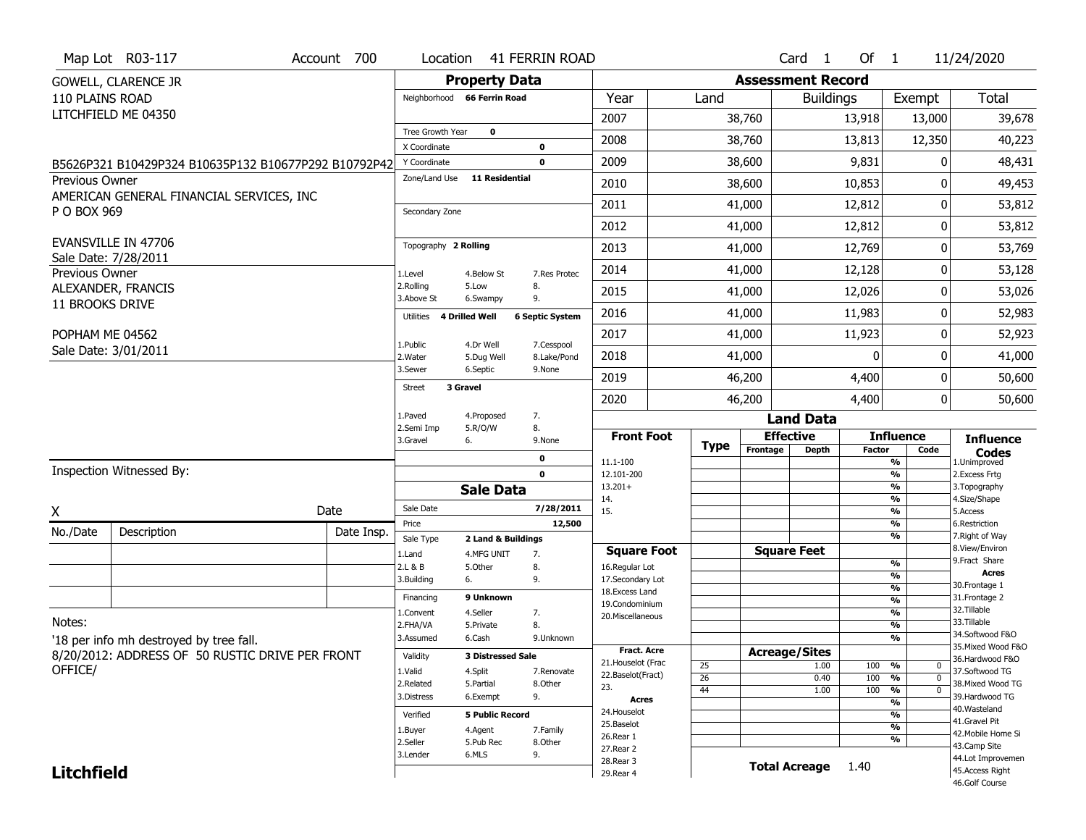|                        | Map Lot R03-117                                      | Account 700 | Location                           |                          | <b>41 FERRIN ROAD</b>     |                                  |                 |                          | Card 1               | Of $1$        |                                 | 11/24/2020                          |
|------------------------|------------------------------------------------------|-------------|------------------------------------|--------------------------|---------------------------|----------------------------------|-----------------|--------------------------|----------------------|---------------|---------------------------------|-------------------------------------|
|                        | <b>GOWELL, CLARENCE JR</b>                           |             |                                    | <b>Property Data</b>     |                           |                                  |                 | <b>Assessment Record</b> |                      |               |                                 |                                     |
| 110 PLAINS ROAD        |                                                      |             | Neighborhood 66 Ferrin Road        |                          |                           | Year                             | Land            |                          | <b>Buildings</b>     |               | Exempt                          | Total                               |
|                        | LITCHFIELD ME 04350                                  |             |                                    |                          |                           | 2007                             |                 | 38,760                   |                      | 13,918        | 13,000                          | 39,678                              |
|                        |                                                      |             | Tree Growth Year                   | $\mathbf 0$              |                           | 2008                             |                 | 38,760                   |                      | 13,813        | 12,350                          | 40,223                              |
|                        |                                                      |             | X Coordinate<br>Y Coordinate       |                          | 0<br>$\mathbf 0$          | 2009                             |                 | 38,600                   |                      | 9,831         | 0                               | 48,431                              |
| <b>Previous Owner</b>  | B5626P321 B10429P324 B10635P132 B10677P292 B10792P42 |             | Zone/Land Use                      | <b>11 Residential</b>    |                           |                                  |                 |                          |                      |               |                                 |                                     |
|                        | AMERICAN GENERAL FINANCIAL SERVICES, INC             |             |                                    |                          |                           | 2010                             |                 | 38,600                   |                      | 10,853        | O                               | 49,453                              |
| P O BOX 969            |                                                      |             | Secondary Zone                     |                          |                           | 2011                             |                 | 41,000                   |                      | 12,812        | 0                               | 53,812                              |
|                        |                                                      |             |                                    |                          |                           | 2012                             |                 | 41,000                   |                      | 12,812        | 0                               | 53,812                              |
|                        | <b>EVANSVILLE IN 47706</b><br>Sale Date: 7/28/2011   |             | Topography 2 Rolling               |                          |                           | 2013                             |                 | 41,000                   |                      | 12,769        | 0                               | 53,769                              |
| Previous Owner         |                                                      |             | 1.Level                            | 4.Below St               | 7.Res Protec              | 2014                             |                 | 41,000                   |                      | 12,128        | 0                               | 53,128                              |
|                        | ALEXANDER, FRANCIS                                   |             | 2.Rolling<br>3.Above St            | 5.Low<br>6.Swampy        | 8.<br>9.                  | 2015                             |                 | 41,000                   |                      | 12,026        | 0                               | 53,026                              |
| <b>11 BROOKS DRIVE</b> |                                                      |             | <b>4 Drilled Well</b><br>Utilities |                          | <b>6 Septic System</b>    | 2016                             |                 | 41,000                   |                      | 11,983        | 0                               | 52,983                              |
| POPHAM ME 04562        |                                                      |             |                                    |                          |                           | 2017                             |                 | 41,000                   |                      | 11,923        | 0                               | 52,923                              |
|                        | Sale Date: 3/01/2011                                 |             | 1.Public<br>2. Water               | 4.Dr Well<br>5.Dug Well  | 7.Cesspool<br>8.Lake/Pond | 2018                             |                 | 41,000                   |                      | $\Omega$      | O                               | 41,000                              |
|                        |                                                      |             | 3.Sewer                            | 6.Septic                 | 9.None                    | 2019                             |                 | 46,200                   |                      | 4,400         | 0                               | 50,600                              |
|                        |                                                      |             | 3 Gravel<br><b>Street</b>          |                          |                           | 2020                             |                 | 46,200                   |                      | 4,400         | 0                               | 50,600                              |
|                        |                                                      |             | 1.Paved                            | 4.Proposed               | 7.                        |                                  |                 |                          | <b>Land Data</b>     |               |                                 |                                     |
|                        |                                                      |             | 2.Semi Imp<br>3.Gravel             | 5.R/O/W<br>6.            | 8.<br>9.None              | <b>Front Foot</b>                |                 |                          | <b>Effective</b>     |               | <b>Influence</b>                | <b>Influence</b>                    |
|                        |                                                      |             |                                    |                          |                           |                                  |                 |                          |                      |               |                                 |                                     |
|                        |                                                      |             |                                    |                          | 0                         |                                  | <b>Type</b>     | Frontage                 | <b>Depth</b>         | <b>Factor</b> | Code                            | Codes                               |
|                        | Inspection Witnessed By:                             |             |                                    |                          | $\mathbf{0}$              | 11.1-100<br>12.101-200           |                 |                          |                      |               | %<br>$\frac{9}{6}$              | 1.Unimproved<br>2.Excess Frtg       |
|                        |                                                      |             |                                    | <b>Sale Data</b>         |                           | $13.201+$                        |                 |                          |                      |               | %                               | 3. Topography                       |
| χ                      |                                                      | Date        | Sale Date                          |                          | 7/28/2011                 | 14.<br>15.                       |                 |                          |                      |               | $\frac{9}{6}$<br>$\frac{9}{6}$  | 4.Size/Shape<br>5.Access            |
| No./Date               | Description                                          | Date Insp.  | Price                              |                          | 12,500                    |                                  |                 |                          |                      |               | %                               | 6.Restriction                       |
|                        |                                                      |             | Sale Type                          | 2 Land & Buildings       |                           | <b>Square Foot</b>               |                 |                          | <b>Square Feet</b>   |               | %                               | 7. Right of Way<br>8.View/Environ   |
|                        |                                                      |             | 1.Land<br>2.L & B                  | 4.MFG UNIT<br>5.0ther    | 7.<br>8.                  | 16.Regular Lot                   |                 |                          |                      |               | $\frac{9}{6}$                   | 9.Fract Share                       |
|                        |                                                      |             | 3.Building                         | 6.                       | 9.                        | 17.Secondary Lot                 |                 |                          |                      |               | $\frac{9}{6}$<br>$\frac{9}{6}$  | <b>Acres</b><br>30. Frontage 1      |
|                        |                                                      |             | Financing                          | 9 Unknown                |                           | 18.Excess Land<br>19.Condominium |                 |                          |                      |               | $\frac{9}{6}$                   | 31. Frontage 2                      |
|                        |                                                      |             | 1.Convent                          | 4.Seller                 | 7.                        | 20.Miscellaneous                 |                 |                          |                      |               | $\frac{9}{6}$                   | 32.Tillable<br>33.Tillable          |
| Notes:                 |                                                      |             | 2.FHA/VA<br>3.Assumed              | 5.Private<br>6.Cash      | 8.<br>9.Unknown           |                                  |                 |                          |                      |               | $\frac{9}{6}$<br>$\frac{9}{6}$  | 34.Softwood F&O                     |
|                        | '18 per info mh destroyed by tree fall.              |             |                                    |                          |                           | <b>Fract. Acre</b>               |                 | <b>Acreage/Sites</b>     |                      |               |                                 | 35. Mixed Wood F&O                  |
|                        | 8/20/2012: ADDRESS OF 50 RUSTIC DRIVE PER FRONT      |             | Validity                           | <b>3 Distressed Sale</b> |                           | 21. Houselot (Frac               | 25              |                          | 1.00                 | 100           | %<br>0                          | 36.Hardwood F&O                     |
| OFFICE/                |                                                      |             | 1.Valid<br>2.Related               | 4.Split<br>5.Partial     | 7.Renovate<br>8.Other     | 22.Baselot(Fract)                | $\overline{26}$ |                          | 0.40                 | 100           | $\overline{0}$<br>$\frac{9}{6}$ | 37.Softwood TG<br>38. Mixed Wood TG |
|                        |                                                      |             | 3.Distress                         | 6.Exempt                 | 9.                        | 23.<br>Acres                     | 44              |                          | 1.00                 | 100           | $\frac{9}{6}$<br>$\overline{0}$ | 39.Hardwood TG                      |
|                        |                                                      |             | Verified                           | <b>5 Public Record</b>   |                           | 24. Houselot                     |                 |                          |                      |               | $\frac{9}{6}$<br>$\frac{9}{6}$  | 40. Wasteland                       |
|                        |                                                      |             | 1.Buyer                            | 4.Agent                  | 7.Family                  | 25.Baselot                       |                 |                          |                      |               | $\frac{9}{6}$                   | 41.Gravel Pit                       |
|                        |                                                      |             | 2.Seller                           | 5.Pub Rec                | 8.Other                   | 26.Rear 1                        |                 |                          |                      |               | %                               | 42. Mobile Home Si<br>43.Camp Site  |
|                        |                                                      |             | 3.Lender                           | 6.MLS                    | 9.                        | 27. Rear 2<br>28.Rear 3          |                 |                          |                      |               |                                 | 44.Lot Improvemen                   |
| <b>Litchfield</b>      |                                                      |             |                                    |                          |                           | 29. Rear 4                       |                 |                          | <b>Total Acreage</b> | 1.40          |                                 | 45.Access Right<br>46.Golf Course   |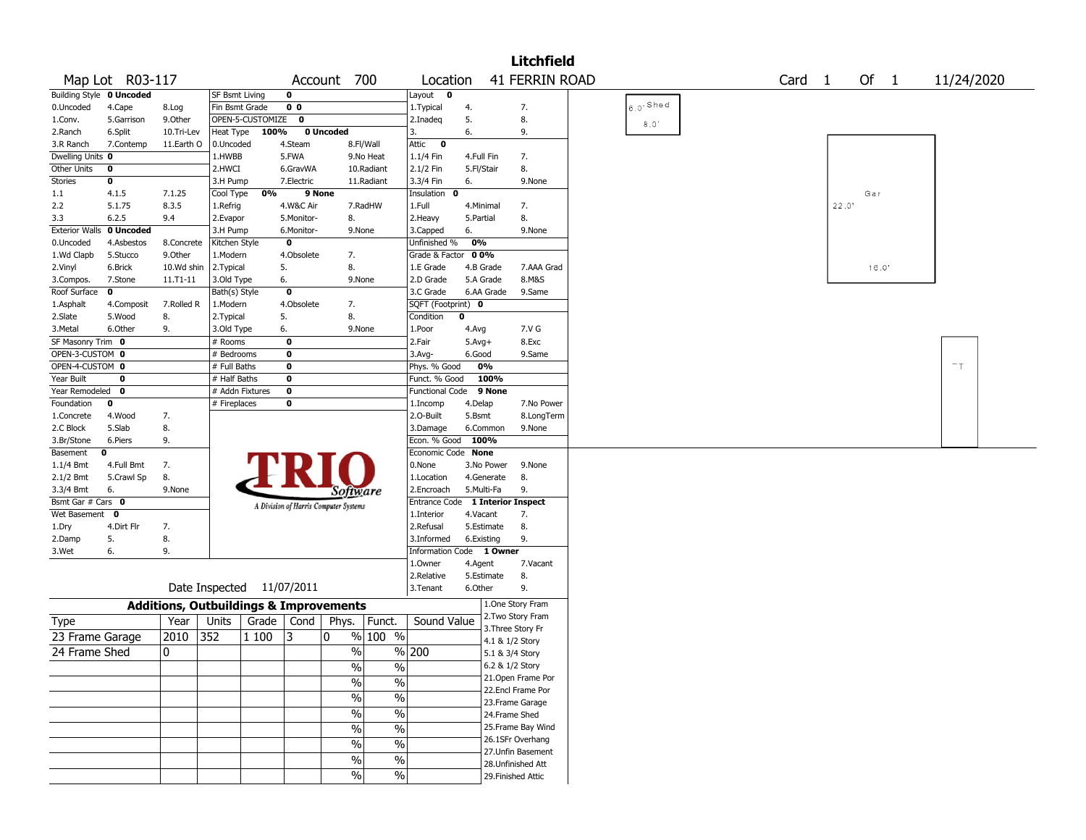|                         |                  |                                                   |                 |                  |                         |                                       |               |                          |                           | <b>Litchfield</b>                      |            |                   |       |       |            |  |
|-------------------------|------------------|---------------------------------------------------|-----------------|------------------|-------------------------|---------------------------------------|---------------|--------------------------|---------------------------|----------------------------------------|------------|-------------------|-------|-------|------------|--|
|                         | Map Lot R03-117  |                                                   |                 |                  |                         | Account 700                           |               | Location                 |                           | <b>41 FERRIN ROAD</b>                  |            | Card <sub>1</sub> |       | Of 1  | 11/24/2020 |  |
| <b>Building Style</b>   | 0 Uncoded        |                                                   | SF Bsmt Living  |                  | 0                       |                                       |               | Layout<br>0              |                           |                                        |            |                   |       |       |            |  |
| 0.Uncoded               | 4.Cape           | 8.Log                                             | Fin Bsmt Grade  |                  | 0 <sub>0</sub>          |                                       |               | 1. Typical               | 4.                        | 7.                                     | $6.0$ Shed |                   |       |       |            |  |
| 1.Conv.                 | 5.Garrison       | 9.Other                                           |                 | OPEN-5-CUSTOMIZE | $\mathbf 0$             |                                       |               | 2.Inadeq                 | 5.                        | 8.                                     | 8.0'       |                   |       |       |            |  |
| 2.Ranch                 | 6.Split          | 10.Tri-Lev                                        | Heat Type       | 100%             |                         | 0 Uncoded                             |               | 3.                       | 6.                        | 9.                                     |            |                   |       |       |            |  |
| 3.R Ranch               | 7.Contemp        | 11.Earth O                                        | 0.Uncoded       |                  | 4.Steam                 |                                       | 8.Fl/Wall     | Attic<br>$\bf{0}$        |                           |                                        |            |                   |       |       |            |  |
| Dwelling Units 0        |                  |                                                   | 1.HWBB          |                  | 5.FWA                   |                                       | 9.No Heat     | 1.1/4 Fin                | 4.Full Fin                | 7.                                     |            |                   |       |       |            |  |
| Other Units             | 0                |                                                   | 2.HWCI          |                  | 6.GravWA                |                                       | 10.Radiant    | 2.1/2 Fin                | 5.Fl/Stair                | 8.                                     |            |                   |       |       |            |  |
| <b>Stories</b>          | 0                |                                                   | 3.H Pump        |                  | 7.Electric              |                                       | 11.Radiant    | 3.3/4 Fin                | 6.                        | 9.None                                 |            |                   |       |       |            |  |
| 1.1                     | 4.1.5            | 7.1.25                                            | Cool Type       | 0%               | 9 None                  |                                       |               | Insulation<br>- 0        |                           |                                        |            |                   |       | Gar   |            |  |
| 2.2                     | 5.1.75           | 8.3.5                                             | 1.Refrig        |                  | 4.W&C Air               |                                       | 7.RadHW       | 1.Full                   | 4.Minimal                 | 7.                                     |            |                   | 22.0" |       |            |  |
| 3.3                     | 6.2.5            | 9.4                                               | 2.Evapor        |                  | 5.Monitor-              | 8.                                    |               | 2. Heavy                 | 5.Partial                 | 8.                                     |            |                   |       |       |            |  |
| <b>Exterior Walls</b>   | 0 Uncoded        |                                                   | 3.H Pump        |                  | 6.Monitor-              | 9.None                                |               | 3.Capped                 | 6.                        | 9.None                                 |            |                   |       |       |            |  |
| 0.Uncoded               | 4.Asbestos       | 8.Concrete                                        | Kitchen Style   |                  | $\bf o$                 |                                       |               | Unfinished %             | 0%                        |                                        |            |                   |       |       |            |  |
| 1.Wd Clapb              | 5.Stucco         | 9.0ther                                           | 1.Modern        |                  | 4.Obsolete              | 7.                                    |               | Grade & Factor           | 00%                       |                                        |            |                   |       |       |            |  |
| 2.Vinyl                 | 6.Brick          | 10.Wd shin                                        | 2. Typical      |                  | 5.                      | 8.                                    |               | 1.E Grade                | 4.B Grade                 | 7.AAA Grad                             |            |                   |       | 16.0' |            |  |
| 3.Compos.               | 7.Stone          | 11.T1-11                                          | 3.Old Type      |                  | 6.                      | 9.None                                |               | 2.D Grade                | 5.A Grade                 | 8.M&S                                  |            |                   |       |       |            |  |
| Roof Surface            | 0                |                                                   | Bath(s) Style   |                  | $\overline{\mathbf{0}}$ |                                       |               | 3.C Grade                | 6.AA Grade                | 9.Same                                 |            |                   |       |       |            |  |
| 1.Asphalt               | 4.Composit       | 7.Rolled R                                        | 1.Modern        |                  | 4.Obsolete              | 7.                                    |               | SQFT (Footprint) 0       |                           |                                        |            |                   |       |       |            |  |
| 2.Slate                 | 5.Wood           | 8.                                                | 2. Typical      |                  | 5.                      | 8.                                    |               | Condition                | 0                         |                                        |            |                   |       |       |            |  |
| 3.Metal                 | 6.Other          | 9.                                                | 3.Old Type      |                  | 6.                      | 9.None                                |               | 1.Poor                   | 4.Avg                     | 7.V G                                  |            |                   |       |       |            |  |
| SF Masonry Trim 0       |                  |                                                   | # Rooms         |                  | 0                       |                                       |               | 2.Fair                   | $5.Avg+$                  | 8.Exc                                  |            |                   |       |       |            |  |
| OPEN-3-CUSTOM 0         |                  |                                                   | # Bedrooms      |                  | 0                       |                                       |               | 3.Avg-                   | 6.Good                    | 9.Same                                 |            |                   |       |       |            |  |
| OPEN-4-CUSTOM 0         |                  |                                                   | # Full Baths    |                  | $\bf o$                 |                                       |               | Phys. % Good             | 0%                        |                                        |            |                   |       |       | $-$ T      |  |
| Year Built              | $\mathbf 0$      |                                                   | # Half Baths    |                  | 0                       |                                       |               | Funct. % Good            | 100%                      |                                        |            |                   |       |       |            |  |
| Year Remodeled          | 0                |                                                   | # Addn Fixtures |                  | $\mathbf 0$             |                                       |               | <b>Functional Code</b>   | 9 None                    |                                        |            |                   |       |       |            |  |
| Foundation              | 0                |                                                   | # Fireplaces    |                  | 0                       |                                       |               | 1.Incomp                 | 4.Delap                   | 7.No Power                             |            |                   |       |       |            |  |
| 1.Concrete              | 4.Wood<br>5.Slab | 7.<br>8.                                          |                 |                  |                         |                                       |               | 2.0-Built                | 5.Bsmt<br>6.Common        | 8.LongTerm<br>9.None                   |            |                   |       |       |            |  |
| 2.C Block<br>3.Br/Stone | 6.Piers          | 9.                                                |                 |                  |                         |                                       |               | 3.Damage<br>Econ. % Good | 100%                      |                                        |            |                   |       |       |            |  |
| Basement                | 0                |                                                   |                 |                  |                         |                                       |               | Economic Code            | <b>None</b>               |                                        |            |                   |       |       |            |  |
| 1.1/4 Bmt               | 4.Full Bmt       | 7.                                                |                 |                  |                         |                                       |               | 0.None                   | 3.No Power                | 9.None                                 |            |                   |       |       |            |  |
| 2.1/2 Bmt               | 5.Crawl Sp       | 8.                                                |                 |                  |                         |                                       |               | 1.Location               | 4.Generate                | 8.                                     |            |                   |       |       |            |  |
| 3.3/4 Bmt               | 6.               | 9.None                                            |                 |                  |                         | Software                              |               | 2.Encroach               | 5.Multi-Fa                | 9.                                     |            |                   |       |       |            |  |
| Bsmt Gar # Cars 0       |                  |                                                   |                 |                  |                         |                                       |               | <b>Entrance Code</b>     | <b>1 Interior Inspect</b> |                                        |            |                   |       |       |            |  |
| Wet Basement            | 0                |                                                   |                 |                  |                         | A Division of Harris Computer Systems |               | 1.Interior               | 4.Vacant                  | 7.                                     |            |                   |       |       |            |  |
| 1.Dry                   | 4.Dirt Flr       | 7.                                                |                 |                  |                         |                                       |               | 2.Refusal                | 5.Estimate                | 8.                                     |            |                   |       |       |            |  |
| 2.Damp                  | 5.               | 8.                                                |                 |                  |                         |                                       |               | 3.Informed               | 6.Existing                | 9.                                     |            |                   |       |       |            |  |
| 3.Wet                   | 6.               | 9.                                                |                 |                  |                         |                                       |               | <b>Information Code</b>  | 1 Owner                   |                                        |            |                   |       |       |            |  |
|                         |                  |                                                   |                 |                  |                         |                                       |               | 1.Owner                  | 4.Agent                   | 7.Vacant                               |            |                   |       |       |            |  |
|                         |                  |                                                   |                 |                  |                         |                                       |               | 2.Relative               | 5.Estimate                | 8.                                     |            |                   |       |       |            |  |
|                         |                  |                                                   | Date Inspected  |                  | 11/07/2011              |                                       |               | 3.Tenant                 | 6.Other                   | 9.                                     |            |                   |       |       |            |  |
|                         |                  | <b>Additions, Outbuildings &amp; Improvements</b> |                 |                  |                         |                                       |               |                          |                           | 1.One Story Fram                       |            |                   |       |       |            |  |
| Type                    |                  | Year                                              | Units           | Grade            | Cond                    | Phys.                                 | Funct.        | Sound Value              |                           | 2. Two Story Fram                      |            |                   |       |       |            |  |
| 23 Frame Garage         |                  | 2010                                              | 352             | 1 100            | 3                       | 0                                     | % 100 %       |                          |                           | 3. Three Story Fr                      |            |                   |       |       |            |  |
|                         |                  |                                                   |                 |                  |                         |                                       |               |                          |                           | 4.1 & 1/2 Story                        |            |                   |       |       |            |  |
| 24 Frame Shed           |                  | 0                                                 |                 |                  |                         | $\%$                                  |               | % 200                    |                           | 5.1 & 3/4 Story                        |            |                   |       |       |            |  |
|                         |                  |                                                   |                 |                  |                         | $\sqrt{6}$                            | $\%$          |                          |                           | 6.2 & 1/2 Story                        |            |                   |       |       |            |  |
|                         |                  |                                                   |                 |                  |                         | $\sqrt{6}$                            | $\%$          |                          |                           | 21. Open Frame Por                     |            |                   |       |       |            |  |
|                         |                  |                                                   |                 |                  |                         | $\sqrt{6}$                            | $\frac{1}{2}$ |                          |                           | 22.Encl Frame Por                      |            |                   |       |       |            |  |
|                         |                  |                                                   |                 |                  |                         | $\sqrt{6}$                            | $\frac{1}{2}$ |                          |                           | 23. Frame Garage                       |            |                   |       |       |            |  |
|                         |                  |                                                   |                 |                  |                         |                                       |               |                          |                           | 24.Frame Shed                          |            |                   |       |       |            |  |
|                         |                  |                                                   |                 |                  |                         | $\sqrt{6}$                            | $\frac{1}{2}$ |                          |                           | 25. Frame Bay Wind                     |            |                   |       |       |            |  |
|                         |                  |                                                   |                 |                  |                         | $\sqrt{6}$                            | $\%$          |                          |                           | 26.1SFr Overhang<br>27. Unfin Basement |            |                   |       |       |            |  |
|                         |                  |                                                   |                 |                  |                         | $\%$                                  | $\%$          |                          |                           | 28. Unfinished Att                     |            |                   |       |       |            |  |
|                         |                  |                                                   |                 |                  |                         | $\sqrt{6}$                            | $\sqrt{6}$    |                          |                           | 29. Finished Attic                     |            |                   |       |       |            |  |
|                         |                  |                                                   |                 |                  |                         |                                       |               |                          |                           |                                        |            |                   |       |       |            |  |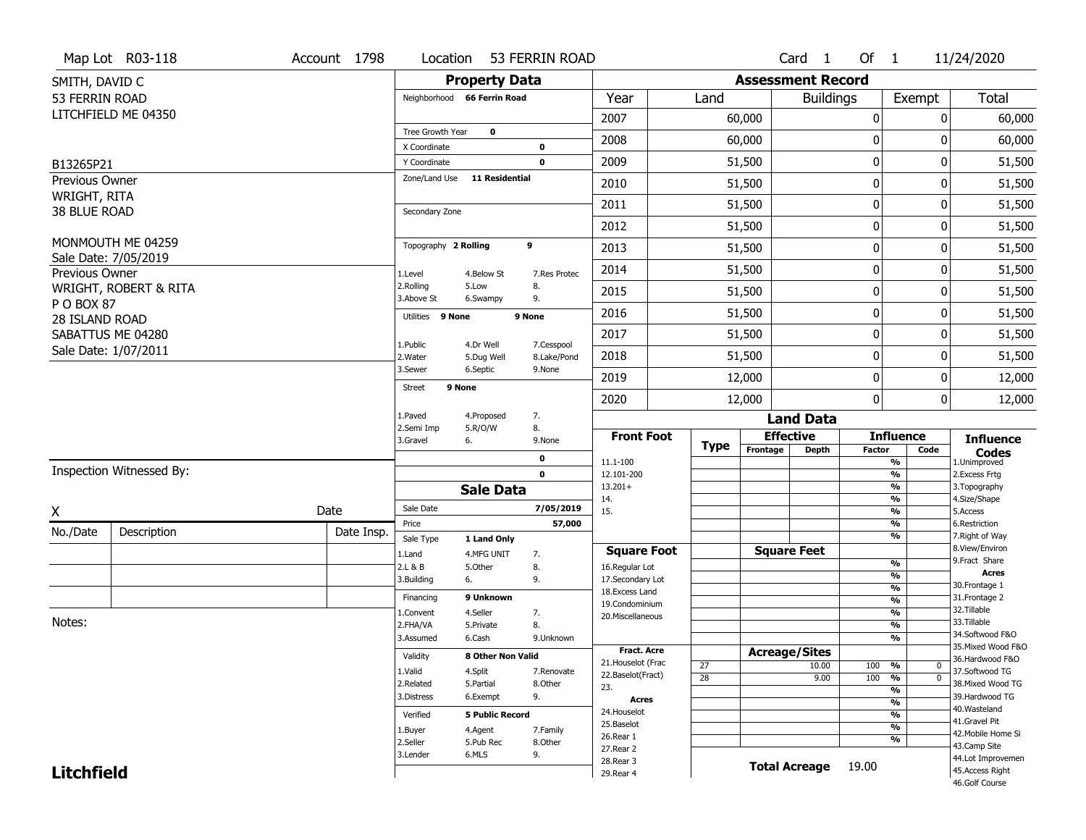|                                | Map Lot R03-118                           | Account 1798 | Location                      |                           | 53 FERRIN ROAD |                                         |             |                          | Card 1               | Of $1$           |                                           | 11/24/2020                            |
|--------------------------------|-------------------------------------------|--------------|-------------------------------|---------------------------|----------------|-----------------------------------------|-------------|--------------------------|----------------------|------------------|-------------------------------------------|---------------------------------------|
| SMITH, DAVID C                 |                                           |              |                               | <b>Property Data</b>      |                |                                         |             | <b>Assessment Record</b> |                      |                  |                                           |                                       |
| 53 FERRIN ROAD                 |                                           |              | Neighborhood 66 Ferrin Road   |                           |                | Year                                    | Land        |                          | <b>Buildings</b>     |                  | Exempt                                    | <b>Total</b>                          |
|                                | LITCHFIELD ME 04350                       |              |                               |                           |                | 2007                                    |             | 60,000                   |                      | $\mathbf 0$      | 0                                         | 60,000                                |
|                                |                                           |              | Tree Growth Year              | $\mathbf 0$               |                | 2008                                    |             | 60,000                   |                      | 0                | 0                                         | 60,000                                |
|                                |                                           |              | X Coordinate                  |                           | $\mathbf 0$    | 2009                                    |             | 51,500                   |                      | $\mathbf 0$      | 0                                         |                                       |
| B13265P21                      |                                           |              | Y Coordinate<br>Zone/Land Use | <b>11 Residential</b>     | $\mathbf 0$    |                                         |             |                          |                      |                  |                                           | 51,500                                |
| Previous Owner<br>WRIGHT, RITA |                                           |              |                               |                           |                | 2010                                    |             | 51,500                   |                      | 0                | 0                                         | 51,500                                |
| 38 BLUE ROAD                   |                                           |              | Secondary Zone                |                           |                | 2011                                    |             | 51,500                   |                      | $\mathbf 0$      | 0                                         | 51,500                                |
|                                |                                           |              |                               |                           |                | 2012                                    |             | 51,500                   |                      | $\mathbf 0$      | 0                                         | 51,500                                |
|                                | MONMOUTH ME 04259<br>Sale Date: 7/05/2019 |              | Topography 2 Rolling          |                           | 9              | 2013                                    |             | 51,500                   |                      | $\mathbf 0$      | 0                                         | 51,500                                |
| Previous Owner                 |                                           |              | 1.Level                       | 4.Below St                | 7.Res Protec   | 2014                                    |             | 51,500                   |                      | $\mathbf 0$      | 0                                         | 51,500                                |
|                                | WRIGHT, ROBERT & RITA                     |              | 2.Rolling<br>3.Above St       | 5.Low<br>6.Swampy         | 8.<br>9.       | 2015                                    |             | 51,500                   |                      | $\mathbf 0$      | 0                                         | 51,500                                |
| P O BOX 87<br>28 ISLAND ROAD   |                                           |              | Utilities 9 None              |                           | 9 None         | 2016                                    |             | 51,500                   |                      | $\boldsymbol{0}$ | 0                                         | 51,500                                |
|                                | SABATTUS ME 04280                         |              | 1.Public                      | 4.Dr Well                 | 7.Cesspool     | 2017                                    |             | 51,500                   |                      | $\mathbf 0$      | 0                                         | 51,500                                |
|                                | Sale Date: 1/07/2011                      |              | 2. Water                      | 5.Dug Well                | 8.Lake/Pond    | 2018                                    |             | 51,500                   |                      | 0                | 0                                         | 51,500                                |
|                                |                                           |              | 3.Sewer                       | 6.Septic                  | 9.None         | 2019                                    |             | 12,000                   |                      | $\mathbf 0$      | 0                                         | 12,000                                |
|                                |                                           |              | 9 None<br><b>Street</b>       |                           |                | 2020                                    |             | 12,000                   |                      | $\mathbf 0$      | 0                                         | 12,000                                |
|                                |                                           |              | 1.Paved                       | 4.Proposed                | 7.             |                                         |             |                          | <b>Land Data</b>     |                  |                                           |                                       |
|                                |                                           |              | 2.Semi Imp<br>3.Gravel        | 5.R/O/W<br>6.             | 8.<br>9.None   | <b>Front Foot</b>                       | <b>Type</b> |                          | <b>Effective</b>     |                  | <b>Influence</b>                          | <b>Influence</b>                      |
|                                |                                           |              |                               |                           | 0              | 11.1-100                                |             | Frontage                 | <b>Depth</b>         | <b>Factor</b>    | Code<br>%                                 | <b>Codes</b><br>1.Unimproved          |
|                                | Inspection Witnessed By:                  |              |                               |                           | $\mathbf 0$    | 12.101-200                              |             |                          |                      |                  | $\frac{9}{6}$                             | 2.Excess Frtg                         |
|                                |                                           |              |                               | <b>Sale Data</b>          |                | $13.201+$<br>14.                        |             |                          |                      |                  | %<br>$\frac{9}{6}$                        | 3. Topography<br>4.Size/Shape         |
| X                              |                                           | Date         | Sale Date                     |                           | 7/05/2019      | 15.                                     |             |                          |                      |                  | %                                         | 5.Access                              |
| No./Date                       | Description                               | Date Insp.   | Price                         |                           | 57,000         |                                         |             |                          |                      |                  | $\frac{9}{6}$<br>%                        | 6.Restriction<br>7. Right of Way      |
|                                |                                           |              | Sale Type<br>1.Land           | 1 Land Only<br>4.MFG UNIT | 7.             | <b>Square Foot</b>                      |             |                          | <b>Square Feet</b>   |                  |                                           | 8.View/Environ                        |
|                                |                                           |              | 2.L & B                       | 5.Other                   | 8.             | 16.Regular Lot                          |             |                          |                      |                  | $\frac{9}{6}$                             | 9. Fract Share                        |
|                                |                                           |              | 3.Building                    | 6.                        | 9.             | 17.Secondary Lot                        |             |                          |                      |                  | %                                         | <b>Acres</b><br>30. Frontage 1        |
|                                |                                           |              | Financing                     | 9 Unknown                 |                | 18. Excess Land<br>19.Condominium       |             |                          |                      |                  | $\frac{9}{6}$<br>$\overline{\frac{9}{6}}$ | 31. Frontage 2                        |
|                                |                                           |              | 1.Convent                     | 4.Seller                  | 7.             | 20.Miscellaneous                        |             |                          |                      |                  | $\frac{9}{6}$                             | 32. Tillable                          |
| Notes:                         |                                           |              | 2.FHA/VA                      | 5.Private                 | 8.             |                                         |             |                          |                      |                  | $\frac{9}{6}$                             | 33.Tillable                           |
|                                |                                           |              | 3.Assumed                     | 6.Cash                    | 9.Unknown      |                                         |             |                          |                      |                  | %                                         | 34.Softwood F&O<br>35. Mixed Wood F&O |
|                                |                                           |              | Validity                      | 8 Other Non Valid         |                | Fract. Acre                             |             |                          | <b>Acreage/Sites</b> |                  |                                           | 36.Hardwood F&O                       |
|                                |                                           |              | 1.Valid                       | 4.Split                   | 7.Renovate     | 21. Houselot (Frac<br>22.Baselot(Fract) | 27          |                          | 10.00                | 100              | %<br>0                                    | 37.Softwood TG                        |
|                                |                                           |              | 2.Related                     | 5.Partial                 | 8.Other        | 23.                                     | 28          |                          | 9.00                 | 100              | $\overline{0}$<br>%<br>%                  | 38. Mixed Wood TG                     |
|                                |                                           |              | 3.Distress                    | 6.Exempt                  | 9.             | <b>Acres</b>                            |             |                          |                      |                  | $\frac{9}{6}$                             | 39.Hardwood TG                        |
|                                |                                           |              | Verified                      | <b>5 Public Record</b>    |                | 24. Houselot                            |             |                          |                      |                  | %                                         | 40. Wasteland                         |
|                                |                                           |              | 1.Buyer                       | 4.Agent                   | 7.Family       | 25.Baselot                              |             |                          |                      |                  | $\frac{9}{6}$                             | 41.Gravel Pit                         |
|                                |                                           |              | 2.Seller                      | 5.Pub Rec                 | 8.Other        | 26.Rear 1                               |             |                          |                      |                  | %                                         | 42. Mobile Home Si<br>43.Camp Site    |
|                                |                                           |              | 3.Lender                      | 6.MLS                     | 9.             | 27.Rear 2                               |             |                          |                      |                  |                                           | 44.Lot Improvemen                     |
| <b>Litchfield</b>              |                                           |              |                               |                           |                | 28.Rear 3<br>29. Rear 4                 |             |                          | <b>Total Acreage</b> | 19.00            |                                           | 45.Access Right                       |
|                                |                                           |              |                               |                           |                |                                         |             |                          |                      |                  |                                           | 46.Golf Course                        |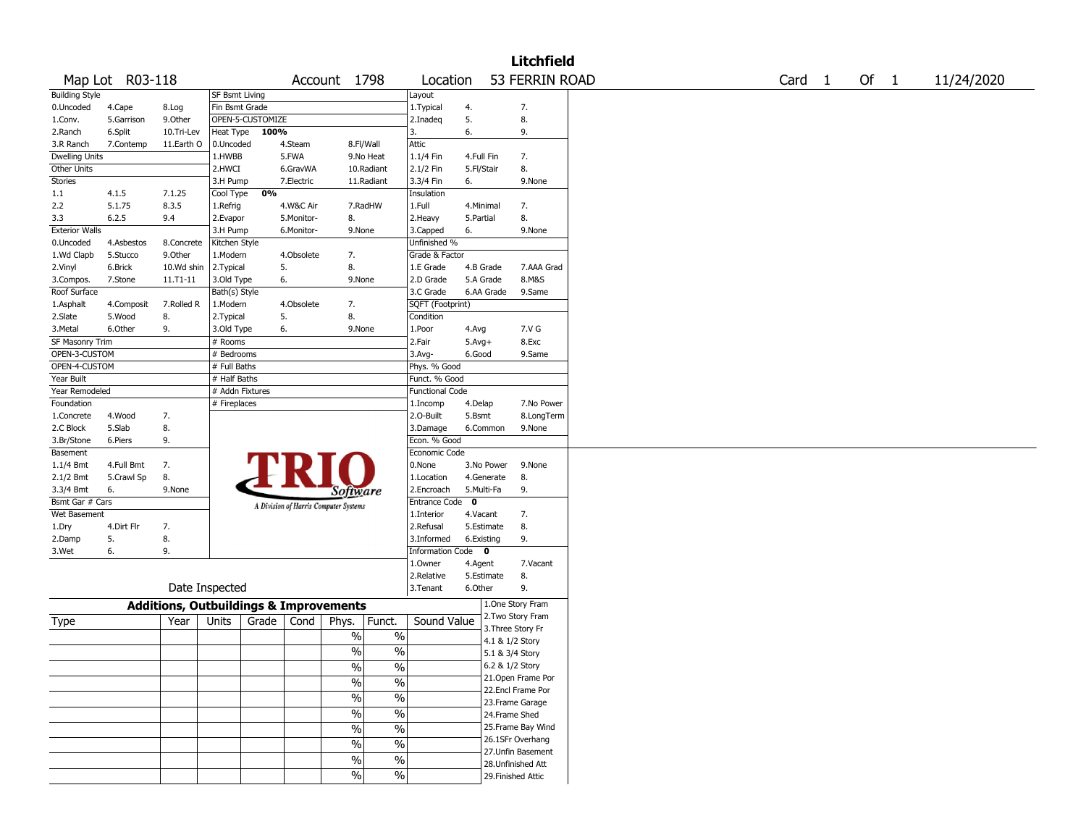|                       |                 |                                                   |                 |                  |            |                                       |               |                        |             |            | <b>Litchfield</b>  |  |        |      |            |
|-----------------------|-----------------|---------------------------------------------------|-----------------|------------------|------------|---------------------------------------|---------------|------------------------|-------------|------------|--------------------|--|--------|------|------------|
|                       | Map Lot R03-118 |                                                   |                 |                  |            | Account 1798                          |               | Location               |             |            | 53 FERRIN ROAD     |  | Card 1 | Of 1 | 11/24/2020 |
| <b>Building Style</b> |                 |                                                   | SF Bsmt Living  |                  |            |                                       |               | Layout                 |             |            |                    |  |        |      |            |
| 0.Uncoded             | 4.Cape          | 8.Log                                             | Fin Bsmt Grade  |                  |            |                                       |               | 1.Typical              | 4.          |            | 7.                 |  |        |      |            |
| 1.Conv.               | 5.Garrison      | 9.0ther                                           |                 | OPEN-5-CUSTOMIZE |            |                                       |               | 2.Inadeg               | 5.          |            | 8.                 |  |        |      |            |
| 2.Ranch               | 6.Split         | 10.Tri-Lev                                        | Heat Type       | 100%             |            |                                       |               | 3.                     | 6.          |            | 9.                 |  |        |      |            |
| 3.R Ranch             | 7.Contemp       | 11.Earth O                                        | 0.Uncoded       |                  | 4.Steam    |                                       | 8.Fl/Wall     | Attic                  |             |            |                    |  |        |      |            |
| <b>Dwelling Units</b> |                 |                                                   | 1.HWBB          |                  | 5.FWA      |                                       | 9.No Heat     | 1.1/4 Fin              | 4.Full Fin  |            | 7.                 |  |        |      |            |
| Other Units           |                 |                                                   | 2.HWCI          |                  | 6.GravWA   |                                       | 10.Radiant    | 2.1/2 Fin              | 5.Fl/Stair  |            | 8.                 |  |        |      |            |
| Stories               |                 |                                                   | 3.H Pump        |                  | 7.Electric |                                       | 11.Radiant    | 3.3/4 Fin              | 6.          |            | 9.None             |  |        |      |            |
| 1.1                   | 4.1.5           | 7.1.25                                            | Cool Type       | 0%               |            |                                       |               | Insulation             |             |            |                    |  |        |      |            |
| 2.2                   | 5.1.75          | 8.3.5                                             | 1.Refrig        |                  | 4.W&C Air  |                                       | 7.RadHW       | 1.Full                 | 4.Minimal   |            | 7.                 |  |        |      |            |
| 3.3                   | 6.2.5           | 9.4                                               | 2.Evapor        |                  | 5.Monitor- | 8.                                    |               | 2.Heavy                | 5.Partial   |            | 8.                 |  |        |      |            |
| <b>Exterior Walls</b> |                 |                                                   | 3.H Pump        |                  | 6.Monitor- | 9.None                                |               | 3.Capped               | 6.          |            | 9.None             |  |        |      |            |
| 0.Uncoded             | 4.Asbestos      | 8.Concrete                                        | Kitchen Style   |                  |            |                                       |               | Unfinished %           |             |            |                    |  |        |      |            |
| 1.Wd Clapb            | 5.Stucco        | 9.0ther                                           | 1.Modern        |                  | 4.Obsolete | 7.                                    |               | Grade & Factor         |             |            |                    |  |        |      |            |
| 2.Vinyl               | 6.Brick         | 10.Wd shin                                        | 2.Typical       |                  | 5.         | 8.                                    |               | 1.E Grade              | 4.B Grade   |            | 7.AAA Grad         |  |        |      |            |
|                       |                 |                                                   |                 |                  |            |                                       |               |                        |             |            |                    |  |        |      |            |
| 3.Compos.             | 7.Stone         | 11.T1-11                                          | 3.Old Type      |                  | 6.         | 9.None                                |               | 2.D Grade              | 5.A Grade   |            | 8.M&S              |  |        |      |            |
| Roof Surface          |                 |                                                   | Bath(s) Style   |                  |            |                                       |               | 3.C Grade              |             | 6.AA Grade | 9.Same             |  |        |      |            |
| 1.Asphalt             | 4.Composit      | 7.Rolled R                                        | 1.Modern        |                  | 4.Obsolete | 7.                                    |               | SQFT (Footprint)       |             |            |                    |  |        |      |            |
| 2.Slate               | 5.Wood          | 8.                                                | 2. Typical      | 5.               |            | 8.                                    |               | Condition              |             |            |                    |  |        |      |            |
| 3. Metal              | 6.Other         | 9.                                                | 3.Old Type      |                  | 6.         | 9.None                                |               | 1.Poor                 | 4.Avg       |            | 7.V G              |  |        |      |            |
| SF Masonry Trim       |                 |                                                   | # Rooms         |                  |            |                                       |               | 2.Fair                 | $5.Avg+$    |            | 8.Exc              |  |        |      |            |
| OPEN-3-CUSTOM         |                 |                                                   | # Bedrooms      |                  |            |                                       |               | 3.Avg-                 | 6.Good      |            | 9.Same             |  |        |      |            |
| OPEN-4-CUSTOM         |                 |                                                   | # Full Baths    |                  |            |                                       |               | Phys. % Good           |             |            |                    |  |        |      |            |
| Year Built            |                 |                                                   | # Half Baths    |                  |            |                                       |               | Funct. % Good          |             |            |                    |  |        |      |            |
| Year Remodeled        |                 |                                                   | # Addn Fixtures |                  |            |                                       |               | <b>Functional Code</b> |             |            |                    |  |        |      |            |
| Foundation            |                 |                                                   | # Fireplaces    |                  |            |                                       |               | 1.Incomp               | 4.Delap     |            | 7.No Power         |  |        |      |            |
| 1.Concrete            | 4.Wood          | 7.                                                |                 |                  |            |                                       |               | 2.0-Built              | 5.Bsmt      |            | 8.LongTerm         |  |        |      |            |
| 2.C Block             | 5.Slab          | 8.                                                |                 |                  |            |                                       |               | 3.Damage               |             | 6.Common   | 9.None             |  |        |      |            |
| 3.Br/Stone            | 6.Piers         | 9.                                                |                 |                  |            |                                       |               | Econ. % Good           |             |            |                    |  |        |      |            |
| Basement              |                 |                                                   |                 |                  |            |                                       |               | Economic Code          |             |            |                    |  |        |      |            |
| $1.1/4$ Bmt           | 4.Full Bmt      | 7.                                                |                 |                  |            |                                       |               | 0.None                 |             | 3.No Power | 9.None             |  |        |      |            |
| 2.1/2 Bmt             | 5.Crawl Sp      | 8.                                                |                 |                  |            |                                       |               | 1.Location             |             | 4.Generate | 8.                 |  |        |      |            |
| 3.3/4 Bmt             | 6.              | 9.None                                            |                 |                  |            | <i>Software</i>                       |               | 2.Encroach             | 5.Multi-Fa  |            | 9.                 |  |        |      |            |
| Bsmt Gar # Cars       |                 |                                                   |                 |                  |            |                                       |               | Entrance Code          | $\mathbf 0$ |            |                    |  |        |      |            |
| Wet Basement          |                 |                                                   |                 |                  |            | A Division of Harris Computer Systems |               | 1.Interior             | 4.Vacant    |            | 7.                 |  |        |      |            |
|                       | 4.Dirt Flr      | 7.                                                |                 |                  |            |                                       |               | 2.Refusal              |             | 5.Estimate | 8.                 |  |        |      |            |
| 1.Dry                 |                 |                                                   |                 |                  |            |                                       |               |                        |             |            |                    |  |        |      |            |
| 2.Damp                | 5.              | 8.                                                |                 |                  |            |                                       |               | 3.Informed             | 6.Existing  |            | 9.                 |  |        |      |            |
| 3.Wet                 | 6.              | 9.                                                |                 |                  |            |                                       |               | Information Code 0     |             |            |                    |  |        |      |            |
|                       |                 |                                                   |                 |                  |            |                                       |               | 1.Owner                | 4.Agent     |            | 7.Vacant           |  |        |      |            |
|                       |                 |                                                   |                 |                  |            |                                       |               | 2.Relative             | 5.Estimate  |            | 8.                 |  |        |      |            |
|                       |                 |                                                   | Date Inspected  |                  |            |                                       |               | 3.Tenant               | 6.Other     |            | 9.                 |  |        |      |            |
|                       |                 | <b>Additions, Outbuildings &amp; Improvements</b> |                 |                  |            |                                       |               |                        |             |            | 1.One Story Fram   |  |        |      |            |
| Type                  |                 | Year                                              | Units           | Grade            | Cond       | Phys.                                 | Funct.        | Sound Value            |             |            | 2. Two Story Fram  |  |        |      |            |
|                       |                 |                                                   |                 |                  |            | $\%$                                  | $\%$          |                        |             |            | 3. Three Story Fr  |  |        |      |            |
|                       |                 |                                                   |                 |                  |            |                                       |               |                        |             |            | 4.1 & 1/2 Story    |  |        |      |            |
|                       |                 |                                                   |                 |                  |            | %                                     | $\%$          |                        |             |            | 5.1 & 3/4 Story    |  |        |      |            |
|                       |                 |                                                   |                 |                  |            | $\sqrt{6}$                            | $\frac{0}{6}$ |                        |             |            | 6.2 & 1/2 Story    |  |        |      |            |
|                       |                 |                                                   |                 |                  |            | $\sqrt{6}$                            | $\%$          |                        |             |            | 21. Open Frame Por |  |        |      |            |
|                       |                 |                                                   |                 |                  |            |                                       |               |                        |             |            | 22.Encl Frame Por  |  |        |      |            |
|                       |                 |                                                   |                 |                  |            | $\frac{0}{6}$                         | $\frac{1}{2}$ |                        |             |            | 23. Frame Garage   |  |        |      |            |
|                       |                 |                                                   |                 |                  |            | $\frac{9}{6}$                         | $\frac{1}{2}$ |                        |             |            | 24.Frame Shed      |  |        |      |            |
|                       |                 |                                                   |                 |                  |            | $\frac{9}{6}$                         | $\%$          |                        |             |            | 25. Frame Bay Wind |  |        |      |            |
|                       |                 |                                                   |                 |                  |            |                                       |               |                        |             |            | 26.1SFr Overhang   |  |        |      |            |
|                       |                 |                                                   |                 |                  |            | $\%$                                  | $\%$          |                        |             |            | 27.Unfin Basement  |  |        |      |            |
|                       |                 |                                                   |                 |                  |            | $\frac{9}{6}$                         | $\frac{0}{6}$ |                        |             |            | 28. Unfinished Att |  |        |      |            |
|                       |                 |                                                   |                 |                  |            | $\sqrt{6}$                            | $\frac{1}{2}$ |                        |             |            | 29. Finished Attic |  |        |      |            |
|                       |                 |                                                   |                 |                  |            |                                       |               |                        |             |            |                    |  |        |      |            |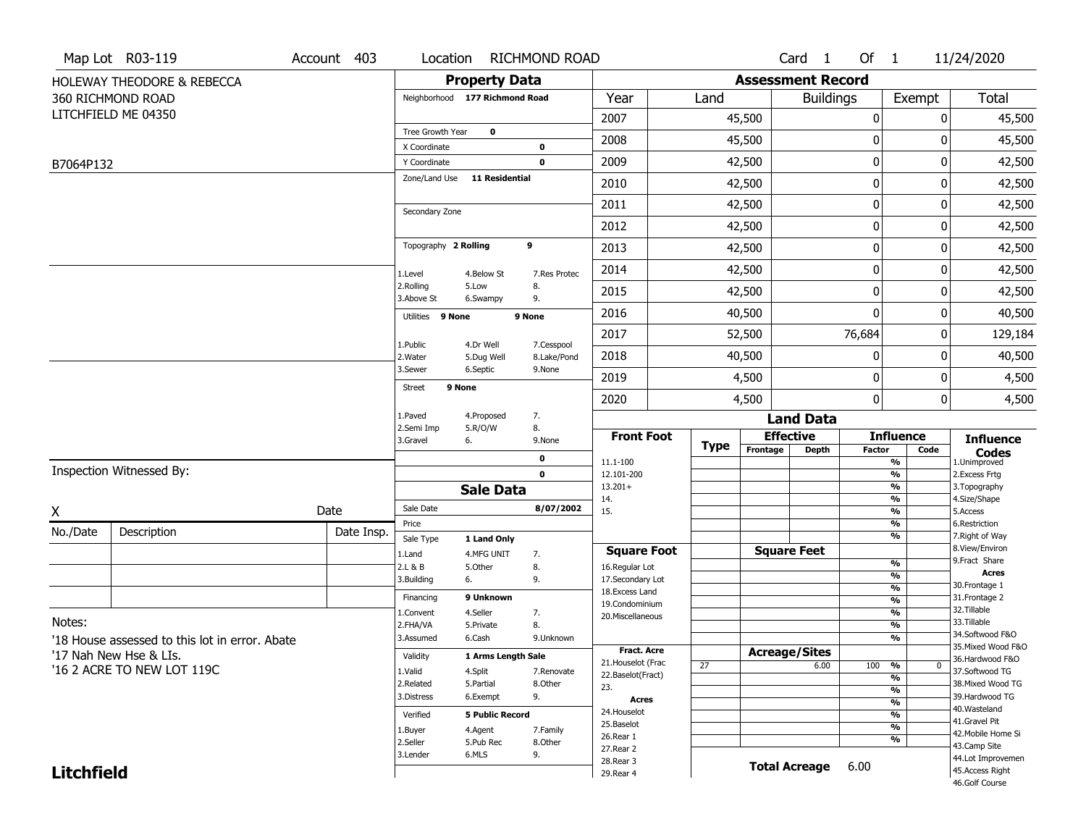|                   | Map Lot R03-119                                | Account 403 | Location                       |                           | <b>RICHMOND ROAD</b>      |                                          |             |                          | Card 1               | Of 1          |                                | 11/24/2020                            |
|-------------------|------------------------------------------------|-------------|--------------------------------|---------------------------|---------------------------|------------------------------------------|-------------|--------------------------|----------------------|---------------|--------------------------------|---------------------------------------|
|                   | <b>HOLEWAY THEODORE &amp; REBECCA</b>          |             |                                | <b>Property Data</b>      |                           |                                          |             | <b>Assessment Record</b> |                      |               |                                |                                       |
|                   | 360 RICHMOND ROAD                              |             | Neighborhood 177 Richmond Road |                           |                           | Year                                     | Land        |                          | <b>Buildings</b>     |               | Exempt                         | Total                                 |
|                   | LITCHFIELD ME 04350                            |             |                                |                           |                           | 2007                                     |             | 45,500                   |                      | 0             | 0                              | 45,500                                |
|                   |                                                |             | Tree Growth Year               | $\mathbf 0$               |                           | 2008                                     |             | 45,500                   |                      | 0             | 0                              | 45,500                                |
|                   |                                                |             | X Coordinate                   |                           | 0                         |                                          |             |                          |                      | $\mathbf 0$   | 0                              |                                       |
| B7064P132         |                                                |             | Y Coordinate<br>Zone/Land Use  | <b>11 Residential</b>     | $\mathbf 0$               | 2009                                     |             | 42,500                   |                      |               |                                | 42,500                                |
|                   |                                                |             |                                |                           |                           | 2010                                     |             | 42,500                   |                      | 0             | 0                              | 42,500                                |
|                   |                                                |             | Secondary Zone                 |                           |                           | 2011                                     |             | 42,500                   |                      | 0             | 0                              | 42,500                                |
|                   |                                                |             |                                |                           |                           | 2012                                     |             | 42,500                   |                      | 0             | 0                              | 42,500                                |
|                   |                                                |             | Topography 2 Rolling           |                           | 9                         | 2013                                     |             | 42,500                   |                      | $\mathbf 0$   | 0                              | 42,500                                |
|                   |                                                |             | 1.Level                        | 4.Below St                | 7.Res Protec              | 2014                                     |             | 42,500                   |                      | 0             | 0                              | 42,500                                |
|                   |                                                |             | 2.Rolling<br>3.Above St        | 5.Low<br>6.Swampy         | 8.<br>9.                  | 2015                                     |             | 42,500                   |                      | 0             | 0                              | 42,500                                |
|                   |                                                |             | Utilities 9 None               |                           | 9 None                    | 2016                                     |             | 40,500                   |                      | $\mathbf 0$   | 0                              | 40,500                                |
|                   |                                                |             |                                |                           |                           | 2017                                     |             | 52,500                   |                      | 76,684        | 0                              | 129,184                               |
|                   |                                                |             | 1.Public<br>2. Water           | 4.Dr Well<br>5.Dug Well   | 7.Cesspool<br>8.Lake/Pond | 2018                                     |             | 40,500                   |                      | 0             | 0                              | 40,500                                |
|                   |                                                |             | 3.Sewer                        | 6.Septic                  | 9.None                    | 2019                                     |             | 4,500                    |                      | 0             | 0                              | 4,500                                 |
|                   |                                                |             | Street                         | 9 None                    |                           | 2020                                     |             | 4,500                    |                      | 0             | 0                              | 4,500                                 |
|                   |                                                |             | 1.Paved                        | 4.Proposed                | 7.                        |                                          |             |                          | <b>Land Data</b>     |               |                                |                                       |
|                   |                                                |             | 2.Semi Imp<br>3.Gravel         | 5.R/O/W<br>6.             | 8.<br>9.None              | <b>Front Foot</b>                        |             |                          | <b>Effective</b>     |               | <b>Influence</b>               | <b>Influence</b>                      |
|                   |                                                |             |                                |                           | 0                         | 11.1-100                                 | <b>Type</b> | Frontage                 | <b>Depth</b>         | <b>Factor</b> | Code<br>%                      | <b>Codes</b><br>1.Unimproved          |
|                   | Inspection Witnessed By:                       |             |                                |                           | $\mathbf 0$               | 12.101-200                               |             |                          |                      |               | $\frac{9}{6}$                  | 2.Excess Frtg                         |
|                   |                                                |             |                                | <b>Sale Data</b>          |                           | $13.201+$<br>14.                         |             |                          |                      |               | $\frac{9}{6}$<br>$\frac{9}{6}$ | 3. Topography<br>4.Size/Shape         |
| Χ                 |                                                | Date        | Sale Date                      |                           | 8/07/2002                 | 15.                                      |             |                          |                      |               | $\frac{9}{6}$                  | 5.Access                              |
| No./Date          | Description                                    | Date Insp.  | Price                          |                           |                           |                                          |             |                          |                      |               | $\frac{9}{6}$                  | 6.Restriction                         |
|                   |                                                |             | Sale Type                      | 1 Land Only               |                           | <b>Square Foot</b>                       |             |                          | <b>Square Feet</b>   |               | $\frac{9}{6}$                  | 7. Right of Way<br>8.View/Environ     |
|                   |                                                |             | 1.Land<br>2.L & B              | 4.MFG UNIT<br>5.Other     | 7.<br>8.                  | 16.Regular Lot                           |             |                          |                      |               | %                              | 9.Fract Share                         |
|                   |                                                |             | 3.Building                     | 6.                        | 9.                        | 17.Secondary Lot                         |             |                          |                      |               | %                              | <b>Acres</b><br>30. Frontage 1        |
|                   |                                                |             | Financing                      | 9 Unknown                 |                           | 18. Excess Land                          |             |                          |                      |               | $\frac{9}{6}$<br>$\frac{9}{6}$ | 31. Frontage 2                        |
|                   |                                                |             | 1.Convent                      | 4.Seller                  | 7.                        | 19.Condominium<br>20.Miscellaneous       |             |                          |                      |               | $\frac{9}{6}$                  | 32.Tillable                           |
| Notes:            |                                                |             | 2.FHA/VA                       | 5.Private                 | 8.                        |                                          |             |                          |                      |               | $\frac{9}{6}$                  | 33.Tillable                           |
|                   | '18 House assessed to this lot in error. Abate |             | 3.Assumed                      | 6.Cash                    | 9.Unknown                 |                                          |             |                          |                      |               | $\frac{9}{6}$                  | 34.Softwood F&O<br>35. Mixed Wood F&O |
|                   | '17 Nah New Hse & LIs.                         |             | Validity                       | <b>1 Arms Lenath Sale</b> |                           | <b>Fract. Acre</b><br>21. Houselot (Frac |             |                          | <b>Acreage/Sites</b> |               |                                | 36.Hardwood F&O                       |
|                   | '16 2 ACRE TO NEW LOT 119C                     |             | 1.Valid                        | 4.Split                   | 7.Renovate                | 22.Baselot(Fract)                        | 27          |                          | 6.00                 | 100           | %<br>$\bf{0}$                  | 37.Softwood TG                        |
|                   |                                                |             | 2.Related                      | 5.Partial                 | 8.Other                   | 23.                                      |             |                          |                      |               | $\frac{9}{6}$<br>%             | 38. Mixed Wood TG                     |
|                   |                                                |             | 3.Distress                     | 6.Exempt                  | 9.                        | Acres                                    |             |                          |                      |               | $\frac{9}{6}$                  | 39.Hardwood TG                        |
|                   |                                                |             | Verified                       | <b>5 Public Record</b>    |                           | 24. Houselot                             |             |                          |                      |               | %                              | 40. Wasteland                         |
|                   |                                                |             | 1.Buyer                        | 4.Agent                   | 7.Family                  | 25.Baselot                               |             |                          |                      |               | $\frac{9}{6}$                  | 41.Gravel Pit<br>42. Mobile Home Si   |
|                   |                                                |             | 2.Seller                       | 5.Pub Rec                 | 8.Other                   | 26.Rear 1                                |             |                          |                      |               | %                              | 43.Camp Site                          |
|                   |                                                |             | 3.Lender                       | 6.MLS                     | 9.                        | 27. Rear 2<br>28. Rear 3                 |             |                          |                      |               |                                | 44.Lot Improvemen                     |
| <b>Litchfield</b> |                                                |             |                                |                           |                           | 29. Rear 4                               |             |                          | <b>Total Acreage</b> | 6.00          |                                | 45.Access Right                       |
|                   |                                                |             |                                |                           |                           |                                          |             |                          |                      |               |                                | 46.Golf Course                        |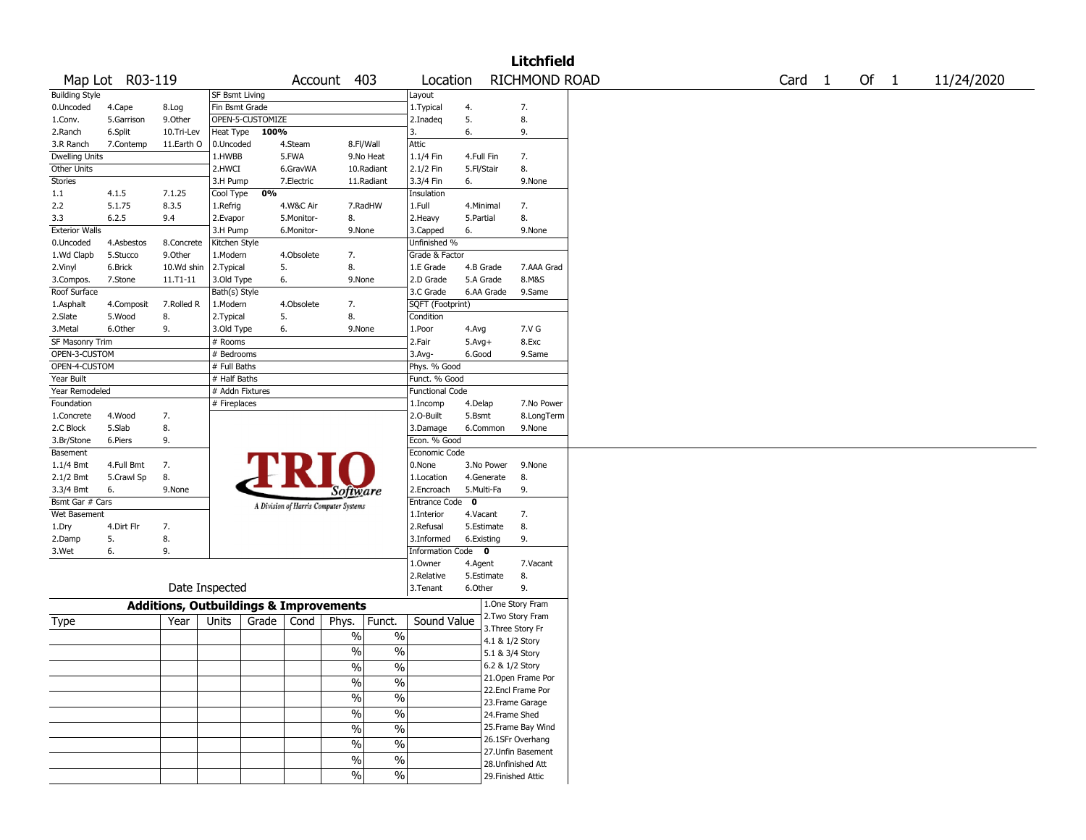| RICHMOND ROAD<br>Map Lot R03-119<br>403<br>Location<br>Account<br><b>Building Style</b><br><b>SF Bsmt Living</b><br>Layout<br>Fin Bsmt Grade<br>1.Typical<br>4.<br>0.Uncoded<br>7.<br>4.Cape<br>8.Log<br>OPEN-5-CUSTOMIZE<br>5.<br>8.<br>5.Garrison<br>9.0ther<br>2.Inadeg<br>1.Conv.<br>Heat Type<br>100%<br>6.<br>2.Ranch<br>6.Split<br>10.Tri-Lev<br>3.<br>9.<br>8.Fl/Wall<br>Attic<br>3.R Ranch<br>7.Contemp<br>11.Earth O<br>0.Uncoded<br>4.Steam<br><b>Dwelling Units</b><br>1.HWBB<br>5.FWA<br>9.No Heat<br>1.1/4 Fin<br>4.Full Fin<br>7.<br>2.1/2 Fin<br>Other Units<br>2.HWCI<br>5.Fl/Stair<br>8.<br>6.GravWA<br>10.Radiant<br>Stories<br>3.3/4 Fin<br>3.H Pump<br>7.Electric<br>11.Radiant<br>6.<br>9.None<br>Cool Type<br>0%<br>Insulation<br>1.1<br>4.1.5<br>7.1.25 | Card <sub>1</sub> |  | Of $1$ | 11/24/2020 |
|---------------------------------------------------------------------------------------------------------------------------------------------------------------------------------------------------------------------------------------------------------------------------------------------------------------------------------------------------------------------------------------------------------------------------------------------------------------------------------------------------------------------------------------------------------------------------------------------------------------------------------------------------------------------------------------------------------------------------------------------------------------------------------|-------------------|--|--------|------------|
|                                                                                                                                                                                                                                                                                                                                                                                                                                                                                                                                                                                                                                                                                                                                                                                 |                   |  |        |            |
|                                                                                                                                                                                                                                                                                                                                                                                                                                                                                                                                                                                                                                                                                                                                                                                 |                   |  |        |            |
|                                                                                                                                                                                                                                                                                                                                                                                                                                                                                                                                                                                                                                                                                                                                                                                 |                   |  |        |            |
|                                                                                                                                                                                                                                                                                                                                                                                                                                                                                                                                                                                                                                                                                                                                                                                 |                   |  |        |            |
|                                                                                                                                                                                                                                                                                                                                                                                                                                                                                                                                                                                                                                                                                                                                                                                 |                   |  |        |            |
|                                                                                                                                                                                                                                                                                                                                                                                                                                                                                                                                                                                                                                                                                                                                                                                 |                   |  |        |            |
|                                                                                                                                                                                                                                                                                                                                                                                                                                                                                                                                                                                                                                                                                                                                                                                 |                   |  |        |            |
|                                                                                                                                                                                                                                                                                                                                                                                                                                                                                                                                                                                                                                                                                                                                                                                 |                   |  |        |            |
|                                                                                                                                                                                                                                                                                                                                                                                                                                                                                                                                                                                                                                                                                                                                                                                 |                   |  |        |            |
|                                                                                                                                                                                                                                                                                                                                                                                                                                                                                                                                                                                                                                                                                                                                                                                 |                   |  |        |            |
| 5.1.75<br>8.3.5<br>1.Full<br>7.<br>2.2<br>1.Refrig<br>4.W&C Air<br>7.RadHW<br>4.Minimal                                                                                                                                                                                                                                                                                                                                                                                                                                                                                                                                                                                                                                                                                         |                   |  |        |            |
| 2.Evapor<br>8.<br>2.Heavy<br>8.<br>3.3<br>6.2.5<br>9.4<br>5.Monitor-<br>5.Partial                                                                                                                                                                                                                                                                                                                                                                                                                                                                                                                                                                                                                                                                                               |                   |  |        |            |
| <b>Exterior Walls</b><br>3.H Pump<br>6.Monitor-<br>9.None<br>3.Capped<br>6.<br>9.None                                                                                                                                                                                                                                                                                                                                                                                                                                                                                                                                                                                                                                                                                           |                   |  |        |            |
| Unfinished %<br>4.Asbestos<br>8.Concrete<br>Kitchen Style<br>0.Uncoded                                                                                                                                                                                                                                                                                                                                                                                                                                                                                                                                                                                                                                                                                                          |                   |  |        |            |
| 9.Other<br>7.<br>Grade & Factor<br>1.Wd Clapb<br>5.Stucco<br>1.Modern<br>4.Obsolete                                                                                                                                                                                                                                                                                                                                                                                                                                                                                                                                                                                                                                                                                             |                   |  |        |            |
| 10.Wd shin<br>5.<br>8.<br>1.E Grade<br>2.Vinyl<br>6.Brick<br>2.Typical<br>4.B Grade<br>7.AAA Grad                                                                                                                                                                                                                                                                                                                                                                                                                                                                                                                                                                                                                                                                               |                   |  |        |            |
| 2.D Grade<br>5.A Grade<br>8.M&S<br>7.Stone<br>11.T1-11<br>3.Old Type<br>6.<br>9.None<br>3.Compos.                                                                                                                                                                                                                                                                                                                                                                                                                                                                                                                                                                                                                                                                               |                   |  |        |            |
| Roof Surface<br>Bath(s) Style<br>3.C Grade<br>6.AA Grade<br>9.Same                                                                                                                                                                                                                                                                                                                                                                                                                                                                                                                                                                                                                                                                                                              |                   |  |        |            |
| SQFT (Footprint)<br>7.Rolled R<br>1.Modern<br>4.Obsolete<br>7.<br>1.Asphalt<br>4.Composit                                                                                                                                                                                                                                                                                                                                                                                                                                                                                                                                                                                                                                                                                       |                   |  |        |            |
| 5.<br>8.<br>2.Slate<br>5.Wood<br>8.<br>2.Typical<br>Condition                                                                                                                                                                                                                                                                                                                                                                                                                                                                                                                                                                                                                                                                                                                   |                   |  |        |            |
| 7.V G<br>3.Metal<br>6.Other<br>9.<br>3.Old Type<br>6.<br>9.None<br>1.Poor<br>4.Avg                                                                                                                                                                                                                                                                                                                                                                                                                                                                                                                                                                                                                                                                                              |                   |  |        |            |
| SF Masonry Trim<br>2.Fair<br>8.Exc<br># Rooms<br>$5.Avg+$                                                                                                                                                                                                                                                                                                                                                                                                                                                                                                                                                                                                                                                                                                                       |                   |  |        |            |
| OPEN-3-CUSTOM<br># Bedrooms<br>3.Avg-<br>6.Good<br>9.Same                                                                                                                                                                                                                                                                                                                                                                                                                                                                                                                                                                                                                                                                                                                       |                   |  |        |            |
| OPEN-4-CUSTOM<br># Full Baths<br>Phys. % Good                                                                                                                                                                                                                                                                                                                                                                                                                                                                                                                                                                                                                                                                                                                                   |                   |  |        |            |
| Year Built<br># Half Baths<br>Funct. % Good                                                                                                                                                                                                                                                                                                                                                                                                                                                                                                                                                                                                                                                                                                                                     |                   |  |        |            |
| Year Remodeled<br># Addn Fixtures<br><b>Functional Code</b>                                                                                                                                                                                                                                                                                                                                                                                                                                                                                                                                                                                                                                                                                                                     |                   |  |        |            |
| # Fireplaces<br>Foundation<br>4.Delap<br>7.No Power<br>1.Incomp                                                                                                                                                                                                                                                                                                                                                                                                                                                                                                                                                                                                                                                                                                                 |                   |  |        |            |
| 2.O-Built<br>5.Bsmt<br>8.LongTerm<br>4.Wood<br>7.<br>1.Concrete                                                                                                                                                                                                                                                                                                                                                                                                                                                                                                                                                                                                                                                                                                                 |                   |  |        |            |
| 5.Slab<br>8.<br>2.C Block<br>3.Damage<br>6.Common<br>9.None                                                                                                                                                                                                                                                                                                                                                                                                                                                                                                                                                                                                                                                                                                                     |                   |  |        |            |
| Econ. % Good<br>3.Br/Stone<br>6.Piers<br>9.                                                                                                                                                                                                                                                                                                                                                                                                                                                                                                                                                                                                                                                                                                                                     |                   |  |        |            |
| Economic Code<br>Basement                                                                                                                                                                                                                                                                                                                                                                                                                                                                                                                                                                                                                                                                                                                                                       |                   |  |        |            |
| 0.None<br>$1.1/4$ Bmt<br>4.Full Bmt<br>7.<br>3.No Power<br>9.None                                                                                                                                                                                                                                                                                                                                                                                                                                                                                                                                                                                                                                                                                                               |                   |  |        |            |
| 5.Crawl Sp<br>8.<br>1.Location<br>8.<br>2.1/2 Bmt<br>4.Generate                                                                                                                                                                                                                                                                                                                                                                                                                                                                                                                                                                                                                                                                                                                 |                   |  |        |            |
| 9.None<br>2.Encroach<br>5.Multi-Fa<br>9.<br>3.3/4 Bmt<br>6.<br><i>Software</i>                                                                                                                                                                                                                                                                                                                                                                                                                                                                                                                                                                                                                                                                                                  |                   |  |        |            |
| Bsmt Gar # Cars<br>$\mathbf 0$<br><b>Entrance Code</b>                                                                                                                                                                                                                                                                                                                                                                                                                                                                                                                                                                                                                                                                                                                          |                   |  |        |            |
| A Division of Harris Computer Systems<br>Wet Basement<br>1.Interior<br>4.Vacant<br>7.                                                                                                                                                                                                                                                                                                                                                                                                                                                                                                                                                                                                                                                                                           |                   |  |        |            |
| 7.<br>2.Refusal<br>8.<br>4.Dirt Flr<br>5.Estimate<br>1.Dry                                                                                                                                                                                                                                                                                                                                                                                                                                                                                                                                                                                                                                                                                                                      |                   |  |        |            |
| 5.<br>8.<br>3.Informed<br>9.<br>2.Damp<br>6.Existing                                                                                                                                                                                                                                                                                                                                                                                                                                                                                                                                                                                                                                                                                                                            |                   |  |        |            |
| Information Code 0<br>3.Wet<br>6.<br>9.                                                                                                                                                                                                                                                                                                                                                                                                                                                                                                                                                                                                                                                                                                                                         |                   |  |        |            |
| 1.0wner<br>4.Agent<br>7.Vacant                                                                                                                                                                                                                                                                                                                                                                                                                                                                                                                                                                                                                                                                                                                                                  |                   |  |        |            |
| 8.<br>2.Relative<br>5.Estimate                                                                                                                                                                                                                                                                                                                                                                                                                                                                                                                                                                                                                                                                                                                                                  |                   |  |        |            |
| Date Inspected<br>3.Tenant<br>6.Other<br>9.                                                                                                                                                                                                                                                                                                                                                                                                                                                                                                                                                                                                                                                                                                                                     |                   |  |        |            |
| 1.One Story Fram<br><b>Additions, Outbuildings &amp; Improvements</b>                                                                                                                                                                                                                                                                                                                                                                                                                                                                                                                                                                                                                                                                                                           |                   |  |        |            |
| 2. Two Story Fram<br>Funct.<br>Sound Value<br>Units<br>Grade<br>Cond<br>Phys.<br>Year                                                                                                                                                                                                                                                                                                                                                                                                                                                                                                                                                                                                                                                                                           |                   |  |        |            |
| Type<br>3. Three Story Fr                                                                                                                                                                                                                                                                                                                                                                                                                                                                                                                                                                                                                                                                                                                                                       |                   |  |        |            |
| $\%$<br>$\%$<br>4.1 & 1/2 Story                                                                                                                                                                                                                                                                                                                                                                                                                                                                                                                                                                                                                                                                                                                                                 |                   |  |        |            |
| %<br>$\%$<br>5.1 & 3/4 Story                                                                                                                                                                                                                                                                                                                                                                                                                                                                                                                                                                                                                                                                                                                                                    |                   |  |        |            |
|                                                                                                                                                                                                                                                                                                                                                                                                                                                                                                                                                                                                                                                                                                                                                                                 |                   |  |        |            |
| 6.2 & 1/2 Story                                                                                                                                                                                                                                                                                                                                                                                                                                                                                                                                                                                                                                                                                                                                                                 |                   |  |        |            |
| $\frac{0}{6}$<br>$\frac{0}{6}$<br>21. Open Frame Por                                                                                                                                                                                                                                                                                                                                                                                                                                                                                                                                                                                                                                                                                                                            |                   |  |        |            |
| %<br>$\%$<br>22.Encl Frame Por                                                                                                                                                                                                                                                                                                                                                                                                                                                                                                                                                                                                                                                                                                                                                  |                   |  |        |            |
| $\sqrt{6}$<br>$\%$<br>23. Frame Garage                                                                                                                                                                                                                                                                                                                                                                                                                                                                                                                                                                                                                                                                                                                                          |                   |  |        |            |
| $\sqrt{6}$<br>$\%$<br>24.Frame Shed                                                                                                                                                                                                                                                                                                                                                                                                                                                                                                                                                                                                                                                                                                                                             |                   |  |        |            |
| 25. Frame Bay Wind                                                                                                                                                                                                                                                                                                                                                                                                                                                                                                                                                                                                                                                                                                                                                              |                   |  |        |            |
| $\sqrt{6}$<br>$\overline{\frac{0}{0}}$<br>26.1SFr Overhang                                                                                                                                                                                                                                                                                                                                                                                                                                                                                                                                                                                                                                                                                                                      |                   |  |        |            |
| $\%$<br>$\%$<br>27.Unfin Basement                                                                                                                                                                                                                                                                                                                                                                                                                                                                                                                                                                                                                                                                                                                                               |                   |  |        |            |
| $\sqrt{6}$<br>$\%$<br>28.Unfinished Att<br>$\%$<br>$\%$                                                                                                                                                                                                                                                                                                                                                                                                                                                                                                                                                                                                                                                                                                                         |                   |  |        |            |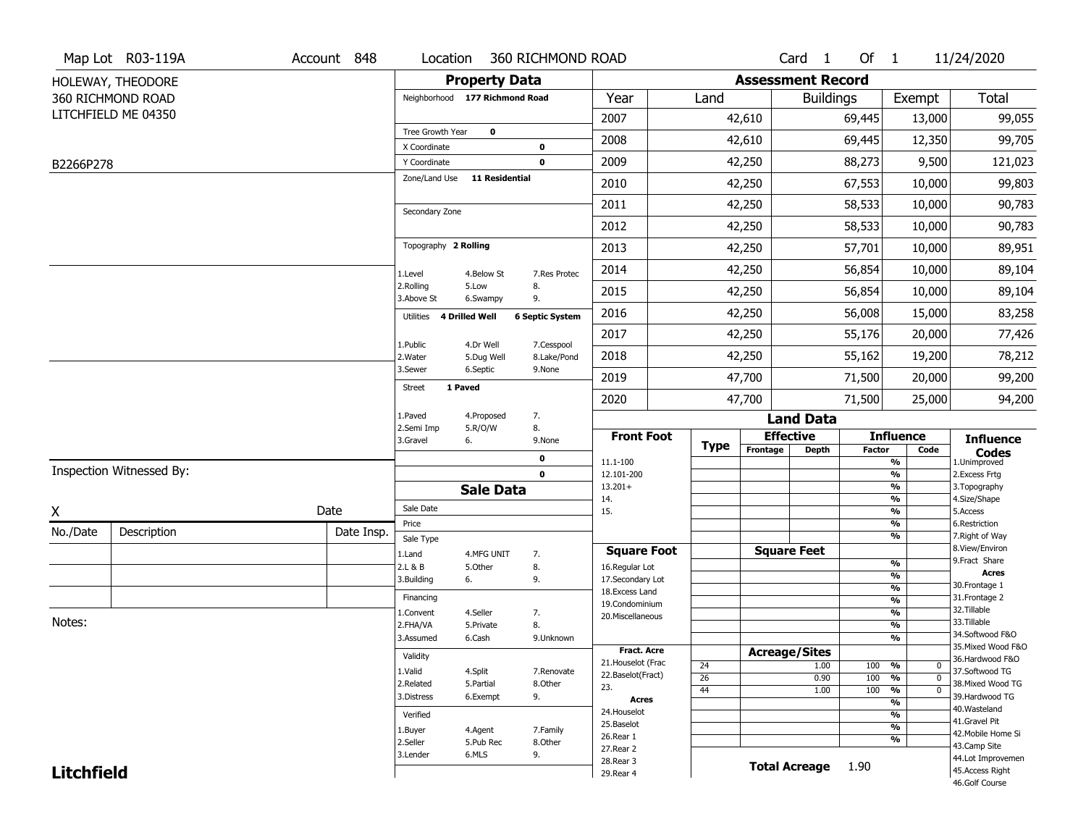|                   | Map Lot R03-119A         | Account 848 | Location                       |                       | 360 RICHMOND ROAD      |                                     |                 |                          | Card <sub>1</sub>    | Of $1$        |                                           | 11/24/2020                        |
|-------------------|--------------------------|-------------|--------------------------------|-----------------------|------------------------|-------------------------------------|-----------------|--------------------------|----------------------|---------------|-------------------------------------------|-----------------------------------|
|                   | HOLEWAY, THEODORE        |             |                                | <b>Property Data</b>  |                        |                                     |                 | <b>Assessment Record</b> |                      |               |                                           |                                   |
|                   | 360 RICHMOND ROAD        |             | Neighborhood 177 Richmond Road |                       |                        | Year                                | Land            |                          | <b>Buildings</b>     |               | Exempt                                    | Total                             |
|                   | LITCHFIELD ME 04350      |             |                                |                       |                        | 2007                                |                 | 42,610                   |                      | 69,445        | 13,000                                    | 99,055                            |
|                   |                          |             | Tree Growth Year               | $\pmb{0}$             |                        | 2008                                |                 | 42,610                   |                      | 69,445        | 12,350                                    | 99,705                            |
| B2266P278         |                          |             | X Coordinate<br>Y Coordinate   |                       | 0<br>$\mathbf 0$       | 2009                                |                 | 42,250                   |                      | 88,273        | 9,500                                     | 121,023                           |
|                   |                          |             | Zone/Land Use                  | <b>11 Residential</b> |                        | 2010                                |                 | 42,250                   |                      | 67,553        | 10,000                                    | 99,803                            |
|                   |                          |             |                                |                       |                        | 2011                                |                 | 42,250                   |                      | 58,533        | 10,000                                    | 90,783                            |
|                   |                          |             | Secondary Zone                 |                       |                        | 2012                                |                 | 42,250                   |                      | 58,533        | 10,000                                    | 90,783                            |
|                   |                          |             | Topography 2 Rolling           |                       |                        |                                     |                 |                          |                      |               |                                           |                                   |
|                   |                          |             |                                |                       |                        | 2013                                |                 | 42,250                   |                      | 57,701        | 10,000                                    | 89,951                            |
|                   |                          |             | 1.Level<br>2.Rolling           | 4.Below St<br>5.Low   | 7.Res Protec<br>8.     | 2014                                |                 | 42,250                   |                      | 56,854        | 10,000                                    | 89,104                            |
|                   |                          |             | 3.Above St                     | 6.Swampy              | 9.                     | 2015                                |                 | 42,250                   |                      | 56,854        | 10,000                                    | 89,104                            |
|                   |                          |             | Utilities                      | 4 Drilled Well        | <b>6 Septic System</b> | 2016                                |                 | 42,250                   |                      | 56,008        | 15,000                                    | 83,258                            |
|                   |                          |             | 1.Public                       | 4.Dr Well             | 7.Cesspool             | 2017                                |                 | 42,250                   |                      | 55,176        | 20,000                                    | 77,426                            |
|                   |                          |             | 2. Water                       | 5.Dug Well            | 8.Lake/Pond            | 2018                                |                 | 42,250                   |                      | 55,162        | 19,200                                    | 78,212                            |
|                   |                          |             | 3.Sewer                        | 6.Septic              | 9.None                 | 2019                                |                 | 47,700                   |                      | 71,500        | 20,000                                    | 99,200                            |
|                   |                          |             | 1 Paved<br><b>Street</b>       |                       |                        | 2020                                |                 | 47,700                   |                      | 71,500        | 25,000                                    | 94,200                            |
|                   |                          |             | 1.Paved<br>2.Semi Imp          | 4.Proposed<br>5.R/O/W | 7.<br>8.               |                                     |                 |                          | <b>Land Data</b>     |               |                                           |                                   |
|                   |                          |             | 3.Gravel                       | 6.                    | 9.None                 | <b>Front Foot</b>                   | <b>Type</b>     |                          | <b>Effective</b>     |               | <b>Influence</b>                          | <b>Influence</b>                  |
|                   |                          |             |                                |                       | 0                      | 11.1-100                            |                 | Frontage                 | <b>Depth</b>         | <b>Factor</b> | Code<br>%                                 | <b>Codes</b><br>1.Unimproved      |
|                   | Inspection Witnessed By: |             |                                |                       | $\mathbf 0$            | 12.101-200<br>$13.201+$             |                 |                          |                      |               | %<br>%                                    | 2. Excess Frtg<br>3. Topography   |
|                   |                          |             |                                | <b>Sale Data</b>      |                        | 14.                                 |                 |                          |                      |               | %                                         | 4.Size/Shape                      |
| X                 |                          | Date        | Sale Date<br>Price             |                       |                        | 15.                                 |                 |                          |                      |               | %<br>%                                    | 5.Access<br>6.Restriction         |
| No./Date          | Description              | Date Insp.  | Sale Type                      |                       |                        |                                     |                 |                          |                      |               | %                                         | 7. Right of Way                   |
|                   |                          |             | 1.Land                         | 4.MFG UNIT            | 7.                     | <b>Square Foot</b>                  |                 |                          | <b>Square Feet</b>   |               |                                           | 8.View/Environ<br>9.Fract Share   |
|                   |                          |             | 2.L & B                        | 5.Other               | 8.                     | 16.Regular Lot                      |                 |                          |                      |               | %<br>%                                    | <b>Acres</b>                      |
|                   |                          |             | 3.Building                     | 6.                    | 9.                     | 17.Secondary Lot<br>18. Excess Land |                 |                          |                      |               | $\frac{9}{6}$                             | 30.Frontage 1                     |
|                   |                          |             | Financing                      |                       |                        | 19.Condominium                      |                 |                          |                      |               | $\frac{9}{6}$                             | 31. Frontage 2                    |
| Notes:            |                          |             | 1.Convent                      | 4.Seller              | 7.                     | 20.Miscellaneous                    |                 |                          |                      |               | $\frac{9}{6}$                             | 32.Tillable<br>33.Tillable        |
|                   |                          |             | 2.FHA/VA<br>3.Assumed          | 5.Private<br>6.Cash   | 8.<br>9.Unknown        |                                     |                 |                          |                      |               | $\frac{9}{6}$<br>$\overline{\frac{9}{6}}$ | 34.Softwood F&O                   |
|                   |                          |             |                                |                       |                        | Fract. Acre                         |                 |                          | <b>Acreage/Sites</b> |               |                                           | 35. Mixed Wood F&O                |
|                   |                          |             | Validity                       |                       |                        | 21. Houselot (Frac                  | 24              |                          | 1.00                 | 100           | %<br>$\mathbf 0$                          | 36.Hardwood F&O                   |
|                   |                          |             | 1.Valid                        | 4.Split               | 7.Renovate             | 22.Baselot(Fract)                   | $\overline{26}$ |                          | 0.90                 | 100           | %<br>$\mathbf 0$                          | 37.Softwood TG                    |
|                   |                          |             | 2.Related<br>3.Distress        | 5.Partial             | 8.Other                | 23.                                 | 44              |                          | 1.00                 | 100           | $\frac{9}{6}$<br>$\mathbf 0$              | 38. Mixed Wood TG                 |
|                   |                          |             |                                | 6.Exempt              | 9.                     | <b>Acres</b>                        |                 |                          |                      |               | %                                         | 39.Hardwood TG<br>40. Wasteland   |
|                   |                          |             | Verified                       |                       |                        | 24. Houselot<br>25.Baselot          |                 |                          |                      |               | %                                         | 41.Gravel Pit                     |
|                   |                          |             | 1.Buyer                        | 4.Agent               | 7.Family               | 26.Rear 1                           |                 |                          |                      |               | $\frac{9}{6}$                             | 42. Mobile Home Si                |
|                   |                          |             | 2.Seller                       | 5.Pub Rec             | 8.Other                | 27.Rear 2                           |                 |                          |                      |               | %                                         | 43.Camp Site                      |
|                   |                          |             | 3.Lender                       | 6.MLS                 | 9.                     | 28. Rear 3                          |                 |                          | <b>Total Acreage</b> | 1.90          |                                           | 44.Lot Improvemen                 |
| <b>Litchfield</b> |                          |             |                                |                       |                        | 29. Rear 4                          |                 |                          |                      |               |                                           | 45.Access Right<br>46.Golf Course |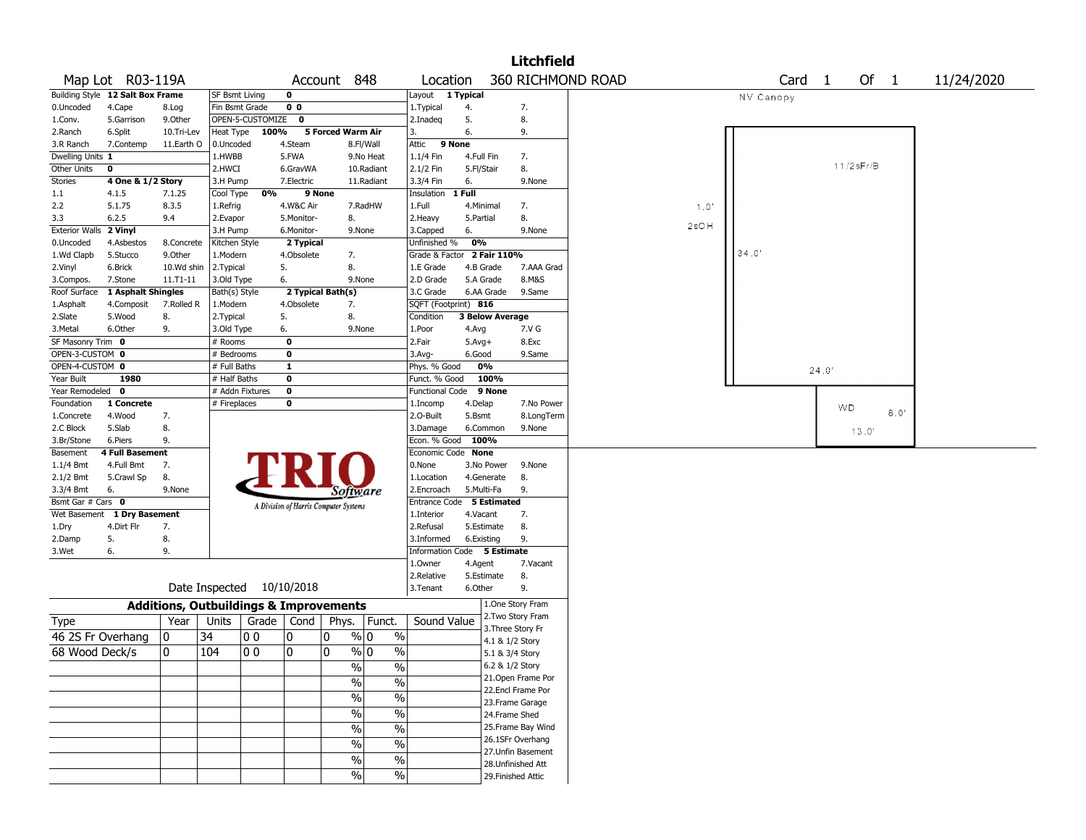|                        |                                  |                                                   |                       |                    |                                       |                   |                                  |                             |            |                 | <b>Litchfield</b>  |                   |         |                   |       |                      |            |
|------------------------|----------------------------------|---------------------------------------------------|-----------------------|--------------------|---------------------------------------|-------------------|----------------------------------|-----------------------------|------------|-----------------|--------------------|-------------------|---------|-------------------|-------|----------------------|------------|
|                        | Map Lot R03-119A                 |                                                   |                       |                    |                                       | Account 848       |                                  | Location                    |            |                 |                    | 360 RICHMOND ROAD |         | Card <sub>1</sub> |       | Of<br>$\overline{1}$ | 11/24/2020 |
|                        | Building Style 12 Salt Box Frame |                                                   | <b>SF Bsmt Living</b> |                    | 0                                     |                   |                                  | Layout                      | 1 Typical  |                 |                    |                   |         | NV Canopy         |       |                      |            |
| 0.Uncoded              | 4.Cape                           | 8.Log                                             | Fin Bsmt Grade        |                    | 0 <sub>0</sub>                        |                   |                                  | 1.Typical                   | 4.         |                 | 7.                 |                   |         |                   |       |                      |            |
| 1.Conv.                | 5.Garrison                       | 9.0ther                                           |                       | OPEN-5-CUSTOMIZE 0 |                                       |                   |                                  | 2.Inadeq                    | 5.         |                 | 8.                 |                   |         |                   |       |                      |            |
| 2.Ranch                | 6.Split                          | 10.Tri-Lev                                        | Heat Type             | 100%               |                                       | 5 Forced Warm Air |                                  | 3.                          | 6.         |                 | 9.                 |                   |         |                   |       |                      |            |
| 3.R Ranch              | 7.Contemp                        | 11.Earth O                                        | 0.Uncoded             |                    | 4.Steam                               |                   | 8.Fl/Wall                        | Attic                       | 9 None     |                 |                    |                   |         |                   |       |                      |            |
| Dwelling Units 1       |                                  |                                                   | 1.HWBB                |                    | 5.FWA                                 |                   | 9.No Heat                        | 1.1/4 Fin                   |            | 4.Full Fin      | 7.                 |                   |         |                   |       |                      |            |
| Other Units            | 0                                |                                                   | 2.HWCI                |                    | 6.GravWA                              |                   | 10.Radiant                       | 2.1/2 Fin                   | 5.Fl/Stair |                 | 8.                 |                   |         |                   |       | 11/2sFr/B            |            |
| Stories                | 4 One & 1/2 Story                |                                                   | 3.H Pump              |                    | 7.Electric                            |                   | 11.Radiant                       | 3.3/4 Fin                   | 6.         |                 | 9.None             |                   |         |                   |       |                      |            |
| 1.1                    | 4.1.5                            | 7.1.25                                            | Cool Type             | 0%                 |                                       | 9 None            |                                  | Insulation                  | 1 Full     |                 |                    |                   |         |                   |       |                      |            |
| 2.2                    | 5.1.75                           | 8.3.5                                             | 1.Refrig              |                    | 4.W&C Air                             |                   | 7.RadHW                          | 1.Full                      |            | 4.Minimal       | 7.                 |                   | 1.0'    |                   |       |                      |            |
| 3.3                    | 6.2.5                            | 9.4                                               | 2.Evapor              |                    | 5.Monitor-                            | 8.                |                                  | 2. Heavy                    | 5.Partial  |                 | 8.                 |                   |         |                   |       |                      |            |
| Exterior Walls 2 Vinyl |                                  |                                                   | 3.H Pump              |                    | 6.Monitor-                            |                   | 9.None                           | 3.Capped                    | 6.         |                 | 9.None             |                   | $2$ sOH |                   |       |                      |            |
| 0.Uncoded              | 4.Asbestos                       | 8.Concrete                                        | Kitchen Style         |                    | 2 Typical                             |                   |                                  | Unfinished %                | 0%         |                 |                    |                   |         |                   |       |                      |            |
| 1.Wd Clapb             | 5.Stucco                         | 9.0ther                                           | 1.Modern              |                    | 4.Obsolete                            | 7.                |                                  | Grade & Factor 2 Fair 110%  |            |                 |                    |                   |         | 34.0'             |       |                      |            |
| 2.Vinyl                | 6.Brick                          | 10.Wd shin                                        | 2.Typical             |                    | 5.                                    | 8.                |                                  | 1.E Grade                   |            | 4.B Grade       | 7.AAA Grad         |                   |         |                   |       |                      |            |
| 3.Compos.              | 7.Stone                          | $11.71 - 11$                                      | 3.Old Type            |                    | 6.                                    |                   | 9.None                           | 2.D Grade                   |            | 5.A Grade       | 8.M&S              |                   |         |                   |       |                      |            |
| Roof Surface           | 1 Asphalt Shingles               |                                                   | Bath(s) Style         |                    |                                       | 2 Typical Bath(s) |                                  | 3.C Grade                   |            | 6.AA Grade      | 9.Same             |                   |         |                   |       |                      |            |
| 1.Asphalt              | 4.Composit                       | 7.Rolled R                                        | 1.Modern              |                    | 4.Obsolete                            | 7.                |                                  | SQFT (Footprint) 816        |            |                 |                    |                   |         |                   |       |                      |            |
| 2.Slate                | 5.Wood                           | 8.                                                | 2. Typical            |                    | 5.                                    | 8.                |                                  | Condition                   |            | 3 Below Average |                    |                   |         |                   |       |                      |            |
| 3. Metal               | 6.Other                          | 9.                                                | 3.Old Type            |                    | 6.                                    |                   | 9.None                           | 1.Poor                      | 4.Avg      |                 | 7.V G              |                   |         |                   |       |                      |            |
| SF Masonry Trim 0      |                                  |                                                   | # Rooms               |                    | 0                                     |                   |                                  | 2.Fair                      | $5.Avg+$   |                 | 8.Exc              |                   |         |                   |       |                      |            |
| OPEN-3-CUSTOM 0        |                                  |                                                   | # Bedrooms            |                    | 0                                     |                   |                                  | 3.Avg-                      | 6.Good     |                 | 9.Same             |                   |         |                   |       |                      |            |
| OPEN-4-CUSTOM 0        |                                  |                                                   | # Full Baths          |                    | $\mathbf{1}$                          |                   |                                  | Phys. % Good                |            | 0%              |                    |                   |         |                   | 24.0' |                      |            |
| Year Built             | 1980                             |                                                   | # Half Baths          |                    | 0                                     |                   |                                  | Funct. % Good               |            | 100%            |                    |                   |         |                   |       |                      |            |
| Year Remodeled         | $\mathbf 0$                      |                                                   |                       | # Addn Fixtures    | $\mathbf 0$                           |                   |                                  | <b>Functional Code</b>      |            | 9 None          |                    |                   |         |                   |       |                      |            |
| Foundation             | 1 Concrete                       |                                                   | # Fireplaces          |                    | 0                                     |                   |                                  | 1.Incomp                    | 4.Delap    |                 | 7.No Power         |                   |         |                   |       | <b>WD</b>            |            |
| 1.Concrete             | 4.Wood                           | 7.                                                |                       |                    |                                       |                   |                                  | 2.0-Built                   | 5.Bsmt     |                 | 8.LongTerm         |                   |         |                   |       | 8.0'                 |            |
| 2.C Block              | 5.Slab                           | 8.                                                |                       |                    |                                       |                   |                                  | 3.Damage                    |            | 6.Common        | 9.None             |                   |         |                   |       | 13.0'                |            |
| 3.Br/Stone             | 6.Piers                          | 9.                                                |                       |                    |                                       |                   |                                  | Econ. % Good 100%           |            |                 |                    |                   |         |                   |       |                      |            |
| Basement               | <b>4 Full Basement</b>           |                                                   |                       |                    |                                       |                   |                                  | Economic Code None          |            |                 |                    |                   |         |                   |       |                      |            |
| $1.1/4$ Bmt            | 4.Full Bmt                       | 7.                                                |                       |                    |                                       |                   |                                  | 0.None                      |            | 3.No Power      | 9.None             |                   |         |                   |       |                      |            |
| $2.1/2$ Bmt            | 5.Crawl Sp                       | 8.                                                |                       |                    |                                       |                   |                                  | 1.Location                  |            | 4.Generate      | 8.                 |                   |         |                   |       |                      |            |
| 3.3/4 Bmt              | 6.                               | 9.None                                            |                       |                    |                                       | Software          |                                  | 2.Encroach                  |            | 5.Multi-Fa      | 9.                 |                   |         |                   |       |                      |            |
| Bsmt Gar # Cars 0      |                                  |                                                   |                       |                    | A Division of Harris Computer Systems |                   |                                  | Entrance Code 5 Estimated   |            |                 |                    |                   |         |                   |       |                      |            |
| Wet Basement           | 1 Dry Basement                   |                                                   |                       |                    |                                       |                   |                                  | 1.Interior                  |            | 4.Vacant        | 7.                 |                   |         |                   |       |                      |            |
| 1.Dry                  | 4.Dirt Flr                       | 7.                                                |                       |                    |                                       |                   |                                  | 2.Refusal                   |            | 5.Estimate      | 8.                 |                   |         |                   |       |                      |            |
| 2.Damp                 | 5.                               | 8.                                                |                       |                    |                                       |                   |                                  | 3.Informed                  |            | 6.Existing      | 9.                 |                   |         |                   |       |                      |            |
| 3.Wet                  | 6.                               | 9.                                                |                       |                    |                                       |                   |                                  | Information Code 5 Estimate |            |                 |                    |                   |         |                   |       |                      |            |
|                        |                                  |                                                   |                       |                    |                                       |                   |                                  | 1.Owner                     | 4.Agent    |                 | 7.Vacant           |                   |         |                   |       |                      |            |
|                        |                                  |                                                   |                       |                    |                                       |                   |                                  | 2.Relative                  |            | 5.Estimate      | 8.                 |                   |         |                   |       |                      |            |
|                        |                                  |                                                   |                       |                    | Date Inspected 10/10/2018             |                   |                                  | 3.Tenant                    | 6.Other    |                 | 9.                 |                   |         |                   |       |                      |            |
|                        |                                  | <b>Additions, Outbuildings &amp; Improvements</b> |                       |                    |                                       |                   |                                  |                             |            |                 | 1.One Story Fram   |                   |         |                   |       |                      |            |
| Type                   |                                  | Year                                              | Units                 | Grade              | Cond                                  |                   | Phys. Funct.                     | Sound Value                 |            |                 | 2. Two Story Fram  |                   |         |                   |       |                      |            |
| 46 2S Fr Overhang      |                                  | 0                                                 | 34                    | O O                | 0                                     | 10                | $\frac{9}{0}$ 0<br>$\%$          |                             |            |                 | 3. Three Story Fr  |                   |         |                   |       |                      |            |
|                        |                                  |                                                   |                       |                    |                                       |                   |                                  |                             |            |                 | 4.1 & 1/2 Story    |                   |         |                   |       |                      |            |
| 68 Wood Deck/s         |                                  | $\mathbf{0}$                                      | 104                   | l 0 0              | 0                                     | 10                | $\frac{9}{0}$ 0<br>$\%$          |                             |            | 5.1 & 3/4 Story |                    |                   |         |                   |       |                      |            |
|                        |                                  |                                                   |                       |                    |                                       |                   | $\frac{1}{2}$<br>$\frac{1}{2}$   |                             |            | 6.2 & 1/2 Story |                    |                   |         |                   |       |                      |            |
|                        |                                  |                                                   |                       |                    |                                       |                   | $\%$<br>$\frac{0}{0}$            |                             |            |                 | 21. Open Frame Por |                   |         |                   |       |                      |            |
|                        |                                  |                                                   |                       |                    |                                       |                   | $\sqrt{20}$<br>$\frac{0}{0}$     |                             |            |                 | 22.Encl Frame Por  |                   |         |                   |       |                      |            |
|                        |                                  |                                                   |                       |                    |                                       |                   |                                  |                             |            |                 | 23. Frame Garage   |                   |         |                   |       |                      |            |
|                        |                                  |                                                   |                       |                    |                                       |                   | $\frac{1}{2}$<br>$\frac{1}{2}$   |                             |            | 24.Frame Shed   |                    |                   |         |                   |       |                      |            |
|                        |                                  |                                                   |                       |                    |                                       |                   | $\frac{0}{6}$<br>%               |                             |            |                 | 25. Frame Bay Wind |                   |         |                   |       |                      |            |
|                        |                                  |                                                   |                       |                    |                                       |                   | $\frac{0}{6}$<br>%               |                             |            |                 | 26.1SFr Overhang   |                   |         |                   |       |                      |            |
|                        |                                  |                                                   |                       |                    |                                       |                   | $\%$<br>$\frac{1}{2}$            |                             |            |                 | 27.Unfin Basement  |                   |         |                   |       |                      |            |
|                        |                                  |                                                   |                       |                    |                                       |                   |                                  |                             |            |                 | 28. Unfinished Att |                   |         |                   |       |                      |            |
|                        |                                  |                                                   |                       |                    |                                       |                   | $\overline{\frac{9}{6}}$<br>$\%$ |                             |            |                 | 29. Finished Attic |                   |         |                   |       |                      |            |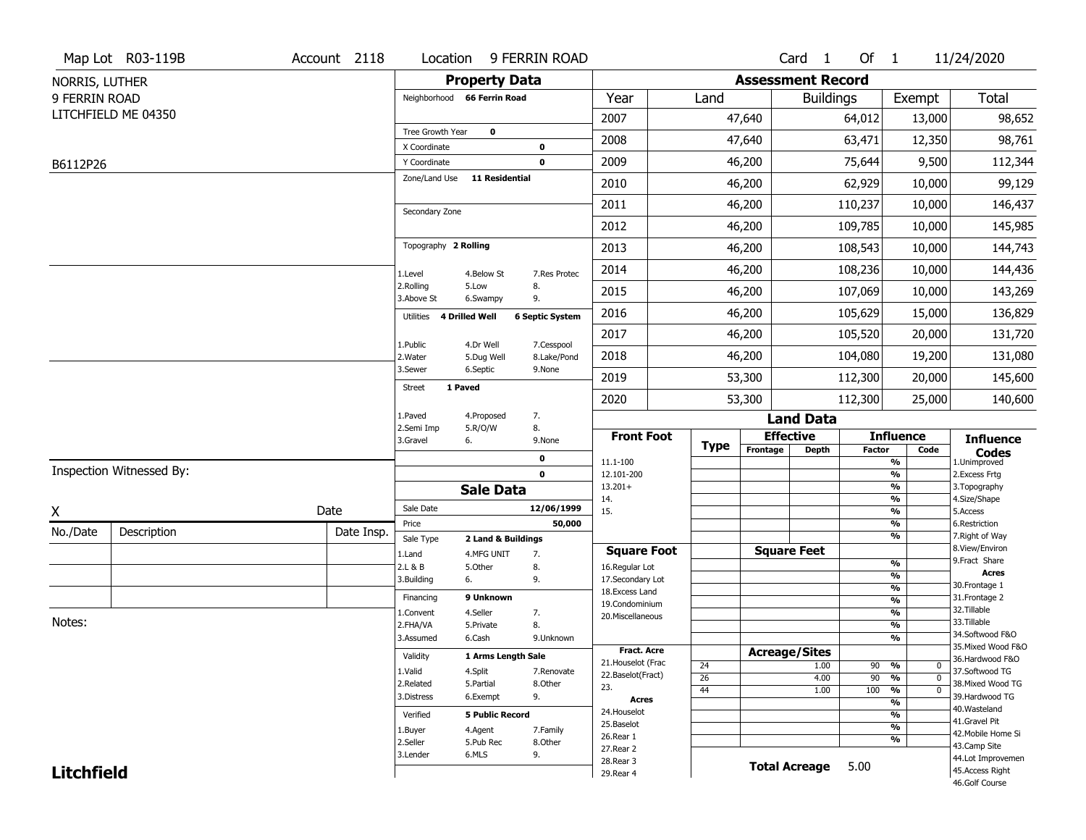|                   | Map Lot R03-119B         | Account 2118 | Location                           |                                  | 9 FERRIN ROAD          |                                         |                 |                          | Card <sub>1</sub>    | Of 1          |                                               | 11/24/2020                            |
|-------------------|--------------------------|--------------|------------------------------------|----------------------------------|------------------------|-----------------------------------------|-----------------|--------------------------|----------------------|---------------|-----------------------------------------------|---------------------------------------|
| NORRIS, LUTHER    |                          |              |                                    | <b>Property Data</b>             |                        |                                         |                 | <b>Assessment Record</b> |                      |               |                                               |                                       |
| 9 FERRIN ROAD     |                          |              | Neighborhood 66 Ferrin Road        |                                  |                        | Year                                    | Land            |                          | <b>Buildings</b>     |               | Exempt                                        | Total                                 |
|                   | LITCHFIELD ME 04350      |              |                                    |                                  |                        | 2007                                    |                 | 47,640                   |                      | 64,012        | 13,000                                        | 98,652                                |
|                   |                          |              | Tree Growth Year                   | $\mathbf 0$                      |                        | 2008                                    |                 | 47,640                   |                      | 63,471        | 12,350                                        | 98,761                                |
|                   |                          |              | X Coordinate                       |                                  | 0                      |                                         |                 |                          |                      |               |                                               |                                       |
| B6112P26          |                          |              | Y Coordinate<br>Zone/Land Use      | 11 Residential                   | 0                      | 2009                                    |                 | 46,200                   |                      | 75,644        | 9,500                                         | 112,344                               |
|                   |                          |              |                                    |                                  |                        | 2010                                    |                 | 46,200                   |                      | 62,929        | 10,000                                        | 99,129                                |
|                   |                          |              | Secondary Zone                     |                                  |                        | 2011                                    |                 | 46,200                   |                      | 110,237       | 10,000                                        | 146,437                               |
|                   |                          |              |                                    |                                  |                        | 2012                                    |                 | 46,200                   |                      | 109,785       | 10,000                                        | 145,985                               |
|                   |                          |              | Topography 2 Rolling               |                                  |                        | 2013                                    |                 | 46,200                   |                      | 108,543       | 10,000                                        | 144,743                               |
|                   |                          |              | 1.Level                            | 4.Below St                       | 7.Res Protec           | 2014                                    |                 | 46,200                   |                      | 108,236       | 10,000                                        | 144,436                               |
|                   |                          |              | 2.Rolling<br>3.Above St            | 5.Low<br>6.Swampy                | 8.<br>9.               | 2015                                    |                 | 46,200                   |                      | 107,069       | 10,000                                        | 143,269                               |
|                   |                          |              | <b>4 Drilled Well</b><br>Utilities |                                  | <b>6 Septic System</b> | 2016                                    |                 | 46,200                   |                      | 105,629       | 15,000                                        | 136,829                               |
|                   |                          |              | 1.Public                           | 4.Dr Well                        | 7.Cesspool             | 2017                                    |                 | 46,200                   |                      | 105,520       | 20,000                                        | 131,720                               |
|                   |                          |              | 2. Water                           | 5.Dug Well                       | 8.Lake/Pond            | 2018                                    |                 | 46,200                   |                      | 104,080       | 19,200                                        | 131,080                               |
|                   |                          |              | 3.Sewer<br>1 Paved                 | 6.Septic                         | 9.None                 | 2019                                    |                 | 53,300                   |                      | 112,300       | 20,000                                        | 145,600                               |
|                   |                          |              | <b>Street</b>                      |                                  |                        | 2020                                    |                 | 53,300                   |                      | 112,300       | 25,000                                        | 140,600                               |
|                   |                          |              | 1.Paved                            | 4.Proposed                       | 7.                     |                                         |                 |                          | <b>Land Data</b>     |               |                                               |                                       |
|                   |                          |              | 2.Semi Imp<br>3.Gravel<br>6.       | 5.R/O/W                          | 8.<br>9.None           | <b>Front Foot</b>                       | <b>Type</b>     |                          | <b>Effective</b>     |               | <b>Influence</b>                              | <b>Influence</b>                      |
|                   |                          |              |                                    |                                  | 0                      | 11.1-100                                |                 | Frontage                 | <b>Depth</b>         | <b>Factor</b> | Code<br>%                                     | <b>Codes</b><br>1.Unimproved          |
|                   | Inspection Witnessed By: |              |                                    |                                  | $\mathbf 0$            | 12.101-200                              |                 |                          |                      |               | $\frac{9}{6}$                                 | 2. Excess Frtg                        |
|                   |                          |              |                                    | <b>Sale Data</b>                 |                        | $13.201+$<br>14.                        |                 |                          |                      |               | %<br>%                                        | 3. Topography<br>4.Size/Shape         |
| X                 |                          | Date         | Sale Date                          |                                  | 12/06/1999             | 15.                                     |                 |                          |                      |               | $\frac{9}{6}$                                 | 5.Access                              |
| No./Date          | Description              | Date Insp.   | Price                              |                                  | 50,000                 |                                         |                 |                          |                      |               | %<br>%                                        | 6.Restriction<br>7. Right of Way      |
|                   |                          |              | Sale Type<br>1.Land                | 2 Land & Buildings<br>4.MFG UNIT | 7.                     | <b>Square Foot</b>                      |                 |                          | <b>Square Feet</b>   |               |                                               | 8.View/Environ                        |
|                   |                          |              | 2.L & B                            | 5.Other                          | 8.                     | 16.Regular Lot                          |                 |                          |                      |               | $\frac{9}{6}$                                 | 9. Fract Share                        |
|                   |                          |              | 3.Building<br>6.                   |                                  | 9.                     | 17.Secondary Lot                        |                 |                          |                      |               | $\frac{9}{6}$                                 | <b>Acres</b><br>30.Frontage 1         |
|                   |                          |              | Financing                          | 9 Unknown                        |                        | 18.Excess Land                          |                 |                          |                      |               | $\frac{9}{6}$<br>$\frac{9}{6}$                | 31. Frontage 2                        |
|                   |                          |              | 1.Convent                          | 4.Seller                         | 7.                     | 19.Condominium<br>20.Miscellaneous      |                 |                          |                      |               | $\frac{9}{6}$                                 | 32.Tillable                           |
| Notes:            |                          |              | 2.FHA/VA                           | 5.Private                        | 8.                     |                                         |                 |                          |                      |               | $\frac{9}{6}$                                 | 33.Tillable                           |
|                   |                          |              | 3.Assumed                          | 6.Cash                           | 9.Unknown              |                                         |                 |                          |                      |               | %                                             | 34.Softwood F&O                       |
|                   |                          |              | Validity                           | 1 Arms Length Sale               |                        | <b>Fract. Acre</b>                      |                 |                          | <b>Acreage/Sites</b> |               |                                               | 35. Mixed Wood F&O<br>36.Hardwood F&O |
|                   |                          |              | 1.Valid                            | 4.Split                          | 7.Renovate             | 21. Houselot (Frac<br>22.Baselot(Fract) | 24              |                          | 1.00                 | 90            | %<br>0                                        | 37.Softwood TG                        |
|                   |                          |              | 2.Related                          | 5.Partial                        | 8.Other                | 23.                                     | $\overline{26}$ |                          | 4.00                 | 90            | $\frac{9}{6}$<br>$\mathbf 0$                  | 38. Mixed Wood TG                     |
|                   |                          |              | 3.Distress                         | 6.Exempt                         | 9.                     | <b>Acres</b>                            | 44              |                          | 1.00                 | 100           | $\frac{9}{6}$<br>$\mathbf 0$<br>$\frac{9}{6}$ | 39.Hardwood TG                        |
|                   |                          |              | Verified                           | <b>5 Public Record</b>           |                        | 24. Houselot                            |                 |                          |                      |               | $\frac{9}{6}$                                 | 40. Wasteland                         |
|                   |                          |              | 1.Buyer                            | 4.Agent                          | 7.Family               | 25.Baselot                              |                 |                          |                      |               | $\frac{9}{6}$                                 | 41.Gravel Pit                         |
|                   |                          |              | 2.Seller                           | 5.Pub Rec                        | 8.Other                | 26.Rear 1                               |                 |                          |                      |               | %                                             | 42. Mobile Home Si<br>43.Camp Site    |
|                   |                          |              | 3.Lender                           | 6.MLS                            | 9.                     | 27.Rear 2                               |                 |                          |                      |               |                                               | 44.Lot Improvemen                     |
| <b>Litchfield</b> |                          |              |                                    |                                  |                        | 28. Rear 3<br>29. Rear 4                |                 |                          | <b>Total Acreage</b> | 5.00          |                                               | 45.Access Right                       |
|                   |                          |              |                                    |                                  |                        |                                         |                 |                          |                      |               |                                               | 46.Golf Course                        |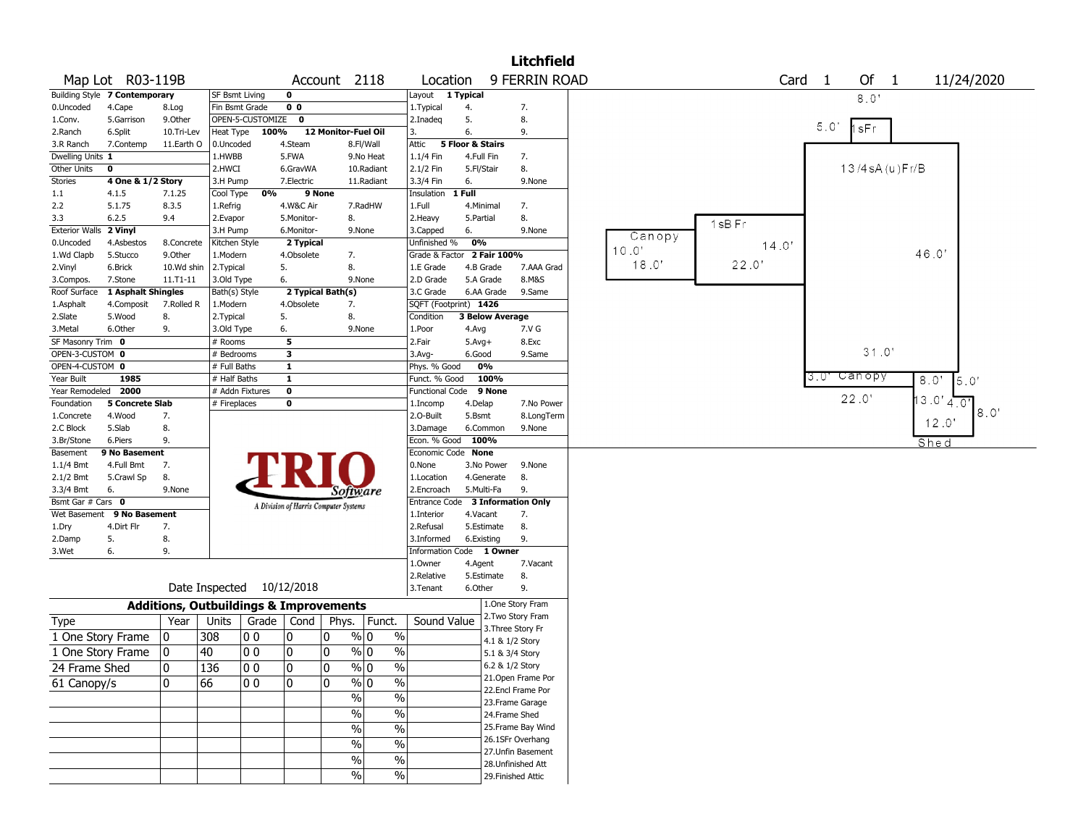|                       |                               |                                                   |                             |                    |                         |                                       |                                  |                                            |                             |                        | <b>Litchfield</b>                    |        |                   |     |                        |
|-----------------------|-------------------------------|---------------------------------------------------|-----------------------------|--------------------|-------------------------|---------------------------------------|----------------------------------|--------------------------------------------|-----------------------------|------------------------|--------------------------------------|--------|-------------------|-----|------------------------|
|                       | Map Lot R03-119B              |                                                   |                             |                    |                         | Account 2118                          |                                  | Location                                   |                             |                        | 9 FERRIN ROAD                        |        | Card <sub>1</sub> |     | Of 1<br>11/24/2020     |
|                       | Building Style 7 Contemporary |                                                   | SF Bsmt Living              |                    | 0                       |                                       |                                  | Layout                                     | 1 Typical                   |                        |                                      |        |                   |     | 8.0'                   |
| 0.Uncoded             | 4.Cape                        | 8.Log                                             | Fin Bsmt Grade              |                    | 0 <sub>0</sub>          |                                       |                                  | 1.Typical                                  | 4.                          |                        | 7.                                   |        |                   |     |                        |
| 1.Conv.               | 5.Garrison                    | 9.0ther                                           |                             | OPEN-5-CUSTOMIZE 0 |                         |                                       |                                  | 2.Inadeg                                   | 5.                          |                        | 8.                                   |        |                   |     |                        |
| 2.Ranch               | 6.Split                       | 10.Tri-Lev                                        | Heat Type                   | 100%               |                         | 12 Monitor-Fuel Oil                   |                                  | 3.                                         | 6.                          |                        | 9.                                   |        |                   | 5.0 | 1sFr                   |
| 3.R Ranch             | 7.Contemp                     | 11.Earth O                                        | 0.Uncoded                   |                    | 4.Steam                 |                                       | 8.Fl/Wall                        | Attic                                      | <b>5 Floor &amp; Stairs</b> |                        |                                      |        |                   |     |                        |
| Dwelling Units 1      |                               |                                                   | 1.HWBB                      |                    | 5.FWA                   |                                       | 9.No Heat                        | 1.1/4 Fin                                  |                             | 4.Full Fin             | 7.                                   |        |                   |     |                        |
| Other Units           | $\mathbf 0$                   |                                                   | 2.HWCI                      |                    | 6.GravWA                |                                       | 10.Radiant                       | 2.1/2 Fin                                  |                             | 5.Fl/Stair             | 8.                                   |        |                   |     | 13/4 sA (u)Fr/B        |
| Stories               | 4 One & 1/2 Story             |                                                   | 3.H Pump                    |                    | 7.Electric              |                                       | 11.Radiant                       | 3.3/4 Fin                                  | 6.                          |                        | 9.None                               |        |                   |     |                        |
| 1.1                   | 4.1.5                         | 7.1.25                                            | Cool Type                   | 0%                 |                         | 9 None                                |                                  | Insulation                                 | 1 Full                      |                        |                                      |        |                   |     |                        |
| 2.2                   | 5.1.75                        | 8.3.5                                             | 1.Refrig                    |                    | 4.W&C Air               |                                       | 7.RadHW                          | 1.Full                                     |                             | 4.Minimal              | 7.                                   |        |                   |     |                        |
| 3.3                   | 6.2.5                         | 9.4                                               | 2.Evapor                    |                    | 5.Monitor-              | 8.                                    |                                  | 2. Heavy                                   | 5.Partial                   |                        | 8.                                   |        | 1sB Fr            |     |                        |
| <b>Exterior Walls</b> | 2 Vinyl                       |                                                   | 3.H Pump                    |                    | 6.Monitor-              |                                       | 9.None                           | 3.Capped                                   | 6.                          |                        | 9.None                               | Canopy |                   |     |                        |
| 0.Uncoded             | 4.Asbestos                    | 8.Concrete                                        | Kitchen Style               |                    | 2 Typical               |                                       |                                  | Unfinished %<br>Grade & Factor 2 Fair 100% | 0%                          |                        |                                      | 10.0'  | 14.0'             |     | 46.0                   |
| 1.Wd Clapb            | 5.Stucco                      | 9.0ther                                           | 1.Modern<br>2. Typical      |                    | 4.Obsolete<br>5.        | 7.<br>8.                              |                                  | 1.E Grade                                  |                             | 4.B Grade              | 7.AAA Grad                           | 18.0'  | 22.0              |     |                        |
| 2.Vinyl<br>3.Compos.  | 6.Brick<br>7.Stone            | 10.Wd shin<br>11.T1-11                            |                             |                    | 6.                      |                                       | 9.None                           | 2.D Grade                                  |                             | 5.A Grade              | 8.M&S                                |        |                   |     |                        |
| Roof Surface          | 1 Asphalt Shingles            |                                                   | 3.Old Type<br>Bath(s) Style |                    |                         | 2 Typical Bath(s)                     |                                  | 3.C Grade                                  |                             | 6.AA Grade             | 9.Same                               |        |                   |     |                        |
| 1.Asphalt             | 4.Composit                    | 7.Rolled R                                        | 1.Modern                    |                    | 4.Obsolete              | 7.                                    |                                  | SQFT (Footprint) 1426                      |                             |                        |                                      |        |                   |     |                        |
| 2.Slate               | 5.Wood                        | 8.                                                | 2. Typical                  |                    | 5.                      | 8.                                    |                                  | Condition                                  |                             | <b>3 Below Average</b> |                                      |        |                   |     |                        |
| 3.Metal               | 6.Other                       | 9.                                                | 3.Old Type                  |                    | 6.                      |                                       | 9.None                           | 1.Poor                                     | 4.Avg                       |                        | 7.V G                                |        |                   |     |                        |
| SF Masonry Trim 0     |                               |                                                   | # Rooms                     |                    | 5                       |                                       |                                  | 2.Fair                                     | $5.$ Avg $+$                |                        | 8.Exc                                |        |                   |     |                        |
| OPEN-3-CUSTOM 0       |                               |                                                   | # Bedrooms                  |                    | 3                       |                                       |                                  | 3.Avg-                                     | 6.Good                      |                        | 9.Same                               |        |                   |     | 31.0'                  |
| OPEN-4-CUSTOM 0       |                               |                                                   | # Full Baths                |                    | $\mathbf{1}$            |                                       |                                  | Phys. % Good                               |                             | 0%                     |                                      |        |                   |     |                        |
| Year Built            | 1985                          |                                                   | # Half Baths                |                    | $\overline{\mathbf{1}}$ |                                       |                                  | Funct. % Good                              |                             | 100%                   |                                      |        |                   | 3.U | Canopy<br>8.0'<br>5.0' |
| Year Remodeled        | 2000                          |                                                   |                             | # Addn Fixtures    | 0                       |                                       |                                  | Functional Code                            |                             | 9 None                 |                                      |        |                   |     |                        |
| Foundation            | <b>5 Concrete Slab</b>        |                                                   | # Fireplaces                |                    | 0                       |                                       |                                  | 1.Incomp                                   | 4.Delap                     |                        | 7.No Power                           |        |                   |     | 22.0<br>$.3.0'$ 4.0"   |
| 1.Concrete            | 4.Wood                        | 7.                                                |                             |                    |                         |                                       |                                  | 2.O-Built                                  | 5.Bsmt                      |                        | 8.LongTerm                           |        |                   |     | 8.0'                   |
| 2.C Block             | 5.Slab                        | 8.                                                |                             |                    |                         |                                       |                                  | 3.Damage                                   |                             | 6.Common               | 9.None                               |        |                   |     | 12.0'                  |
| 3.Br/Stone            | 6.Piers                       | 9.                                                |                             |                    |                         |                                       |                                  | Econ. % Good                               |                             | 100%                   |                                      |        |                   |     | Shed                   |
| Basement              | 9 No Basement                 |                                                   |                             |                    |                         |                                       |                                  | Economic Code None                         |                             |                        |                                      |        |                   |     |                        |
| $1.1/4$ Bmt           | 4.Full Bmt                    | 7.                                                |                             |                    |                         |                                       |                                  | 0.None                                     |                             | 3.No Power             | 9.None                               |        |                   |     |                        |
| 2.1/2 Bmt             | 5.Crawl Sp                    | 8.                                                |                             |                    |                         |                                       |                                  | 1.Location                                 |                             | 4.Generate             | 8.                                   |        |                   |     |                        |
| 3.3/4 Bmt             | 6.                            | 9.None                                            |                             |                    |                         | <i>Software</i>                       |                                  | 2.Encroach                                 |                             | 5.Multi-Fa             | 9.                                   |        |                   |     |                        |
| Bsmt Gar # Cars 0     |                               |                                                   |                             |                    |                         | A Division of Harris Computer Systems |                                  | Entrance Code                              |                             |                        | <b>3 Information Only</b>            |        |                   |     |                        |
|                       | Wet Basement 9 No Basement    |                                                   |                             |                    |                         |                                       |                                  | 1.Interior                                 |                             | 4.Vacant               | 7.                                   |        |                   |     |                        |
| 1.Dry                 | 4.Dirt Flr                    | 7.                                                |                             |                    |                         |                                       |                                  | 2.Refusal                                  |                             | 5.Estimate             | 8.                                   |        |                   |     |                        |
| 2.Damp                | 5.                            | 8.                                                |                             |                    |                         |                                       |                                  | 3.Informed                                 |                             | 6.Existing             | 9.                                   |        |                   |     |                        |
| 3.Wet                 | 6.                            | 9.                                                |                             |                    |                         |                                       |                                  | Information Code 1 Owner                   |                             |                        |                                      |        |                   |     |                        |
|                       |                               |                                                   |                             |                    |                         |                                       |                                  | 1.Owner                                    | 4.Agent                     |                        | 7.Vacant                             |        |                   |     |                        |
|                       |                               |                                                   |                             |                    |                         |                                       |                                  | 2.Relative                                 |                             | 5.Estimate             | 8.                                   |        |                   |     |                        |
|                       |                               |                                                   | Date Inspected              |                    | 10/12/2018              |                                       |                                  | 3. Tenant                                  | 6.Other                     |                        | 9.                                   |        |                   |     |                        |
|                       |                               | <b>Additions, Outbuildings &amp; Improvements</b> |                             |                    |                         |                                       |                                  |                                            |                             |                        | 1.One Story Fram                     |        |                   |     |                        |
| Type                  |                               | Year                                              | Units                       | Grade              | Cond                    | Phys.                                 | Funct.                           | Sound Value                                |                             |                        | 2. Two Story Fram                    |        |                   |     |                        |
| 1 One Story Frame     |                               | 10                                                | 308                         | 00                 | 0                       | 10                                    | $\frac{9}{0}$ 0<br>$\%$          |                                            |                             |                        | 3. Three Story Fr<br>4.1 & 1/2 Story |        |                   |     |                        |
| 1 One Story Frame     |                               | 10                                                | 40                          | 00                 | 0                       | 0                                     | $\frac{9}{0}$ 0<br>$\frac{0}{0}$ |                                            |                             |                        | 5.1 & 3/4 Story                      |        |                   |     |                        |
|                       |                               |                                                   |                             |                    |                         |                                       |                                  |                                            |                             |                        | 6.2 & 1/2 Story                      |        |                   |     |                        |
| 24 Frame Shed         |                               | 10                                                | 136                         | 00                 | 10                      | 10                                    | % 0<br>%                         |                                            |                             |                        | 21. Open Frame Por                   |        |                   |     |                        |
| 61 Canopy/s           |                               | 10                                                | 66                          | $ 00\rangle$       | $\mathbf 0$             | ١o                                    | $\sqrt[6]{0}$<br>$\sqrt{6}$      |                                            |                             |                        | 22.Encl Frame Por                    |        |                   |     |                        |
|                       |                               |                                                   |                             |                    |                         | $\%$                                  | $\overline{\frac{0}{0}}$         |                                            |                             |                        | 23. Frame Garage                     |        |                   |     |                        |
|                       |                               |                                                   |                             |                    |                         | $\%$                                  | $\overline{\frac{0}{0}}$         |                                            |                             |                        | 24.Frame Shed                        |        |                   |     |                        |
|                       |                               |                                                   |                             |                    |                         | $\%$                                  | $\overline{\frac{0}{0}}$         |                                            |                             |                        | 25. Frame Bay Wind                   |        |                   |     |                        |
|                       |                               |                                                   |                             |                    |                         |                                       |                                  |                                            |                             |                        | 26.1SFr Overhang                     |        |                   |     |                        |
|                       |                               |                                                   |                             |                    |                         | $\%$                                  | $\overline{\frac{0}{0}}$         |                                            |                             |                        | 27.Unfin Basement                    |        |                   |     |                        |
|                       |                               |                                                   |                             |                    |                         | $\%$                                  | $\%$                             |                                            |                             |                        | 28. Unfinished Att                   |        |                   |     |                        |
|                       |                               |                                                   |                             |                    |                         | %                                     | %                                |                                            |                             |                        | 29. Finished Attic                   |        |                   |     |                        |
|                       |                               |                                                   |                             |                    |                         |                                       |                                  |                                            |                             |                        |                                      |        |                   |     |                        |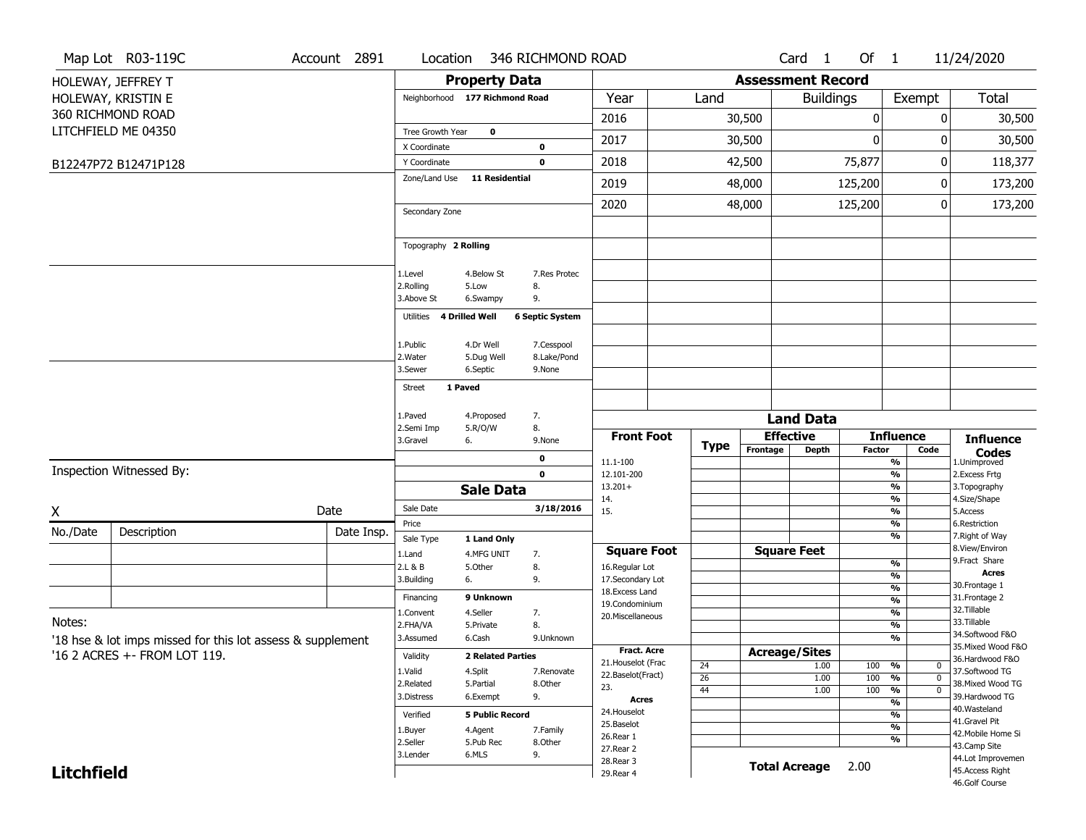|                   | Map Lot R03-119C                                           | Account 2891 | Location                       |                          | 346 RICHMOND ROAD      |                                    |                       |                          | Card <sub>1</sub>    | Of $1$           |                                           | 11/24/2020                            |
|-------------------|------------------------------------------------------------|--------------|--------------------------------|--------------------------|------------------------|------------------------------------|-----------------------|--------------------------|----------------------|------------------|-------------------------------------------|---------------------------------------|
|                   | HOLEWAY, JEFFREY T                                         |              |                                | <b>Property Data</b>     |                        |                                    |                       | <b>Assessment Record</b> |                      |                  |                                           |                                       |
|                   | HOLEWAY, KRISTIN E                                         |              | Neighborhood 177 Richmond Road |                          |                        | Year                               | Land                  |                          | <b>Buildings</b>     |                  | Exempt                                    | Total                                 |
|                   | 360 RICHMOND ROAD                                          |              |                                |                          |                        | 2016                               |                       | 30,500                   |                      | 0                | 0                                         | 30,500                                |
|                   | LITCHFIELD ME 04350                                        |              | Tree Growth Year               | 0                        |                        |                                    |                       |                          |                      |                  |                                           |                                       |
|                   |                                                            |              | X Coordinate                   |                          | 0                      | 2017                               |                       | 30,500                   |                      | $\boldsymbol{0}$ | 0                                         | 30,500                                |
|                   | B12247P72 B12471P128                                       |              | Y Coordinate                   |                          | $\mathbf 0$            | 2018                               |                       | 42,500                   |                      | 75,877           | 0                                         | 118,377                               |
|                   |                                                            |              | Zone/Land Use                  | <b>11 Residential</b>    |                        | 2019                               |                       | 48,000                   |                      | 125,200          | 0                                         | 173,200                               |
|                   |                                                            |              |                                |                          |                        | 2020                               |                       | 48,000                   |                      | 125,200          | 0                                         | 173,200                               |
|                   |                                                            |              | Secondary Zone                 |                          |                        |                                    |                       |                          |                      |                  |                                           |                                       |
|                   |                                                            |              | Topography 2 Rolling           |                          |                        |                                    |                       |                          |                      |                  |                                           |                                       |
|                   |                                                            |              | 1.Level                        | 4.Below St               | 7.Res Protec           |                                    |                       |                          |                      |                  |                                           |                                       |
|                   |                                                            |              | 2.Rolling                      | 5.Low                    | 8.                     |                                    |                       |                          |                      |                  |                                           |                                       |
|                   |                                                            |              | 3.Above St                     | 6.Swampy                 | 9.                     |                                    |                       |                          |                      |                  |                                           |                                       |
|                   |                                                            |              | 4 Drilled Well<br>Utilities    |                          | <b>6 Septic System</b> |                                    |                       |                          |                      |                  |                                           |                                       |
|                   |                                                            |              | 1.Public                       | 4.Dr Well                | 7.Cesspool             |                                    |                       |                          |                      |                  |                                           |                                       |
|                   |                                                            |              | 2. Water                       | 5.Dug Well               | 8.Lake/Pond            |                                    |                       |                          |                      |                  |                                           |                                       |
|                   |                                                            |              | 3.Sewer                        | 6.Septic                 | 9.None                 |                                    |                       |                          |                      |                  |                                           |                                       |
|                   |                                                            |              | 1 Paved<br>Street              |                          |                        |                                    |                       |                          |                      |                  |                                           |                                       |
|                   |                                                            |              | 1.Paved                        | 4.Proposed               | 7.                     |                                    |                       |                          | <b>Land Data</b>     |                  |                                           |                                       |
|                   |                                                            |              | 2.Semi Imp                     | 5.R/O/W                  | 8.                     | <b>Front Foot</b>                  |                       |                          | <b>Effective</b>     |                  | <b>Influence</b>                          | <b>Influence</b>                      |
|                   |                                                            |              | 3.Gravel<br>6.                 |                          | 9.None                 |                                    | Type                  | Frontage                 | <b>Depth</b>         | <b>Factor</b>    | Code                                      | <b>Codes</b>                          |
|                   | Inspection Witnessed By:                                   |              |                                |                          | 0<br>$\mathbf 0$       | 11.1-100<br>12.101-200             |                       |                          |                      |                  | %<br>%                                    | 1.Unimproved<br>2.Excess Frtg         |
|                   |                                                            |              |                                | <b>Sale Data</b>         |                        | $13.201+$                          |                       |                          |                      |                  | %                                         | 3. Topography                         |
|                   |                                                            | Date         | Sale Date                      |                          | 3/18/2016              | 14.<br>15.                         |                       |                          |                      |                  | %<br>%                                    | 4.Size/Shape<br>5.Access              |
| X                 |                                                            |              | Price                          |                          |                        |                                    |                       |                          |                      |                  | %                                         | 6.Restriction                         |
| No./Date          | Description                                                | Date Insp.   | Sale Type                      | 1 Land Only              |                        |                                    |                       |                          |                      |                  | %                                         | 7. Right of Way                       |
|                   |                                                            |              | 1.Land                         | 4.MFG UNIT               | 7.                     | <b>Square Foot</b>                 |                       |                          | <b>Square Feet</b>   |                  | %                                         | 8.View/Environ<br>9.Fract Share       |
|                   |                                                            |              | 2.L & B<br>6.<br>3.Building    | 5.Other                  | 8.<br>9.               | 16.Regular Lot<br>17.Secondary Lot |                       |                          |                      |                  | %                                         | <b>Acres</b>                          |
|                   |                                                            |              | Financing                      | 9 Unknown                |                        | 18. Excess Land                    |                       |                          |                      |                  | $\frac{9}{6}$                             | 30. Frontage 1<br>31. Frontage 2      |
|                   |                                                            |              | 1.Convent                      | 4.Seller                 | 7.                     | 19.Condominium<br>20.Miscellaneous |                       |                          |                      |                  | %<br>$\overline{\frac{9}{6}}$             | 32.Tillable                           |
| Notes:            |                                                            |              | 2.FHA/VA                       | 5.Private                | 8.                     |                                    |                       |                          |                      |                  | $\overline{\frac{9}{6}}$                  | 33.Tillable                           |
|                   | '18 hse & lot imps missed for this lot assess & supplement |              | 3.Assumed                      | 6.Cash                   | 9.Unknown              |                                    |                       |                          |                      |                  | $\frac{9}{6}$                             | 34.Softwood F&O<br>35. Mixed Wood F&O |
|                   | '16 2 ACRES + - FROM LOT 119.                              |              | Validity                       | <b>2 Related Parties</b> |                        | Fract. Acre<br>21. Houselot (Frac  |                       | <b>Acreage/Sites</b>     | 1.00                 |                  | %<br>$\mathbf 0$                          | 36.Hardwood F&O                       |
|                   |                                                            |              | 1.Valid                        | 4.Split                  | 7.Renovate             | 22.Baselot(Fract)                  | 24<br>$\overline{26}$ |                          | 1.00                 | 100<br>100       | %<br>$\mathbf 0$                          | 37.Softwood TG                        |
|                   |                                                            |              | 2.Related<br>3.Distress        | 5.Partial<br>6.Exempt    | 8.Other<br>9.          | 23.                                | 44                    |                          | 1.00                 | 100              | $\frac{1}{\sqrt{6}}$<br>$\overline{0}$    | 38. Mixed Wood TG<br>39.Hardwood TG   |
|                   |                                                            |              |                                |                          |                        | <b>Acres</b><br>24. Houselot       |                       |                          |                      |                  | %                                         | 40. Wasteland                         |
|                   |                                                            |              | Verified                       | <b>5 Public Record</b>   |                        | 25.Baselot                         |                       |                          |                      |                  | $\overline{\frac{9}{6}}$<br>$\frac{9}{6}$ | 41.Gravel Pit                         |
|                   |                                                            |              | 1.Buyer<br>2.Seller            | 4.Agent<br>5.Pub Rec     | 7.Family<br>8.Other    | 26.Rear 1                          |                       |                          |                      |                  | $\overline{\frac{9}{6}}$                  | 42. Mobile Home Si<br>43.Camp Site    |
|                   |                                                            |              | 3.Lender                       | 6.MLS                    | 9.                     | 27. Rear 2<br>28. Rear 3           |                       |                          |                      |                  |                                           | 44.Lot Improvemen                     |
| <b>Litchfield</b> |                                                            |              |                                |                          |                        | 29. Rear 4                         |                       |                          | <b>Total Acreage</b> | 2.00             |                                           | 45.Access Right<br>46.Golf Course     |
|                   |                                                            |              |                                |                          |                        |                                    |                       |                          |                      |                  |                                           |                                       |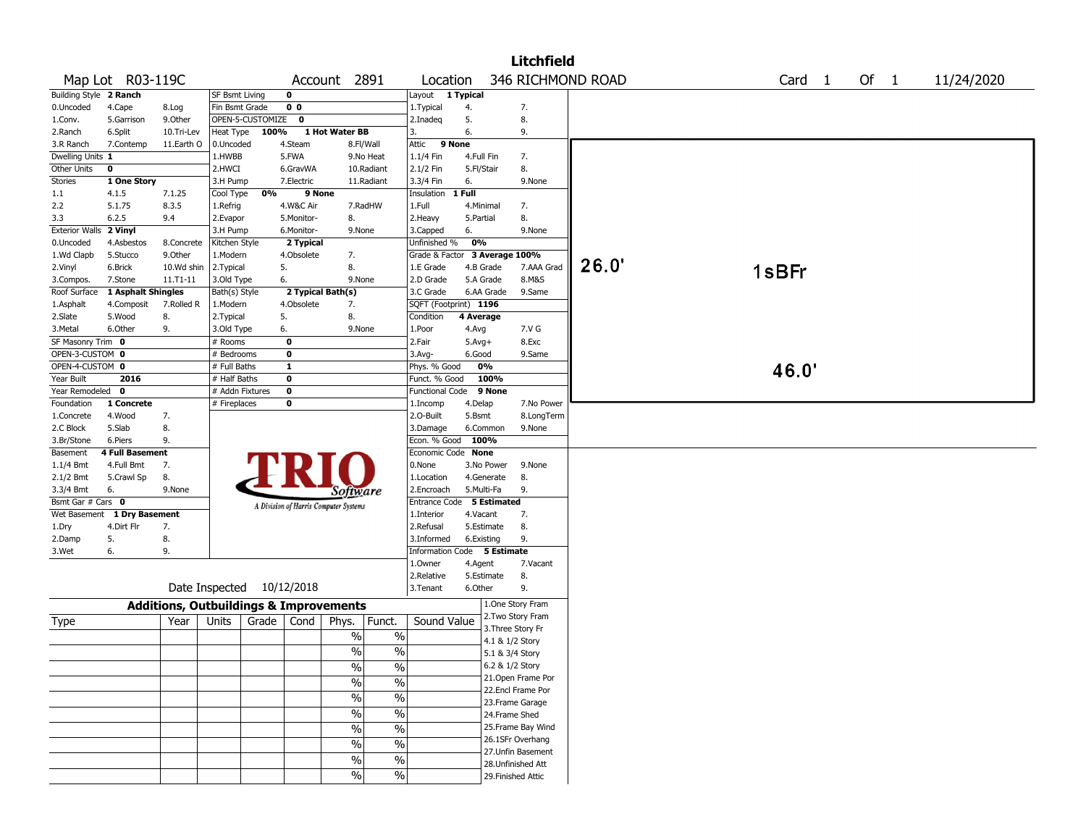|                        |                             |                                                   |                       |                  |                   |                                       |               |                               |            |                 | <b>Litchfield</b>                      |                   |  |                   |        |            |
|------------------------|-----------------------------|---------------------------------------------------|-----------------------|------------------|-------------------|---------------------------------------|---------------|-------------------------------|------------|-----------------|----------------------------------------|-------------------|--|-------------------|--------|------------|
|                        | Map Lot R03-119C            |                                                   |                       |                  |                   | Account 2891                          |               | Location                      |            |                 |                                        | 346 RICHMOND ROAD |  | Card <sub>1</sub> | Of $1$ | 11/24/2020 |
| Building Style 2 Ranch |                             |                                                   | <b>SF Bsmt Living</b> |                  | $\mathbf 0$       |                                       |               | Layout 1 Typical              |            |                 |                                        |                   |  |                   |        |            |
| 0.Uncoded              | 4.Cape                      | 8.Log                                             | Fin Bsmt Grade        |                  | 0 <sub>0</sub>    |                                       |               | 1. Typical                    | 4.         |                 | 7.                                     |                   |  |                   |        |            |
| 1.Conv.                | 5.Garrison                  | 9.0ther                                           |                       | OPEN-5-CUSTOMIZE | 0                 |                                       |               | 2.Inadeg                      | 5.         |                 | 8.                                     |                   |  |                   |        |            |
| 2.Ranch                | 6.Split                     | 10.Tri-Lev                                        | Heat Type             | 100%             |                   | 1 Hot Water BB                        |               | 3.                            | 6.         |                 | 9.                                     |                   |  |                   |        |            |
| 3.R Ranch              | 7.Contemp                   | 11.Earth O                                        | 0.Uncoded             |                  | 4.Steam           |                                       | 8.Fl/Wall     | 9 None<br>Attic               |            |                 |                                        |                   |  |                   |        |            |
| Dwelling Units 1       |                             |                                                   | 1.HWBB                |                  | 5.FWA             |                                       | 9.No Heat     | 1.1/4 Fin                     | 4.Full Fin |                 | 7.                                     |                   |  |                   |        |            |
| Other Units            | $\pmb{0}$                   |                                                   | 2.HWCI                |                  | 6.GravWA          |                                       | 10.Radiant    | 2.1/2 Fin                     | 5.Fl/Stair |                 | 8.                                     |                   |  |                   |        |            |
| Stories                | 1 One Story                 |                                                   | 3.H Pump              |                  | 7.Electric        |                                       | 11.Radiant    | 3.3/4 Fin                     | 6.         |                 | 9.None                                 |                   |  |                   |        |            |
| 1.1                    | 4.1.5                       | 7.1.25                                            | Cool Type             | 0%               | 9 None            |                                       |               | Insulation                    | 1 Full     |                 |                                        |                   |  |                   |        |            |
| 2.2                    | 5.1.75                      | 8.3.5                                             | 1.Refrig              |                  | 4.W&C Air         |                                       | 7.RadHW       | 1.Full                        |            | 4.Minimal       | 7.                                     |                   |  |                   |        |            |
| 3.3                    | 6.2.5                       | 9.4                                               | 2.Evapor              |                  | 5.Monitor-        | 8.                                    |               | 2.Heavy                       | 5.Partial  |                 | 8.                                     |                   |  |                   |        |            |
| <b>Exterior Walls</b>  | 2 Vinyl                     |                                                   | 3.H Pump              |                  | 6.Monitor-        | 9.None                                |               | 3.Capped                      | 6.         |                 | 9.None                                 |                   |  |                   |        |            |
| 0.Uncoded              | 4.Asbestos                  | 8.Concrete                                        | Kitchen Style         |                  | 2 Typical         |                                       |               | Unfinished %                  | 0%         |                 |                                        |                   |  |                   |        |            |
| 1.Wd Clapb             | 5.Stucco                    | 9.Other                                           | 1.Modern              |                  | 4.Obsolete        | 7.                                    |               | Grade & Factor 3 Average 100% |            |                 |                                        |                   |  |                   |        |            |
| 2.Vinyl                | 6.Brick                     | 10.Wd shin                                        | 2.Typical             |                  | 5.                | 8.                                    |               | 1.E Grade                     |            | 4.B Grade       | 7.AAA Grad                             | 26.0'             |  | 1sBFr             |        |            |
| 3.Compos.              | 7.Stone                     | $11. T1 - 11$                                     | 3.Old Type            |                  | 6.                | 9.None                                |               | 2.D Grade                     |            | 5.A Grade       | 8.M&S                                  |                   |  |                   |        |            |
| Roof Surface           | 1 Asphalt Shingles          |                                                   | Bath(s) Style         |                  | 2 Typical Bath(s) |                                       |               | 3.C Grade                     |            | 6.AA Grade      | 9.Same                                 |                   |  |                   |        |            |
| 1.Asphalt              | 4.Composit                  | 7.Rolled R                                        | 1.Modern              |                  | 4.Obsolete        | 7.                                    |               | SQFT (Footprint) 1196         |            |                 |                                        |                   |  |                   |        |            |
| 2.Slate                | 5.Wood                      | 8.                                                | 2. Typical            |                  | 5.                | 8.                                    |               | Condition                     | 4 Average  |                 |                                        |                   |  |                   |        |            |
| 3.Metal                | 6.Other                     | 9.                                                | 3.Old Type            |                  | 6.                | 9.None                                |               | 1.Poor                        | 4.Avg      |                 | 7.V G                                  |                   |  |                   |        |            |
| SF Masonry Trim 0      |                             |                                                   | # Rooms               |                  | $\mathbf 0$       |                                       |               | 2.Fair                        | $5.Avg+$   |                 | 8.Exc                                  |                   |  |                   |        |            |
| OPEN-3-CUSTOM 0        |                             |                                                   | # Bedrooms            |                  | $\mathbf 0$       |                                       |               | 3.Avg-                        | 6.Good     |                 | 9.Same                                 |                   |  |                   |        |            |
| OPEN-4-CUSTOM 0        |                             |                                                   | # Full Baths          |                  | $\mathbf{1}$      |                                       |               | Phys. % Good                  |            | 0%              |                                        |                   |  | 46.0'             |        |            |
| Year Built             | 2016                        |                                                   | # Half Baths          |                  | $\mathbf 0$       |                                       |               | Funct. % Good                 |            | 100%            |                                        |                   |  |                   |        |            |
| Year Remodeled 0       |                             |                                                   | # Addn Fixtures       |                  | $\bf{0}$          |                                       |               | <b>Functional Code</b>        |            | 9 None          |                                        |                   |  |                   |        |            |
| Foundation             | 1 Concrete                  |                                                   | # Fireplaces          |                  | 0                 |                                       |               | 1.Incomp                      | 4.Delap    |                 | 7.No Power                             |                   |  |                   |        |            |
| 1.Concrete             | 4.Wood                      | 7.                                                |                       |                  |                   |                                       |               | 2.O-Built                     | 5.Bsmt     |                 | 8.LongTerm                             |                   |  |                   |        |            |
| 2.C Block              | 5.Slab                      | 8.                                                |                       |                  |                   |                                       |               | 3.Damage                      |            | 6.Common        | 9.None                                 |                   |  |                   |        |            |
| 3.Br/Stone             | 6.Piers                     | 9.                                                |                       |                  |                   |                                       |               | Econ. % Good 100%             |            |                 |                                        |                   |  |                   |        |            |
| Basement               | <b>4 Full Basement</b>      |                                                   |                       |                  |                   |                                       |               | Economic Code None            |            |                 |                                        |                   |  |                   |        |            |
| $1.1/4$ Bmt            | 4.Full Bmt                  | 7.                                                |                       |                  |                   |                                       |               | 0.None                        |            | 3.No Power      | 9.None                                 |                   |  |                   |        |            |
| $2.1/2$ Bmt            | 5.Crawl Sp                  | 8.                                                |                       |                  |                   |                                       |               | 1.Location                    |            | 4.Generate      | 8.                                     |                   |  |                   |        |            |
| 3.3/4 Bmt              | 6.                          | 9.None                                            |                       |                  |                   | Software                              |               | 2.Encroach                    |            | 5.Multi-Fa      | 9.                                     |                   |  |                   |        |            |
| Bsmt Gar # Cars 0      |                             |                                                   |                       |                  |                   | A Division of Harris Computer Systems |               | Entrance Code 5 Estimated     |            |                 |                                        |                   |  |                   |        |            |
|                        | Wet Basement 1 Dry Basement |                                                   |                       |                  |                   |                                       |               | 1.Interior                    | 4.Vacant   |                 | 7.                                     |                   |  |                   |        |            |
| 1.Dry                  | 4.Dirt Flr                  | 7.                                                |                       |                  |                   |                                       |               | 2.Refusal                     |            | 5.Estimate      | 8.                                     |                   |  |                   |        |            |
| 2.Damp                 | 5.                          | 8.                                                |                       |                  |                   |                                       |               | 3.Informed                    |            | 6.Existing      | 9.                                     |                   |  |                   |        |            |
| 3.Wet                  | 6.                          | 9.                                                |                       |                  |                   |                                       |               | Information Code 5 Estimate   |            |                 |                                        |                   |  |                   |        |            |
|                        |                             |                                                   |                       |                  |                   |                                       |               | 1.0wner                       | 4.Agent    |                 | 7.Vacant                               |                   |  |                   |        |            |
|                        |                             |                                                   |                       |                  |                   |                                       |               | 2.Relative                    |            | 5.Estimate      | 8.                                     |                   |  |                   |        |            |
|                        |                             | Date Inspected 10/12/2018                         |                       |                  |                   |                                       |               | 3. Tenant                     | 6.Other    |                 | 9.                                     |                   |  |                   |        |            |
|                        |                             |                                                   |                       |                  |                   |                                       |               |                               |            |                 | 1.One Story Fram                       |                   |  |                   |        |            |
|                        |                             | <b>Additions, Outbuildings &amp; Improvements</b> |                       |                  |                   |                                       |               |                               |            |                 | 2. Two Story Fram                      |                   |  |                   |        |            |
| Type                   |                             | Year                                              | Units                 | Grade            | Cond              | Phys.                                 | Funct.        | Sound Value                   |            |                 | 3. Three Story Fr                      |                   |  |                   |        |            |
|                        |                             |                                                   |                       |                  |                   | $\%$                                  | $\%$          |                               |            | 4.1 & 1/2 Story |                                        |                   |  |                   |        |            |
|                        |                             |                                                   |                       |                  |                   | $\frac{0}{0}$                         | $\%$          |                               |            | 5.1 & 3/4 Story |                                        |                   |  |                   |        |            |
|                        |                             |                                                   |                       |                  |                   |                                       | $\frac{0}{6}$ |                               |            |                 | 6.2 & 1/2 Story                        |                   |  |                   |        |            |
|                        |                             |                                                   |                       |                  |                   | $\frac{1}{2}$                         |               |                               |            |                 | 21. Open Frame Por                     |                   |  |                   |        |            |
|                        |                             |                                                   |                       |                  |                   | $\frac{1}{2}$                         | $\%$          |                               |            |                 | 22.Encl Frame Por                      |                   |  |                   |        |            |
|                        |                             |                                                   |                       |                  |                   | $\frac{0}{0}$                         | $\%$          |                               |            |                 | 23. Frame Garage                       |                   |  |                   |        |            |
|                        |                             |                                                   |                       |                  |                   | $\%$                                  | $\%$          |                               |            | 24.Frame Shed   |                                        |                   |  |                   |        |            |
|                        |                             |                                                   |                       |                  |                   |                                       |               |                               |            |                 |                                        |                   |  |                   |        |            |
|                        |                             |                                                   |                       |                  |                   | $\%$                                  | $\frac{0}{0}$ |                               |            |                 | 25. Frame Bay Wind                     |                   |  |                   |        |            |
|                        |                             |                                                   |                       |                  |                   | $\frac{0}{0}$                         | $\%$          |                               |            |                 | 26.1SFr Overhang<br>27. Unfin Basement |                   |  |                   |        |            |
|                        |                             |                                                   |                       |                  |                   | $\%$                                  | $\%$          |                               |            |                 | 28. Unfinished Att                     |                   |  |                   |        |            |
|                        |                             |                                                   |                       |                  |                   | $\%$                                  | $\%$          |                               |            |                 | 29. Finished Attic                     |                   |  |                   |        |            |
|                        |                             |                                                   |                       |                  |                   |                                       |               |                               |            |                 |                                        |                   |  |                   |        |            |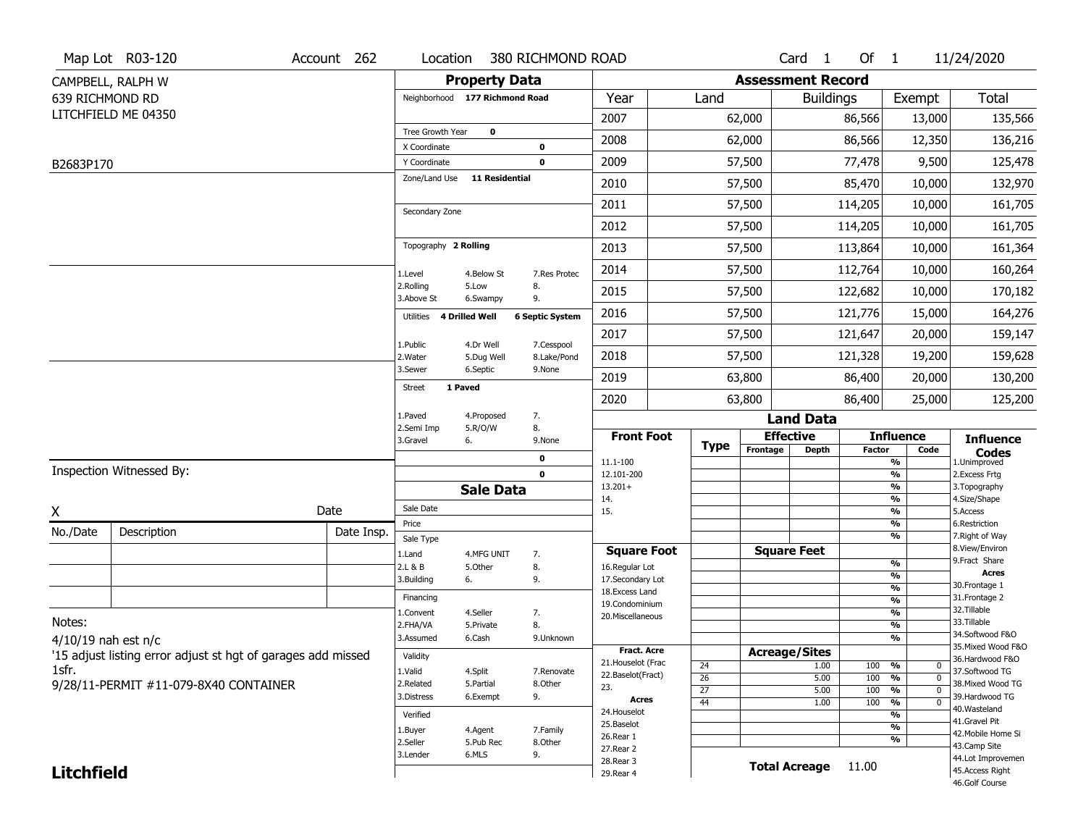|                   | Map Lot R03-120                                              | Account 262 | Location                       |                            | 380 RICHMOND ROAD            |                                    |             |                          | Card <sub>1</sub>    | Of $1$        |                                           | 11/24/2020                           |
|-------------------|--------------------------------------------------------------|-------------|--------------------------------|----------------------------|------------------------------|------------------------------------|-------------|--------------------------|----------------------|---------------|-------------------------------------------|--------------------------------------|
|                   | CAMPBELL, RALPH W                                            |             |                                | <b>Property Data</b>       |                              |                                    |             | <b>Assessment Record</b> |                      |               |                                           |                                      |
| 639 RICHMOND RD   |                                                              |             | Neighborhood 177 Richmond Road |                            |                              | Year                               | Land        |                          | <b>Buildings</b>     |               | Exempt                                    | Total                                |
|                   | LITCHFIELD ME 04350                                          |             |                                |                            |                              | 2007                               |             | 62,000                   |                      | 86,566        | 13,000                                    | 135,566                              |
|                   |                                                              |             | Tree Growth Year               | $\mathbf 0$                |                              | 2008                               |             | 62,000                   |                      | 86,566        | 12,350                                    | 136,216                              |
| B2683P170         |                                                              |             | X Coordinate<br>Y Coordinate   |                            | 0<br>$\mathbf 0$             | 2009                               |             | 57,500                   |                      | 77,478        | 9,500                                     | 125,478                              |
|                   |                                                              |             | Zone/Land Use                  | <b>11 Residential</b>      |                              | 2010                               |             | 57,500                   |                      | 85,470        | 10,000                                    | 132,970                              |
|                   |                                                              |             |                                |                            |                              | 2011                               |             | 57,500                   |                      | 114,205       | 10,000                                    | 161,705                              |
|                   |                                                              |             | Secondary Zone                 |                            |                              | 2012                               |             | 57,500                   |                      | 114,205       | 10,000                                    | 161,705                              |
|                   |                                                              |             | Topography 2 Rolling           |                            |                              | 2013                               |             | 57,500                   |                      | 113,864       | 10,000                                    | 161,364                              |
|                   |                                                              |             |                                | 4.Below St                 | 7.Res Protec                 | 2014                               |             | 57,500                   |                      | 112,764       | 10,000                                    | 160,264                              |
|                   |                                                              |             | 1.Level<br>2.Rolling           | 5.Low                      | 8.                           | 2015                               |             | 57,500                   |                      | 122,682       | 10,000                                    | 170,182                              |
|                   |                                                              |             | 3.Above St<br>Utilities        | 6.Swampy<br>4 Drilled Well | 9.<br><b>6 Septic System</b> | 2016                               |             | 57,500                   |                      | 121,776       | 15,000                                    | 164,276                              |
|                   |                                                              |             |                                |                            |                              | 2017                               |             | 57,500                   |                      | 121,647       | 20,000                                    | 159,147                              |
|                   |                                                              |             | 1.Public<br>2. Water           | 4.Dr Well<br>5.Dug Well    | 7.Cesspool<br>8.Lake/Pond    | 2018                               |             | 57,500                   |                      | 121,328       | 19,200                                    | 159,628                              |
|                   |                                                              |             | 3.Sewer                        | 6.Septic                   | 9.None                       | 2019                               |             | 63,800                   |                      | 86,400        | 20,000                                    | 130,200                              |
|                   |                                                              |             | 1 Paved<br><b>Street</b>       |                            |                              | 2020                               |             | 63,800                   |                      | 86,400        | 25,000                                    | 125,200                              |
|                   |                                                              |             | 1.Paved                        | 4.Proposed                 | 7.                           |                                    |             |                          | <b>Land Data</b>     |               |                                           |                                      |
|                   |                                                              |             | 2.Semi Imp<br>3.Gravel         | 5.R/O/W<br>6.              | 8.<br>9.None                 | <b>Front Foot</b>                  | <b>Type</b> |                          | <b>Effective</b>     |               | <b>Influence</b>                          | <b>Influence</b>                     |
|                   |                                                              |             |                                |                            | 0                            | 11.1-100                           |             | Frontage                 | <b>Depth</b>         | <b>Factor</b> | Code<br>%                                 | <b>Codes</b><br>1.Unimproved         |
|                   | Inspection Witnessed By:                                     |             |                                |                            | $\mathbf 0$                  | 12.101-200<br>$13.201+$            |             |                          |                      |               | %<br>%                                    | 2.Excess Frtg<br>3. Topography       |
|                   |                                                              |             |                                | <b>Sale Data</b>           |                              | 14.                                |             |                          |                      |               | %                                         | 4.Size/Shape                         |
| X                 |                                                              | Date        | Sale Date<br>Price             |                            |                              | 15.                                |             |                          |                      |               | %<br>%                                    | 5.Access<br>6.Restriction            |
| No./Date          | Description                                                  | Date Insp.  | Sale Type                      |                            |                              |                                    |             |                          |                      |               | %                                         | 7. Right of Way                      |
|                   |                                                              |             | 1.Land                         | 4.MFG UNIT                 | 7.                           | <b>Square Foot</b>                 |             |                          | <b>Square Feet</b>   |               |                                           | 8.View/Environ                       |
|                   |                                                              |             | 2.L & B                        | 5.Other                    | 8.                           | 16.Regular Lot                     |             |                          |                      |               | %<br>%                                    | 9.Fract Share<br><b>Acres</b>        |
|                   |                                                              |             | 3.Building                     | 6.                         | 9.                           | 17.Secondary Lot<br>18.Excess Land |             |                          |                      |               | $\frac{9}{6}$                             | 30. Frontage 1                       |
|                   |                                                              |             | Financing                      |                            |                              | 19.Condominium                     |             |                          |                      |               | $\overline{\frac{9}{6}}$                  | 31. Frontage 2                       |
| Notes:            |                                                              |             | 1.Convent                      | 4.Seller                   | 7.                           | 20.Miscellaneous                   |             |                          |                      |               | $\overline{\frac{9}{6}}$                  | 32.Tillable<br>33.Tillable           |
|                   |                                                              |             | 2.FHA/VA<br>3.Assumed          | 5.Private<br>6.Cash        | 8.<br>9.Unknown              |                                    |             |                          |                      |               | $\overline{\frac{9}{6}}$<br>$\frac{9}{6}$ | 34.Softwood F&O                      |
|                   | $4/10/19$ nah est n/c                                        |             |                                |                            |                              | <b>Fract. Acre</b>                 |             |                          | <b>Acreage/Sites</b> |               |                                           | 35. Mixed Wood F&O                   |
|                   | '15 adjust listing error adjust st hgt of garages add missed |             | Validity                       |                            |                              | 21. Houselot (Frac                 | 24          |                          | 1.00                 | 100           | %<br>$\mathbf 0$                          | 36.Hardwood F&O                      |
| 1sfr.             |                                                              |             | 1.Valid                        | 4.Split                    | 7.Renovate                   | 22.Baselot(Fract)                  | 26          |                          | 5.00                 | 100           | %<br>$\mathbf 0$                          | 37.Softwood TG                       |
|                   | 9/28/11-PERMIT #11-079-8X40 CONTAINER                        |             | 2.Related<br>3.Distress        | 5.Partial<br>6.Exempt      | 8.Other<br>9.                | 23.                                | 27          |                          | 5.00                 | 100           | %<br>$\mathbf 0$                          | 38. Mixed Wood TG<br>39.Hardwood TG  |
|                   |                                                              |             |                                |                            |                              | <b>Acres</b><br>24. Houselot       | 44          |                          | 1.00                 | 100           | $\overline{0}$<br>%                       | 40. Wasteland                        |
|                   |                                                              |             | Verified                       |                            |                              | 25.Baselot                         |             |                          |                      |               | %<br>%                                    | 41.Gravel Pit                        |
|                   |                                                              |             | 1.Buyer<br>2.Seller            | 4.Agent                    | 7.Family                     | 26.Rear 1                          |             |                          |                      |               | %                                         | 42. Mobile Home Si                   |
|                   |                                                              |             | 5.Pub Rec                      | 8.Other                    |                              |                                    |             |                          |                      |               | 43.Camp Site                              |                                      |
|                   |                                                              |             |                                |                            |                              | 27.Rear 2                          |             |                          |                      |               |                                           |                                      |
| <b>Litchfield</b> |                                                              |             | 3.Lender                       | 6.MLS                      | 9.                           | 28. Rear 3<br>29. Rear 4           |             |                          | <b>Total Acreage</b> | 11.00         |                                           | 44.Lot Improvemen<br>45.Access Right |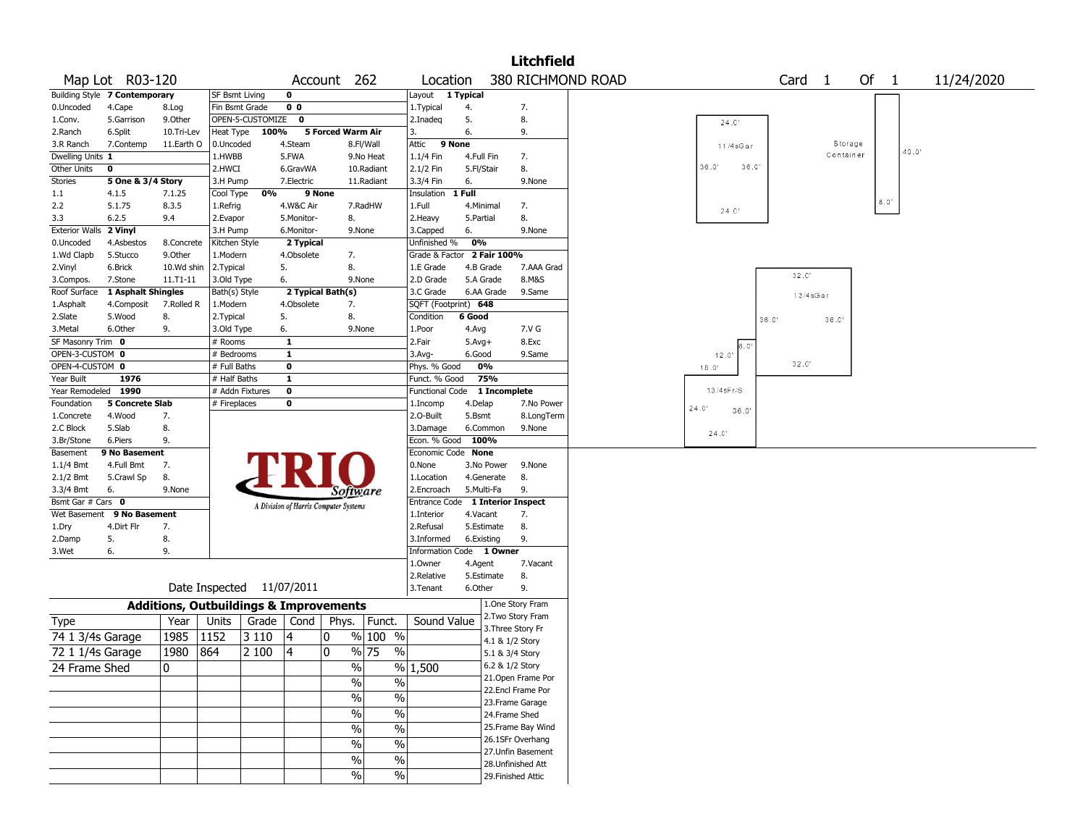|                                  |                               |               |                                                   |                  |                                       |                   |               |                          |            |                 | <b>Litchfield</b>         |                   |      |                |       |                   |           |         |       |            |  |
|----------------------------------|-------------------------------|---------------|---------------------------------------------------|------------------|---------------------------------------|-------------------|---------------|--------------------------|------------|-----------------|---------------------------|-------------------|------|----------------|-------|-------------------|-----------|---------|-------|------------|--|
|                                  | Map Lot R03-120               |               |                                                   |                  |                                       | Account 262       |               | Location                 |            |                 |                           | 380 RICHMOND ROAD |      |                |       | Card <sub>1</sub> |           |         | Of 1  | 11/24/2020 |  |
|                                  | Building Style 7 Contemporary |               | SF Bsmt Living                                    |                  | $\mathbf 0$                           |                   |               | Layout 1 Typical         |            |                 |                           |                   |      |                |       |                   |           |         |       |            |  |
| 0.Uncoded                        | 4.Cape                        | 8.Log         | Fin Bsmt Grade                                    |                  | 0 <sub>0</sub>                        |                   |               | 1. Typical               | 4.         |                 | 7.                        |                   |      |                |       |                   |           |         |       |            |  |
| 1.Conv.                          | 5.Garrison                    | 9.0ther       |                                                   | OPEN-5-CUSTOMIZE | 0                                     |                   |               | 2.Inadeq                 | 5.         |                 | 8.                        |                   |      | $24.0^{\circ}$ |       |                   |           |         |       |            |  |
| 2.Ranch                          | 6.Split                       | 10.Tri-Lev    | Heat Type                                         | 100%             |                                       | 5 Forced Warm Air |               | 3.                       | 6.         |                 | 9.                        |                   |      |                |       |                   |           |         |       |            |  |
| 3.R Ranch                        | 7.Contemp                     | 11.Earth O    | 0.Uncoded                                         |                  | 4.Steam                               |                   | 8.Fl/Wall     | 9 None<br>Attic          |            |                 |                           |                   |      | 11/4sGar       |       |                   |           | Storage | 40.0' |            |  |
| Dwelling Units 1                 |                               |               | 1.HWBB                                            |                  | 5.FWA                                 |                   | 9.No Heat     | 1.1/4 Fin                | 4.Full Fin |                 | 7.                        |                   |      |                |       |                   | Container |         |       |            |  |
| Other Units                      | 0                             |               | 2.HWCI                                            |                  | 6.GravWA                              |                   | 10.Radiant    | 2.1/2 Fin                | 5.Fl/Stair |                 | 8.                        |                   |      | 36.0'          | 36.0' |                   |           |         |       |            |  |
| Stories                          | 5 One & 3/4 Story             |               | 3.H Pump                                          |                  | 7.Electric                            |                   | 11.Radiant    | 3.3/4 Fin                | 6.         |                 | 9.None                    |                   |      |                |       |                   |           |         |       |            |  |
| 1.1                              | 4.1.5                         | 7.1.25        | Cool Type                                         | 0%               |                                       | 9 None            |               | Insulation               | 1 Full     |                 |                           |                   |      |                |       |                   |           |         |       |            |  |
| 2.2                              | 5.1.75                        | 8.3.5         | 1.Refrig                                          |                  | 4.W&C Air                             |                   | 7.RadHW       | 1.Full                   |            | 4.Minimal       | 7.                        |                   |      | 24.0           |       |                   |           |         | 8.0'  |            |  |
| 3.3                              | 6.2.5                         | 9.4           | 2.Evapor                                          |                  | 5.Monitor-                            | 8.                |               | 2.Heavy                  | 5.Partial  |                 | 8.                        |                   |      |                |       |                   |           |         |       |            |  |
| Exterior Walls 2 Vinyl           |                               |               | 3.H Pump                                          |                  | 6.Monitor-                            |                   | 9.None        | 3.Capped                 | 6.         |                 | 9.None                    |                   |      |                |       |                   |           |         |       |            |  |
| 0.Uncoded                        | 4.Asbestos                    | 8.Concrete    | Kitchen Style                                     |                  | 2 Typical                             |                   |               | Unfinished %             | 0%         |                 |                           |                   |      |                |       |                   |           |         |       |            |  |
| 1.Wd Clapb                       | 5.Stucco                      | 9.0ther       | 1.Modern                                          |                  | 4.Obsolete                            | 7.                |               | Grade & Factor           |            | 2 Fair 100%     |                           |                   |      |                |       |                   |           |         |       |            |  |
| 2.Vinyl                          | 6.Brick                       | 10.Wd shin    | 2.Typical                                         |                  | 5.                                    | 8.                |               | 1.E Grade                |            | 4.B Grade       | 7.AAA Grad                |                   |      |                |       | 32.0'             |           |         |       |            |  |
| 3.Compos.                        | 7.Stone                       | $11. T1 - 11$ | 3.Old Type                                        |                  | 6.                                    |                   | 9.None        | 2.D Grade                |            | 5.A Grade       | 8.M&S                     |                   |      |                |       |                   |           |         |       |            |  |
| Roof Surface                     | 1 Asphalt Shingles            |               | Bath(s) Style                                     |                  |                                       | 2 Typical Bath(s) |               | 3.C Grade                |            | 6.AA Grade      | 9.Same                    |                   |      |                |       | 13/4sGar          |           |         |       |            |  |
| 1.Asphalt                        | 4.Composit                    | 7.Rolled R    | 1.Modern                                          |                  | 4.Obsolete                            | 7.                |               | SQFT (Footprint) 648     |            |                 |                           |                   |      |                |       |                   |           |         |       |            |  |
| 2.Slate                          | 5.Wood                        | 8.            | 2. Typical                                        |                  | 5.                                    | 8.                |               | Condition                | 6 Good     |                 |                           |                   |      |                | 36.0  |                   | 36.0      |         |       |            |  |
| 3.Metal                          | 6.Other                       | 9.            | 3.Old Type                                        |                  | 6.                                    |                   | 9.None        | 1.Poor                   | 4.Avg      |                 | 7.V G                     |                   |      |                |       |                   |           |         |       |            |  |
| SF Masonry Trim 0                |                               |               | # Rooms                                           |                  | $\mathbf{1}$                          |                   |               | 2.Fair                   | $5.Avg+$   |                 | 8.Exc                     |                   |      | $6.0^{\circ}$  |       |                   |           |         |       |            |  |
| OPEN-3-CUSTOM 0                  |                               |               | # Bedrooms                                        |                  | $\mathbf{1}$                          |                   |               | 3.Avg-                   | 6.Good     |                 | 9.Same                    |                   |      | 12.0'          |       |                   |           |         |       |            |  |
| OPEN-4-CUSTOM 0                  |                               |               | # Full Baths                                      |                  | $\bf o$                               |                   |               | Phys. % Good             |            | 0%              |                           |                   |      | 18.0'          |       | 32.0              |           |         |       |            |  |
| Year Built                       | 1976                          |               | # Half Baths                                      |                  | $\mathbf{1}$                          |                   |               | Funct. % Good            |            | 75%             |                           |                   |      |                |       |                   |           |         |       |            |  |
| Year Remodeled                   | 1990                          |               | # Addn Fixtures                                   |                  | $\mathbf 0$                           |                   |               | <b>Functional Code</b>   |            | 1 Incomplete    |                           |                   |      | $13/4$ sFr/S   |       |                   |           |         |       |            |  |
| Foundation                       | <b>5 Concrete Slab</b>        |               | # Fireplaces                                      |                  | 0                                     |                   |               | 1.Incomp                 | 4.Delap    |                 | 7.No Power                |                   | 24.0 | 36.0'          |       |                   |           |         |       |            |  |
| 1.Concrete                       | 4.Wood                        | 7.            |                                                   |                  |                                       |                   |               | 2.O-Built                | 5.Bsmt     |                 | 8.LongTerm                |                   |      |                |       |                   |           |         |       |            |  |
| 2.C Block                        | 5.Slab                        | 8.            |                                                   |                  |                                       |                   |               | 3.Damage                 |            | 6.Common        | 9.None                    |                   |      | 24.0           |       |                   |           |         |       |            |  |
| 3.Br/Stone                       | 6.Piers                       | 9.            |                                                   |                  |                                       |                   |               | Econ. % Good             |            | 100%            |                           |                   |      |                |       |                   |           |         |       |            |  |
| Basement                         | 9 No Basement                 |               |                                                   |                  |                                       |                   |               | Economic Code None       |            |                 |                           |                   |      |                |       |                   |           |         |       |            |  |
| 1.1/4 Bmt                        | 4.Full Bmt                    | 7.            |                                                   |                  |                                       |                   |               | 0.None                   |            | 3.No Power      | 9.None                    |                   |      |                |       |                   |           |         |       |            |  |
| 2.1/2 Bmt                        | 5.Crawl Sp                    | 8.            |                                                   |                  |                                       |                   |               | 1.Location               |            | 4.Generate      | 8.                        |                   |      |                |       |                   |           |         |       |            |  |
| 3.3/4 Bmt                        | 6.                            | 9.None        |                                                   |                  |                                       | Software          |               | 2.Encroach               |            | 5.Multi-Fa      | 9.                        |                   |      |                |       |                   |           |         |       |            |  |
| Bsmt Gar $#$ Cars $\overline{0}$ |                               |               |                                                   |                  | A Division of Harris Computer Systems |                   |               | Entrance Code            |            |                 | <b>1 Interior Inspect</b> |                   |      |                |       |                   |           |         |       |            |  |
| Wet Basement                     | 9 No Basement                 |               |                                                   |                  |                                       |                   |               | 1.Interior               | 4.Vacant   |                 | 7.                        |                   |      |                |       |                   |           |         |       |            |  |
| 1.Dry                            | 4.Dirt Flr                    | 7.            |                                                   |                  |                                       |                   |               | 2.Refusal                |            | 5.Estimate      | 8.                        |                   |      |                |       |                   |           |         |       |            |  |
| 2.Damp                           | 5.                            | 8.            |                                                   |                  |                                       |                   |               | 3.Informed               |            | 6.Existing      | 9.                        |                   |      |                |       |                   |           |         |       |            |  |
| 3.Wet                            | 6.                            | 9.            |                                                   |                  |                                       |                   |               | Information Code 1 Owner |            |                 |                           |                   |      |                |       |                   |           |         |       |            |  |
|                                  |                               |               |                                                   |                  |                                       |                   |               | 1.Owner                  | 4.Agent    |                 | 7.Vacant                  |                   |      |                |       |                   |           |         |       |            |  |
|                                  |                               |               |                                                   |                  |                                       |                   |               | 2.Relative               |            | 5.Estimate      | 8.                        |                   |      |                |       |                   |           |         |       |            |  |
|                                  |                               |               | Date Inspected 11/07/2011                         |                  |                                       |                   |               | 3. Tenant                | 6.Other    |                 | 9.                        |                   |      |                |       |                   |           |         |       |            |  |
|                                  |                               |               | <b>Additions, Outbuildings &amp; Improvements</b> |                  |                                       |                   |               |                          |            |                 | 1.One Story Fram          |                   |      |                |       |                   |           |         |       |            |  |
| Type                             |                               | Year          | Units                                             | Grade            | Cond                                  | Phys.             | Funct.        | Sound Value              |            |                 | 2. Two Story Fram         |                   |      |                |       |                   |           |         |       |            |  |
| $\overline{741}$ 3/4s Garage     |                               | 1985          | 1152                                              | 3 1 1 0          | 14                                    | 0                 | % 100 %       |                          |            | 4.1 & 1/2 Story | 3. Three Story Fr         |                   |      |                |       |                   |           |         |       |            |  |
| 72 1 1/4s Garage                 |                               | 1980          | 864                                               | 2 100            | 4                                     | 0                 | % 75<br>$\%$  |                          |            | 5.1 & 3/4 Story |                           |                   |      |                |       |                   |           |         |       |            |  |
|                                  |                               |               |                                                   |                  |                                       |                   |               |                          |            | 6.2 & 1/2 Story |                           |                   |      |                |       |                   |           |         |       |            |  |
| 24 Frame Shed                    |                               | 0             |                                                   |                  |                                       | $\frac{0}{0}$     |               | $\sqrt{8}$ 1,500         |            |                 | 21. Open Frame Por        |                   |      |                |       |                   |           |         |       |            |  |
|                                  |                               |               |                                                   |                  |                                       | $\frac{0}{0}$     | %             |                          |            |                 | 22.Encl Frame Por         |                   |      |                |       |                   |           |         |       |            |  |
|                                  |                               |               |                                                   |                  |                                       | $\frac{0}{6}$     | $\frac{1}{2}$ |                          |            |                 | 23. Frame Garage          |                   |      |                |       |                   |           |         |       |            |  |
|                                  |                               |               |                                                   |                  |                                       | $\frac{1}{2}$     | $\frac{1}{2}$ |                          |            | 24.Frame Shed   |                           |                   |      |                |       |                   |           |         |       |            |  |
|                                  |                               |               |                                                   |                  |                                       |                   |               |                          |            |                 | 25. Frame Bay Wind        |                   |      |                |       |                   |           |         |       |            |  |
|                                  |                               |               |                                                   |                  |                                       | $\frac{0}{0}$     | $\frac{1}{2}$ |                          |            |                 | 26.1SFr Overhang          |                   |      |                |       |                   |           |         |       |            |  |
|                                  |                               |               |                                                   |                  |                                       | $\frac{0}{0}$     | $\frac{1}{2}$ |                          |            |                 | 27. Unfin Basement        |                   |      |                |       |                   |           |         |       |            |  |
|                                  |                               |               |                                                   |                  |                                       | $\%$              | $\frac{0}{0}$ |                          |            |                 | 28. Unfinished Att        |                   |      |                |       |                   |           |         |       |            |  |
|                                  |                               |               |                                                   |                  |                                       | $\frac{0}{0}$     | $\frac{1}{2}$ |                          |            |                 | 29. Finished Attic        |                   |      |                |       |                   |           |         |       |            |  |
|                                  |                               |               |                                                   |                  |                                       |                   |               |                          |            |                 |                           |                   |      |                |       |                   |           |         |       |            |  |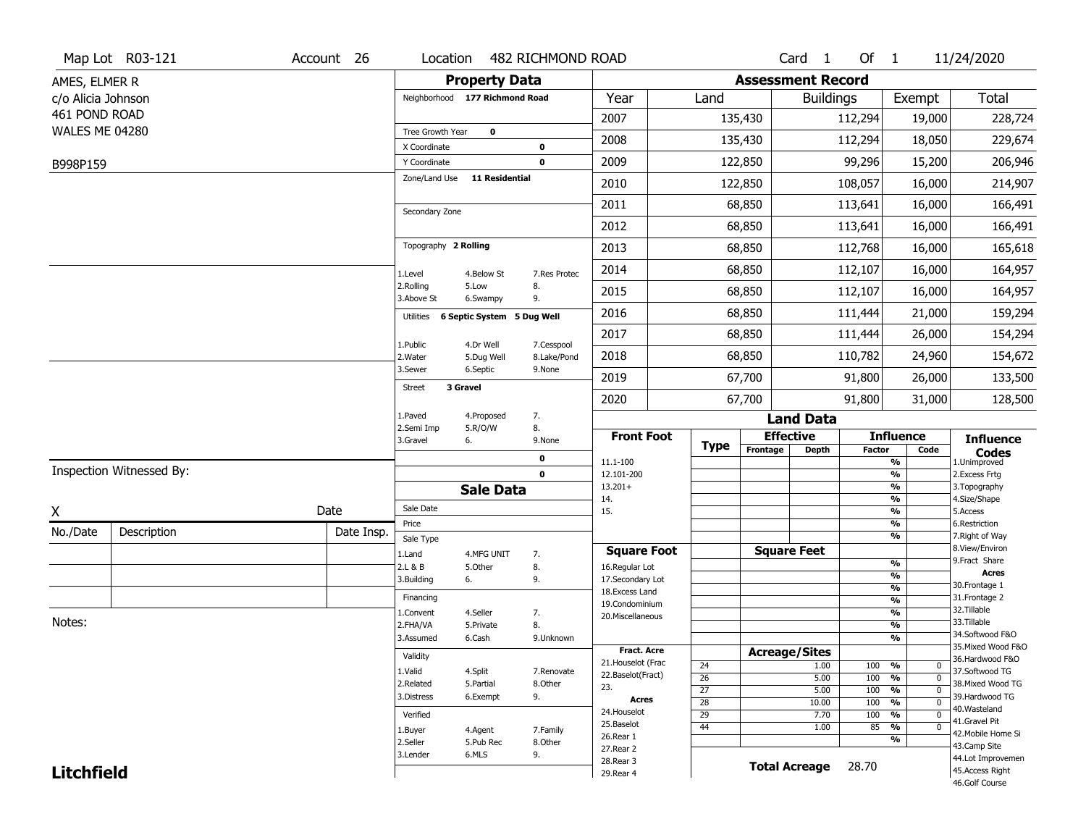|                    | Map Lot R03-121          | Account 26 | Location                       |                            | 482 RICHMOND ROAD |                                  |                 |                          | Card <sub>1</sub>            | Of $1$        |                                 | 11/24/2020                           |
|--------------------|--------------------------|------------|--------------------------------|----------------------------|-------------------|----------------------------------|-----------------|--------------------------|------------------------------|---------------|---------------------------------|--------------------------------------|
| AMES, ELMER R      |                          |            |                                | <b>Property Data</b>       |                   |                                  |                 | <b>Assessment Record</b> |                              |               |                                 |                                      |
| c/o Alicia Johnson |                          |            | Neighborhood 177 Richmond Road |                            |                   | Year                             | Land            |                          | <b>Buildings</b>             |               | Exempt                          | <b>Total</b>                         |
| 461 POND ROAD      |                          |            |                                |                            |                   | 2007                             |                 | 135,430                  |                              | 112,294       | 19,000                          | 228,724                              |
| WALES ME 04280     |                          |            | Tree Growth Year               | $\mathbf 0$                |                   |                                  |                 |                          |                              |               |                                 |                                      |
|                    |                          |            | X Coordinate                   |                            | $\mathbf 0$       | 2008                             |                 | 135,430                  |                              | 112,294       | 18,050                          | 229,674                              |
| B998P159           |                          |            | Y Coordinate                   |                            | $\mathbf 0$       | 2009                             |                 | 122,850                  |                              | 99,296        | 15,200                          | 206,946                              |
|                    |                          |            | Zone/Land Use                  | <b>11 Residential</b>      |                   | 2010                             |                 | 122,850                  |                              | 108,057       | 16,000                          | 214,907                              |
|                    |                          |            | Secondary Zone                 |                            |                   | 2011                             |                 | 68,850                   |                              | 113,641       | 16,000                          | 166,491                              |
|                    |                          |            |                                |                            |                   | 2012                             |                 | 68,850                   |                              | 113,641       | 16,000                          | 166,491                              |
|                    |                          |            | Topography 2 Rolling           |                            |                   | 2013                             |                 | 68,850                   |                              | 112,768       | 16,000                          | 165,618                              |
|                    |                          |            | 1.Level                        | 4.Below St                 | 7.Res Protec      | 2014                             |                 | 68,850                   |                              | 112,107       | 16,000                          | 164,957                              |
|                    |                          |            | 2.Rolling<br>3.Above St        | 5.Low<br>6.Swampy          | 8.<br>9.          | 2015                             |                 | 68,850                   |                              | 112,107       | 16,000                          | 164,957                              |
|                    |                          |            | Utilities                      | 6 Septic System 5 Dug Well |                   | 2016                             |                 | 68,850                   |                              | 111,444       | 21,000                          | 159,294                              |
|                    |                          |            | 1.Public                       | 4.Dr Well                  | 7.Cesspool        | 2017                             |                 | 68,850                   |                              | 111,444       | 26,000                          | 154,294                              |
|                    |                          |            | 2. Water                       | 5.Dug Well                 | 8.Lake/Pond       | 2018                             |                 | 68,850                   |                              | 110,782       | 24,960                          | 154,672                              |
|                    |                          |            | 3.Sewer                        | 6.Septic                   | 9.None            | 2019                             |                 | 67,700                   |                              | 91,800        | 26,000                          | 133,500                              |
|                    |                          |            | <b>Street</b>                  | 3 Gravel                   |                   | 2020                             |                 | 67,700                   |                              | 91,800        | 31,000                          | 128,500                              |
|                    |                          |            | 1.Paved                        | 4.Proposed                 | 7.                |                                  |                 |                          | <b>Land Data</b>             |               |                                 |                                      |
|                    |                          |            | 2.Semi Imp<br>3.Gravel         | 5.R/O/W<br>6.              | 8.<br>9.None      | <b>Front Foot</b>                | <b>Type</b>     |                          | <b>Effective</b>             |               | <b>Influence</b>                | <b>Influence</b>                     |
|                    |                          |            |                                |                            | 0                 | 11.1-100                         |                 | Frontage                 | <b>Depth</b>                 | <b>Factor</b> | Code<br>%                       | <b>Codes</b><br>1.Unimproved         |
|                    | Inspection Witnessed By: |            |                                |                            | $\mathbf 0$       | 12.101-200                       |                 |                          |                              |               | $\frac{9}{6}$                   | 2. Excess Frtg                       |
|                    |                          |            |                                | <b>Sale Data</b>           |                   | $13.201+$<br>14.                 |                 |                          |                              |               | %<br>%                          | 3. Topography<br>4.Size/Shape        |
| Χ                  |                          | Date       | Sale Date                      |                            |                   | 15.                              |                 |                          |                              |               | %                               | 5.Access                             |
| No./Date           | Description              | Date Insp. | Price                          |                            |                   |                                  |                 |                          |                              |               | %<br>%                          | 6.Restriction<br>7. Right of Way     |
|                    |                          |            | Sale Type<br>1.Land            | 4.MFG UNIT                 | 7.                | <b>Square Foot</b>               |                 |                          | <b>Square Feet</b>           |               |                                 | 8.View/Environ                       |
|                    |                          |            | 2.L & B                        | 5.Other                    | 8.                | 16.Regular Lot                   |                 |                          |                              |               | $\frac{9}{6}$                   | 9.Fract Share                        |
|                    |                          |            | 3.Building                     | 6.                         | 9.                | 17.Secondary Lot                 |                 |                          |                              |               | %<br>$\frac{9}{6}$              | <b>Acres</b><br>30. Frontage 1       |
|                    |                          |            | Financing                      |                            |                   | 18.Excess Land<br>19.Condominium |                 |                          |                              |               | $\overline{\frac{9}{6}}$        | 31. Frontage 2                       |
|                    |                          |            | 1.Convent                      | 4.Seller                   | 7.                | 20.Miscellaneous                 |                 |                          |                              |               | $\frac{9}{6}$                   | 32.Tillable                          |
| Notes:             |                          |            | 2.FHA/VA                       | 5.Private                  | 8.                |                                  |                 |                          |                              |               | $\overline{\frac{9}{6}}$        | 33.Tillable<br>34.Softwood F&O       |
|                    |                          |            | 3.Assumed                      | 6.Cash                     | 9.Unknown         | <b>Fract. Acre</b>               |                 |                          |                              |               | %                               | 35. Mixed Wood F&O                   |
|                    |                          |            | Validity                       |                            |                   | 21. Houselot (Frac               |                 |                          | <b>Acreage/Sites</b><br>1.00 |               | %<br>0                          | 36.Hardwood F&O                      |
|                    |                          |            | 1.Valid                        | 4.Split                    | 7.Renovate        | 22.Baselot(Fract)                | 24<br>26        |                          | 5.00                         | 100<br>100    | $\overline{0}$<br>$\frac{9}{6}$ | 37.Softwood TG                       |
|                    |                          |            | 2.Related                      | 5.Partial                  | 8.Other           | 23.                              | $\overline{27}$ |                          | 5.00                         | 100           | $\overline{0}$<br>%             | 38. Mixed Wood TG                    |
|                    |                          |            | 3.Distress                     | 6.Exempt                   | 9.                | <b>Acres</b>                     | 28              |                          | 10.00                        | 100           | $\frac{9}{6}$<br>$\mathbf 0$    | 39.Hardwood TG<br>40. Wasteland      |
|                    |                          |            | Verified                       |                            |                   | 24. Houselot                     | 29              |                          | 7.70                         | 100           | $\frac{9}{6}$<br>$\mathbf 0$    | 41.Gravel Pit                        |
|                    |                          |            |                                |                            |                   |                                  |                 |                          | 1.00                         | 85            | $\frac{9}{6}$<br>$\overline{0}$ |                                      |
|                    |                          |            | 1.Buyer                        | 4.Agent                    | 7.Family          | 25.Baselot                       | 44              |                          |                              |               |                                 | 42. Mobile Home Si                   |
|                    |                          |            | 2.Seller                       | 5.Pub Rec                  | 8.Other           | 26.Rear 1<br>27. Rear 2          |                 |                          |                              |               | %                               | 43.Camp Site                         |
| <b>Litchfield</b>  |                          |            | 3.Lender                       | 6.MLS                      | 9.                | 28. Rear 3<br>29. Rear 4         |                 |                          | <b>Total Acreage</b>         | 28.70         |                                 | 44.Lot Improvemen<br>45.Access Right |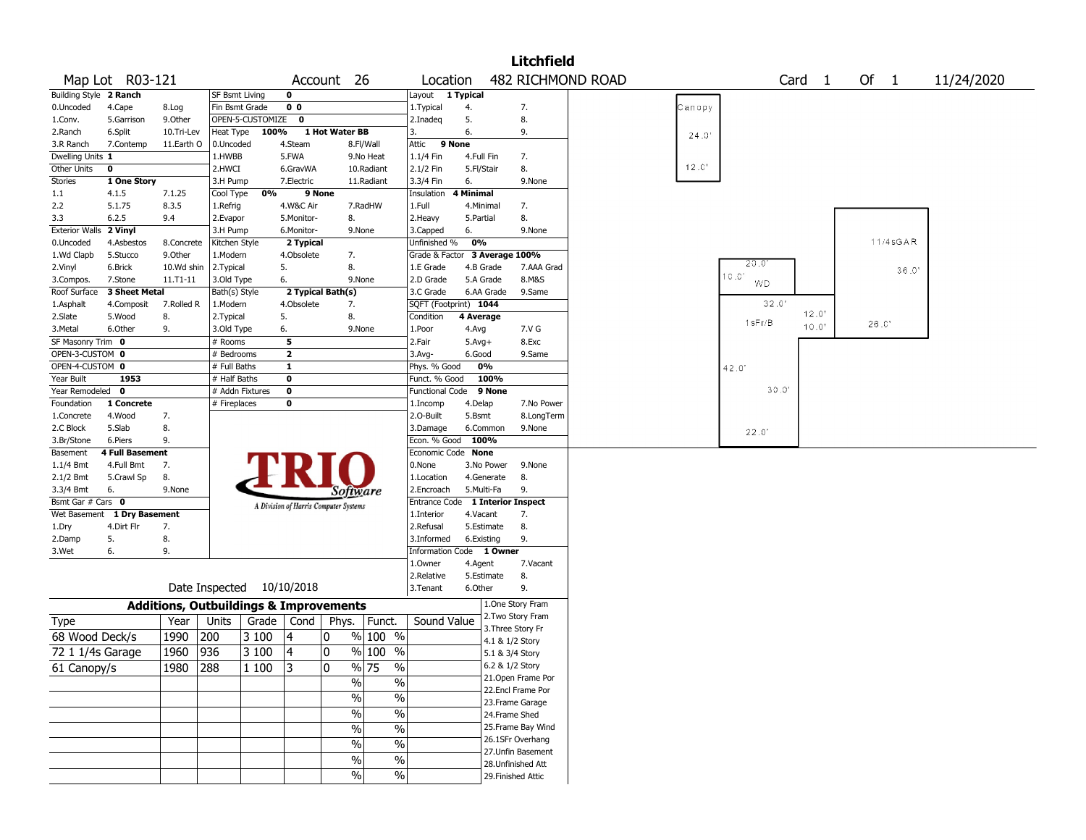|                        |                 |              |                                                   |                  |                                       |                |                                |                         |              |                 | <b>Litchfield</b>  |                   |        |           |                   |          |            |
|------------------------|-----------------|--------------|---------------------------------------------------|------------------|---------------------------------------|----------------|--------------------------------|-------------------------|--------------|-----------------|--------------------|-------------------|--------|-----------|-------------------|----------|------------|
|                        | Map Lot R03-121 |              |                                                   |                  |                                       | Account 26     |                                | Location                |              |                 |                    | 482 RICHMOND ROAD |        |           | Card <sub>1</sub> | Of 1     | 11/24/2020 |
| Building Style 2 Ranch |                 |              | <b>SF Bsmt Living</b>                             |                  | $\mathbf 0$                           |                |                                | Layout                  | 1 Typical    |                 |                    |                   |        |           |                   |          |            |
| 0.Uncoded              | 4.Cape          | 8.Log        | Fin Bsmt Grade                                    |                  | 0 <sub>0</sub>                        |                |                                | 1.Typical               | 4.           |                 | 7.                 |                   | Canopy |           |                   |          |            |
| 1.Conv.                | 5.Garrison      | 9.0ther      |                                                   | OPEN-5-CUSTOMIZE | $\mathbf 0$                           |                |                                | 2.Inadeq                | 5.           |                 | 8.                 |                   |        |           |                   |          |            |
| 2.Ranch                | 6.Split         | 10.Tri-Lev   | Heat Type                                         | 100%             |                                       | 1 Hot Water BB |                                | 3.                      | 6.           |                 | 9.                 |                   | 24.0'  |           |                   |          |            |
| 3.R Ranch              | 7.Contemp       | 11.Earth O   | 0.Uncoded                                         |                  | 4.Steam                               |                | 8.Fl/Wall                      | Attic                   | 9 None       |                 |                    |                   |        |           |                   |          |            |
| Dwelling Units 1       |                 |              | 1.HWBB                                            |                  | 5.FWA                                 |                | 9.No Heat                      | 1.1/4 Fin               | 4.Full Fin   |                 | 7.                 |                   |        |           |                   |          |            |
| Other Units            | $\pmb{0}$       |              | 2.HWCI                                            |                  | 6.GravWA                              |                | 10.Radiant                     | 2.1/2 Fin               | 5.Fl/Stair   |                 | 8.                 |                   | 12.0'  |           |                   |          |            |
| Stories                | 1 One Story     |              | 3.H Pump                                          |                  | 7.Electric                            |                | 11.Radiant                     | 3.3/4 Fin               | 6.           |                 | 9.None             |                   |        |           |                   |          |            |
| 1.1                    | 4.1.5           | 7.1.25       | Cool Type                                         | 0%               |                                       | 9 None         |                                | Insulation              | 4 Minimal    |                 |                    |                   |        |           |                   |          |            |
| 2.2                    | 5.1.75          | 8.3.5        | 1.Refrig                                          |                  | 4.W&C Air                             |                | 7.RadHW                        | 1.Full                  | 4.Minimal    |                 | 7.                 |                   |        |           |                   |          |            |
| 3.3                    | 6.2.5           | 9.4          | 2.Evapor                                          |                  | 5.Monitor-                            |                | 8.                             | 2.Heavy                 | 5.Partial    |                 | 8.                 |                   |        |           |                   |          |            |
| <b>Exterior Walls</b>  | 2 Vinyl         |              | 3.H Pump                                          |                  | 6.Monitor-                            |                | 9.None                         | 3.Capped                | 6.           |                 | 9.None             |                   |        |           |                   |          |            |
| 0.Uncoded              | 4.Asbestos      | 8.Concrete   | Kitchen Style                                     |                  | 2 Typical                             |                |                                | Unfinished %            | 0%           |                 |                    |                   |        |           |                   | 11/4sGAR |            |
| 1.Wd Clapb             | 5.Stucco        | 9.0ther      | 1.Modern                                          |                  | 4.Obsolete                            |                | 7.                             | Grade & Factor          |              |                 | 3 Average 100%     |                   |        | 20.01     |                   |          |            |
| 2.Vinyl                | 6.Brick         | 10.Wd shin   | 2.Typical                                         |                  | 5.                                    | 8.             |                                | 1.E Grade               |              | 4.B Grade       | 7.AAA Grad         |                   |        | 10.0'     |                   | 36.0'    |            |
| 3.Compos.              | 7.Stone         | $11.71 - 11$ | 3.Old Type                                        |                  | 6.                                    |                | 9.None                         | 2.D Grade               |              | 5.A Grade       | 8.M&S              |                   |        | <b>WD</b> |                   |          |            |
| Roof Surface           | 3 Sheet Metal   |              | Bath(s) Style                                     |                  | 2 Typical Bath(s)                     |                |                                | 3.C Grade               |              | 6.AA Grade      | 9.Same             |                   |        |           |                   |          |            |
| 1.Asphalt              | 4.Composit      | 7.Rolled R   | 1.Modern                                          |                  | 4.Obsolete                            |                | 7.                             | SQFT (Footprint) 1044   |              |                 |                    |                   |        | 32.0'     |                   |          |            |
| 2.Slate                | 5.Wood          | 8.           | 2. Typical                                        |                  | 5.                                    | 8.             |                                | Condition               | 4 Average    |                 |                    |                   |        | 1sFr/B    | 12.0"             | 26.0'    |            |
| 3.Metal                | 6.Other         | 9.           | 3.Old Type                                        |                  | 6.                                    |                | 9.None                         | 1.Poor                  | 4.Avg        |                 | 7.V G              |                   |        |           | 10.0"             |          |            |
| SF Masonry Trim 0      |                 |              | # Rooms                                           |                  | 5                                     |                |                                | 2.Fair                  | $5.$ Avg $+$ |                 | 8.Exc              |                   |        |           |                   |          |            |
| OPEN-3-CUSTOM 0        |                 |              | # Bedrooms                                        |                  | $\overline{2}$                        |                |                                | 3.Avg-                  | 6.Good       |                 | 9.Same             |                   |        |           |                   |          |            |
| OPEN-4-CUSTOM 0        |                 |              | # Full Baths                                      |                  | $\overline{1}$                        |                |                                | Phys. % Good            |              | 0%              |                    |                   |        | 42.0      |                   |          |            |
| Year Built             | 1953            |              | # Half Baths                                      |                  | $\bf{0}$                              |                |                                | Funct. % Good           |              | 100%            |                    |                   |        |           |                   |          |            |
| Year Remodeled         | 0               |              | # Addn Fixtures                                   |                  | $\bf{0}$                              |                |                                | <b>Functional Code</b>  |              | 9 None          |                    |                   |        | 30.0'     |                   |          |            |
| Foundation             | 1 Concrete      |              | # Fireplaces                                      |                  | 0                                     |                |                                | 1.Incomp                | 4.Delap      |                 | 7.No Power         |                   |        |           |                   |          |            |
| 1.Concrete             | 4.Wood          | 7.           |                                                   |                  |                                       |                |                                | 2.O-Built               | 5.Bsmt       |                 | 8.LongTerm         |                   |        |           |                   |          |            |
| 2.C Block              | 5.Slab          | 8.           |                                                   |                  |                                       |                |                                | 3.Damage                |              | 6.Common        | 9.None             |                   |        | 22.0'     |                   |          |            |
| 3.Br/Stone             | 6.Piers         | 9.           |                                                   |                  |                                       |                |                                | Econ. % Good            | 100%         |                 |                    |                   |        |           |                   |          |            |
| Basement               | 4 Full Basement |              |                                                   |                  |                                       |                |                                | Economic Code None      |              |                 |                    |                   |        |           |                   |          |            |
| $1.1/4$ Bmt            | 4.Full Bmt      | 7.           |                                                   |                  |                                       |                |                                | 0.None                  |              | 3.No Power      | 9.None             |                   |        |           |                   |          |            |
| 2.1/2 Bmt              | 5.Crawl Sp      | 8.           |                                                   |                  |                                       |                |                                | 1.Location              |              | 4.Generate      | 8.                 |                   |        |           |                   |          |            |
| 3.3/4 Bmt              | 6.              | 9.None       |                                                   |                  |                                       |                | Software                       | 2.Encroach              |              | 5.Multi-Fa      | 9.                 |                   |        |           |                   |          |            |
| Bsmt Gar # Cars 0      |                 |              |                                                   |                  | A Division of Harris Computer Systems |                |                                | Entrance Code           |              |                 | 1 Interior Inspect |                   |        |           |                   |          |            |
| Wet Basement           | 1 Dry Basement  |              |                                                   |                  |                                       |                |                                | 1.Interior              | 4.Vacant     |                 | 7.                 |                   |        |           |                   |          |            |
| 1.Dry                  | 4.Dirt Flr      | 7.           |                                                   |                  |                                       |                |                                | 2.Refusal               |              | 5.Estimate      | 8.                 |                   |        |           |                   |          |            |
| 2.Damp                 | 5.              | 8.           |                                                   |                  |                                       |                |                                | 3.Informed              |              | 6.Existing      | 9.                 |                   |        |           |                   |          |            |
| 3.Wet                  | 6.              | 9.           |                                                   |                  |                                       |                |                                | <b>Information Code</b> |              | 1 Owner         |                    |                   |        |           |                   |          |            |
|                        |                 |              |                                                   |                  |                                       |                |                                | 1.Owner                 | 4.Agent      |                 | 7.Vacant           |                   |        |           |                   |          |            |
|                        |                 |              |                                                   |                  |                                       |                |                                | 2.Relative              |              | 5.Estimate      | 8.                 |                   |        |           |                   |          |            |
|                        |                 |              | Date Inspected                                    |                  | 10/10/2018                            |                |                                | 3.Tenant                | 6.Other      |                 | 9.                 |                   |        |           |                   |          |            |
|                        |                 |              | <b>Additions, Outbuildings &amp; Improvements</b> |                  |                                       |                |                                |                         |              |                 | 1.One Story Fram   |                   |        |           |                   |          |            |
| <b>Type</b>            |                 | Year         | Units                                             | Grade            | Cond                                  | Phys.          | Funct.                         | Sound Value             |              |                 | 2. Two Story Fram  |                   |        |           |                   |          |            |
| 68 Wood Deck/s         |                 | 1990         | 200                                               | 3 100            | 4                                     | 0              | % 100 %                        |                         |              |                 | 3. Three Story Fr  |                   |        |           |                   |          |            |
|                        |                 |              |                                                   |                  |                                       | 0              |                                |                         |              |                 | 4.1 & 1/2 Story    |                   |        |           |                   |          |            |
| 72 1 1/4s Garage       |                 | 1960         | 936                                               | 3 100            | 4                                     |                | % 100 %                        |                         |              |                 | 5.1 & 3/4 Story    |                   |        |           |                   |          |            |
| 61 Canopy/s            |                 | 1980         | 288                                               | 1 100            | 3                                     | 0              | $\frac{9}{6}$ 75<br>$\%$       |                         |              | 6.2 & 1/2 Story |                    |                   |        |           |                   |          |            |
|                        |                 |              |                                                   |                  |                                       |                | $\frac{0}{0}$<br>$\frac{0}{0}$ |                         |              |                 | 21. Open Frame Por |                   |        |           |                   |          |            |
|                        |                 |              |                                                   |                  |                                       |                | $\frac{1}{2}$<br>$\%$          |                         |              |                 | 22.Encl Frame Por  |                   |        |           |                   |          |            |
|                        |                 |              |                                                   |                  |                                       |                | $\%$<br>$\frac{0}{0}$          |                         |              |                 | 23. Frame Garage   |                   |        |           |                   |          |            |
|                        |                 |              |                                                   |                  |                                       |                |                                |                         |              |                 | 24.Frame Shed      |                   |        |           |                   |          |            |
|                        |                 |              |                                                   |                  |                                       |                | $\%$<br>$\frac{0}{0}$          |                         |              |                 | 25. Frame Bay Wind |                   |        |           |                   |          |            |
|                        |                 |              |                                                   |                  |                                       |                | $\frac{0}{0}$<br>$\%$          |                         |              |                 | 26.1SFr Overhang   |                   |        |           |                   |          |            |
|                        |                 |              |                                                   |                  |                                       |                | $\%$<br>$\%$                   |                         |              |                 | 27. Unfin Basement |                   |        |           |                   |          |            |
|                        |                 |              |                                                   |                  |                                       |                |                                |                         |              |                 | 28. Unfinished Att |                   |        |           |                   |          |            |
|                        |                 |              |                                                   |                  |                                       |                | $\frac{0}{0}$<br>$\%$          |                         |              |                 | 29. Finished Attic |                   |        |           |                   |          |            |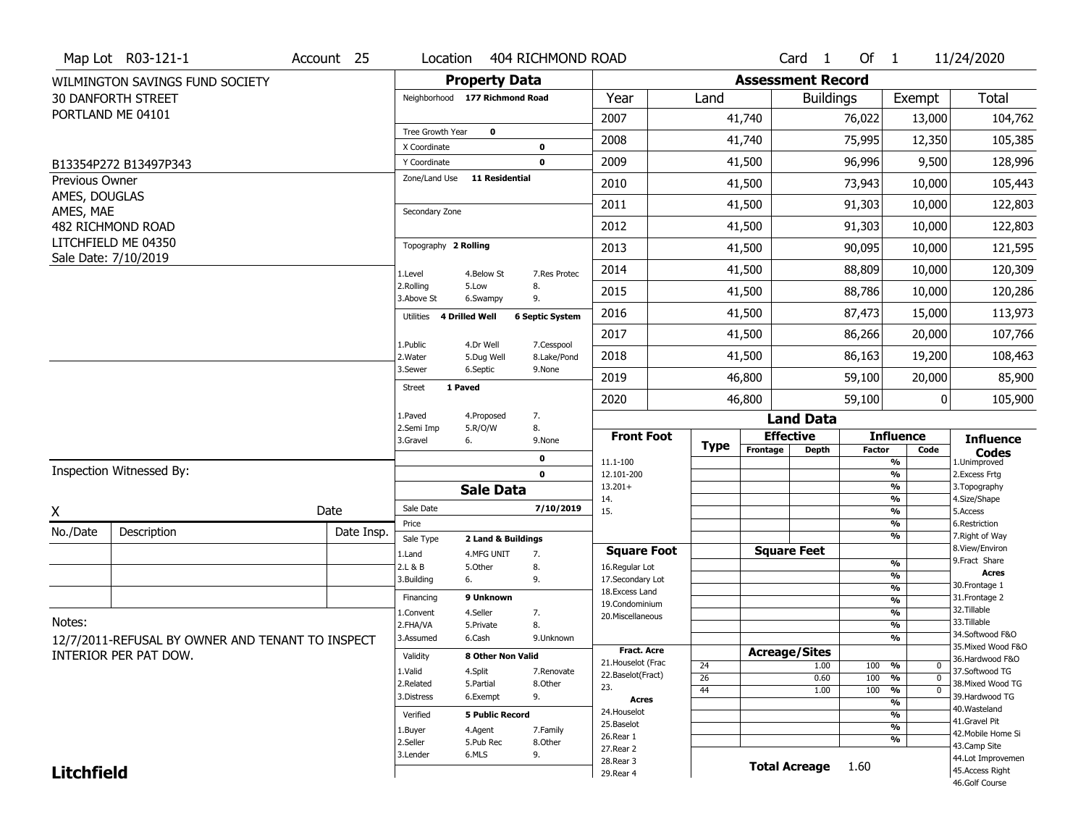|                   | Map Lot R03-121-1                                | Account 25 | Location                     |                                | 404 RICHMOND ROAD          |                                     |                       |                          | Card <sub>1</sub>  | Of 1          |                                                  | 11/24/2020                        |
|-------------------|--------------------------------------------------|------------|------------------------------|--------------------------------|----------------------------|-------------------------------------|-----------------------|--------------------------|--------------------|---------------|--------------------------------------------------|-----------------------------------|
|                   | WILMINGTON SAVINGS FUND SOCIETY                  |            |                              | <b>Property Data</b>           |                            |                                     |                       | <b>Assessment Record</b> |                    |               |                                                  |                                   |
|                   | <b>30 DANFORTH STREET</b>                        |            |                              | Neighborhood 177 Richmond Road |                            | Year                                | Land                  |                          | <b>Buildings</b>   |               | Exempt                                           | Total                             |
|                   | PORTLAND ME 04101                                |            |                              |                                |                            | 2007                                |                       | 41,740                   |                    | 76,022        | 13,000                                           | 104,762                           |
|                   |                                                  |            | Tree Growth Year             | $\mathbf 0$                    |                            | 2008                                |                       | 41,740                   |                    | 75,995        | 12,350                                           | 105,385                           |
|                   |                                                  |            | X Coordinate<br>Y Coordinate |                                | $\mathbf 0$<br>$\mathbf 0$ | 2009                                |                       | 41,500                   |                    | 96,996        | 9,500                                            | 128,996                           |
| Previous Owner    | B13354P272 B13497P343                            |            |                              | Zone/Land Use 11 Residential   |                            |                                     |                       |                          |                    |               |                                                  |                                   |
| AMES, DOUGLAS     |                                                  |            |                              |                                |                            | 2010                                |                       | 41,500                   |                    | 73,943        | 10,000                                           | 105,443                           |
| AMES, MAE         |                                                  |            | Secondary Zone               |                                |                            | 2011                                |                       | 41,500                   |                    | 91,303        | 10,000                                           | 122,803                           |
|                   | 482 RICHMOND ROAD                                |            |                              |                                |                            | 2012                                |                       | 41,500                   |                    | 91,303        | 10,000                                           | 122,803                           |
|                   | LITCHFIELD ME 04350                              |            | Topography 2 Rolling         |                                |                            | 2013                                |                       | 41,500                   |                    | 90,095        | 10,000                                           | 121,595                           |
|                   | Sale Date: 7/10/2019                             |            | 1.Level                      | 4.Below St                     | 7.Res Protec               | 2014                                |                       | 41,500                   |                    | 88,809        | 10,000                                           | 120,309                           |
|                   |                                                  |            | 2.Rolling<br>3.Above St      | 5.Low<br>6.Swampy              | 8.<br>9.                   | 2015                                |                       | 41,500                   |                    | 88,786        | 10,000                                           | 120,286                           |
|                   |                                                  |            | Utilities 4 Drilled Well     |                                | <b>6 Septic System</b>     | 2016                                |                       | 41,500                   |                    | 87,473        | 15,000                                           | 113,973                           |
|                   |                                                  |            |                              |                                |                            | 2017                                |                       | 41,500                   |                    | 86,266        | 20,000                                           | 107,766                           |
|                   |                                                  |            | 1.Public<br>2. Water         | 4.Dr Well<br>5.Dug Well        | 7.Cesspool<br>8.Lake/Pond  | 2018                                |                       | 41,500                   |                    | 86,163        | 19,200                                           | 108,463                           |
|                   |                                                  |            | 3.Sewer                      | 6.Septic                       | 9.None                     | 2019                                |                       | 46,800                   |                    | 59,100        | 20,000                                           | 85,900                            |
|                   |                                                  |            | <b>Street</b>                | 1 Paved                        |                            | 2020                                |                       | 46,800                   |                    | 59,100        | 0                                                | 105,900                           |
|                   |                                                  |            | 1.Paved                      | 4.Proposed                     | 7.                         |                                     |                       |                          | <b>Land Data</b>   |               |                                                  |                                   |
|                   |                                                  |            | 2.Semi Imp<br>3.Gravel       | 5.R/O/W<br>6.                  | 8.<br>9.None               | <b>Front Foot</b>                   |                       |                          | <b>Effective</b>   |               | <b>Influence</b>                                 | <b>Influence</b>                  |
|                   |                                                  |            |                              |                                | 0                          | 11.1-100                            | <b>Type</b>           | Frontage                 | <b>Depth</b>       | <b>Factor</b> | Code<br>%                                        | <b>Codes</b><br>1.Unimproved      |
|                   | Inspection Witnessed By:                         |            |                              |                                | $\mathbf{0}$               | 12.101-200                          |                       |                          |                    |               | $\frac{9}{6}$                                    | 2.Excess Frtg                     |
|                   |                                                  |            |                              | <b>Sale Data</b>               |                            | $13.201+$<br>14.                    |                       |                          |                    |               | $\frac{9}{6}$<br>$\frac{9}{6}$                   | 3. Topography<br>4.Size/Shape     |
| X                 |                                                  | Date       | Sale Date                    |                                | 7/10/2019                  | 15.                                 |                       |                          |                    |               | $\frac{9}{6}$                                    | 5.Access                          |
| No./Date          | Description                                      | Date Insp. | Price<br>Sale Type           | 2 Land & Buildings             |                            |                                     |                       |                          |                    |               | %<br>%                                           | 6.Restriction<br>7. Right of Way  |
|                   |                                                  |            | 1.Land                       | 4.MFG UNIT                     | 7.                         | <b>Square Foot</b>                  |                       |                          | <b>Square Feet</b> |               |                                                  | 8.View/Environ                    |
|                   |                                                  |            | 2.L & B                      | 5.0ther                        | 8.                         | 16.Regular Lot                      |                       |                          |                    |               | $\frac{9}{6}$                                    | 9. Fract Share<br>Acres           |
|                   |                                                  |            | 3.Building                   | 6.                             | 9.                         | 17.Secondary Lot<br>18. Excess Land |                       |                          |                    |               | $\frac{9}{6}$<br>$\frac{9}{6}$                   | 30.Frontage 1                     |
|                   |                                                  |            | Financing                    | 9 Unknown                      |                            | 19.Condominium                      |                       |                          |                    |               | $\frac{9}{6}$                                    | 31. Frontage 2                    |
| Notes:            |                                                  |            | <b>I.Convent</b>             | 4.Seller                       | 7.                         | 20.Miscellaneous                    |                       |                          |                    |               | $\frac{9}{6}$                                    | 32.Tillable                       |
|                   |                                                  |            | 2.FHA/VA                     | 5.Private                      | 8.                         |                                     |                       |                          |                    |               | $\frac{9}{6}$                                    | 33.Tillable<br>34.Softwood F&O    |
|                   | 12/7/2011-REFUSAL BY OWNER AND TENANT TO INSPECT |            | 3.Assumed                    | 6.Cash                         | 9.Unknown                  | Fract. Acre                         |                       |                          |                    |               | $\overline{\frac{9}{6}}$                         | 35. Mixed Wood F&O                |
|                   | INTERIOR PER PAT DOW.                            |            | Validity                     | 8 Other Non Valid              |                            | 21. Houselot (Frac                  |                       | <b>Acreage/Sites</b>     |                    |               |                                                  | 36.Hardwood F&O                   |
|                   |                                                  |            | 1.Valid                      | 4.Split                        | 7.Renovate                 | 22.Baselot(Fract)                   | 24<br>$\overline{26}$ |                          | 1.00<br>0.60       | 100<br>100    | %<br>0<br>%<br>$\mathbf{0}$                      | 37.Softwood TG                    |
|                   |                                                  |            |                              |                                |                            |                                     |                       |                          |                    |               |                                                  |                                   |
|                   |                                                  |            | 2.Related                    | 5.Partial                      | 8.0ther                    | 23.                                 |                       |                          |                    |               |                                                  | 38. Mixed Wood TG                 |
|                   |                                                  |            | 3.Distress                   | 6.Exempt                       | 9.                         | Acres                               | 44                    |                          | 1.00               | 100           | $\frac{9}{6}$<br>$\overline{0}$<br>$\frac{9}{6}$ | 39.Hardwood TG                    |
|                   |                                                  |            | Verified                     | <b>5 Public Record</b>         |                            | 24. Houselot                        |                       |                          |                    |               | $\frac{9}{6}$                                    | 40. Wasteland                     |
|                   |                                                  |            | 1.Buyer                      | 4.Agent                        | 7.Family                   | 25.Baselot                          |                       |                          |                    |               | $\overline{\frac{9}{6}}$                         | 41.Gravel Pit                     |
|                   |                                                  |            | 2.Seller                     | 5.Pub Rec                      | 8.Other                    | 26.Rear 1                           |                       |                          |                    |               | $\frac{9}{6}$                                    | 42. Mobile Home Si                |
|                   |                                                  |            | 3.Lender                     | 6.MLS                          | 9.                         | 27. Rear 2                          |                       |                          |                    |               |                                                  | 43.Camp Site<br>44.Lot Improvemen |
| <b>Litchfield</b> |                                                  |            |                              |                                |                            | 28. Rear 3<br>29. Rear 4            |                       | <b>Total Acreage</b>     |                    | 1.60          |                                                  | 45.Access Right<br>46.Golf Course |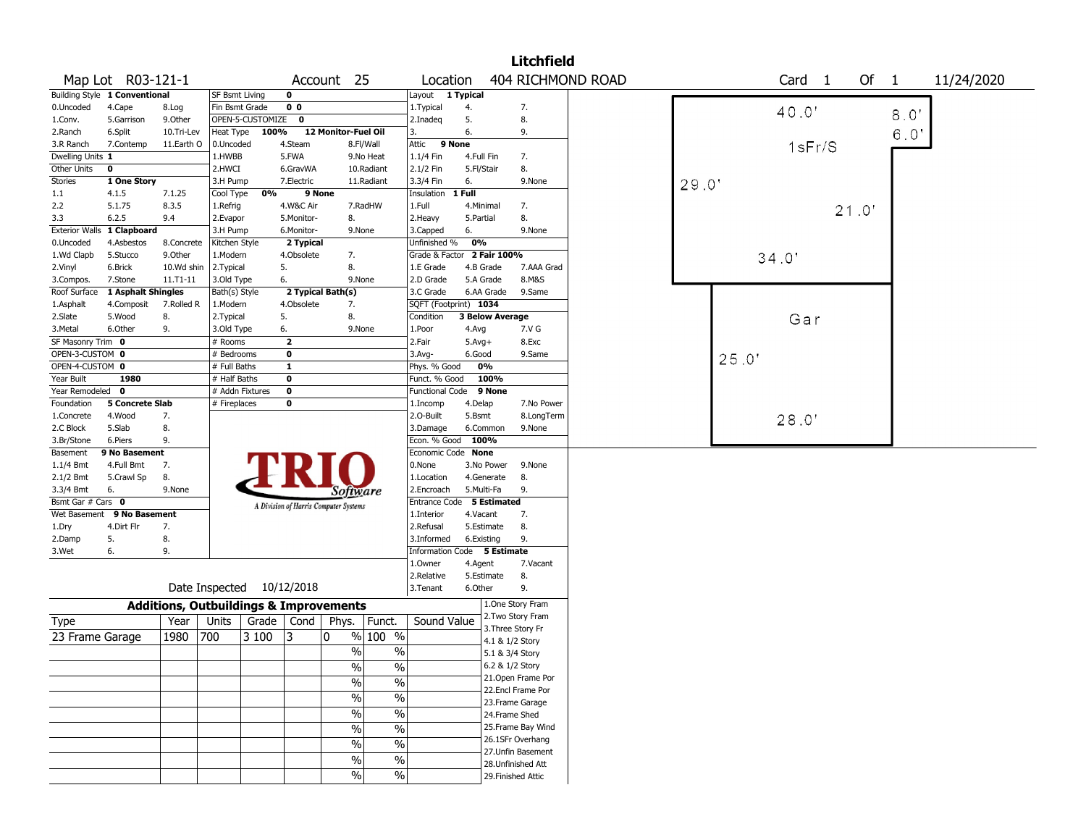|                       |                               |                                                   |                 |                           |                         |                                       |                          |                            |            |                    | <b>Litchfield</b>  |                   |       |       |        |       |      |            |
|-----------------------|-------------------------------|---------------------------------------------------|-----------------|---------------------------|-------------------------|---------------------------------------|--------------------------|----------------------------|------------|--------------------|--------------------|-------------------|-------|-------|--------|-------|------|------------|
|                       | Map Lot R03-121-1             |                                                   |                 |                           |                         | Account 25                            |                          | Location                   |            |                    |                    | 404 RICHMOND ROAD |       |       | Card 1 | Of 1  |      | 11/24/2020 |
|                       | Building Style 1 Conventional |                                                   | SF Bsmt Living  |                           | $\mathbf 0$             |                                       |                          | Layout                     | 1 Typical  |                    |                    |                   |       |       |        |       |      |            |
| 0.Uncoded             | 4.Cape                        | 8.Log                                             | Fin Bsmt Grade  |                           | 0 <sub>0</sub>          |                                       |                          | 1. Typical                 | 4.         |                    | 7.                 |                   |       |       | 40.0   |       | 8.0' |            |
| 1.Conv.               | 5.Garrison                    | 9.Other                                           |                 | OPEN-5-CUSTOMIZE          | $\bf{0}$                |                                       |                          | 2.Inadeg                   | 5.         |                    | 8.                 |                   |       |       |        |       |      |            |
| 2.Ranch               | 6.Split                       | 10.Tri-Lev                                        | Heat Type       | 100%                      |                         | 12 Monitor-Fuel Oil                   |                          | 3.                         | 6.         |                    | 9.                 |                   |       |       |        |       | 6.0' |            |
| 3.R Ranch             | 7.Contemp                     | 11.Earth O                                        | 0.Uncoded       |                           | 4.Steam                 |                                       | 8.Fl/Wall                | Attic                      | 9 None     |                    |                    |                   |       |       | 1sFr/S |       |      |            |
| Dwelling Units 1      |                               |                                                   | 1.HWBB          |                           | 5.FWA                   |                                       | 9.No Heat                | 1.1/4 Fin                  | 4.Full Fin |                    | 7.                 |                   |       |       |        |       |      |            |
| Other Units           | 0                             |                                                   | 2.HWCI          |                           | 6.GravWA                |                                       | 10.Radiant               | 2.1/2 Fin                  | 5.Fl/Stair |                    | 8.                 |                   |       |       |        |       |      |            |
| <b>Stories</b>        | 1 One Story                   |                                                   | 3.H Pump        |                           | 7.Electric              |                                       | 11.Radiant               | 3.3/4 Fin                  | 6.         |                    | 9.None             |                   | 29.0' |       |        |       |      |            |
| 1.1                   | 4.1.5                         | 7.1.25                                            | Cool Type       | 0%                        | 9 None                  |                                       |                          | Insulation                 | 1 Full     |                    |                    |                   |       |       |        |       |      |            |
| 2.2                   | 5.1.75                        | 8.3.5                                             | 1.Refrig        |                           | 4.W&C Air               |                                       | 7.RadHW                  | 1.Full                     | 4.Minimal  |                    | 7.                 |                   |       |       |        | 21.0' |      |            |
| 3.3                   | 6.2.5                         | 9.4                                               | 2.Evapor        |                           | 5.Monitor-              | 8.                                    |                          | 2. Heavy                   | 5.Partial  |                    | 8.                 |                   |       |       |        |       |      |            |
| <b>Exterior Walls</b> | 1 Clapboard                   |                                                   | 3.H Pump        |                           | 6.Monitor-              | 9.None                                |                          | 3.Capped                   | 6.         |                    | 9.None             |                   |       |       |        |       |      |            |
| 0.Uncoded             | 4.Asbestos                    | 8.Concrete                                        | Kitchen Style   |                           | 2 Typical               |                                       |                          | Unfinished %               | 0%         |                    |                    |                   |       |       |        |       |      |            |
| 1.Wd Clapb            | 5.Stucco                      | 9.0ther                                           | 1.Modern        |                           | 4.Obsolete              | 7.                                    |                          | Grade & Factor 2 Fair 100% |            |                    |                    |                   |       |       | 34.0'  |       |      |            |
| 2.Vinyl               | 6.Brick                       | 10.Wd shin                                        | 2.Typical       |                           | 5.                      | 8.                                    |                          | 1.E Grade                  | 4.B Grade  |                    | 7.AAA Grad         |                   |       |       |        |       |      |            |
| 3.Compos.             | 7.Stone                       | $11.71 - 11$                                      | 3.Old Type      |                           | 6.                      | 9.None                                |                          | 2.D Grade                  | 5.A Grade  |                    | 8.M&S              |                   |       |       |        |       |      |            |
| Roof Surface          | 1 Asphalt Shingles            |                                                   | Bath(s) Style   |                           |                         | 2 Typical Bath(s)                     |                          | 3.C Grade                  |            | 6.AA Grade         | 9.Same             |                   |       |       |        |       |      |            |
| 1.Asphalt             | 4.Composit                    | 7.Rolled R                                        | 1.Modern        |                           | 4.Obsolete              | 7.                                    |                          | SQFT (Footprint) 1034      |            |                    |                    |                   |       |       |        |       |      |            |
| 2.Slate               | 5.Wood                        | 8.                                                | 2.Typical       |                           | 5.                      | 8.                                    |                          | Condition                  |            | 3 Below Average    |                    |                   |       |       | Gar    |       |      |            |
| 3.Metal               | 6.Other                       | 9.                                                | 3.Old Type      |                           | 6.                      | 9.None                                |                          | 1.Poor                     | 4.Avg      |                    | 7.V G              |                   |       |       |        |       |      |            |
| SF Masonry Trim 0     |                               |                                                   | # Rooms         |                           | $\overline{2}$          |                                       |                          | 2.Fair                     | $5.Avg+$   |                    | 8.Exc              |                   |       |       |        |       |      |            |
| OPEN-3-CUSTOM 0       |                               |                                                   | # Bedrooms      |                           | $\bf{0}$                |                                       |                          | 3.Avg-                     | 6.Good     |                    | 9.Same             |                   |       | 25.0' |        |       |      |            |
| OPEN-4-CUSTOM 0       |                               |                                                   | # Full Baths    |                           | $\overline{1}$          |                                       |                          | Phys. % Good               | 0%         |                    |                    |                   |       |       |        |       |      |            |
| Year Built            | 1980                          |                                                   | # Half Baths    |                           | $\overline{\mathbf{0}}$ |                                       |                          | Funct. % Good              |            | 100%               |                    |                   |       |       |        |       |      |            |
| Year Remodeled 0      |                               |                                                   | # Addn Fixtures |                           | $\overline{\mathbf{0}}$ |                                       |                          | <b>Functional Code</b>     |            | 9 None             |                    |                   |       |       |        |       |      |            |
| Foundation            | 5 Concrete Slab               |                                                   | # Fireplaces    |                           | $\pmb{0}$               |                                       |                          | 1.Incomp                   | 4.Delap    |                    | 7.No Power         |                   |       |       |        |       |      |            |
| 1.Concrete            | 4.Wood                        | 7.                                                |                 |                           |                         |                                       |                          | 2.O-Built                  | 5.Bsmt     |                    | 8.LongTerm         |                   |       |       | 28.0'  |       |      |            |
| 2.C Block             | 5.Slab                        | 8.                                                |                 |                           |                         |                                       |                          | 3.Damage                   | 6.Common   |                    | 9.None             |                   |       |       |        |       |      |            |
| 3.Br/Stone            | 6.Piers                       | 9.                                                |                 |                           |                         |                                       |                          | Econ. % Good               | 100%       |                    |                    |                   |       |       |        |       |      |            |
| Basement              | 9 No Basement                 |                                                   |                 |                           |                         |                                       |                          | Economic Code None         |            |                    |                    |                   |       |       |        |       |      |            |
| $1.1/4$ Bmt           | 4.Full Bmt                    | 7.                                                |                 |                           |                         |                                       |                          | 0.None                     | 3.No Power |                    | 9.None             |                   |       |       |        |       |      |            |
| 2.1/2 Bmt             | 5.Crawl Sp                    | 8.                                                |                 |                           |                         |                                       |                          | 1.Location                 | 4.Generate |                    | 8.                 |                   |       |       |        |       |      |            |
| 3.3/4 Bmt             | 6.                            | 9.None                                            |                 |                           |                         | Software                              |                          | 2.Encroach                 | 5.Multi-Fa |                    | 9.                 |                   |       |       |        |       |      |            |
| Bsmt Gar # Cars 0     |                               |                                                   |                 |                           |                         |                                       |                          | Entrance Code 5 Estimated  |            |                    |                    |                   |       |       |        |       |      |            |
| Wet Basement          | 9 No Basement                 |                                                   |                 |                           |                         | A Division of Harris Computer Systems |                          | 1.Interior                 | 4.Vacant   |                    | 7.                 |                   |       |       |        |       |      |            |
| 1.Dry                 | 4.Dirt Flr                    | 7.                                                |                 |                           |                         |                                       |                          | 2.Refusal                  | 5.Estimate |                    | 8.                 |                   |       |       |        |       |      |            |
| 2.Damp                | 5.                            | 8.                                                |                 |                           |                         |                                       |                          | 3.Informed                 | 6.Existing |                    | 9.                 |                   |       |       |        |       |      |            |
| 3.Wet                 | 6.                            | 9.                                                |                 |                           |                         |                                       |                          | <b>Information Code</b>    |            | 5 Estimate         |                    |                   |       |       |        |       |      |            |
|                       |                               |                                                   |                 |                           |                         |                                       |                          | 1.Owner                    | 4.Agent    |                    | 7.Vacant           |                   |       |       |        |       |      |            |
|                       |                               |                                                   |                 |                           |                         |                                       |                          | 2.Relative                 | 5.Estimate |                    | 8.                 |                   |       |       |        |       |      |            |
|                       |                               |                                                   |                 | Date Inspected 10/12/2018 |                         |                                       |                          | 3. Tenant                  | 6.Other    |                    | 9.                 |                   |       |       |        |       |      |            |
|                       |                               |                                                   |                 |                           |                         |                                       |                          |                            |            | 1.One Story Fram   |                    |                   |       |       |        |       |      |            |
|                       |                               | <b>Additions, Outbuildings &amp; Improvements</b> |                 |                           |                         |                                       |                          |                            |            |                    | 2. Two Story Fram  |                   |       |       |        |       |      |            |
| Type                  |                               | Year                                              | Units           | Grade                     | Cond                    | Phys.                                 | Funct.                   | Sound Value                |            | 3. Three Story Fr  |                    |                   |       |       |        |       |      |            |
| 23 Frame Garage       |                               | 1980                                              | 700             | 3 100                     | 3                       | $\mathbf 0$                           | % 100 %                  |                            |            | 4.1 & 1/2 Story    |                    |                   |       |       |        |       |      |            |
|                       |                               |                                                   |                 |                           |                         | %                                     | $\%$                     |                            |            | 5.1 & 3/4 Story    |                    |                   |       |       |        |       |      |            |
|                       |                               |                                                   |                 |                           |                         | $\sqrt{96}$                           |                          |                            |            | 6.2 & 1/2 Story    |                    |                   |       |       |        |       |      |            |
|                       |                               |                                                   |                 |                           |                         |                                       | $\%$                     |                            |            |                    | 21.Open Frame Por  |                   |       |       |        |       |      |            |
|                       |                               |                                                   |                 |                           |                         | $\%$                                  | $\%$                     |                            |            |                    | 22.Encl Frame Por  |                   |       |       |        |       |      |            |
|                       |                               |                                                   |                 |                           |                         | $\sqrt{6}$                            | $\overline{\frac{0}{0}}$ |                            |            |                    |                    |                   |       |       |        |       |      |            |
|                       |                               |                                                   |                 |                           |                         | $\sqrt{6}$                            | $\overline{\frac{0}{0}}$ |                            |            | 23. Frame Garage   |                    |                   |       |       |        |       |      |            |
|                       |                               |                                                   |                 |                           |                         |                                       |                          |                            |            | 24.Frame Shed      |                    |                   |       |       |        |       |      |            |
|                       |                               |                                                   |                 |                           |                         | $\sqrt{6}$                            | $\overline{\frac{0}{0}}$ |                            |            |                    | 25. Frame Bay Wind |                   |       |       |        |       |      |            |
|                       |                               |                                                   |                 |                           |                         | $\%$                                  | $\%$                     |                            |            |                    | 26.1SFr Overhang   |                   |       |       |        |       |      |            |
|                       |                               |                                                   |                 |                           |                         | $\%$                                  | $\%$                     |                            |            |                    | 27. Unfin Basement |                   |       |       |        |       |      |            |
|                       |                               |                                                   |                 |                           |                         |                                       |                          |                            |            | 28.Unfinished Att  |                    |                   |       |       |        |       |      |            |
|                       |                               |                                                   |                 |                           |                         | $\sqrt{2}$                            | $\%$                     |                            |            | 29. Finished Attic |                    |                   |       |       |        |       |      |            |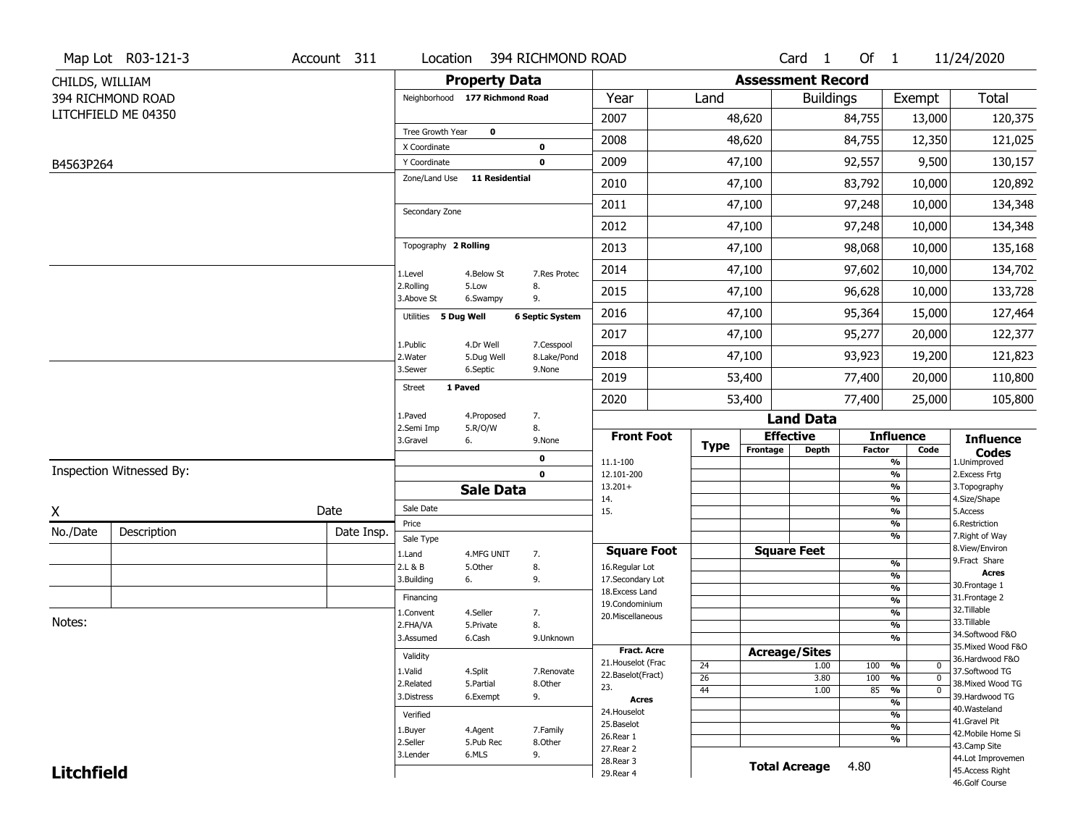|                   | Map Lot R03-121-3        | Account 311 | Location                       |                       | 394 RICHMOND ROAD        |                                     |             |                          | Card 1           | Of $1$        |                                      | 11/24/2020                          |
|-------------------|--------------------------|-------------|--------------------------------|-----------------------|--------------------------|-------------------------------------|-------------|--------------------------|------------------|---------------|--------------------------------------|-------------------------------------|
| CHILDS, WILLIAM   |                          |             |                                | <b>Property Data</b>  |                          |                                     |             | <b>Assessment Record</b> |                  |               |                                      |                                     |
|                   | 394 RICHMOND ROAD        |             | Neighborhood 177 Richmond Road |                       |                          | Year                                | Land        |                          | <b>Buildings</b> |               | Exempt                               | <b>Total</b>                        |
|                   | LITCHFIELD ME 04350      |             |                                |                       |                          | 2007                                |             | 48,620                   |                  | 84,755        | 13,000                               | 120,375                             |
|                   |                          |             | Tree Growth Year               | $\mathbf 0$           |                          | 2008                                |             | 48,620                   |                  | 84,755        | 12,350                               | 121,025                             |
| B4563P264         |                          |             | X Coordinate<br>Y Coordinate   |                       | $\pmb{0}$<br>$\mathbf 0$ | 2009                                |             | 47,100                   |                  | 92,557        | 9,500                                | 130,157                             |
|                   |                          |             | Zone/Land Use                  | <b>11 Residential</b> |                          | 2010                                |             |                          |                  |               |                                      | 120,892                             |
|                   |                          |             |                                |                       |                          |                                     |             | 47,100                   |                  | 83,792        | 10,000                               |                                     |
|                   |                          |             | Secondary Zone                 |                       |                          | 2011                                |             | 47,100                   |                  | 97,248        | 10,000                               | 134,348                             |
|                   |                          |             |                                |                       |                          | 2012                                |             | 47,100                   |                  | 97,248        | 10,000                               | 134,348                             |
|                   |                          |             | Topography 2 Rolling           |                       |                          | 2013                                |             | 47,100                   |                  | 98,068        | 10,000                               | 135,168                             |
|                   |                          |             | 1.Level                        | 4.Below St            | 7.Res Protec             | 2014                                |             | 47,100                   |                  | 97,602        | 10,000                               | 134,702                             |
|                   |                          |             | 2.Rolling<br>3.Above St        | 5.Low<br>6.Swampy     | 8.<br>9.                 | 2015                                |             | 47,100                   |                  | 96,628        | 10,000                               | 133,728                             |
|                   |                          |             | Utilities 5 Dug Well           |                       | <b>6 Septic System</b>   | 2016                                |             | 47,100                   |                  | 95,364        | 15,000                               | 127,464                             |
|                   |                          |             | 1.Public                       | 4.Dr Well             | 7.Cesspool               | 2017                                |             | 47,100                   |                  | 95,277        | 20,000                               | 122,377                             |
|                   |                          |             | 2. Water                       | 5.Dug Well            | 8.Lake/Pond              | 2018                                |             | 47,100                   |                  | 93,923        | 19,200                               | 121,823                             |
|                   |                          |             | 3.Sewer                        | 6.Septic              | 9.None                   | 2019                                |             | 53,400                   |                  | 77,400        | 20,000                               | 110,800                             |
|                   |                          |             | 1 Paved<br><b>Street</b>       |                       |                          | 2020                                |             | 53,400                   |                  | 77,400        | 25,000                               | 105,800                             |
|                   |                          |             | 1.Paved                        | 4.Proposed            | 7.                       |                                     |             |                          | <b>Land Data</b> |               |                                      |                                     |
|                   |                          |             | 2.Semi Imp<br>3.Gravel<br>6.   | 5.R/O/W               | 8.<br>9.None             | <b>Front Foot</b>                   | <b>Type</b> | <b>Effective</b>         |                  |               | <b>Influence</b>                     | <b>Influence</b>                    |
|                   |                          |             |                                |                       | 0                        | 11.1-100                            |             | Frontage                 | <b>Depth</b>     | <b>Factor</b> | Code<br>%                            | <b>Codes</b><br>1.Unimproved        |
|                   | Inspection Witnessed By: |             |                                |                       | $\mathbf 0$              | 12.101-200                          |             |                          |                  |               | %                                    | 2.Excess Frtg                       |
|                   |                          |             |                                | <b>Sale Data</b>      |                          | $13.201+$<br>14.                    |             |                          |                  |               | %<br>%                               | 3. Topography<br>4.Size/Shape       |
| X                 |                          | Date        | Sale Date                      |                       |                          | 15.                                 |             |                          |                  |               | %                                    | 5.Access                            |
| No./Date          | Description              | Date Insp.  | Price<br>Sale Type             |                       |                          |                                     |             |                          |                  |               | %<br>%                               | 6.Restriction<br>7. Right of Way    |
|                   |                          |             | 1.Land                         | 4.MFG UNIT            | 7.                       | <b>Square Foot</b>                  |             | <b>Square Feet</b>       |                  |               |                                      | 8.View/Environ                      |
|                   |                          |             | 2.L & B                        | 5.Other               | 8.                       | 16.Regular Lot                      |             |                          |                  |               | %<br>%                               | 9.Fract Share<br><b>Acres</b>       |
|                   |                          |             | 3.Building<br>6.               |                       | 9.                       | 17.Secondary Lot<br>18. Excess Land |             |                          |                  |               | $\frac{9}{6}$                        | 30.Frontage 1                       |
|                   |                          |             | Financing                      |                       |                          | 19.Condominium                      |             |                          |                  |               | $\frac{9}{6}$                        | 31. Frontage 2                      |
|                   |                          |             | 1.Convent                      | 4.Seller              | 7.                       | 20.Miscellaneous                    |             |                          |                  |               | $\frac{9}{6}$                        | 32.Tillable                         |
| Notes:            |                          |             | 2.FHA/VA                       | 5.Private             | 8.                       |                                     |             |                          |                  |               | $\frac{9}{6}$                        | 33.Tillable<br>34.Softwood F&O      |
|                   |                          |             | 3.Assumed                      | 6.Cash                | 9.Unknown                | <b>Fract. Acre</b>                  |             |                          |                  |               | %                                    | 35. Mixed Wood F&O                  |
|                   |                          |             | Validity                       |                       |                          | 21. Houselot (Frac                  |             | <b>Acreage/Sites</b>     |                  |               |                                      | 36.Hardwood F&O                     |
|                   |                          |             | 1.Valid                        | 4.Split               | 7.Renovate               | 22.Baselot(Fract)                   | 24<br>26    |                          | 1.00<br>3.80     | 100<br>100    | %<br>$\mathbf 0$<br>%<br>$\mathbf 0$ | 37.Softwood TG                      |
|                   |                          |             | 2.Related                      | 5.Partial             | 8.Other                  | 23.                                 | 44          |                          | 1.00             | 85            | $\frac{9}{6}$<br>$\mathbf 0$         | 38. Mixed Wood TG                   |
|                   |                          |             | 3.Distress                     | 6.Exempt              | 9.                       | <b>Acres</b>                        |             |                          |                  |               | $\frac{9}{6}$                        | 39.Hardwood TG                      |
|                   |                          |             | Verified                       |                       |                          | 24. Houselot                        |             |                          |                  |               | %                                    | 40. Wasteland                       |
|                   |                          |             | 1.Buyer                        | 4.Agent               | 7.Family                 | 25.Baselot                          |             |                          |                  |               | $\frac{9}{6}$                        | 41.Gravel Pit<br>42. Mobile Home Si |
|                   |                          |             | 2.Seller                       | 5.Pub Rec             | 8.Other                  | 26.Rear 1<br>27.Rear 2              |             |                          |                  |               | %                                    | 43.Camp Site                        |
|                   |                          |             | 3.Lender                       | 6.MLS                 | 9.                       | 28. Rear 3                          |             |                          |                  |               |                                      | 44.Lot Improvemen                   |
| <b>Litchfield</b> |                          |             |                                |                       |                          | 29. Rear 4                          |             | <b>Total Acreage</b>     |                  | 4.80          |                                      | 45.Access Right<br>46.Golf Course   |
|                   |                          |             |                                |                       |                          |                                     |             |                          |                  |               |                                      |                                     |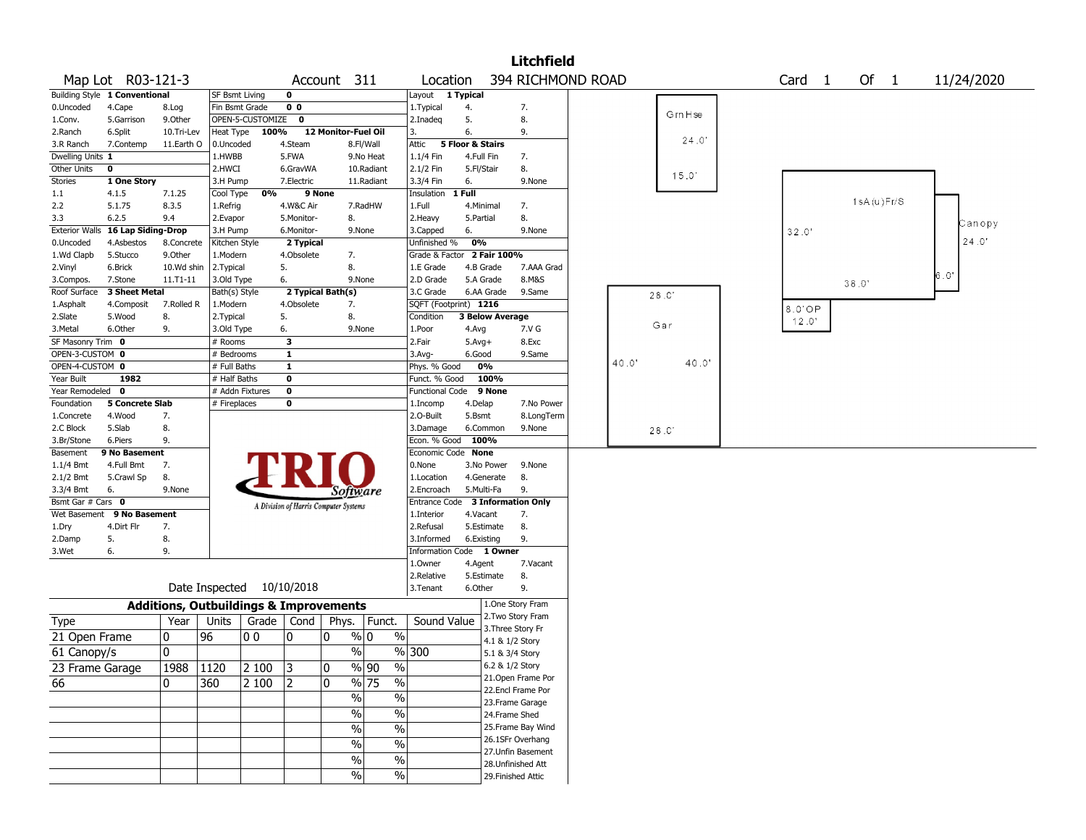|                       |                               |              |                                                   |                  |                  |                                       |                          |                            |                       |                        | <b>Litchfield</b>                      |      |        |                   |       |            |            |
|-----------------------|-------------------------------|--------------|---------------------------------------------------|------------------|------------------|---------------------------------------|--------------------------|----------------------------|-----------------------|------------------------|----------------------------------------|------|--------|-------------------|-------|------------|------------|
|                       | Map Lot R03-121-3             |              |                                                   |                  |                  | Account 311                           |                          | Location                   |                       |                        | 394 RICHMOND ROAD                      |      |        | Card <sub>1</sub> |       | Of $1$     | 11/24/2020 |
|                       | Building Style 1 Conventional |              | <b>SF Bsmt Living</b>                             |                  | $\mathbf 0$      |                                       |                          | Layout 1 Typical           |                       |                        |                                        |      |        |                   |       |            |            |
| 0.Uncoded             | 4.Cape                        | 8.Log        | Fin Bsmt Grade                                    |                  | 0 <sub>0</sub>   |                                       |                          | 1. Typical                 | 4.                    |                        | 7.                                     |      | GrnHse |                   |       |            |            |
| 1.Conv.               | 5.Garrison                    | 9.Other      |                                                   | OPEN-5-CUSTOMIZE | $\mathbf 0$      |                                       |                          | 2.Inadeq                   | 5.                    |                        | 8.                                     |      |        |                   |       |            |            |
| 2.Ranch               | 6.Split                       | 10.Tri-Lev   | Heat Type                                         | 100%             |                  | 12 Monitor-Fuel Oil                   |                          | 3.                         | 6.                    |                        | 9.                                     |      | 24.0'  |                   |       |            |            |
| 3.R Ranch             | 7.Contemp                     | 11.Earth O   | 0.Uncoded                                         |                  | 4.Steam          |                                       | 8.Fl/Wall                | Attic                      | 5 Floor & Stairs      |                        |                                        |      |        |                   |       |            |            |
| Dwelling Units 1      |                               |              | 1.HWBB                                            |                  | 5.FWA            |                                       | 9.No Heat                | 1.1/4 Fin                  | 4.Full Fin            |                        | 7.                                     |      |        |                   |       |            |            |
| Other Units           | 0                             |              | 2.HWCI                                            |                  | 6.GravWA         |                                       | 10.Radiant               | 2.1/2 Fin                  | 5.Fl/Stair            |                        | 8.                                     |      | 15.0'  |                   |       |            |            |
| Stories               | 1 One Story                   |              | 3.H Pump                                          |                  | 7.Electric       |                                       | 11.Radiant               | 3.3/4 Fin                  | 6.                    |                        | 9.None                                 |      |        |                   |       |            |            |
| 1.1                   | 4.1.5                         | 7.1.25       | Cool Type                                         | 0%               | 9 None           |                                       |                          | Insulation                 | 1 Full                |                        |                                        |      |        |                   |       | 1sA(u)Fr/S |            |
| 2.2                   | 5.1.75                        | 8.3.5        | 1.Refrig                                          |                  | 4.W&C Air        |                                       | 7.RadHW                  | 1.Full                     | 4.Minimal             |                        | 7.                                     |      |        |                   |       |            |            |
| 3.3                   | 6.2.5                         | 9.4          | 2.Evapor                                          |                  | 5.Monitor-       | 8.                                    |                          | 2. Heavy                   | 5.Partial             |                        | 8.                                     |      |        |                   |       |            | Canopy     |
| <b>Exterior Walls</b> | 16 Lap Siding-Drop            |              | 3.H Pump                                          |                  | 6.Monitor-       |                                       | 9.None                   | 3.Capped                   | 6.                    |                        | 9.None                                 |      |        | 32.0'             |       |            | 24.0'      |
| 0.Uncoded             | 4.Asbestos                    | 8.Concrete   | Kitchen Style                                     |                  | 2 Typical        |                                       |                          | Unfinished %               | 0%                    |                        |                                        |      |        |                   |       |            |            |
| 1.Wd Clapb            | 5.Stucco                      | 9.0ther      | 1.Modern                                          |                  | 4.Obsolete       | 7.                                    |                          | Grade & Factor 2 Fair 100% |                       |                        |                                        |      |        |                   |       |            |            |
| 2.Vinyl               | 6.Brick                       | 10.Wd shin   | 2. Typical                                        |                  | 5.               | 8.                                    |                          | 1.E Grade                  | 4.B Grade             |                        | 7.AAA Grad                             |      |        |                   |       |            | 6.0'       |
| 3.Compos.             | 7.Stone                       | $11.71 - 11$ | 3.Old Type                                        |                  | 6.               |                                       | 9.None                   | 2.D Grade                  | 5.A Grade             |                        | 8.M&S                                  |      |        |                   | 38.0' |            |            |
| Roof Surface          | <b>3 Sheet Metal</b>          |              | Bath(s) Style                                     |                  |                  | 2 Typical Bath(s)                     |                          | 3.C Grade                  |                       | 6.AA Grade             | 9.Same                                 |      | 28.0   |                   |       |            |            |
| 1.Asphalt             | 4.Composit                    | 7.Rolled R   | 1.Modern                                          |                  | 4.Obsolete<br>5. | 7.<br>8.                              |                          | SQFT (Footprint) 1216      |                       |                        |                                        |      |        | 8.0 OP            |       |            |            |
| 2.Slate<br>3.Metal    | 5.Wood<br>6.Other             | 8.<br>9.     | 2. Typical<br>3.Old Type                          |                  |                  |                                       | 9.None                   | Condition<br>1.Poor        |                       | <b>3 Below Average</b> | 7.V G                                  |      | Gar    | 12.0'             |       |            |            |
| SF Masonry Trim 0     |                               |              | # Rooms                                           |                  | 6.<br>3          |                                       |                          | 2.Fair                     | 4.Avg<br>$5.$ Avg $+$ |                        | 8.Exc                                  |      |        |                   |       |            |            |
| OPEN-3-CUSTOM 0       |                               |              | # Bedrooms                                        |                  | $\mathbf{1}$     |                                       |                          | $3.$ Avg-                  | 6.Good                |                        | 9.Same                                 |      |        |                   |       |            |            |
| OPEN-4-CUSTOM 0       |                               |              | # Full Baths                                      |                  | $\mathbf{1}$     |                                       |                          | Phys. % Good               | 0%                    |                        |                                        | 40.0 | 40.0"  |                   |       |            |            |
| Year Built            | 1982                          |              | $#$ Half Baths                                    |                  | 0                |                                       |                          | Funct. % Good              |                       | 100%                   |                                        |      |        |                   |       |            |            |
| Year Remodeled 0      |                               |              | # Addn Fixtures                                   |                  | $\mathbf 0$      |                                       |                          | Functional Code            |                       | 9 None                 |                                        |      |        |                   |       |            |            |
| Foundation            | <b>5 Concrete Slab</b>        |              | # Fireplaces                                      |                  | 0                |                                       |                          | 1.Incomp                   | 4.Delap               |                        | 7.No Power                             |      |        |                   |       |            |            |
| 1.Concrete            | 4.Wood                        | 7.           |                                                   |                  |                  |                                       |                          | 2.0-Built                  | 5.Bsmt                |                        | 8.LongTerm                             |      |        |                   |       |            |            |
| 2.C Block             | 5.Slab                        | 8.           |                                                   |                  |                  |                                       |                          | 3.Damage                   | 6.Common              |                        | 9.None                                 |      | 28.0   |                   |       |            |            |
| 3.Br/Stone            | 6.Piers                       | 9.           |                                                   |                  |                  |                                       |                          | Econ. % Good               | 100%                  |                        |                                        |      |        |                   |       |            |            |
| Basement              | 9 No Basement                 |              |                                                   |                  |                  |                                       |                          | Economic Code None         |                       |                        |                                        |      |        |                   |       |            |            |
| 1.1/4 Bmt             | 4.Full Bmt                    | 7.           |                                                   |                  |                  |                                       |                          | 0.None                     |                       | 3.No Power             | 9.None                                 |      |        |                   |       |            |            |
| 2.1/2 Bmt             | 5.Crawl Sp                    | 8.           |                                                   |                  |                  |                                       |                          | 1.Location                 |                       | 4.Generate             | 8.                                     |      |        |                   |       |            |            |
| 3.3/4 Bmt             | 6.                            | 9.None       |                                                   |                  |                  | Software                              |                          | 2.Encroach                 | 5.Multi-Fa            |                        | 9.                                     |      |        |                   |       |            |            |
| Bsmt Gar # Cars 0     |                               |              |                                                   |                  |                  | A Division of Harris Computer Systems |                          | Entrance Code              |                       |                        | <b>3 Information Only</b>              |      |        |                   |       |            |            |
| Wet Basement          | 9 No Basement                 |              |                                                   |                  |                  |                                       |                          | 1.Interior                 | 4.Vacant              |                        | 7.                                     |      |        |                   |       |            |            |
| 1.Dry                 | 4.Dirt Flr                    | 7.           |                                                   |                  |                  |                                       |                          | 2.Refusal                  | 5.Estimate            |                        | 8.                                     |      |        |                   |       |            |            |
| 2.Damp                | 5.                            | 8.           |                                                   |                  |                  |                                       |                          | 3.Informed                 | 6.Existing            |                        | 9.                                     |      |        |                   |       |            |            |
| 3.Wet                 | 6.                            | 9.           |                                                   |                  |                  |                                       |                          | Information Code 1 Owner   |                       |                        |                                        |      |        |                   |       |            |            |
|                       |                               |              |                                                   |                  |                  |                                       |                          | 1.0wner                    | 4.Agent               |                        | 7.Vacant                               |      |        |                   |       |            |            |
|                       |                               |              |                                                   |                  |                  |                                       |                          | 2.Relative                 | 5.Estimate            |                        | 8.                                     |      |        |                   |       |            |            |
|                       |                               |              | Date Inspected 10/10/2018                         |                  |                  |                                       |                          | 3. Tenant                  | 6.Other               |                        | 9.                                     |      |        |                   |       |            |            |
|                       |                               |              | <b>Additions, Outbuildings &amp; Improvements</b> |                  |                  |                                       |                          |                            |                       |                        | 1.One Story Fram                       |      |        |                   |       |            |            |
| Type                  |                               | Year         | Units                                             | Grade   Cond     |                  | Phys.                                 | Funct.                   | Sound Value                |                       |                        | 2. Two Story Fram                      |      |        |                   |       |            |            |
| 21 Open Frame         |                               | 0            | 96                                                | 00               | 0                | $\mathbf{0}$                          | $\%$ 0<br>$\%$           |                            |                       | 3. Three Story Fr      |                                        |      |        |                   |       |            |            |
|                       |                               |              |                                                   |                  |                  |                                       |                          |                            |                       | 4.1 & 1/2 Story        |                                        |      |        |                   |       |            |            |
| 61 Canopy/s           |                               | 0            |                                                   |                  |                  | %                                     |                          | % 300                      |                       | 5.1 & 3/4 Story        |                                        |      |        |                   |       |            |            |
| 23 Frame Garage       |                               | 1988 1120    |                                                   | $\sqrt{2}100$    | 3                | ١o                                    | $\frac{0}{0}$<br>% 90    |                            |                       | 6.2 & 1/2 Story        |                                        |      |        |                   |       |            |            |
| 66                    |                               | 0            | 360                                               | 2 100            | 2                | 0                                     | $\frac{9}{6}$ 75<br>$\%$ |                            |                       |                        | 21. Open Frame Por                     |      |        |                   |       |            |            |
|                       |                               |              |                                                   |                  |                  | $\%$                                  | $\%$                     |                            |                       |                        | 22.Encl Frame Por                      |      |        |                   |       |            |            |
|                       |                               |              |                                                   |                  |                  | $\sqrt{6}$                            | $\frac{1}{2}$            |                            |                       |                        | 23. Frame Garage                       |      |        |                   |       |            |            |
|                       |                               |              |                                                   |                  |                  |                                       |                          |                            |                       | 24.Frame Shed          |                                        |      |        |                   |       |            |            |
|                       |                               |              |                                                   |                  |                  | $\overline{\frac{0}{0}}$              | $\overline{\frac{0}{0}}$ |                            |                       |                        | 25. Frame Bay Wind                     |      |        |                   |       |            |            |
|                       |                               |              |                                                   |                  |                  | $\%$                                  | $\overline{\frac{0}{0}}$ |                            |                       |                        | 26.1SFr Overhang<br>27. Unfin Basement |      |        |                   |       |            |            |
|                       |                               |              |                                                   |                  |                  | $\%$                                  | $\%$                     |                            |                       |                        | 28. Unfinished Att                     |      |        |                   |       |            |            |
|                       |                               |              |                                                   |                  |                  | $\%$                                  | $\%$                     |                            |                       |                        |                                        |      |        |                   |       |            |            |
|                       |                               |              |                                                   |                  |                  |                                       |                          |                            |                       |                        | 29. Finished Attic                     |      |        |                   |       |            |            |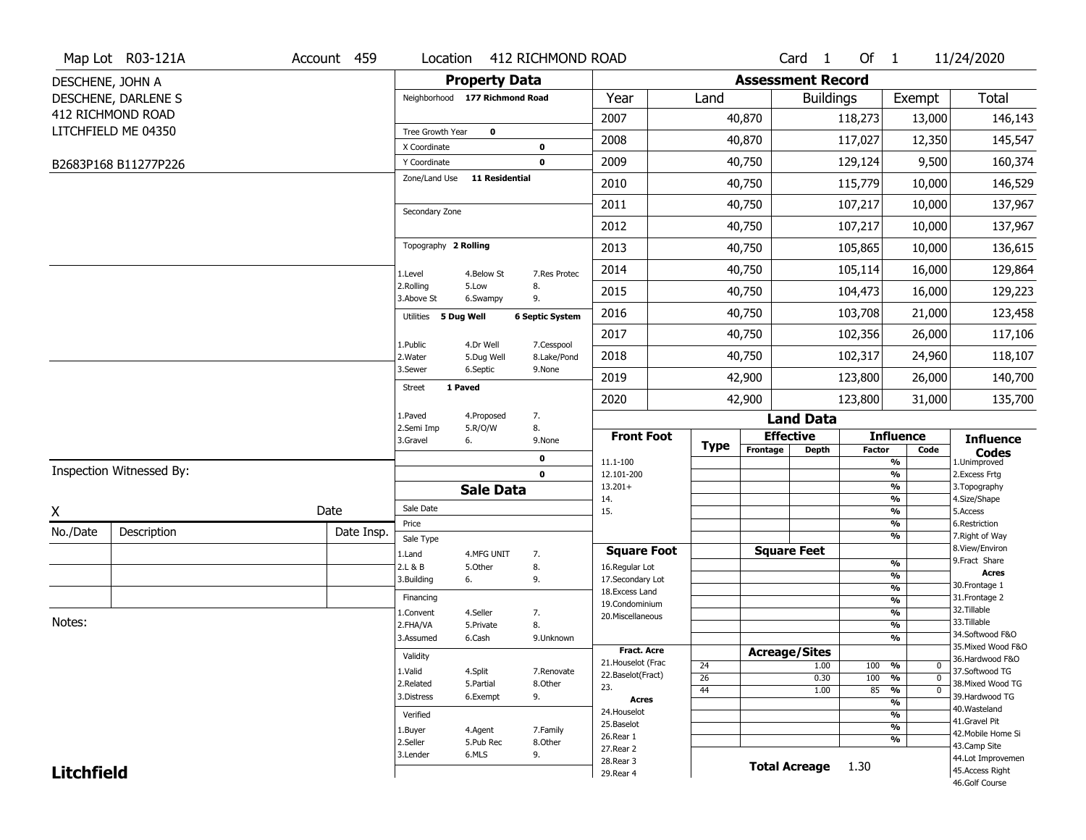|                   | Map Lot R03-121A         | Account 459 | Location                       |                       | 412 RICHMOND ROAD      |                                     |             |                          | Card 1           | Of $1$        |                                | 11/24/2020                          |
|-------------------|--------------------------|-------------|--------------------------------|-----------------------|------------------------|-------------------------------------|-------------|--------------------------|------------------|---------------|--------------------------------|-------------------------------------|
|                   | DESCHENE, JOHN A         |             |                                | <b>Property Data</b>  |                        |                                     |             | <b>Assessment Record</b> |                  |               |                                |                                     |
|                   | DESCHENE, DARLENE S      |             | Neighborhood 177 Richmond Road |                       |                        | Year                                | Land        |                          | <b>Buildings</b> |               | Exempt                         | <b>Total</b>                        |
|                   | 412 RICHMOND ROAD        |             |                                |                       |                        | 2007                                |             | 40,870                   |                  | 118,273       | 13,000                         | 146,143                             |
|                   | LITCHFIELD ME 04350      |             | Tree Growth Year               | $\mathbf 0$           |                        | 2008                                |             | 40,870                   |                  | 117,027       | 12,350                         | 145,547                             |
|                   |                          |             | X Coordinate                   |                       | 0                      |                                     |             |                          |                  |               |                                |                                     |
|                   | B2683P168 B11277P226     |             | Y Coordinate<br>Zone/Land Use  | <b>11 Residential</b> | $\mathbf 0$            | 2009                                |             | 40,750                   |                  | 129,124       | 9,500                          | 160,374                             |
|                   |                          |             |                                |                       |                        | 2010                                |             | 40,750                   |                  | 115,779       | 10,000                         | 146,529                             |
|                   |                          |             | Secondary Zone                 |                       |                        | 2011                                |             | 40,750                   |                  | 107,217       | 10,000                         | 137,967                             |
|                   |                          |             |                                |                       |                        | 2012                                |             | 40,750                   |                  | 107,217       | 10,000                         | 137,967                             |
|                   |                          |             | Topography 2 Rolling           |                       |                        | 2013                                |             | 40,750                   |                  | 105,865       | 10,000                         | 136,615                             |
|                   |                          |             | 1.Level                        | 4.Below St            | 7.Res Protec           | 2014                                |             | 40,750                   |                  | 105,114       | 16,000                         | 129,864                             |
|                   |                          |             | 2.Rolling<br>3.Above St        | 5.Low<br>6.Swampy     | 8.<br>9.               | 2015                                |             | 40,750                   |                  | 104,473       | 16,000                         | 129,223                             |
|                   |                          |             | Utilities 5 Dug Well           |                       | <b>6 Septic System</b> | 2016                                |             | 40,750                   |                  | 103,708       | 21,000                         | 123,458                             |
|                   |                          |             | 1.Public                       | 4.Dr Well             | 7.Cesspool             | 2017                                |             | 40,750                   |                  | 102,356       | 26,000                         | 117,106                             |
|                   |                          |             | 2. Water                       | 5.Dug Well            | 8.Lake/Pond            | 2018                                |             | 40,750                   |                  | 102,317       | 24,960                         | 118,107                             |
|                   |                          |             | 3.Sewer<br>1 Paved             | 6.Septic              | 9.None                 | 2019                                |             | 42,900                   |                  | 123,800       | 26,000                         | 140,700                             |
|                   |                          |             | Street                         |                       |                        | 2020                                |             | 42,900                   |                  | 123,800       | 31,000                         | 135,700                             |
|                   |                          |             | 1.Paved<br>2.Semi Imp          | 4.Proposed<br>5.R/O/W | 7.<br>8.               |                                     |             |                          | <b>Land Data</b> |               |                                |                                     |
|                   |                          |             | 3.Gravel<br>6.                 |                       | 9.None                 | <b>Front Foot</b>                   | <b>Type</b> | <b>Effective</b>         |                  |               | <b>Influence</b>               | <b>Influence</b>                    |
|                   |                          |             |                                |                       | 0                      | 11.1-100                            |             | Frontage                 | <b>Depth</b>     | <b>Factor</b> | Code<br>%                      | <b>Codes</b><br>1.Unimproved        |
|                   | Inspection Witnessed By: |             |                                |                       | $\mathbf 0$            | 12.101-200                          |             |                          |                  |               | $\frac{9}{6}$<br>%             | 2.Excess Frtg                       |
|                   |                          |             |                                | <b>Sale Data</b>      |                        | $13.201+$<br>14.                    |             |                          |                  |               | %                              | 3. Topography<br>4.Size/Shape       |
| X                 |                          | Date        | Sale Date                      |                       |                        | 15.                                 |             |                          |                  |               | %                              | 5.Access                            |
| No./Date          | Description              | Date Insp.  | Price<br>Sale Type             |                       |                        |                                     |             |                          |                  |               | %<br>%                         | 6.Restriction<br>7. Right of Way    |
|                   |                          |             | 1.Land                         | 4.MFG UNIT            | 7.                     | <b>Square Foot</b>                  |             | <b>Square Feet</b>       |                  |               |                                | 8.View/Environ                      |
|                   |                          |             | 2.L & B                        | 5.Other               | 8.                     | 16.Regular Lot                      |             |                          |                  |               | %                              | 9.Fract Share<br><b>Acres</b>       |
|                   |                          |             | 3.Building<br>6.               |                       | 9.                     | 17.Secondary Lot<br>18. Excess Land |             |                          |                  |               | $\frac{9}{6}$<br>$\frac{9}{6}$ | 30.Frontage 1                       |
|                   |                          |             | Financing                      |                       |                        | 19.Condominium                      |             |                          |                  |               | $\frac{9}{6}$                  | 31. Frontage 2                      |
| Notes:            |                          |             | 1.Convent                      | 4.Seller              | 7.                     | 20.Miscellaneous                    |             |                          |                  |               | $\frac{9}{6}$                  | 32.Tillable<br>33.Tillable          |
|                   |                          |             | 2.FHA/VA                       | 5.Private             | 8.                     |                                     |             |                          |                  |               | $\frac{9}{6}$<br>$\frac{9}{6}$ | 34.Softwood F&O                     |
|                   |                          |             | 3.Assumed                      | 6.Cash                | 9.Unknown              | Fract. Acre                         |             | <b>Acreage/Sites</b>     |                  |               |                                | 35. Mixed Wood F&O                  |
|                   |                          |             | Validity                       |                       |                        | 21. Houselot (Frac                  | 24          |                          | 1.00             | 100 %         | $\mathbf 0$                    | 36.Hardwood F&O                     |
|                   |                          |             | 1.Valid                        | 4.Split               | 7.Renovate             | 22.Baselot(Fract)                   | 26          |                          | 0.30             | 100           | %<br>$\mathbf{0}$              | 37.Softwood TG                      |
|                   |                          |             | 2.Related<br>3.Distress        | 5.Partial<br>6.Exempt | 8.Other<br>9.          | 23.                                 | 44          |                          | 1.00             | 85            | $\frac{9}{6}$<br>$\mathbf 0$   | 38. Mixed Wood TG<br>39.Hardwood TG |
|                   |                          |             |                                |                       |                        | <b>Acres</b>                        |             |                          |                  |               | $\frac{9}{6}$                  | 40. Wasteland                       |
|                   |                          |             | Verified                       |                       |                        | 24. Houselot<br>25.Baselot          |             |                          |                  |               | %                              | 41.Gravel Pit                       |
|                   |                          |             | 1.Buyer                        | 4.Agent               | 7.Family               | 26.Rear 1                           |             |                          |                  |               | $\frac{9}{6}$<br>%             | 42. Mobile Home Si                  |
|                   |                          |             | 2.Seller                       | 5.Pub Rec             | 8.Other                | 27.Rear 2                           |             |                          |                  |               |                                | 43.Camp Site                        |
| <b>Litchfield</b> |                          |             | 3.Lender                       | 6.MLS                 | 9.                     |                                     |             |                          |                  |               |                                | 44.Lot Improvemen                   |
|                   |                          |             |                                |                       |                        | 28. Rear 3<br>29. Rear 4            |             | <b>Total Acreage</b>     |                  | 1.30          |                                | 45.Access Right                     |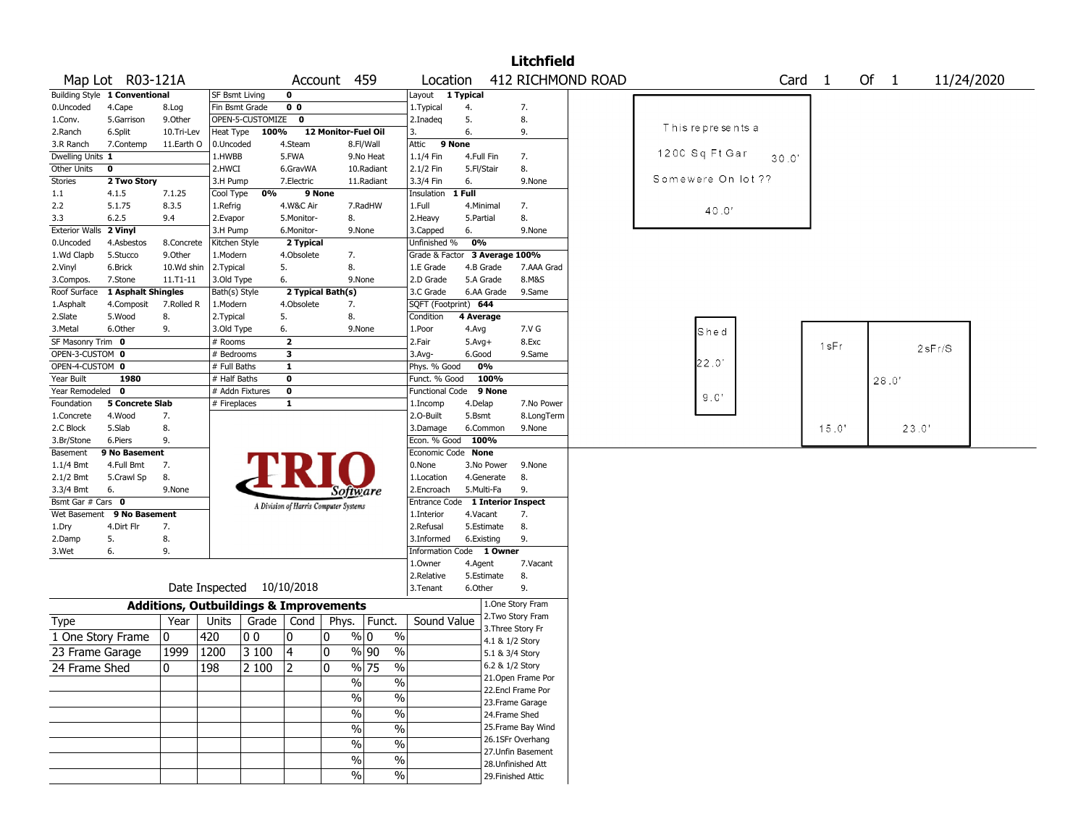|                       |                               |                                                   |                |                  |                |                                       |               |                                  |            |                                      | <b>Litchfield</b>  |                   |                    |                   |       |        |       |            |  |
|-----------------------|-------------------------------|---------------------------------------------------|----------------|------------------|----------------|---------------------------------------|---------------|----------------------------------|------------|--------------------------------------|--------------------|-------------------|--------------------|-------------------|-------|--------|-------|------------|--|
|                       | Map Lot R03-121A              |                                                   |                |                  |                | Account 459                           |               | Location                         |            |                                      |                    | 412 RICHMOND ROAD |                    | Card <sub>1</sub> |       | Of $1$ |       | 11/24/2020 |  |
|                       | Building Style 1 Conventional |                                                   | SF Bsmt Living |                  | $\mathbf 0$    |                                       |               | Layout                           | 1 Typical  |                                      |                    |                   |                    |                   |       |        |       |            |  |
| 0.Uncoded             | 4.Cape                        | 8.Log                                             | Fin Bsmt Grade |                  | 0 <sub>0</sub> |                                       |               | 1. Typical                       | 4.         |                                      | 7.                 |                   |                    |                   |       |        |       |            |  |
| 1.Conv.               | 5.Garrison                    | 9.0ther                                           |                | OPEN-5-CUSTOMIZE | 0              |                                       |               | 2.Inadeg                         | 5.         |                                      | 8.                 |                   |                    |                   |       |        |       |            |  |
| 2.Ranch               | 6.Split                       | 10.Tri-Lev                                        | Heat Type      | 100%             |                | 12 Monitor-Fuel Oil                   |               | 3.                               | 6.         |                                      | 9.                 |                   | This represents a  |                   |       |        |       |            |  |
| 3.R Ranch             | 7.Contemp                     | 11.Earth O                                        | 0.Uncoded      |                  | 4.Steam        |                                       | 8.Fl/Wall     | Attic                            | 9 None     |                                      |                    |                   |                    |                   |       |        |       |            |  |
| Dwelling Units 1      |                               |                                                   | 1.HWBB         |                  | 5.FWA          |                                       | 9.No Heat     | 1.1/4 Fin                        | 4.Full Fin |                                      | 7.                 |                   | 1200 Sq Ft Gar     | 30.0'             |       |        |       |            |  |
| Other Units           | $\bf{0}$                      |                                                   | 2.HWCI         |                  | 6.GravWA       |                                       | 10.Radiant    | 2.1/2 Fin                        | 5.Fl/Stair |                                      | 8.                 |                   |                    |                   |       |        |       |            |  |
| Stories               | 2 Two Story                   |                                                   | 3.H Pump       |                  | 7.Electric     |                                       | 11.Radiant    | 3.3/4 Fin                        | 6.         |                                      | 9.None             |                   | Somewere On lot ?? |                   |       |        |       |            |  |
| 1.1                   | 4.1.5                         | 7.1.25                                            | Cool Type      | 0%               |                | 9 None                                |               | Insulation                       | 1 Full     |                                      |                    |                   |                    |                   |       |        |       |            |  |
| 2.2                   | 5.1.75                        | 8.3.5                                             | 1.Refrig       |                  | 4.W&C Air      |                                       | 7.RadHW       | 1.Full                           | 4.Minimal  |                                      | 7.                 |                   | 40.0'              |                   |       |        |       |            |  |
| 3.3                   | 6.2.5                         | 9.4                                               | 2.Evapor       |                  | 5.Monitor-     | 8.                                    |               | 2.Heavy                          | 5.Partial  |                                      | 8.                 |                   |                    |                   |       |        |       |            |  |
| <b>Exterior Walls</b> | 2 Vinyl                       |                                                   | 3.H Pump       |                  | 6.Monitor-     |                                       | 9.None        | 3.Capped                         | 6.         |                                      | 9.None             |                   |                    |                   |       |        |       |            |  |
| 0.Uncoded             | 4.Asbestos                    | 8.Concrete                                        | Kitchen Style  |                  | 2 Typical      |                                       |               | Unfinished %                     | 0%         |                                      |                    |                   |                    |                   |       |        |       |            |  |
| 1.Wd Clapb            | 5.Stucco                      | 9.0ther                                           | 1.Modern       |                  | 4.Obsolete     | 7.                                    |               | Grade & Factor 3 Average 100%    |            |                                      |                    |                   |                    |                   |       |        |       |            |  |
| 2.Vinyl               | 6.Brick                       | 10.Wd shin                                        | 2.Typical      |                  | 5.             | 8.                                    |               | 1.E Grade                        | 4.B Grade  |                                      | 7.AAA Grad         |                   |                    |                   |       |        |       |            |  |
| 3.Compos.             | 7.Stone                       | $11. T1 - 11$                                     | 3.Old Type     |                  | 6.             |                                       | 9.None        | 2.D Grade                        | 5.A Grade  |                                      | 8.M&S              |                   |                    |                   |       |        |       |            |  |
| Roof Surface          | 1 Asphalt Shingles            |                                                   | Bath(s) Style  |                  |                | 2 Typical Bath(s)                     |               | 3.C Grade                        | 6.AA Grade |                                      | 9.Same             |                   |                    |                   |       |        |       |            |  |
| 1.Asphalt             | 4.Composit                    | 7.Rolled R                                        | 1.Modern       |                  | 4.Obsolete     | 7.                                    |               | SQFT (Footprint) 644             |            |                                      |                    |                   |                    |                   |       |        |       |            |  |
| 2.Slate               | 5.Wood                        | 8.                                                | 2. Typical     |                  | 5.             | 8.                                    |               | Condition                        | 4 Average  |                                      |                    |                   |                    |                   |       |        |       |            |  |
| 3.Metal               | 6.Other                       | 9.                                                | 3.Old Type     |                  | 6.             |                                       | 9.None        | 1.Poor                           | 4.Avg      |                                      | 7.V G              |                   | Shed               |                   |       |        |       |            |  |
| SF Masonry Trim 0     |                               |                                                   | # Rooms        |                  | $\mathbf{z}$   |                                       |               | 2.Fair                           | $5.Avg+$   |                                      | 8.Exc              |                   |                    |                   | 1sFr  |        |       | 2sFr/S     |  |
| OPEN-3-CUSTOM 0       |                               |                                                   | # Bedrooms     |                  | 3              |                                       |               | 3.Avg-                           | 6.Good     |                                      | 9.Same             |                   |                    |                   |       |        |       |            |  |
| OPEN-4-CUSTOM 0       |                               |                                                   | # Full Baths   |                  | $\mathbf{1}$   |                                       |               | Phys. % Good                     | 0%         |                                      |                    |                   | 22.0'              |                   |       |        |       |            |  |
| Year Built            | 1980                          |                                                   | # Half Baths   |                  | $\bf{0}$       |                                       |               | Funct. % Good                    |            | 100%                                 |                    |                   |                    |                   |       |        | 28.0' |            |  |
| Year Remodeled        | $\mathbf 0$                   |                                                   |                | # Addn Fixtures  | $\bf{0}$       |                                       |               | <b>Functional Code</b>           |            | 9 None                               |                    |                   | 9.0'               |                   |       |        |       |            |  |
| Foundation            | <b>5 Concrete Slab</b>        |                                                   | # Fireplaces   |                  | $\mathbf{1}$   |                                       |               | 1.Incomp                         | 4.Delap    |                                      | 7.No Power         |                   |                    |                   |       |        |       |            |  |
| 1.Concrete            | 4.Wood                        | 7.                                                |                |                  |                |                                       |               | 2.0-Built                        | 5.Bsmt     |                                      | 8.LongTerm         |                   |                    |                   |       |        |       |            |  |
| 2.C Block             | 5.Slab                        | 8.                                                |                |                  |                |                                       |               | 3.Damage                         | 6.Common   |                                      | 9.None             |                   |                    |                   | 15.0' |        | 23.0' |            |  |
| 3.Br/Stone            | 6.Piers                       | 9.                                                |                |                  |                |                                       |               | Econ. % Good                     | 100%       |                                      |                    |                   |                    |                   |       |        |       |            |  |
| Basement              | 9 No Basement                 |                                                   |                |                  |                |                                       |               | Economic Code None               |            |                                      |                    |                   |                    |                   |       |        |       |            |  |
| 1.1/4 Bmt             | 4.Full Bmt                    | 7.                                                |                |                  |                |                                       |               | 0.None                           | 3.No Power |                                      | 9.None             |                   |                    |                   |       |        |       |            |  |
| 2.1/2 Bmt             | 5.Crawl Sp                    | 8.                                                |                |                  |                |                                       |               | 1.Location                       | 4.Generate |                                      | 8.                 |                   |                    |                   |       |        |       |            |  |
| 3.3/4 Bmt             | 6.                            | 9.None                                            |                |                  |                | Software                              |               | 2.Encroach                       | 5.Multi-Fa |                                      | 9.                 |                   |                    |                   |       |        |       |            |  |
| Bsmt Gar # Cars 0     |                               |                                                   |                |                  |                | A Division of Harris Computer Systems |               | Entrance Code 1 Interior Inspect |            |                                      |                    |                   |                    |                   |       |        |       |            |  |
| Wet Basement          | 9 No Basement                 |                                                   |                |                  |                |                                       |               | 1.Interior                       | 4.Vacant   |                                      | 7.                 |                   |                    |                   |       |        |       |            |  |
| 1.Dry                 | 4.Dirt Flr                    | 7.                                                |                |                  |                |                                       |               | 2.Refusal                        | 5.Estimate |                                      | 8.                 |                   |                    |                   |       |        |       |            |  |
| 2.Damp                | 5.                            | 8.                                                |                |                  |                |                                       |               | 3.Informed                       | 6.Existing |                                      | 9.                 |                   |                    |                   |       |        |       |            |  |
| 3.Wet                 | 6.                            | 9.                                                |                |                  |                |                                       |               | Information Code 1 Owner         |            |                                      |                    |                   |                    |                   |       |        |       |            |  |
|                       |                               |                                                   |                |                  |                |                                       |               | 1.Owner                          | 4.Agent    |                                      | 7.Vacant           |                   |                    |                   |       |        |       |            |  |
|                       |                               |                                                   |                |                  |                |                                       |               | 2.Relative                       | 5.Estimate |                                      | 8.                 |                   |                    |                   |       |        |       |            |  |
|                       |                               |                                                   | Date Inspected |                  | 10/10/2018     |                                       |               | 3.Tenant                         | 6.Other    |                                      | 9.                 |                   |                    |                   |       |        |       |            |  |
|                       |                               | <b>Additions, Outbuildings &amp; Improvements</b> |                |                  |                |                                       |               |                                  |            |                                      | 1.One Story Fram   |                   |                    |                   |       |        |       |            |  |
| <b>Type</b>           |                               | Year                                              | Units          |                  | Grade   Cond   | Phys.                                 | Funct.        | Sound Value                      |            |                                      | 2. Two Story Fram  |                   |                    |                   |       |        |       |            |  |
|                       | 1 One Story Frame             | 0                                                 | 420            | O O              | 0              | 10                                    | % 0<br>$\%$   |                                  |            | 3. Three Story Fr<br>4.1 & 1/2 Story |                    |                   |                    |                   |       |        |       |            |  |
| 23 Frame Garage       |                               | 1999                                              | 1200           | 3 100            | $\overline{4}$ | 0                                     | %  90<br>$\%$ |                                  |            | 5.1 & 3/4 Story                      |                    |                   |                    |                   |       |        |       |            |  |
|                       |                               |                                                   |                |                  |                |                                       |               |                                  |            | 6.2 & 1/2 Story                      |                    |                   |                    |                   |       |        |       |            |  |
| 24 Frame Shed         |                               | 0                                                 | 198            | 2 100            | 2              | 0                                     | % 75<br>$\%$  |                                  |            |                                      | 21. Open Frame Por |                   |                    |                   |       |        |       |            |  |
|                       |                               |                                                   |                |                  |                | %                                     | $\%$          |                                  |            |                                      | 22.Encl Frame Por  |                   |                    |                   |       |        |       |            |  |
|                       |                               |                                                   |                |                  |                | $\frac{1}{2}$                         | $\%$          |                                  |            |                                      | 23. Frame Garage   |                   |                    |                   |       |        |       |            |  |
|                       |                               |                                                   |                |                  |                | %                                     | $\%$          |                                  |            | 24.Frame Shed                        |                    |                   |                    |                   |       |        |       |            |  |
|                       |                               |                                                   |                |                  |                |                                       |               |                                  |            |                                      | 25. Frame Bay Wind |                   |                    |                   |       |        |       |            |  |
|                       |                               |                                                   |                |                  |                | $\sqrt{0}$                            | $\frac{1}{2}$ |                                  |            |                                      | 26.1SFr Overhang   |                   |                    |                   |       |        |       |            |  |
|                       |                               |                                                   |                |                  |                | %                                     | $\%$          |                                  |            |                                      | 27. Unfin Basement |                   |                    |                   |       |        |       |            |  |
|                       |                               |                                                   |                |                  |                | $\%$                                  | $\frac{0}{0}$ |                                  |            |                                      | 28. Unfinished Att |                   |                    |                   |       |        |       |            |  |
|                       |                               |                                                   |                |                  |                | $\%$                                  | $\%$          |                                  |            |                                      | 29. Finished Attic |                   |                    |                   |       |        |       |            |  |
|                       |                               |                                                   |                |                  |                |                                       |               |                                  |            |                                      |                    |                   |                    |                   |       |        |       |            |  |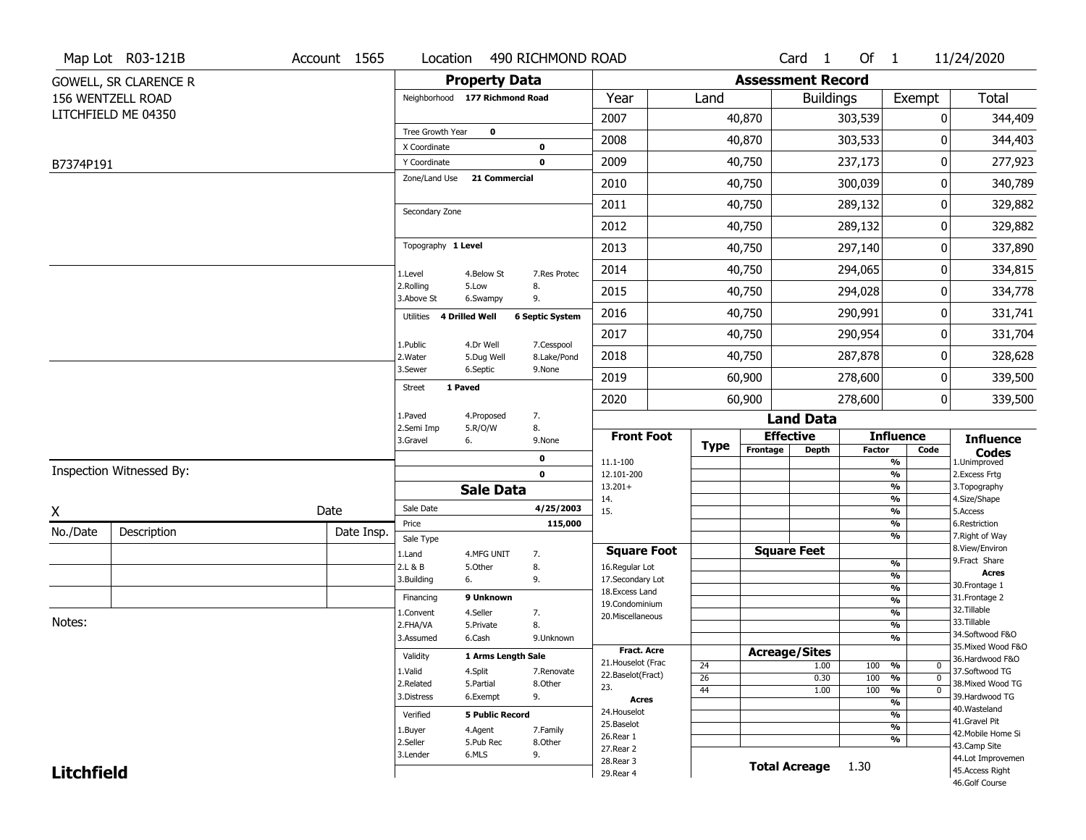|                   | Map Lot R03-121B             | Account 1565 | Location                       |                        | 490 RICHMOND ROAD       |                                   |                       |                          | Card 1             | Of $1$                   |                                           | 11/24/2020                       |
|-------------------|------------------------------|--------------|--------------------------------|------------------------|-------------------------|-----------------------------------|-----------------------|--------------------------|--------------------|--------------------------|-------------------------------------------|----------------------------------|
|                   | <b>GOWELL, SR CLARENCE R</b> |              |                                | <b>Property Data</b>   |                         |                                   |                       | <b>Assessment Record</b> |                    |                          |                                           |                                  |
|                   | 156 WENTZELL ROAD            |              | Neighborhood 177 Richmond Road |                        |                         | Year                              | Land                  |                          | <b>Buildings</b>   |                          | Exempt                                    | <b>Total</b>                     |
|                   | LITCHFIELD ME 04350          |              |                                |                        |                         | 2007                              |                       | 40,870                   |                    | 303,539                  | 0                                         | 344,409                          |
|                   |                              |              | Tree Growth Year               | $\mathbf 0$            |                         | 2008                              |                       | 40,870                   |                    | 303,533                  | 0                                         | 344,403                          |
|                   |                              |              | X Coordinate<br>Y Coordinate   |                        | 0<br>$\mathbf 0$        | 2009                              |                       | 40,750                   |                    | 237,173                  | 0                                         | 277,923                          |
| B7374P191         |                              |              | Zone/Land Use                  | 21 Commercial          |                         |                                   |                       |                          |                    |                          | 0                                         |                                  |
|                   |                              |              |                                |                        |                         | 2010                              |                       | 40,750                   |                    | 300,039                  |                                           | 340,789                          |
|                   |                              |              | Secondary Zone                 |                        |                         | 2011                              |                       | 40,750                   |                    | 289,132                  | 0                                         | 329,882                          |
|                   |                              |              |                                |                        |                         | 2012                              |                       | 40,750                   |                    | 289,132                  | 0                                         | 329,882                          |
|                   |                              |              | Topography 1 Level             |                        |                         | 2013                              |                       | 40,750                   |                    | 297,140                  | 0                                         | 337,890                          |
|                   |                              |              | 1.Level                        | 4.Below St             | 7.Res Protec            | 2014                              |                       | 40,750                   |                    | 294,065                  | 0                                         | 334,815                          |
|                   |                              |              | 2.Rolling<br>3.Above St        | 5.Low<br>6.Swampy      | 8.<br>9.                | 2015                              |                       | 40,750                   |                    | 294,028                  | 0                                         | 334,778                          |
|                   |                              |              | 4 Drilled Well<br>Utilities    |                        | <b>6 Septic System</b>  | 2016                              |                       | 40,750                   |                    | 290,991                  | 0                                         | 331,741                          |
|                   |                              |              | 1.Public                       | 4.Dr Well              | 7.Cesspool              | 2017                              |                       | 40,750                   |                    | 290,954                  | 0                                         | 331,704                          |
|                   |                              |              | 2. Water                       | 5.Dug Well             | 8.Lake/Pond             | 2018                              |                       | 40,750                   |                    | 287,878                  | 0                                         | 328,628                          |
|                   |                              |              | 3.Sewer                        | 6.Septic               | 9.None                  | 2019                              |                       | 60,900                   |                    | 278,600                  | 0                                         | 339,500                          |
|                   |                              |              | 1 Paved<br><b>Street</b>       |                        |                         | 2020                              |                       | 60,900                   |                    | 278,600                  | $\mathbf{0}$                              | 339,500                          |
|                   |                              |              | 1.Paved                        | 4.Proposed             | 7.                      |                                   |                       |                          | <b>Land Data</b>   |                          |                                           |                                  |
|                   |                              |              | 2.Semi Imp<br>3.Gravel<br>6.   | 5.R/O/W                | 8.<br>9.None            | <b>Front Foot</b>                 |                       | <b>Effective</b>         |                    |                          | <b>Influence</b>                          | <b>Influence</b>                 |
|                   |                              |              |                                |                        | $\mathbf 0$             | 11.1-100                          | <b>Type</b>           | Frontage                 | <b>Depth</b>       | <b>Factor</b>            | Code<br>%                                 | <b>Codes</b><br>1.Unimproved     |
|                   | Inspection Witnessed By:     |              |                                |                        | 0                       | 12.101-200                        |                       |                          |                    |                          | $\overline{\frac{9}{6}}$                  | 2. Excess Frtg                   |
|                   |                              |              |                                | <b>Sale Data</b>       |                         | $13.201+$<br>14.                  |                       |                          |                    |                          | $\overline{\frac{9}{6}}$<br>%             | 3. Topography<br>4.Size/Shape    |
| X                 |                              | Date         | Sale Date                      |                        | 4/25/2003               | 15.                               |                       |                          |                    |                          | $\frac{9}{6}$                             | 5.Access                         |
| No./Date          | Description                  | Date Insp.   | Price<br>Sale Type             |                        | 115,000                 |                                   |                       |                          |                    |                          | %<br>%                                    | 6.Restriction<br>7. Right of Way |
|                   |                              |              | 1.Land                         | 4.MFG UNIT             | 7.                      | <b>Square Foot</b>                |                       |                          | <b>Square Feet</b> |                          |                                           | 8.View/Environ                   |
|                   |                              |              | 2.L & B                        | 5.Other                | 8.                      | 16.Regular Lot                    |                       |                          |                    |                          | %                                         | 9.Fract Share<br><b>Acres</b>    |
|                   |                              |              | 3.Building<br>6.               |                        | 9.                      | 17.Secondary Lot                  |                       |                          |                    |                          | $\overline{\frac{9}{6}}$<br>$\frac{9}{6}$ | 30.Frontage 1                    |
|                   |                              |              | Financing                      | 9 Unknown              |                         | 18. Excess Land<br>19.Condominium |                       |                          |                    |                          | $\frac{9}{6}$                             | 31. Frontage 2                   |
|                   |                              |              | 1.Convent                      | 4.Seller               | 7.                      | 20.Miscellaneous                  |                       |                          |                    |                          | $\frac{9}{6}$                             | 32. Tillable                     |
| Notes:            |                              |              | 2.FHA/VA                       | 5.Private              | 8.                      |                                   |                       |                          |                    |                          | $\overline{\frac{9}{6}}$                  | 33.Tillable<br>34.Softwood F&O   |
|                   |                              |              | 3.Assumed                      | 6.Cash                 | 9.Unknown               |                                   |                       |                          |                    |                          | $\frac{9}{6}$                             | 35. Mixed Wood F&O               |
|                   |                              |              | Validity                       | 1 Arms Length Sale     |                         | Fract. Acre<br>21. Houselot (Frac |                       | <b>Acreage/Sites</b>     |                    |                          |                                           | 36.Hardwood F&O                  |
|                   |                              |              | 1.Valid                        | 4.Split                | 7.Renovate              | 22.Baselot(Fract)                 | 24<br>$\overline{26}$ |                          | 1.00<br>0.30       | 100 %<br>100             | $\mathbf 0$<br>$\mathbf{0}$               | 37.Softwood TG                   |
|                   |                              |              | 2.Related                      | 5.Partial              | 8.Other                 | 23.                               | 44                    |                          | 1.00               | 100                      | %<br>$\frac{9}{6}$<br>$\mathbf 0$         | 38. Mixed Wood TG                |
|                   |                              | 3.Distress   | 6.Exempt                       | 9.                     | <b>Acres</b>            |                                   |                       |                          |                    | $\overline{\frac{9}{6}}$ | 39.Hardwood TG                            |                                  |
|                   |                              |              | Verified                       | <b>5 Public Record</b> |                         | 24. Houselot                      |                       |                          |                    |                          | %                                         | 40. Wasteland                    |
|                   |                              | 1.Buyer      | 4.Agent                        | 7.Family               | 25.Baselot              |                                   |                       |                          |                    | $\frac{9}{6}$            | 41.Gravel Pit<br>42. Mobile Home Si       |                                  |
|                   |                              | 2.Seller     | 5.Pub Rec                      | 8.Other                | 26.Rear 1               |                                   |                       |                          |                    | %                        | 43.Camp Site                              |                                  |
|                   |                              | 3.Lender     | 6.MLS                          | 9.                     | 27.Rear 2<br>28. Rear 3 |                                   |                       |                          |                    |                          | 44.Lot Improvemen                         |                                  |
| <b>Litchfield</b> |                              |              |                                |                        | 29. Rear 4              |                                   |                       | <b>Total Acreage</b>     | 1.30               |                          | 45.Access Right                           |                                  |
|                   |                              |              |                                |                        |                         |                                   |                       |                          |                    |                          |                                           | 46.Golf Course                   |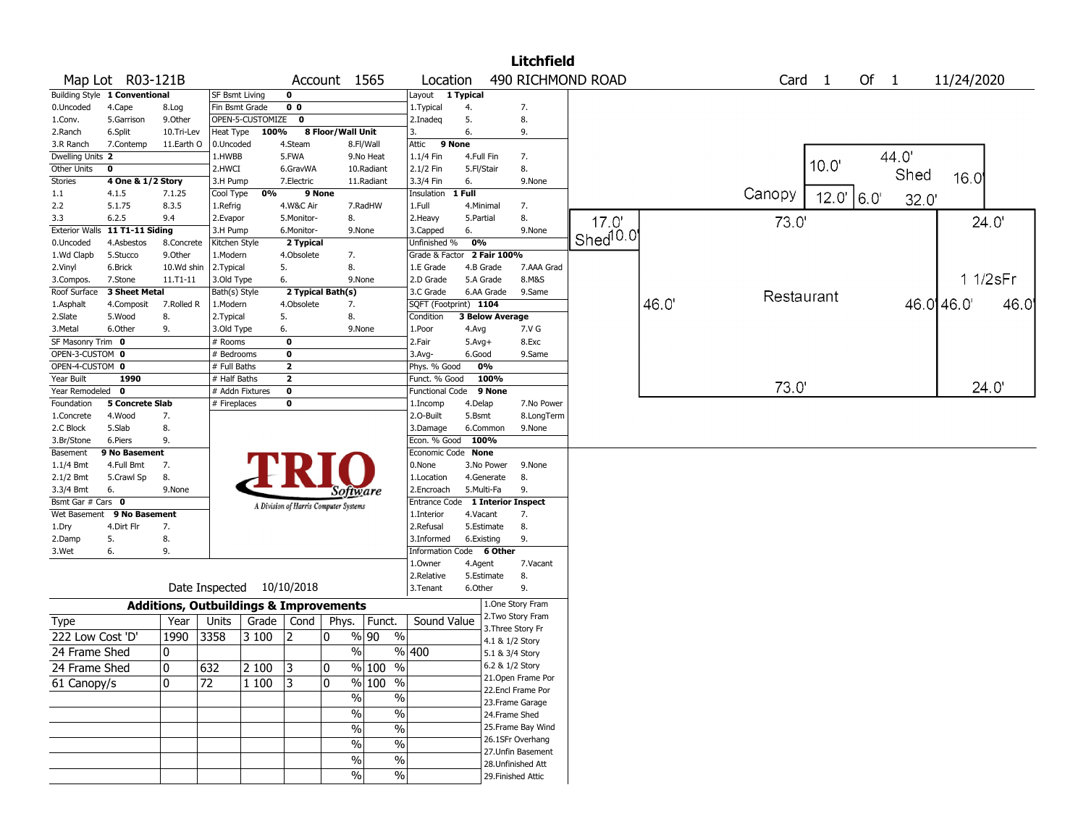|                       |                               |                                                   |                           |                  |                |                                       |               |                          |                         |                    | <b>Litchfield</b>  |                      |      |                   |       |        |       |            |      |
|-----------------------|-------------------------------|---------------------------------------------------|---------------------------|------------------|----------------|---------------------------------------|---------------|--------------------------|-------------------------|--------------------|--------------------|----------------------|------|-------------------|-------|--------|-------|------------|------|
|                       | Map Lot R03-121B              |                                                   |                           |                  |                | Account 1565                          |               | Location                 |                         |                    |                    | 490 RICHMOND ROAD    |      | Card <sub>1</sub> |       | Of $1$ |       | 11/24/2020 |      |
|                       | Building Style 1 Conventional |                                                   | <b>SF Bsmt Living</b>     |                  | $\mathbf 0$    |                                       |               | Layout 1 Typical         |                         |                    |                    |                      |      |                   |       |        |       |            |      |
| 0.Uncoded             | 4.Cape                        | 8.Log                                             | Fin Bsmt Grade            |                  | 0 <sub>0</sub> |                                       |               | 1. Typical               | 4.                      |                    | 7.                 |                      |      |                   |       |        |       |            |      |
| 1.Conv.               | 5.Garrison                    | 9.Other                                           |                           | OPEN-5-CUSTOMIZE | 0              |                                       |               | 2.Inadeq                 | 5.                      |                    | 8.                 |                      |      |                   |       |        |       |            |      |
| 2.Ranch               | 6.Split                       | 10.Tri-Lev                                        | Heat Type                 | 100%             |                | 8 Floor/Wall Unit                     |               | 3.                       | 6.                      |                    | 9.                 |                      |      |                   |       |        |       |            |      |
| 3.R Ranch             | 7.Contemp                     | 11.Earth O                                        | 0.Uncoded                 |                  | 4.Steam        |                                       | 8.Fl/Wall     | Attic                    | 9 None                  |                    |                    |                      |      |                   |       |        |       |            |      |
| Dwelling Units 2      |                               |                                                   | 1.HWBB                    |                  | 5.FWA          |                                       | 9.No Heat     | 1.1/4 Fin                | 4.Full Fin              |                    | 7.                 |                      |      |                   | 10.0' |        | 44.0  |            |      |
| Other Units           | 0                             |                                                   | 2.HWCI                    |                  | 6.GravWA       |                                       | 10.Radiant    | 2.1/2 Fin                | 5.Fl/Stair              |                    | 8.                 |                      |      |                   |       |        | Shed  | 16.0       |      |
| Stories               | 4 One & 1/2 Story             |                                                   | 3.H Pump                  |                  | 7.Electric     |                                       | 11.Radiant    | 3.3/4 Fin                | 6.                      |                    | 9.None             |                      |      |                   |       |        |       |            |      |
| $1.1\,$               | 4.1.5                         | 7.1.25                                            | Cool Type                 | 0%               |                | 9 None                                |               | Insulation               | 1 Full                  |                    |                    |                      |      | Canopy            | 12.0' | 16.0'  | 32.0' |            |      |
| 2.2                   | 5.1.75                        | 8.3.5                                             | 1.Refrig                  |                  | 4.W&C Air      |                                       | 7.RadHW       | 1.Full                   | 4.Minimal               |                    | 7.                 |                      |      |                   |       |        |       |            |      |
| 3.3                   | 6.2.5                         | 9.4                                               | 2.Evapor                  |                  | 5.Monitor-     | 8.                                    |               | 2.Heavy                  | 5.Partial               |                    | 8.                 | 17.0'                |      | 73.0              |       |        |       | 24.0'      |      |
| <b>Exterior Walls</b> | 11 T1-11 Siding               |                                                   | 3.H Pump                  |                  | 6.Monitor-     |                                       | 9.None        | 3.Capped                 | 6.                      |                    | 9.None             | Shed <sup>10.0</sup> |      |                   |       |        |       |            |      |
| 0.Uncoded             | 4.Asbestos                    | 8.Concrete                                        | Kitchen Style             |                  | 2 Typical      |                                       |               | Unfinished %             | 0%                      | 2 Fair 100%        |                    |                      |      |                   |       |        |       |            |      |
| 1.Wd Clapb            | 5.Stucco                      | 9.0ther                                           | 1.Modern                  |                  | 4.Obsolete     | 7.                                    |               | Grade & Factor           |                         |                    |                    |                      |      |                   |       |        |       |            |      |
| 2.Vinyl               | 6.Brick                       | 10.Wd shin                                        | 2.Typical                 |                  | 5.             | 8.                                    | 9.None        | 1.E Grade                | 4.B Grade               |                    | 7.AAA Grad         |                      |      |                   |       |        |       | 1 1/2sFr   |      |
| 3.Compos.             | 7.Stone<br>3 Sheet Metal      | 11.T1-11                                          | 3.Old Type                |                  | 6.             | 2 Typical Bath(s)                     |               | 2.D Grade<br>3.C Grade   | 5.A Grade<br>6.AA Grade |                    | 8.M&S<br>9.Same    |                      |      |                   |       |        |       |            |      |
| Roof Surface          |                               | 7.Rolled R                                        | Bath(s) Style<br>1.Modern |                  | 4.Obsolete     |                                       |               | SQFT (Footprint) 1104    |                         |                    |                    |                      | 46.0 | Restaurant        |       |        |       | 46.0 46.0  | 46.0 |
| 1.Asphalt             | 4.Composit                    |                                                   |                           |                  |                | 7.                                    |               |                          |                         | 3 Below Average    |                    |                      |      |                   |       |        |       |            |      |
| 2.Slate<br>3.Metal    | 5.Wood<br>6.Other             | 8.<br>9.                                          | 2. Typical<br>3.Old Type  |                  | 5.<br>6.       | 8.                                    | 9.None        | Condition<br>1.Poor      |                         |                    | 7.V G              |                      |      |                   |       |        |       |            |      |
| SF Masonry Trim 0     |                               |                                                   | # Rooms                   |                  | $\mathbf 0$    |                                       |               | 2.Fair                   | 4.Avg<br>$5.Avg+$       |                    | 8.Exc              |                      |      |                   |       |        |       |            |      |
| OPEN-3-CUSTOM 0       |                               |                                                   | # Bedrooms                |                  | $\bf{0}$       |                                       |               | 3.Avg-                   | 6.Good                  |                    | 9.Same             |                      |      |                   |       |        |       |            |      |
| OPEN-4-CUSTOM 0       |                               |                                                   | # Full Baths              |                  | $\mathbf{2}$   |                                       |               | Phys. % Good             | 0%                      |                    |                    |                      |      |                   |       |        |       |            |      |
| Year Built            | 1990                          |                                                   | $#$ Half Baths            |                  | $\mathbf{2}$   |                                       |               | Funct. % Good            |                         | 100%               |                    |                      |      |                   |       |        |       |            |      |
| Year Remodeled        | 0                             |                                                   |                           | # Addn Fixtures  | $\mathbf 0$    |                                       |               | <b>Functional Code</b>   |                         | 9 None             |                    |                      |      | 73.0              |       |        |       | 24.0       |      |
| Foundation            | 5 Concrete Slab               |                                                   | # Fireplaces              |                  | 0              |                                       |               | 1.Incomp                 | 4.Delap                 |                    | 7.No Power         |                      |      |                   |       |        |       |            |      |
| 1.Concrete            | 4.Wood                        | 7.                                                |                           |                  |                |                                       |               | 2.O-Built                | 5.Bsmt                  |                    | 8.LongTerm         |                      |      |                   |       |        |       |            |      |
| 2.C Block             | 5.Slab                        | 8.                                                |                           |                  |                |                                       |               | 3.Damage                 | 6.Common                |                    | 9.None             |                      |      |                   |       |        |       |            |      |
| 3.Br/Stone            | 6.Piers                       | 9.                                                |                           |                  |                |                                       |               | Econ. % Good             | 100%                    |                    |                    |                      |      |                   |       |        |       |            |      |
| Basement              | 9 No Basement                 |                                                   |                           |                  |                |                                       |               | Economic Code None       |                         |                    |                    |                      |      |                   |       |        |       |            |      |
| $1.1/4$ Bmt           | 4.Full Bmt                    | 7.                                                |                           |                  |                |                                       |               | 0.None                   | 3.No Power              |                    | 9.None             |                      |      |                   |       |        |       |            |      |
| 2.1/2 Bmt             | 5.Crawl Sp                    | 8.                                                |                           |                  |                |                                       |               | 1.Location               | 4.Generate              |                    | 8.                 |                      |      |                   |       |        |       |            |      |
| 3.3/4 Bmt             | 6.                            | 9.None                                            |                           |                  |                | Software                              |               | 2.Encroach               | 5.Multi-Fa              |                    | 9.                 |                      |      |                   |       |        |       |            |      |
| Bsmt Gar # Cars 0     |                               |                                                   |                           |                  |                | A Division of Harris Computer Systems |               | Entrance Code            |                         | 1 Interior Inspect |                    |                      |      |                   |       |        |       |            |      |
| Wet Basement          | 9 No Basement                 |                                                   |                           |                  |                |                                       |               | 1.Interior               | 4.Vacant                |                    | 7.                 |                      |      |                   |       |        |       |            |      |
| 1.Dry                 | 4.Dirt Flr                    | 7.                                                |                           |                  |                |                                       |               | 2.Refusal                | 5.Estimate              |                    | 8.                 |                      |      |                   |       |        |       |            |      |
| 2.Damp                | 5.                            | 8.                                                |                           |                  |                |                                       |               | 3.Informed               | 6.Existing              |                    | 9.                 |                      |      |                   |       |        |       |            |      |
| 3.Wet                 | 6.                            | 9.                                                |                           |                  |                |                                       |               | Information Code 6 Other |                         |                    |                    |                      |      |                   |       |        |       |            |      |
|                       |                               |                                                   |                           |                  |                |                                       |               | 1.0wner                  | 4.Agent                 |                    | 7.Vacant           |                      |      |                   |       |        |       |            |      |
|                       |                               |                                                   |                           |                  |                |                                       |               | 2.Relative               | 5.Estimate              |                    | 8.                 |                      |      |                   |       |        |       |            |      |
|                       |                               |                                                   | Date Inspected            |                  | 10/10/2018     |                                       |               | 3.Tenant                 | 6.Other                 |                    | 9.                 |                      |      |                   |       |        |       |            |      |
|                       |                               | <b>Additions, Outbuildings &amp; Improvements</b> |                           |                  |                |                                       |               |                          |                         | 1.One Story Fram   |                    |                      |      |                   |       |        |       |            |      |
| <b>Type</b>           |                               | Year                                              | Units                     |                  | Grade   Cond   | Phys.                                 | Funct.        | Sound Value              |                         | 2. Two Story Fram  |                    |                      |      |                   |       |        |       |            |      |
| 222 Low Cost 'D'      |                               | 1990                                              | 3358                      | 3 100            | 12             | 0                                     | % 90<br>$\%$  |                          |                         | 3. Three Story Fr  |                    |                      |      |                   |       |        |       |            |      |
|                       |                               |                                                   |                           |                  |                |                                       |               |                          |                         | 4.1 & 1/2 Story    |                    |                      |      |                   |       |        |       |            |      |
| 24 Frame Shed         |                               | 0                                                 |                           |                  |                | $\frac{0}{0}$                         |               | %  400                   |                         | 5.1 & 3/4 Story    |                    |                      |      |                   |       |        |       |            |      |
| 24 Frame Shed         |                               | 0                                                 | 632                       | 2 100            | 3              | 0                                     | % 100<br>%    |                          |                         | 6.2 & 1/2 Story    |                    |                      |      |                   |       |        |       |            |      |
| 61 Canopy/s           |                               | 0                                                 | 72                        | 1 100            | 3              | 0                                     | $%100$ %      |                          |                         |                    | 21. Open Frame Por |                      |      |                   |       |        |       |            |      |
|                       |                               |                                                   |                           |                  |                | $\frac{1}{2}$                         | $\frac{0}{0}$ |                          |                         |                    | 22.Encl Frame Por  |                      |      |                   |       |        |       |            |      |
|                       |                               |                                                   |                           |                  |                |                                       |               |                          |                         | 23. Frame Garage   |                    |                      |      |                   |       |        |       |            |      |
|                       |                               |                                                   |                           |                  |                | $\frac{0}{0}$                         | $\%$          |                          |                         | 24.Frame Shed      |                    |                      |      |                   |       |        |       |            |      |
|                       |                               |                                                   |                           |                  |                | $\%$                                  | $\%$          |                          |                         |                    | 25. Frame Bay Wind |                      |      |                   |       |        |       |            |      |
|                       |                               |                                                   |                           |                  |                | $\%$                                  | $\%$          |                          |                         |                    | 26.1SFr Overhang   |                      |      |                   |       |        |       |            |      |
|                       |                               |                                                   |                           |                  |                | $\%$                                  | $\%$          |                          |                         |                    | 27. Unfin Basement |                      |      |                   |       |        |       |            |      |
|                       |                               |                                                   |                           |                  |                | $\frac{0}{0}$                         |               |                          |                         | 28. Unfinished Att |                    |                      |      |                   |       |        |       |            |      |
|                       |                               |                                                   |                           |                  |                |                                       | $\%$          |                          |                         | 29. Finished Attic |                    |                      |      |                   |       |        |       |            |      |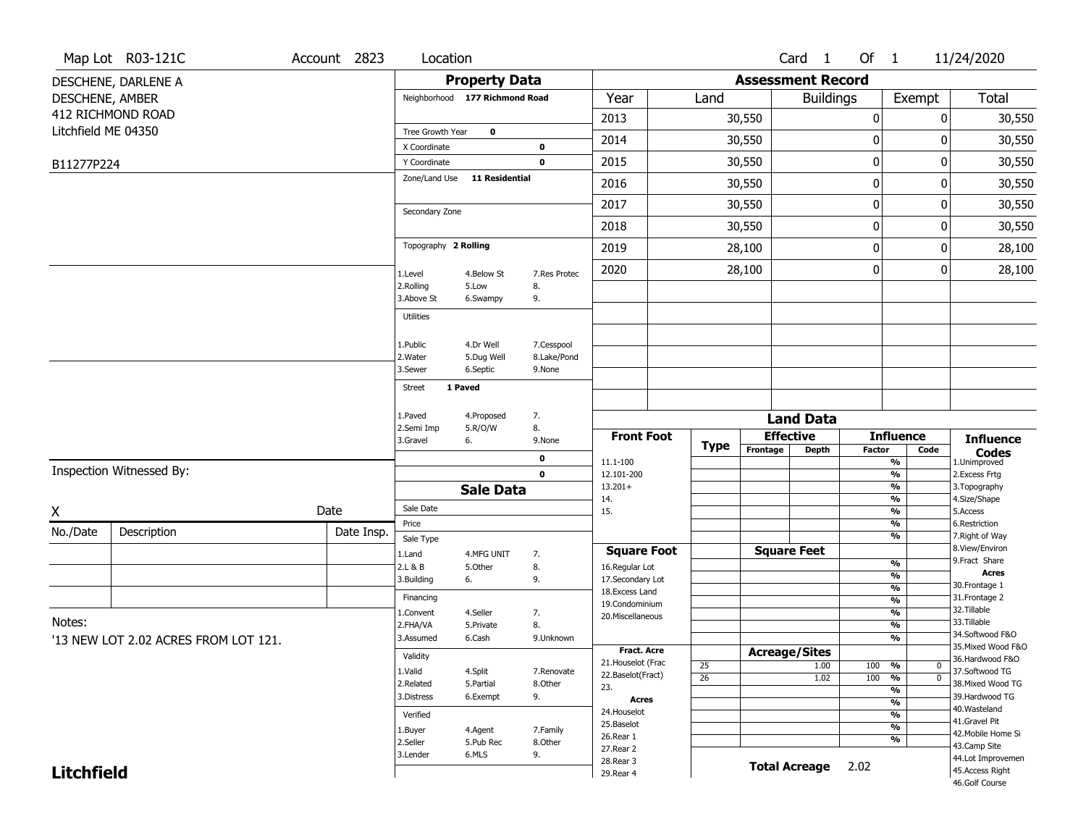|                     | Map Lot R03-121C                     | Account 2823        | Location                     |                                |                           |                                  |                 |                      | Card <sub>1</sub>        | Of 1             |                                           | 11/24/2020                          |
|---------------------|--------------------------------------|---------------------|------------------------------|--------------------------------|---------------------------|----------------------------------|-----------------|----------------------|--------------------------|------------------|-------------------------------------------|-------------------------------------|
|                     | DESCHENE, DARLENE A                  |                     |                              | <b>Property Data</b>           |                           |                                  |                 |                      | <b>Assessment Record</b> |                  |                                           |                                     |
| DESCHENE, AMBER     |                                      |                     |                              | Neighborhood 177 Richmond Road |                           | Year                             | Land            |                      | <b>Buildings</b>         |                  | Exempt                                    | Total                               |
|                     | 412 RICHMOND ROAD                    |                     |                              |                                |                           | 2013                             |                 | 30,550               |                          | $\boldsymbol{0}$ |                                           | 0<br>30,550                         |
| Litchfield ME 04350 |                                      |                     | Tree Growth Year             | $\mathbf 0$                    |                           | 2014                             |                 | 30,550               |                          | $\boldsymbol{0}$ |                                           | 30,550<br>0                         |
|                     |                                      |                     | X Coordinate<br>Y Coordinate |                                | 0<br>$\mathbf 0$          | 2015                             |                 | 30,550               |                          | 0                |                                           | 30,550<br>0                         |
| B11277P224          |                                      |                     | Zone/Land Use                | <b>11 Residential</b>          |                           |                                  |                 |                      |                          |                  |                                           |                                     |
|                     |                                      |                     |                              |                                |                           | 2016                             |                 | 30,550               |                          | $\mathbf 0$      |                                           | 30,550<br>0                         |
|                     |                                      |                     | Secondary Zone               |                                |                           | 2017                             |                 | 30,550               |                          | $\mathbf 0$      |                                           | 0<br>30,550                         |
|                     |                                      |                     |                              |                                |                           | 2018                             |                 | 30,550               |                          | 0                |                                           | 30,550<br>0                         |
|                     |                                      |                     | Topography 2 Rolling         |                                |                           | 2019                             |                 | 28,100               |                          | $\mathbf 0$      |                                           | 28,100<br>0                         |
|                     |                                      |                     | 1.Level                      | 4.Below St                     | 7.Res Protec              | 2020                             |                 | 28,100               |                          | $\boldsymbol{0}$ |                                           | 0<br>28,100                         |
|                     |                                      |                     | 2.Rolling<br>3.Above St      | 5.Low<br>6.Swampy              | 8.<br>9.                  |                                  |                 |                      |                          |                  |                                           |                                     |
|                     |                                      |                     | <b>Utilities</b>             |                                |                           |                                  |                 |                      |                          |                  |                                           |                                     |
|                     |                                      |                     |                              | 4.Dr Well                      |                           |                                  |                 |                      |                          |                  |                                           |                                     |
|                     |                                      |                     | 1.Public<br>2. Water         | 5.Dug Well                     | 7.Cesspool<br>8.Lake/Pond |                                  |                 |                      |                          |                  |                                           |                                     |
|                     |                                      |                     | 3.Sewer                      | 6.Septic                       | 9.None                    |                                  |                 |                      |                          |                  |                                           |                                     |
|                     |                                      |                     | <b>Street</b>                | 1 Paved                        |                           |                                  |                 |                      |                          |                  |                                           |                                     |
|                     |                                      |                     | 1.Paved                      | 4.Proposed                     | 7.                        |                                  |                 |                      | <b>Land Data</b>         |                  |                                           |                                     |
|                     |                                      |                     | 2.Semi Imp                   | 5.R/O/W                        | 8.                        | <b>Front Foot</b>                |                 |                      | <b>Effective</b>         |                  | <b>Influence</b>                          | <b>Influence</b>                    |
|                     |                                      |                     | 3.Gravel                     | 6.                             | 9.None                    |                                  | <b>Type</b>     | Frontage             | <b>Depth</b>             | <b>Factor</b>    | Code                                      | <b>Codes</b>                        |
|                     | Inspection Witnessed By:             |                     |                              |                                | 0<br>$\mathbf 0$          | 11.1-100<br>12.101-200           |                 |                      |                          |                  | %<br>$\frac{9}{6}$                        | 1.Unimproved<br>2.Excess Frtg       |
|                     |                                      |                     |                              | <b>Sale Data</b>               |                           | $13.201+$                        |                 |                      |                          |                  | $\frac{9}{6}$                             | 3. Topography                       |
| Χ                   |                                      | Date                | Sale Date                    |                                |                           | 14.<br>15.                       |                 |                      |                          |                  | $\frac{9}{6}$<br>%                        | 4.Size/Shape<br>5.Access            |
| No./Date            | Description                          | Date Insp.          | Price                        |                                |                           |                                  |                 |                      |                          |                  | $\frac{9}{6}$                             | 6.Restriction                       |
|                     |                                      |                     | Sale Type                    |                                |                           | <b>Square Foot</b>               |                 |                      | <b>Square Feet</b>       |                  | %                                         | 7. Right of Way<br>8.View/Environ   |
|                     |                                      |                     | 1.Land<br>2.L & B            | 4.MFG UNIT<br>5.Other          | 7.<br>8.                  | 16.Regular Lot                   |                 |                      |                          |                  | %                                         | 9.Fract Share                       |
|                     |                                      |                     | 3.Building                   | 6.                             | 9.                        | 17.Secondary Lot                 |                 |                      |                          |                  | $\overline{\frac{9}{6}}$<br>$\frac{9}{6}$ | <b>Acres</b><br>30. Frontage 1      |
|                     |                                      |                     | Financing                    |                                |                           | 18.Excess Land<br>19.Condominium |                 |                      |                          |                  | $\frac{9}{6}$                             | 31. Frontage 2                      |
| Notes:              |                                      |                     | 1.Convent                    | 4.Seller                       | 7.                        | 20.Miscellaneous                 |                 |                      |                          |                  | $\frac{9}{6}$                             | 32.Tillable<br>33.Tillable          |
|                     |                                      |                     | 2.FHA/VA<br>3.Assumed        | 5.Private<br>6.Cash            | 8.<br>9.Unknown           |                                  |                 |                      |                          |                  | $\frac{9}{6}$<br>$\frac{9}{6}$            | 34.Softwood F&O                     |
|                     | '13 NEW LOT 2.02 ACRES FROM LOT 121. |                     |                              |                                |                           | <b>Fract. Acre</b>               |                 |                      | <b>Acreage/Sites</b>     |                  |                                           | 35. Mixed Wood F&O                  |
|                     |                                      |                     | Validity<br>1.Valid          |                                | 7.Renovate                | 21. Houselot (Frac               | 25              |                      | 1.00                     | 100              | %<br>U                                    | 36.Hardwood F&O                     |
|                     |                                      |                     | 2.Related                    | 4.Split<br>5.Partial           | 8.Other                   | 22.Baselot(Fract)<br>23.         | $\overline{26}$ |                      | 1.02                     | 100 %            | $\mathbf 0$                               | 37.Softwood TG<br>38. Mixed Wood TG |
|                     |                                      |                     | 3.Distress                   | 6.Exempt                       | 9.                        | Acres                            |                 |                      |                          |                  | %<br>%                                    | 39.Hardwood TG                      |
|                     |                                      |                     | Verified                     |                                |                           | 24. Houselot                     |                 |                      |                          |                  | %                                         | 40. Wasteland                       |
|                     |                                      |                     |                              | 4.Agent                        | 7.Family                  | 25.Baselot                       |                 |                      |                          |                  | %                                         | 41.Gravel Pit<br>42. Mobile Home Si |
|                     |                                      | 1.Buyer<br>2.Seller | 5.Pub Rec                    | 8.Other                        | 26.Rear 1<br>27. Rear 2   |                                  |                 |                      |                          | %                | 43.Camp Site                              |                                     |
|                     |                                      | 3.Lender            | 6.MLS                        | 9.                             | 28. Rear 3                |                                  |                 | <b>Total Acreage</b> | 2.02                     |                  | 44.Lot Improvemen                         |                                     |
| <b>Litchfield</b>   |                                      |                     |                              |                                | 29. Rear 4                |                                  |                 |                      |                          |                  | 45.Access Right<br>46.Golf Course         |                                     |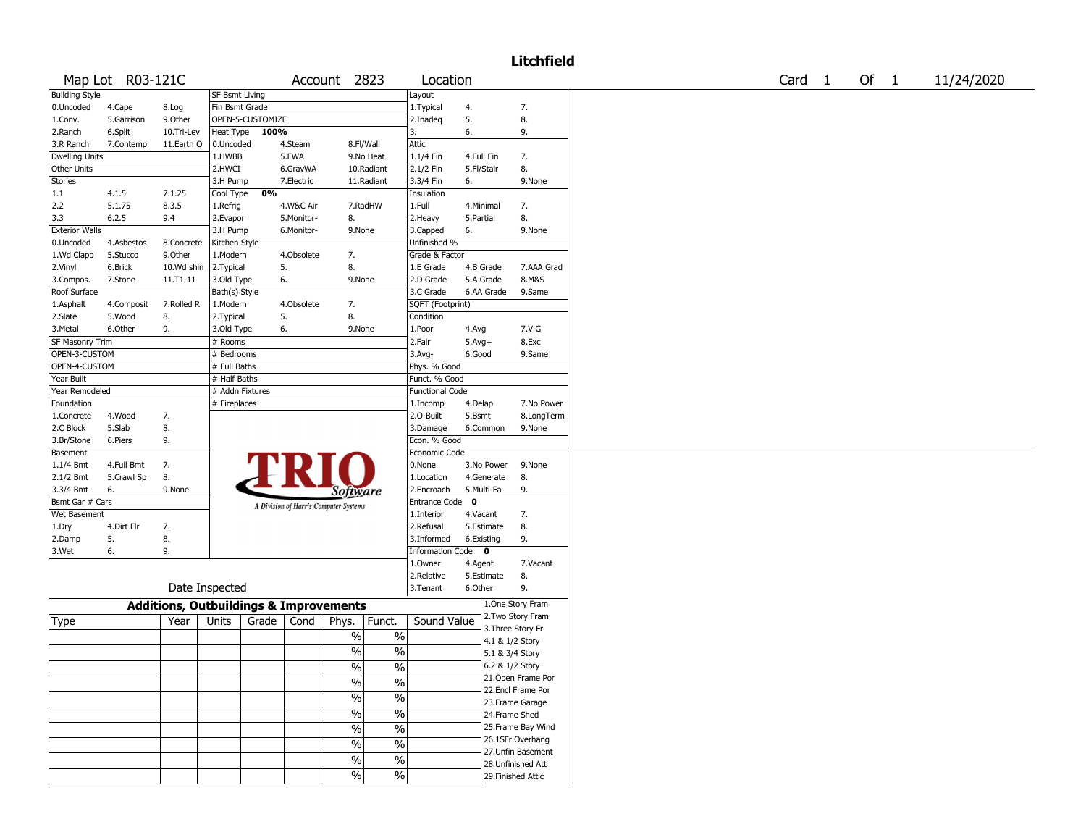## Litchfield

|                       | Map Lot R03-121C |                                                   |                       |                  |            | Account 2823                          |                          | Location               |             |            |                    | Card | $\overline{1}$ | Of 1 | 11/24/2020 |
|-----------------------|------------------|---------------------------------------------------|-----------------------|------------------|------------|---------------------------------------|--------------------------|------------------------|-------------|------------|--------------------|------|----------------|------|------------|
| <b>Building Style</b> |                  |                                                   | <b>SF Bsmt Living</b> |                  |            |                                       |                          | Layout                 |             |            |                    |      |                |      |            |
| 0.Uncoded             | 4.Cape           | 8.Log                                             | Fin Bsmt Grade        |                  |            |                                       |                          | 1. Typical             | 4.          |            | 7.                 |      |                |      |            |
| 1.Conv.               | 5.Garrison       | 9.Other                                           |                       | OPEN-5-CUSTOMIZE |            |                                       |                          | 2.Inadeq               | 5.          |            | 8.                 |      |                |      |            |
| 2.Ranch               | 6.Split          | 10.Tri-Lev                                        | <b>Heat Type</b>      | 100%             |            |                                       |                          | 3.                     | 6.          |            | 9.                 |      |                |      |            |
| 3.R Ranch             | 7.Contemp        | 11.Earth O                                        | 0.Uncoded             |                  | 4.Steam    |                                       | 8.Fl/Wall                | Attic                  |             |            |                    |      |                |      |            |
| <b>Dwelling Units</b> |                  |                                                   | 1.HWBB                |                  | 5.FWA      |                                       | 9.No Heat                | 1.1/4 Fin              | 4.Full Fin  |            | 7.                 |      |                |      |            |
| Other Units           |                  |                                                   | 2.HWCI                |                  | 6.GravWA   |                                       | 10.Radiant               | 2.1/2 Fin              | 5.Fl/Stair  |            | 8.                 |      |                |      |            |
| Stories               |                  |                                                   | 3.H Pump              |                  | 7.Electric |                                       | 11.Radiant               | 3.3/4 Fin              | 6.          |            | 9.None             |      |                |      |            |
| $1.1$                 | 4.1.5            | 7.1.25                                            | Cool Type             | 0%               |            |                                       |                          | Insulation             |             |            |                    |      |                |      |            |
| 2.2                   | 5.1.75           | 8.3.5                                             | 1.Refrig              |                  | 4.W&C Air  |                                       | 7.RadHW                  | 1.Full                 |             | 4.Minimal  | 7.                 |      |                |      |            |
| 3.3                   | 6.2.5            | 9.4                                               | 2.Evapor              |                  | 5.Monitor- | 8.                                    |                          | 2. Heavy               | 5.Partial   |            | 8.                 |      |                |      |            |
| <b>Exterior Walls</b> |                  |                                                   | 3.H Pump              |                  | 6.Monitor- | 9.None                                |                          | 3.Capped               | 6.          |            | 9.None             |      |                |      |            |
| 0.Uncoded             | 4.Asbestos       | 8.Concrete                                        | Kitchen Style         |                  |            |                                       |                          | Unfinished %           |             |            |                    |      |                |      |            |
| 1.Wd Clapb            | 5.Stucco         | 9.Other                                           | 1.Modern              |                  | 4.Obsolete | 7.                                    |                          | Grade & Factor         |             |            |                    |      |                |      |            |
| 2.Vinyl               | 6.Brick          | 10.Wd shin                                        | 2. Typical            |                  | 5.         | 8.                                    |                          | 1.E Grade              |             | 4.B Grade  | 7.AAA Grad         |      |                |      |            |
| 3.Compos.             | 7.Stone          | $11. T1 - 11$                                     | 3.Old Type            |                  | 6.         | 9.None                                |                          | 2.D Grade              |             | 5.A Grade  | 8.M&S              |      |                |      |            |
| Roof Surface          |                  |                                                   | Bath(s) Style         |                  |            |                                       |                          | 3.C Grade              |             | 6.AA Grade | 9.Same             |      |                |      |            |
| 1.Asphalt             | 4.Composit       | 7.Rolled R                                        | 1.Modern              |                  | 4.Obsolete | 7.                                    |                          | SQFT (Footprint)       |             |            |                    |      |                |      |            |
| 2.Slate               | 5.Wood           | 8.                                                | 2. Typical            |                  | 5.         | 8.                                    |                          | Condition              |             |            |                    |      |                |      |            |
| 3.Metal               | 6.Other          | 9.                                                | 3.Old Type            |                  | 6.         | 9.None                                |                          | 1.Poor                 | 4.Avg       |            | 7.V G              |      |                |      |            |
| SF Masonry Trim       |                  |                                                   | # Rooms               |                  |            |                                       |                          | 2.Fair                 | $5.Avg+$    |            | 8.Exc              |      |                |      |            |
| OPEN-3-CUSTOM         |                  |                                                   | # Bedrooms            |                  |            |                                       |                          | $3.Avq-$               | 6.Good      |            | 9.Same             |      |                |      |            |
| OPEN-4-CUSTOM         |                  |                                                   | # Full Baths          |                  |            |                                       |                          | Phys. % Good           |             |            |                    |      |                |      |            |
| Year Built            |                  |                                                   | # Half Baths          |                  |            |                                       |                          | Funct. % Good          |             |            |                    |      |                |      |            |
|                       |                  |                                                   |                       |                  |            |                                       |                          |                        |             |            |                    |      |                |      |            |
| Year Remodeled        |                  |                                                   | # Addn Fixtures       |                  |            |                                       |                          | <b>Functional Code</b> |             |            |                    |      |                |      |            |
| Foundation            |                  |                                                   | # Fireplaces          |                  |            |                                       |                          | 1.Incomp               | 4.Delap     |            | 7.No Power         |      |                |      |            |
| 1.Concrete            | 4.Wood           | 7.                                                |                       |                  |            |                                       |                          | 2.0-Built              | 5.Bsmt      |            | 8.LongTerm         |      |                |      |            |
| 2.C Block             | 5.Slab           | 8.                                                |                       |                  |            |                                       |                          | 3.Damage               |             | 6.Common   | 9.None             |      |                |      |            |
| 3.Br/Stone            | 6.Piers          | 9.                                                |                       |                  |            |                                       |                          | Econ. % Good           |             |            |                    |      |                |      |            |
| Basement              |                  |                                                   |                       |                  |            |                                       |                          | Economic Code          |             |            |                    |      |                |      |            |
| $1.1/4$ Bmt           | 4.Full Bmt       | 7.                                                |                       |                  |            |                                       |                          | 0.None                 |             | 3.No Power | 9.None             |      |                |      |            |
| 2.1/2 Bmt             | 5.Crawl Sp       | 8.                                                |                       |                  |            |                                       |                          | 1.Location             |             | 4.Generate | 8.                 |      |                |      |            |
| 3.3/4 Bmt             | 6.               | 9.None                                            |                       |                  |            | <i>Software</i>                       |                          | 2.Encroach             |             | 5.Multi-Fa | 9.                 |      |                |      |            |
| Bsmt Gar # Cars       |                  |                                                   |                       |                  |            | A Division of Harris Computer Systems |                          | <b>Entrance Code</b>   | $\mathbf 0$ |            |                    |      |                |      |            |
| Wet Basement          |                  |                                                   |                       |                  |            |                                       |                          | 1.Interior             | 4.Vacant    |            | 7.                 |      |                |      |            |
| 1.Dry                 | 4.Dirt Flr       | 7.                                                |                       |                  |            |                                       |                          | 2.Refusal              |             | 5.Estimate | 8.                 |      |                |      |            |
| 2.Damp                | 5.               | 8.                                                |                       |                  |            |                                       |                          | 3.Informed             |             | 6.Existing | 9.                 |      |                |      |            |
| 3.Wet                 | 6.               | 9.                                                |                       |                  |            |                                       |                          | Information Code 0     |             |            |                    |      |                |      |            |
|                       |                  |                                                   |                       |                  |            |                                       |                          | 1.Owner                | 4.Agent     |            | 7.Vacant           |      |                |      |            |
|                       |                  |                                                   |                       |                  |            |                                       |                          | 2.Relative             |             | 5.Estimate | 8.                 |      |                |      |            |
|                       |                  |                                                   | Date Inspected        |                  |            |                                       |                          | 3.Tenant               | 6.Other     |            | 9.                 |      |                |      |            |
|                       |                  | <b>Additions, Outbuildings &amp; Improvements</b> |                       |                  |            |                                       |                          |                        |             |            | 1.One Story Fram   |      |                |      |            |
|                       |                  |                                                   |                       |                  |            |                                       |                          |                        |             |            | 2. Two Story Fram  |      |                |      |            |
| Type                  |                  | Year                                              | Units                 | Grade $ $        | Cond       | Phys.                                 | Funct.                   | Sound Value            |             |            | 3. Three Story Fr  |      |                |      |            |
|                       |                  |                                                   |                       |                  |            | $\%$                                  | $\%$                     |                        |             |            | 4.1 & 1/2 Story    |      |                |      |            |
|                       |                  |                                                   |                       |                  |            | $\%$                                  | $\frac{0}{0}$            |                        |             |            | 5.1 & 3/4 Story    |      |                |      |            |
|                       |                  |                                                   |                       |                  |            | $\%$                                  | $\%$                     |                        |             |            | 6.2 & 1/2 Story    |      |                |      |            |
|                       |                  |                                                   |                       |                  |            |                                       |                          |                        |             |            | 21. Open Frame Por |      |                |      |            |
|                       |                  |                                                   |                       |                  |            | $\overline{\frac{0}{6}}$              | $\overline{\frac{0}{6}}$ |                        |             |            | 22.Encl Frame Por  |      |                |      |            |
|                       |                  |                                                   |                       |                  |            | $\%$                                  | $\%$                     |                        |             |            | 23. Frame Garage   |      |                |      |            |
|                       |                  |                                                   |                       |                  |            | $\%$                                  | $\overline{\frac{0}{6}}$ |                        |             |            | 24.Frame Shed      |      |                |      |            |
|                       |                  |                                                   |                       |                  |            |                                       |                          |                        |             |            | 25.Frame Bay Wind  |      |                |      |            |
|                       |                  |                                                   |                       |                  |            | $\%$                                  | $\%$                     |                        |             |            | 26.1SFr Overhang   |      |                |      |            |
|                       |                  |                                                   |                       |                  |            | $\%$                                  | $\overline{\frac{0}{6}}$ |                        |             |            | 27.Unfin Basement  |      |                |      |            |
|                       |                  |                                                   |                       |                  |            | $\%$                                  | $\overline{\frac{0}{6}}$ |                        |             |            | 28. Unfinished Att |      |                |      |            |
|                       |                  |                                                   |                       |                  |            | $\overline{\frac{0}{6}}$              | $\frac{1}{2}$            |                        |             |            | 29. Finished Attic |      |                |      |            |
|                       |                  |                                                   |                       |                  |            |                                       |                          |                        |             |            |                    |      |                |      |            |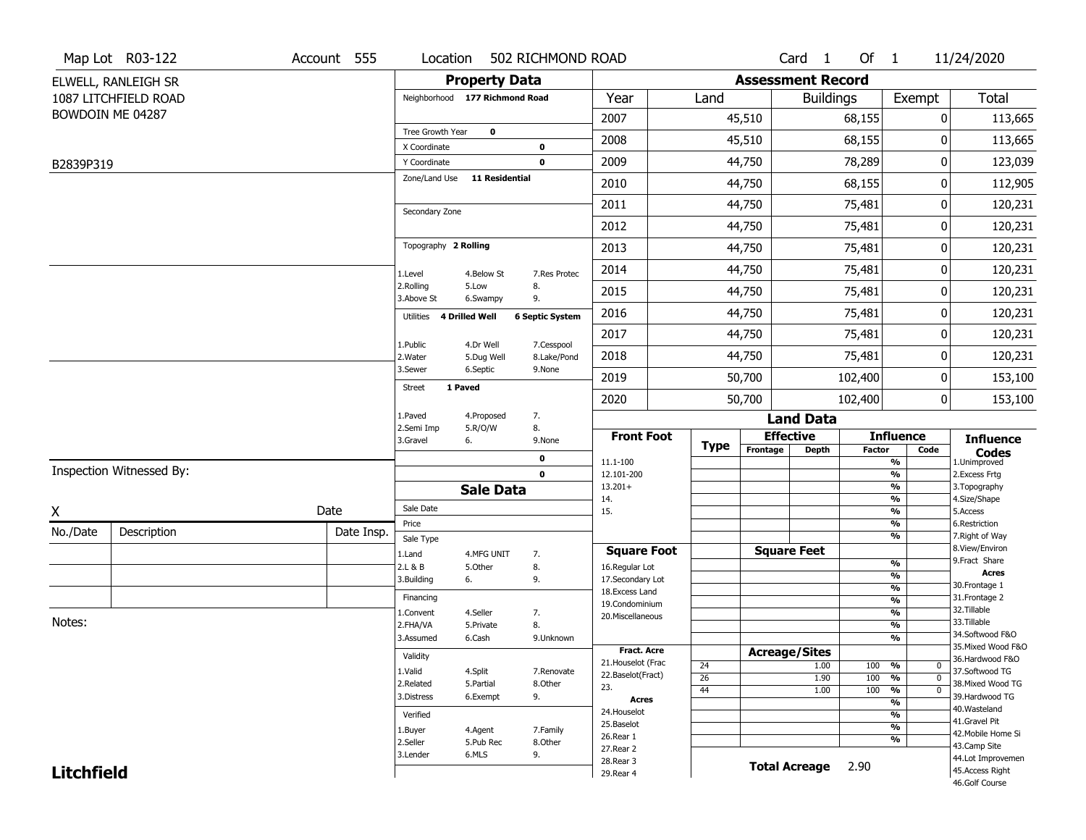|                   | Map Lot R03-122          | Account 555 | Location                     |                                | 502 RICHMOND ROAD          |                                  |                       |                          | Card <sub>1</sub>    | Of $1$        |                                | 11/24/2020                          |
|-------------------|--------------------------|-------------|------------------------------|--------------------------------|----------------------------|----------------------------------|-----------------------|--------------------------|----------------------|---------------|--------------------------------|-------------------------------------|
|                   | ELWELL, RANLEIGH SR      |             |                              | <b>Property Data</b>           |                            |                                  |                       | <b>Assessment Record</b> |                      |               |                                |                                     |
|                   | 1087 LITCHFIELD ROAD     |             |                              | Neighborhood 177 Richmond Road |                            | Year                             | Land                  |                          | <b>Buildings</b>     |               | Exempt                         | <b>Total</b>                        |
|                   | BOWDOIN ME 04287         |             |                              |                                |                            | 2007                             |                       | 45,510                   |                      | 68,155        | 0                              | 113,665                             |
|                   |                          |             | Tree Growth Year             | $\mathbf 0$                    |                            | 2008                             |                       | 45,510                   |                      | 68,155        | 0                              | 113,665                             |
|                   |                          |             | X Coordinate<br>Y Coordinate |                                | $\mathbf 0$<br>$\mathbf 0$ | 2009                             |                       | 44,750                   |                      | 78,289        | 0                              | 123,039                             |
| B2839P319         |                          |             | Zone/Land Use                | <b>11 Residential</b>          |                            |                                  |                       |                          |                      |               |                                |                                     |
|                   |                          |             |                              |                                |                            | 2010                             |                       | 44,750                   |                      | 68,155        | 0                              | 112,905                             |
|                   |                          |             | Secondary Zone               |                                |                            | 2011                             |                       | 44,750                   |                      | 75,481        | 0                              | 120,231                             |
|                   |                          |             |                              |                                |                            | 2012                             |                       | 44,750                   |                      | 75,481        | 0                              | 120,231                             |
|                   |                          |             | Topography 2 Rolling         |                                |                            | 2013                             |                       | 44,750                   |                      | 75,481        | 0                              | 120,231                             |
|                   |                          |             | 1.Level                      | 4.Below St                     | 7.Res Protec               | 2014                             |                       | 44,750                   |                      | 75,481        | 0                              | 120,231                             |
|                   |                          |             | 2.Rolling<br>3.Above St      | 5.Low<br>6.Swampy              | 8.<br>9.                   | 2015                             |                       | 44,750                   |                      | 75,481        | 0                              | 120,231                             |
|                   |                          |             | Utilities                    | 4 Drilled Well                 | <b>6 Septic System</b>     | 2016                             |                       | 44,750                   |                      | 75,481        | 0                              | 120,231                             |
|                   |                          |             | 1.Public                     | 4.Dr Well                      | 7.Cesspool                 | 2017                             |                       | 44,750                   |                      | 75,481        | 0                              | 120,231                             |
|                   |                          |             | 2. Water                     | 5.Dug Well                     | 8.Lake/Pond                | 2018                             |                       | 44,750                   |                      | 75,481        | 0                              | 120,231                             |
|                   |                          |             | 3.Sewer                      | 6.Septic                       | 9.None                     | 2019                             |                       | 50,700                   |                      | 102,400       | 0                              | 153,100                             |
|                   |                          |             | <b>Street</b>                | 1 Paved                        |                            | 2020                             |                       | 50,700                   |                      | 102,400       | 0                              | 153,100                             |
|                   |                          |             | 1.Paved                      | 4.Proposed                     | 7.                         |                                  |                       |                          | <b>Land Data</b>     |               |                                |                                     |
|                   |                          |             | 2.Semi Imp<br>3.Gravel       | 5.R/O/W<br>6.                  | 8.<br>9.None               | <b>Front Foot</b>                |                       | <b>Effective</b>         |                      |               | <b>Influence</b>               | <b>Influence</b>                    |
|                   |                          |             |                              |                                | $\pmb{0}$                  | 11.1-100                         | <b>Type</b>           | Frontage                 | <b>Depth</b>         | <b>Factor</b> | Code<br>%                      | <b>Codes</b><br>1.Unimproved        |
|                   | Inspection Witnessed By: |             |                              |                                | $\mathbf 0$                | 12.101-200                       |                       |                          |                      |               | $\frac{9}{6}$                  | 2.Excess Frtg                       |
|                   |                          |             |                              | <b>Sale Data</b>               |                            | $13.201+$<br>14.                 |                       |                          |                      |               | %<br>%                         | 3. Topography<br>4.Size/Shape       |
| X                 |                          | Date        | Sale Date                    |                                |                            | 15.                              |                       |                          |                      |               | $\frac{9}{6}$                  | 5.Access                            |
| No./Date          | Description              | Date Insp.  | Price                        |                                |                            |                                  |                       |                          |                      |               | %<br>%                         | 6.Restriction<br>7. Right of Way    |
|                   |                          |             | Sale Type<br>1.Land          | 4.MFG UNIT                     | 7.                         | <b>Square Foot</b>               |                       |                          | <b>Square Feet</b>   |               |                                | 8.View/Environ                      |
|                   |                          |             | 2.L & B                      | 5.Other                        | 8.                         | 16.Regular Lot                   |                       |                          |                      |               | $\frac{9}{6}$                  | 9.Fract Share<br><b>Acres</b>       |
|                   |                          |             | 3.Building                   | 6.                             | 9.                         | 17.Secondary Lot                 |                       |                          |                      |               | $\frac{9}{6}$<br>$\frac{9}{6}$ | 30. Frontage 1                      |
|                   |                          |             | Financing                    |                                |                            | 18.Excess Land<br>19.Condominium |                       |                          |                      |               | $\frac{9}{6}$                  | 31. Frontage 2                      |
|                   |                          |             | 1.Convent                    | 4.Seller                       | 7.                         | 20.Miscellaneous                 |                       |                          |                      |               | $\frac{9}{6}$                  | 32.Tillable                         |
| Notes:            |                          |             | 2.FHA/VA                     | 5.Private                      | 8.                         |                                  |                       |                          |                      |               | $\frac{9}{6}$                  | 33.Tillable<br>34.Softwood F&O      |
|                   |                          |             | 3.Assumed                    | 6.Cash                         | 9.Unknown                  | <b>Fract. Acre</b>               |                       |                          |                      |               | $\frac{9}{6}$                  | 35. Mixed Wood F&O                  |
|                   |                          |             | Validity                     |                                |                            | 21. Houselot (Frac               |                       |                          | <b>Acreage/Sites</b> |               |                                | 36.Hardwood F&O                     |
|                   |                          |             | 1.Valid                      | 4.Split                        | 7.Renovate                 | 22.Baselot(Fract)                | 24<br>$\overline{26}$ |                          | 1.00<br>1.90         | 100<br>100    | %<br>0<br>%<br>$\mathbf 0$     | 37.Softwood TG                      |
|                   |                          |             | 2.Related                    | 5.Partial                      | 8.Other                    | 23.                              | 44                    |                          | 1.00                 | 100           | $\frac{9}{6}$<br>$\mathbf 0$   | 38. Mixed Wood TG                   |
|                   |                          | 3.Distress  | 6.Exempt                     | 9.                             | <b>Acres</b>               |                                  |                       |                          |                      | $\frac{9}{6}$ | 39.Hardwood TG                 |                                     |
|                   |                          |             | Verified                     |                                |                            | 24. Houselot                     |                       |                          |                      |               | $\frac{9}{6}$                  | 40. Wasteland                       |
|                   |                          |             | 1.Buyer                      | 4.Agent                        | 7.Family                   | 25.Baselot                       |                       |                          |                      |               | $\frac{9}{6}$                  | 41.Gravel Pit<br>42. Mobile Home Si |
|                   |                          |             | 2.Seller                     | 5.Pub Rec                      | 8.0ther                    | 26.Rear 1<br>27.Rear 2           |                       |                          |                      |               | $\frac{9}{6}$                  | 43.Camp Site                        |
|                   |                          | 3.Lender    | 6.MLS                        | 9.                             | 28. Rear 3                 |                                  |                       |                          |                      |               | 44.Lot Improvemen              |                                     |
| <b>Litchfield</b> |                          |             |                              |                                | 29. Rear 4                 |                                  |                       | <b>Total Acreage</b>     | 2.90                 |               | 45.Access Right                |                                     |
|                   |                          |             |                              |                                |                            |                                  |                       |                          |                      |               |                                | 46.Golf Course                      |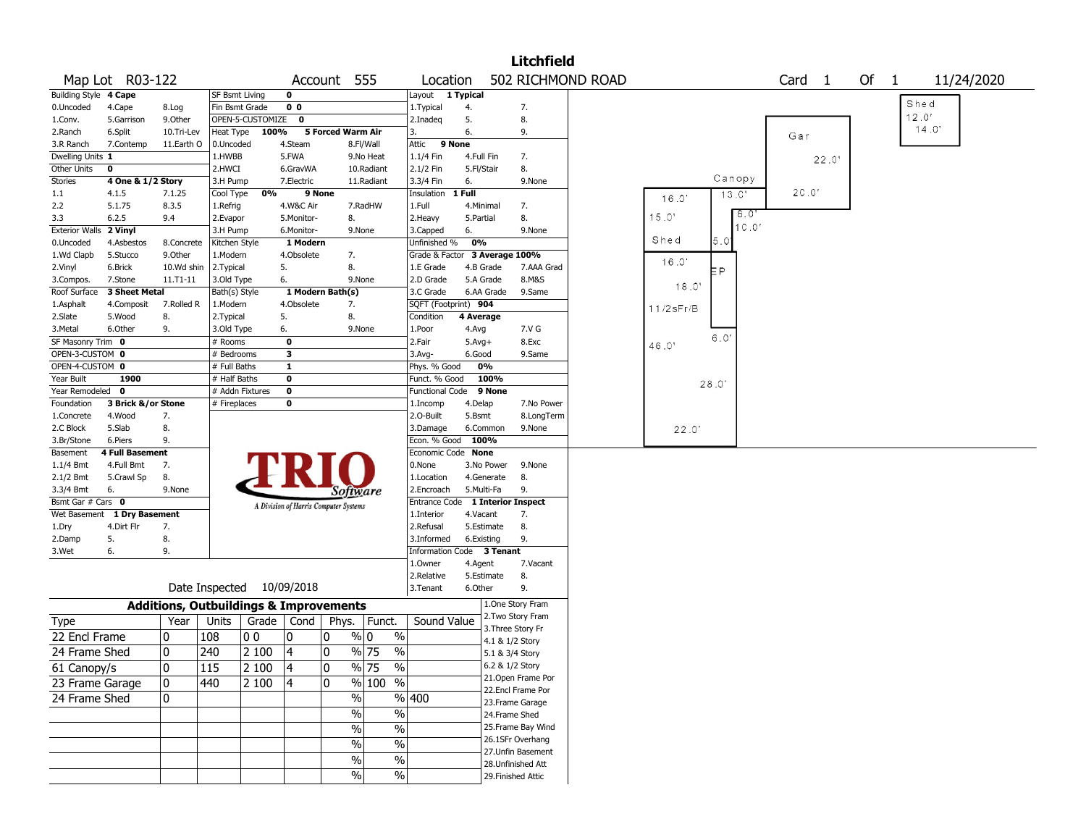|                       |                        |             |                                                   |                  |                                       |                   |                         |                                  |            |                    | <b>Litchfield</b>  |                   |              |        |        |       |      |       |            |  |
|-----------------------|------------------------|-------------|---------------------------------------------------|------------------|---------------------------------------|-------------------|-------------------------|----------------------------------|------------|--------------------|--------------------|-------------------|--------------|--------|--------|-------|------|-------|------------|--|
|                       | Map Lot R03-122        |             |                                                   |                  |                                       | Account 555       |                         | Location                         |            |                    |                    | 502 RICHMOND ROAD |              |        | Card 1 |       | Of 1 |       | 11/24/2020 |  |
| Building Style 4 Cape |                        |             | <b>SF Bsmt Living</b>                             |                  | 0                                     |                   |                         | Layout                           | 1 Typical  |                    |                    |                   |              |        |        |       |      |       |            |  |
| 0.Uncoded             | 4.Cape                 | 8.Log       | Fin Bsmt Grade                                    |                  | 0 <sub>0</sub>                        |                   |                         | 1. Typical                       | 4.         |                    | 7.                 |                   |              |        |        |       |      | Shed  |            |  |
| 1.Conv.               | 5.Garrison             | 9.Other     |                                                   | OPEN-5-CUSTOMIZE | 0                                     |                   |                         | 2.Inadeq                         | 5.         |                    | 8.                 |                   |              |        |        |       |      | 12.0' |            |  |
| 2.Ranch               | 6.Split                | 10.Tri-Lev  | Heat Type                                         | 100%             |                                       | 5 Forced Warm Air |                         | 3.                               | 6.         |                    | 9.                 |                   |              |        | Gar    |       |      |       | 14.0'      |  |
| 3.R Ranch             | 7.Contemp              | 11.Earth O  | 0.Uncoded                                         |                  | 4.Steam                               |                   | 8.Fl/Wall               | Attic                            | 9 None     |                    |                    |                   |              |        |        |       |      |       |            |  |
| Dwelling Units 1      |                        |             | 1.HWBB                                            |                  | 5.FWA                                 |                   | 9.No Heat               | 1.1/4 Fin                        | 4.Full Fin |                    | 7.                 |                   |              |        |        | 22.0' |      |       |            |  |
| Other Units           | 0                      |             | 2.HWCI                                            |                  | 6.GravWA                              |                   | 10.Radiant              | 2.1/2 Fin                        | 5.Fl/Stair |                    | 8.                 |                   |              |        |        |       |      |       |            |  |
| <b>Stories</b>        | 4 One & 1/2 Story      |             | 3.H Pump                                          |                  | 7.Electric                            |                   | 11.Radiant              | 3.3/4 Fin                        | 6.         |                    | 9.None             |                   |              | Canopy |        |       |      |       |            |  |
| 1.1                   | 4.1.5                  | 7.1.25      | Cool Type                                         | 0%               | 9 None                                |                   |                         | Insulation                       | 1 Full     |                    |                    |                   | 16.0'        | 13.0'  | 20.0   |       |      |       |            |  |
| 2.2                   | 5.1.75                 | 8.3.5       | 1.Refrig                                          |                  | 4.W&C Air                             |                   | 7.RadHW                 | 1.Full                           | 4.Minimal  |                    | 7.                 |                   |              |        |        |       |      |       |            |  |
| 3.3                   | 6.2.5                  | 9.4         | 2.Evapor                                          |                  | 5.Monitor-                            | 8.                |                         | 2. Heavy                         | 5.Partial  |                    | 8.                 |                   | 15.0'        | 8.0"   |        |       |      |       |            |  |
| <b>Exterior Walls</b> | 2 Vinyl                |             | 3.H Pump                                          |                  | 6.Monitor-                            |                   | 9.None                  | 3.Capped                         | 6.         |                    | 9.None             |                   |              | 10.0'  |        |       |      |       |            |  |
| 0.Uncoded             | 4.Asbestos             | 8.Concrete  | Kitchen Style                                     |                  | 1 Modern                              |                   |                         | Unfinished %                     | 0%         |                    |                    |                   | Shed         | 5.0    |        |       |      |       |            |  |
| 1.Wd Clapb            | 5.Stucco               | 9.0ther     | 1.Modern                                          |                  | 4.Obsolete                            | 7.                |                         | Grade & Factor                   |            | 3 Average 100%     |                    |                   |              |        |        |       |      |       |            |  |
| 2.Vinyl               | 6.Brick                | 10.Wd shin  | 2. Typical                                        |                  | 5.                                    | 8.                |                         | 1.E Grade                        | 4.B Grade  |                    | 7.AAA Grad         |                   | 16.0'        | P      |        |       |      |       |            |  |
| 3.Compos.             | 7.Stone                | 11.T1-11    | 3.Old Type                                        |                  | 6.                                    |                   | 9.None                  | 2.D Grade                        | 5.A Grade  |                    | 8.M&S              |                   |              |        |        |       |      |       |            |  |
| Roof Surface          | 3 Sheet Metal          |             | Bath(s) Style                                     |                  |                                       | 1 Modern Bath(s)  |                         | 3.C Grade                        | 6.AA Grade |                    | 9.Same             |                   | 18.0'        |        |        |       |      |       |            |  |
| 1.Asphalt             | 4.Composit             | 7.Rolled R  | 1.Modern                                          |                  | 4.Obsolete                            | 7.                |                         | SQFT (Footprint) 904             |            |                    |                    |                   | $11/2$ sFr/B |        |        |       |      |       |            |  |
| 2.Slate               | 5.Wood                 | 8.          | 2. Typical                                        |                  | 5.                                    | 8.                |                         | Condition                        | 4 Average  |                    |                    |                   |              |        |        |       |      |       |            |  |
| 3.Metal               | 6.Other                | 9.          | 3.Old Type                                        |                  | 6.                                    |                   | 9.None                  | 1.Poor                           | 4.Avg      |                    | 7.V G              |                   |              |        |        |       |      |       |            |  |
| SF Masonry Trim 0     |                        |             | # Rooms                                           |                  | 0                                     |                   |                         | 2.Fair                           | $5.Avg+$   |                    | 8.Exc              |                   | 46.0'        | 6.0'   |        |       |      |       |            |  |
| OPEN-3-CUSTOM 0       |                        |             | # Bedrooms                                        |                  | 3                                     |                   |                         | $3.$ Avg-                        | 6.Good     |                    | 9.Same             |                   |              |        |        |       |      |       |            |  |
| OPEN-4-CUSTOM 0       |                        |             | # Full Baths                                      |                  | $\mathbf{1}$                          |                   |                         | Phys. % Good                     | 0%         |                    |                    |                   |              |        |        |       |      |       |            |  |
| Year Built            | 1900                   |             | # Half Baths                                      |                  | $\mathbf 0$                           |                   |                         | Funct. % Good                    | 100%       |                    |                    |                   |              |        |        |       |      |       |            |  |
| Year Remodeled 0      |                        |             | # Addn Fixtures                                   |                  | $\mathbf 0$                           |                   |                         | <b>Functional Code</b>           |            | 9 None             |                    |                   |              | 28.0   |        |       |      |       |            |  |
| Foundation            | 3 Brick &/or Stone     |             | # Fireplaces                                      |                  | 0                                     |                   |                         | 1.Incomp                         | 4.Delap    |                    | 7.No Power         |                   |              |        |        |       |      |       |            |  |
| 1.Concrete            | 4.Wood                 | 7.          |                                                   |                  |                                       |                   |                         | 2.0-Built                        | 5.Bsmt     |                    | 8.LongTerm         |                   |              |        |        |       |      |       |            |  |
| 2.C Block             | 5.Slab                 | 8.          |                                                   |                  |                                       |                   |                         | 3.Damage                         | 6.Common   |                    | 9.None             |                   | 22.0         |        |        |       |      |       |            |  |
| 3.Br/Stone            | 6.Piers                | 9.          |                                                   |                  |                                       |                   |                         | Econ. % Good                     | 100%       |                    |                    |                   |              |        |        |       |      |       |            |  |
| Basement              | <b>4 Full Basement</b> |             |                                                   |                  |                                       |                   |                         | Economic Code None               |            |                    |                    |                   |              |        |        |       |      |       |            |  |
| 1.1/4 Bmt             | 4.Full Bmt             | 7.          |                                                   |                  |                                       |                   |                         | 0.None                           | 3.No Power |                    | 9.None             |                   |              |        |        |       |      |       |            |  |
| 2.1/2 Bmt             | 5.Crawl Sp             | 8.          |                                                   |                  |                                       |                   |                         | 1.Location                       | 4.Generate |                    | 8.                 |                   |              |        |        |       |      |       |            |  |
| 3.3/4 Bmt             | 6.                     | 9.None      |                                                   |                  |                                       | Software          |                         | 2.Encroach                       | 5.Multi-Fa |                    | 9.                 |                   |              |        |        |       |      |       |            |  |
| Bsmt Gar # Cars 0     |                        |             |                                                   |                  |                                       |                   |                         | Entrance Code 1 Interior Inspect |            |                    |                    |                   |              |        |        |       |      |       |            |  |
| Wet Basement          | 1 Dry Basement         |             |                                                   |                  | A Division of Harris Computer Systems |                   |                         | 1.Interior                       | 4.Vacant   |                    | 7.                 |                   |              |        |        |       |      |       |            |  |
| 1.Dry                 | 4.Dirt Flr             | 7.          |                                                   |                  |                                       |                   |                         | 2.Refusal                        | 5.Estimate |                    | 8.                 |                   |              |        |        |       |      |       |            |  |
| 2.Damp                | 5.                     | 8.          |                                                   |                  |                                       |                   |                         | 3.Informed                       | 6.Existing |                    | 9.                 |                   |              |        |        |       |      |       |            |  |
| 3.Wet                 | 6.                     | 9.          |                                                   |                  |                                       |                   |                         | Information Code 3 Tenant        |            |                    |                    |                   |              |        |        |       |      |       |            |  |
|                       |                        |             |                                                   |                  |                                       |                   |                         | 1.Owner                          | 4.Agent    |                    | 7.Vacant           |                   |              |        |        |       |      |       |            |  |
|                       |                        |             |                                                   |                  |                                       |                   |                         | 2.Relative                       | 5.Estimate |                    | 8.                 |                   |              |        |        |       |      |       |            |  |
|                       |                        |             | Date Inspected                                    |                  | 10/09/2018                            |                   |                         | 3.Tenant                         | 6.Other    |                    | 9.                 |                   |              |        |        |       |      |       |            |  |
|                       |                        |             | <b>Additions, Outbuildings &amp; Improvements</b> |                  |                                       |                   |                         |                                  |            | 1.One Story Fram   |                    |                   |              |        |        |       |      |       |            |  |
| Type                  |                        | Year        | Units                                             | Grade            | Cond                                  | Phys.             | Funct.                  | Sound Value                      |            | 2. Two Story Fram  |                    |                   |              |        |        |       |      |       |            |  |
| 22 Encl Frame         |                        | 0           | 108                                               | 00               | 0                                     | 10                | $\frac{9}{0}$ 0<br>$\%$ |                                  |            | 3. Three Story Fr  |                    |                   |              |        |        |       |      |       |            |  |
| 24 Frame Shed         |                        | 0           |                                                   |                  |                                       |                   |                         |                                  |            | 4.1 & 1/2 Story    |                    |                   |              |        |        |       |      |       |            |  |
|                       |                        |             | 240                                               | 2 100            | 4                                     | 10                | % 75<br>$\%$            |                                  |            | 5.1 & 3/4 Story    |                    |                   |              |        |        |       |      |       |            |  |
| 61 Canopy/s           |                        | $\mathbf 0$ | 115                                               | 2 100            | 14                                    | 10                | $\sqrt{96}$ 75<br>$\%$  |                                  |            | 6.2 & 1/2 Story    |                    |                   |              |        |        |       |      |       |            |  |
| 23 Frame Garage       |                        | 0           | 440                                               | 2 100            | $\vert 4$                             | 10                | % 100 %                 |                                  |            |                    | 21. Open Frame Por |                   |              |        |        |       |      |       |            |  |
| 24 Frame Shed         |                        | 0           |                                                   |                  |                                       | $\%$              |                         | %  400                           |            |                    | 22.Encl Frame Por  |                   |              |        |        |       |      |       |            |  |
|                       |                        |             |                                                   |                  |                                       |                   |                         |                                  |            | 23. Frame Garage   |                    |                   |              |        |        |       |      |       |            |  |
|                       |                        |             |                                                   |                  |                                       | $\%$              | $\%$                    |                                  |            | 24.Frame Shed      |                    |                   |              |        |        |       |      |       |            |  |
|                       |                        |             |                                                   |                  |                                       | $\%$              | $\frac{1}{2}$           |                                  |            |                    | 25. Frame Bay Wind |                   |              |        |        |       |      |       |            |  |
|                       |                        |             |                                                   |                  |                                       | $\%$              | $\%$                    |                                  |            |                    | 26.1SFr Overhang   |                   |              |        |        |       |      |       |            |  |
|                       |                        |             |                                                   |                  |                                       | $\%$              | $\%$                    |                                  |            |                    | 27.Unfin Basement  |                   |              |        |        |       |      |       |            |  |
|                       |                        |             |                                                   |                  |                                       |                   |                         |                                  |            | 28.Unfinished Att  |                    |                   |              |        |        |       |      |       |            |  |
|                       |                        |             |                                                   |                  |                                       | $\%$              | %                       |                                  |            | 29. Finished Attic |                    |                   |              |        |        |       |      |       |            |  |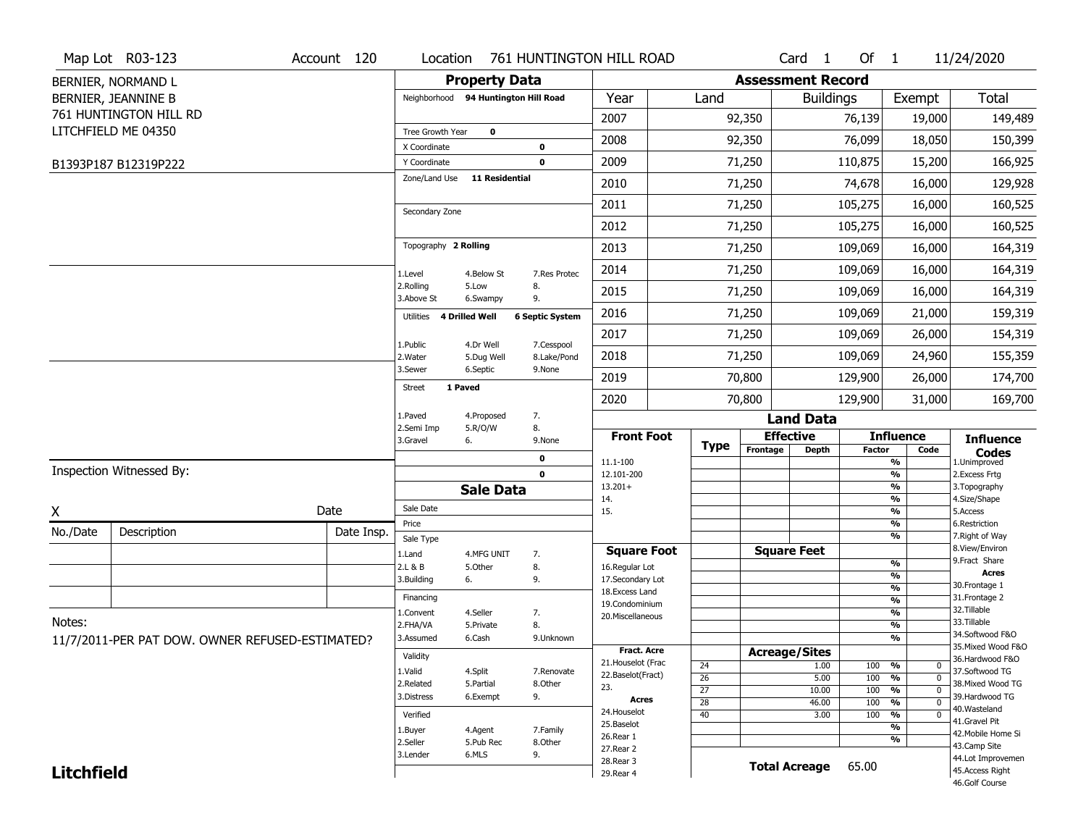|                   | Map Lot R03-123                                 | Account 120 | Location                     |                                      |                           | 761 HUNTINGTON HILL ROAD            |                 |                          | Card <sub>1</sub>    | Of $1$        |                                                      | 11/24/2020                          |
|-------------------|-------------------------------------------------|-------------|------------------------------|--------------------------------------|---------------------------|-------------------------------------|-----------------|--------------------------|----------------------|---------------|------------------------------------------------------|-------------------------------------|
|                   | BERNIER, NORMAND L                              |             |                              | <b>Property Data</b>                 |                           |                                     |                 | <b>Assessment Record</b> |                      |               |                                                      |                                     |
|                   | BERNIER, JEANNINE B                             |             |                              | Neighborhood 94 Huntington Hill Road |                           | Year                                | Land            |                          | <b>Buildings</b>     |               | Exempt                                               | Total                               |
|                   | 761 HUNTINGTON HILL RD                          |             |                              |                                      |                           | 2007                                |                 | 92,350                   |                      | 76,139        | 19,000                                               | 149,489                             |
|                   | LITCHFIELD ME 04350                             |             | Tree Growth Year             | $\mathbf 0$                          |                           | 2008                                |                 | 92,350                   |                      | 76,099        | 18,050                                               | 150,399                             |
|                   | B1393P187 B12319P222                            |             | X Coordinate<br>Y Coordinate |                                      | 0<br>$\mathbf 0$          | 2009                                |                 | 71,250                   |                      | 110,875       | 15,200                                               | 166,925                             |
|                   |                                                 |             | Zone/Land Use                | <b>11 Residential</b>                |                           | 2010                                |                 | 71,250                   |                      | 74,678        | 16,000                                               | 129,928                             |
|                   |                                                 |             |                              |                                      |                           | 2011                                |                 | 71,250                   |                      | 105,275       | 16,000                                               | 160,525                             |
|                   |                                                 |             | Secondary Zone               |                                      |                           | 2012                                |                 | 71,250                   |                      | 105,275       | 16,000                                               | 160,525                             |
|                   |                                                 |             | Topography 2 Rolling         |                                      |                           | 2013                                |                 | 71,250                   |                      | 109,069       | 16,000                                               | 164,319                             |
|                   |                                                 |             |                              |                                      |                           | 2014                                |                 | 71,250                   |                      | 109,069       | 16,000                                               | 164,319                             |
|                   |                                                 |             | 1.Level<br>2.Rolling         | 4.Below St<br>5.Low                  | 7.Res Protec<br>8.        | 2015                                |                 | 71,250                   |                      | 109,069       | 16,000                                               | 164,319                             |
|                   |                                                 |             | 3.Above St                   | 6.Swampy                             | 9.                        | 2016                                |                 | 71,250                   |                      | 109,069       | 21,000                                               | 159,319                             |
|                   |                                                 |             | Utilities                    | <b>4 Drilled Well</b>                | <b>6 Septic System</b>    | 2017                                |                 | 71,250                   |                      | 109,069       | 26,000                                               | 154,319                             |
|                   |                                                 |             | 1.Public<br>2. Water         | 4.Dr Well<br>5.Dug Well              | 7.Cesspool<br>8.Lake/Pond | 2018                                |                 | 71,250                   |                      | 109,069       | 24,960                                               | 155,359                             |
|                   |                                                 |             | 3.Sewer                      | 6.Septic                             | 9.None                    | 2019                                |                 | 70,800                   |                      | 129,900       | 26,000                                               | 174,700                             |
|                   |                                                 |             | Street                       | 1 Paved                              |                           | 2020                                |                 | 70,800                   |                      | 129,900       | 31,000                                               | 169,700                             |
|                   |                                                 |             | 1.Paved                      | 4.Proposed                           | 7.                        |                                     |                 |                          | <b>Land Data</b>     |               |                                                      |                                     |
|                   |                                                 |             | 2.Semi Imp<br>3.Gravel       | 5.R/O/W                              | 8.                        | <b>Front Foot</b>                   |                 |                          | <b>Effective</b>     |               | <b>Influence</b>                                     | <b>Influence</b>                    |
|                   |                                                 |             |                              | 6.                                   | 9.None<br>$\mathbf 0$     |                                     | <b>Type</b>     | Frontage                 | <b>Depth</b>         | <b>Factor</b> | Code                                                 | <b>Codes</b><br>1.Unimproved        |
|                   | Inspection Witnessed By:                        |             |                              |                                      | $\mathbf 0$               | 11.1-100<br>12.101-200              |                 |                          |                      |               | $\frac{9}{6}$<br>$\overline{\frac{9}{6}}$            | 2.Excess Frtg                       |
|                   |                                                 |             |                              | <b>Sale Data</b>                     |                           | $13.201+$                           |                 |                          |                      |               | $\frac{9}{6}$                                        | 3. Topography                       |
| X                 |                                                 | Date        | Sale Date                    |                                      |                           | 14.<br>15.                          |                 |                          |                      |               | $\overline{\frac{9}{6}}$<br>$\frac{9}{6}$            | 4.Size/Shape<br>5.Access            |
| No./Date          | Description                                     | Date Insp.  | Price                        |                                      |                           |                                     |                 |                          |                      |               | $\frac{9}{6}$<br>$\frac{9}{6}$                       | 6.Restriction<br>7. Right of Way    |
|                   |                                                 |             | Sale Type<br>1.Land          | 4.MFG UNIT                           | 7.                        | <b>Square Foot</b>                  |                 |                          | <b>Square Feet</b>   |               |                                                      | 8.View/Environ                      |
|                   |                                                 |             | 2.L & B                      | 5.Other                              | 8.                        | 16.Regular Lot                      |                 |                          |                      |               | %                                                    | 9.Fract Share<br><b>Acres</b>       |
|                   |                                                 |             | 3.Building                   | 6.                                   | 9.                        | 17.Secondary Lot<br>18. Excess Land |                 |                          |                      |               | %<br>%                                               | 30. Frontage 1                      |
|                   |                                                 |             | Financing                    |                                      |                           | 19.Condominium                      |                 |                          |                      |               | %                                                    | 31. Frontage 2                      |
| Notes:            |                                                 |             | 1.Convent                    | 4.Seller                             | 7.                        | 20.Miscellaneous                    |                 |                          |                      |               | %                                                    | 32.Tillable<br>33.Tillable          |
|                   |                                                 |             | 2.FHA/VA                     | 5.Private                            | 8.                        |                                     |                 |                          |                      |               | %<br>%                                               | 34.Softwood F&O                     |
|                   | 11/7/2011-PER PAT DOW. OWNER REFUSED-ESTIMATED? |             | 3.Assumed                    | 6.Cash                               | 9.Unknown                 | <b>Fract. Acre</b>                  |                 |                          | <b>Acreage/Sites</b> |               |                                                      | 35. Mixed Wood F&O                  |
|                   |                                                 |             | Validity                     |                                      |                           | 21. Houselot (Frac                  | 24              |                          | 1.00                 | 100           | %<br>0                                               | 36.Hardwood F&O                     |
|                   |                                                 |             | 1.Valid                      | 4.Split                              | 7.Renovate                | 22.Baselot(Fract)                   | $\overline{26}$ |                          | 5.00                 | 100           | $\frac{9}{6}$<br>$\mathbf 0$                         | 37.Softwood TG                      |
|                   |                                                 |             | 2.Related                    | 5.Partial                            | 8.Other                   | 23.                                 | $\overline{27}$ |                          | 10.00                | 100           | $\frac{9}{6}$<br>$\Omega$                            | 38. Mixed Wood TG<br>39.Hardwood TG |
|                   |                                                 |             | 3.Distress                   | 6.Exempt                             | 9.                        | Acres                               | $\overline{28}$ |                          | 46.00                | 100           | $\frac{9}{6}$<br>$\mathbf 0$                         | 40.Wasteland                        |
|                   |                                                 |             | Verified                     |                                      |                           | 24. Houselot<br>25.Baselot          | 40              |                          | 3.00                 | 100           | $\frac{9}{6}$<br>$\mathbf 0$                         | 41.Gravel Pit                       |
|                   |                                                 |             | 1.Buyer                      | 4.Agent                              | 7.Family                  | 26.Rear 1                           |                 |                          |                      |               | $\overline{\frac{9}{6}}$<br>$\overline{\frac{9}{6}}$ | 42. Mobile Home Si                  |
|                   |                                                 |             | 2.Seller                     | 5.Pub Rec                            | 8.0ther                   | 27.Rear 2                           |                 |                          |                      |               |                                                      | 43.Camp Site                        |
| <b>Litchfield</b> |                                                 |             | 3.Lender                     | 6.MLS                                | 9.                        |                                     |                 |                          |                      |               |                                                      | 44.Lot Improvemen                   |
|                   |                                                 |             |                              |                                      |                           | 28. Rear 3<br>29. Rear 4            |                 | <b>Total Acreage</b>     |                      | 65.00         |                                                      | 45.Access Right                     |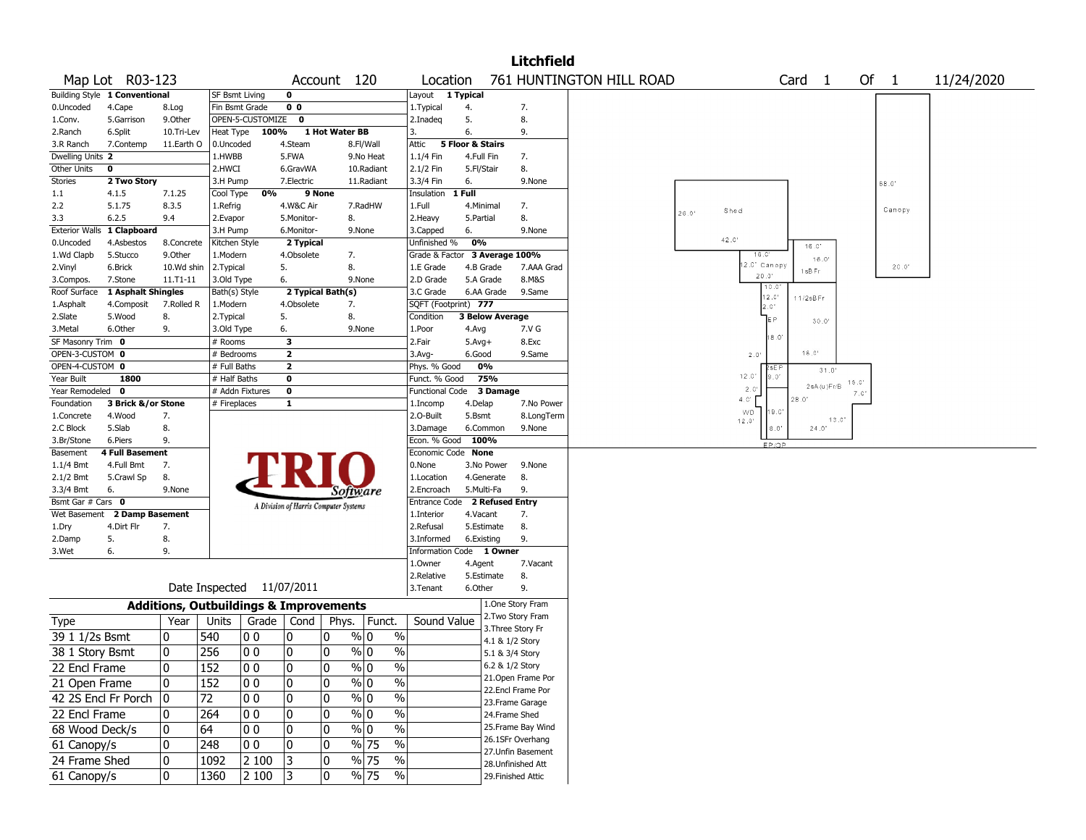|                                |                               |              |                           |                  |                                                   |                |                       |                                    |                  |                        | Litchfield         |                          |       |                    |                                   |                |      |        |            |
|--------------------------------|-------------------------------|--------------|---------------------------|------------------|---------------------------------------------------|----------------|-----------------------|------------------------------------|------------------|------------------------|--------------------|--------------------------|-------|--------------------|-----------------------------------|----------------|------|--------|------------|
|                                | Map Lot R03-123               |              |                           |                  |                                                   | Account 120    |                       | Location                           |                  |                        |                    | 761 HUNTINGTON HILL ROAD |       |                    | Card <sub>1</sub>                 |                | Of 1 |        | 11/24/2020 |
|                                | Building Style 1 Conventional |              | <b>SF Bsmt Living</b>     |                  | $\bf{0}$                                          |                |                       | Layout 1 Typical                   |                  |                        |                    |                          |       |                    |                                   |                |      |        |            |
| 0.Uncoded                      | 4.Cape                        | 8.Log        | Fin Bsmt Grade            |                  | 0 <sub>0</sub>                                    |                |                       | 1. Typical                         | 4.               |                        | 7.                 |                          |       |                    |                                   |                |      |        |            |
| 1.Conv.                        | 5.Garrison                    | 9.0ther      |                           | OPEN-5-CUSTOMIZE | 0                                                 |                |                       | 2.Inadeq                           | 5.               |                        | 8.                 |                          |       |                    |                                   |                |      |        |            |
| 2.Ranch                        | 6.Split                       | 10.Tri-Lev   | Heat Type                 | 100%             |                                                   | 1 Hot Water BB |                       | 3.                                 | 6.               |                        | 9.                 |                          |       |                    |                                   |                |      |        |            |
| 3.R Ranch                      | 7.Contemp                     | 11.Earth O   | 0.Uncoded                 |                  | 4.Steam                                           |                | 8.Fl/Wall             | Attic                              | 5 Floor & Stairs |                        |                    |                          |       |                    |                                   |                |      |        |            |
| Dwelling Units 2               |                               |              | 1.HWBB                    |                  | 5.FWA                                             |                | 9.No Heat             | 1.1/4 Fin                          | 4.Full Fin       |                        | 7.                 |                          |       |                    |                                   |                |      |        |            |
| Other Units                    | 0                             |              | 2.HWCI                    |                  | 6.GravWA                                          |                | 10.Radiant            | 2.1/2 Fin                          | 5.Fl/Stair       |                        | 8.                 |                          |       |                    |                                   |                |      |        |            |
| <b>Stories</b>                 | 2 Two Story                   |              | 3.H Pump                  |                  | 7. Electric                                       |                | 11.Radiant            | 3.3/4 Fin                          | 6.               |                        | 9.None             |                          |       |                    |                                   |                |      | 68.0   |            |
| 1.1                            | 4.1.5                         | 7.1.25       | Cool Type                 | 0%               |                                                   | 9 None         |                       | Insulation                         | 1 Full           |                        |                    |                          |       |                    |                                   |                |      |        |            |
| 2.2                            | 5.1.75                        | 8.3.5        | 1.Refrig                  |                  | 4.W&C Air                                         |                | 7.RadHW               | 1.Full                             | 4.Minimal        |                        | 7.                 |                          | 26.0' | Shed               |                                   |                |      | Canopy |            |
| 3.3                            | 6.2.5                         | 9.4          | 2.Evapor                  |                  | 5.Monitor-                                        | 8.             |                       | 2. Heavy                           | 5.Partial        |                        | 8.                 |                          |       |                    |                                   |                |      |        |            |
| <b>Exterior Walls</b>          | 1 Clapboard                   |              | 3.H Pump                  |                  | 6.Monitor-                                        |                | 9.None                | 3.Capped                           | 6.               |                        | 9.None             |                          |       | 42.0               |                                   |                |      |        |            |
| 0.Uncoded                      | 4.Asbestos                    | 8.Concrete   | Kitchen Style             |                  | 2 Typical                                         |                |                       | Unfinished %                       | 0%               |                        |                    |                          |       |                    | $16^\circ$ . $\!\mathrm{C}^\star$ |                |      |        |            |
| 1.Wd Clapb                     | 5.Stucco                      | 9.0ther      | 1.Modern                  |                  | 4.Obsolete                                        | 7.             |                       | Grade & Factor 3 Average 100%      |                  |                        |                    |                          |       | 18.0<br>2.0 Canopy |                                   | 16.0'          |      |        |            |
| 2.Vinyl                        | 6.Brick                       | 10.Wd shin   | 2. Typical                |                  | 5.                                                | 8.             |                       | 1.E Grade                          | 4.B Grade        |                        | 7.AAA Grad         |                          |       | 20.0'              | 1sB Fr                            |                |      | 20.0"  |            |
| 3.Compos.                      | 7.Stone                       | 11.T1-11     | 3.Old Type                |                  | 6.                                                |                | 9.None                | 2.D Grade                          | 5.A Grade        |                        | 8.M&S              |                          |       |                    | 10.0                              |                |      |        |            |
| Roof Surface                   | 1 Asphalt Shingles            |              | Bath(s) Style             |                  | 2 Typical Bath(s)                                 |                |                       | 3.C Grade                          |                  | 6.AA Grade             | 9.Same             |                          |       | $12.0^{\circ}$     | 11/2sBFr                          |                |      |        |            |
| 1.Asphalt                      | 4.Composit                    | 7.Rolled R   | 1.Modern                  |                  | 4.Obsolete                                        | 7.             |                       | SQFT (Footprint) 777               |                  |                        |                    |                          |       | 2.0'               |                                   |                |      |        |            |
| 2.Slate                        | 5.Wood                        | 8.           | 2. Typical                |                  | 5.                                                | 8.             |                       | Condition                          |                  | <b>3 Below Average</b> |                    |                          |       |                    |                                   | 30.0'          |      |        |            |
| 3.Metal                        | 6.Other                       | 9.           | 3.Old Type                |                  | 6.                                                |                | 9.None                | 1.Poor                             | 4.Avg            |                        | 7.V G              |                          |       |                    | 18.0                              |                |      |        |            |
| SF Masonry Trim 0              |                               |              | # Rooms                   |                  | 3                                                 |                |                       | 2.Fair                             | $5.Avg+$         |                        | 8.Exc              |                          |       |                    |                                   |                |      |        |            |
| OPEN-3-CUSTOM 0                |                               |              | # Bedrooms                |                  | $\mathbf{2}$                                      |                |                       | 3.Avg-                             | 6.Good           |                        | 9.Same             |                          |       | 2.0                | $18.0^{\circ}$                    |                |      |        |            |
| OPEN-4-CUSTOM 0                |                               |              | # Full Baths              |                  | $\mathbf{2}$                                      |                |                       | Phys. % Good                       | 0%               |                        |                    |                          |       | $12.0^\circ$       | 9.01                              | 31.0'          |      |        |            |
| Year Built                     | 1800                          |              | # Half Baths              |                  | $\bf{0}$                                          |                |                       | Funct. % Good                      |                  | 75%                    |                    |                          |       | 2.0'               |                                   | 2sA(u)FrB      | 15.0 |        |            |
| Year Remodeled 0               |                               |              | # Addn Fixtures           |                  | 0                                                 |                |                       | <b>Functional Code</b>             |                  | 3 Damage               |                    |                          |       | 4.0'               | 28.0'                             |                | 7.0' |        |            |
| Foundation                     | 3 Brick &/or Stone            |              | # Fireplaces              |                  | 1                                                 |                |                       | 1.Incomp                           | 4.Delap          |                        | 7.No Power         |                          |       | WD.                | 9.C'                              |                |      |        |            |
| 1.Concrete                     | 4.Wood                        | 7.           |                           |                  |                                                   |                |                       | 2.0-Built                          | 5.Bsmt           |                        | 8.LongTerm         |                          |       | 12.0'              |                                   | $13.0^{\circ}$ |      |        |            |
| 2.C Block                      | 5.Slab                        | 8.           |                           |                  |                                                   |                |                       | 3.Damage                           | 6.Common         |                        | 9.None             |                          |       |                    | 8.0'                              | 24.0"          |      |        |            |
| 3.Br/Stone                     | 6.Piers                       | 9.           |                           |                  |                                                   |                |                       | Econ. % Good<br>Economic Code None | 100%             |                        |                    |                          |       |                    | EP/OP                             |                |      |        |            |
| Basement                       | <b>4 Full Basement</b>        |              |                           |                  |                                                   |                |                       |                                    |                  |                        |                    |                          |       |                    |                                   |                |      |        |            |
| $1.1/4$ Bmt                    | 4.Full Bmt                    | 7.           |                           |                  |                                                   |                |                       | 0.None                             |                  | 3.No Power             | 9.None             |                          |       |                    |                                   |                |      |        |            |
| 2.1/2 Bmt                      | 5.Crawl Sp                    | 8.<br>9.None |                           |                  |                                                   |                |                       | 1.Location<br>2.Encroach           | 5.Multi-Fa       | 4.Generate             | 8.<br>9.           |                          |       |                    |                                   |                |      |        |            |
| 3.3/4 Bmt<br>Bsmt Gar # Cars 0 | 6.                            |              |                           |                  |                                                   |                | Software              | <b>Entrance Code</b>               |                  | 2 Refused Entry        |                    |                          |       |                    |                                   |                |      |        |            |
| Wet Basement                   | 2 Damp Basement               |              |                           |                  | A Division of Harris Computer Systems             |                |                       | 1.Interior                         | 4.Vacant         |                        | 7.                 |                          |       |                    |                                   |                |      |        |            |
| 1.Dry                          | 4.Dirt Flr                    | 7.           |                           |                  |                                                   |                |                       | 2.Refusal                          | 5.Estimate       |                        | 8.                 |                          |       |                    |                                   |                |      |        |            |
| 2.Damp                         | 5.                            | 8.           |                           |                  |                                                   |                |                       | 3.Informed                         | 6.Existing       |                        | 9.                 |                          |       |                    |                                   |                |      |        |            |
| 3.Wet                          | 6.                            | 9.           |                           |                  |                                                   |                |                       | Information Code 1 Owner           |                  |                        |                    |                          |       |                    |                                   |                |      |        |            |
|                                |                               |              |                           |                  |                                                   |                |                       | 1.Owner                            | 4.Agent          |                        | 7.Vacant           |                          |       |                    |                                   |                |      |        |            |
|                                |                               |              |                           |                  |                                                   |                |                       | 2.Relative                         | 5.Estimate       |                        | 8.                 |                          |       |                    |                                   |                |      |        |            |
|                                |                               |              | Date Inspected 11/07/2011 |                  |                                                   |                |                       | 3.Tenant                           | 6.Other          |                        | 9.                 |                          |       |                    |                                   |                |      |        |            |
|                                |                               |              |                           |                  |                                                   |                |                       |                                    |                  |                        |                    |                          |       |                    |                                   |                |      |        |            |
|                                |                               |              |                           |                  | <b>Additions, Outbuildings &amp; Improvements</b> |                |                       |                                    |                  |                        | 1.One Story Fram   |                          |       |                    |                                   |                |      |        |            |
| Type                           |                               | Year         | Units                     |                  | Grade   Cond                                      | Phys.          | Funct.                | Sound Value                        |                  |                        | 2. Two Story Fram  |                          |       |                    |                                   |                |      |        |            |
| 39 1 1/2s Bsmt                 |                               | 0            | 540                       | 00               | 0                                                 | 10             | $\%$<br>% 0           |                                    |                  |                        | 3. Three Story Fr  |                          |       |                    |                                   |                |      |        |            |
|                                |                               |              |                           |                  |                                                   |                |                       |                                    |                  | 4.1 & 1/2 Story        |                    |                          |       |                    |                                   |                |      |        |            |
| 38 1 Story Bsmt                |                               | 0            | 256                       | 00               | 0                                                 | 0              | $\%$<br>% 0           |                                    |                  | 5.1 & 3/4 Story        |                    |                          |       |                    |                                   |                |      |        |            |
| 22 Encl Frame                  |                               | $\Omega$     | 152                       | 0 <sub>0</sub>   | $\pmb{0}$                                         | $\Omega$       | $\%$<br>% 0           |                                    |                  | 6.2 & 1/2 Story        |                    |                          |       |                    |                                   |                |      |        |            |
| 21 Open Frame                  |                               | 0            | 152                       | 0 <sub>0</sub>   | 0                                                 | 0              | $\%$<br>% 0           |                                    |                  |                        | 21. Open Frame Por |                          |       |                    |                                   |                |      |        |            |
|                                | 42 2S Encl Fr Porch           | 10           | 72                        | 00               | 0                                                 | 0              | $\%$ 0<br>%           |                                    |                  |                        | 22.Encl Frame Por  |                          |       |                    |                                   |                |      |        |            |
|                                |                               |              |                           |                  |                                                   |                | $\frac{9}{6}$         |                                    |                  |                        | 23. Frame Garage   |                          |       |                    |                                   |                |      |        |            |
| 22 Encl Frame                  |                               | 0            | 264                       | 0 <sub>0</sub>   | 0                                                 | 0              | $\sqrt[6]{0}$         |                                    |                  | 24.Frame Shed          |                    |                          |       |                    |                                   |                |      |        |            |
| 68 Wood Deck/s                 |                               | 0            | 64                        | 0 <sub>0</sub>   | 0                                                 | 0              | $\%$ 0<br>$\%$        |                                    |                  |                        | 25. Frame Bay Wind |                          |       |                    |                                   |                |      |        |            |
| 61 Canopy/s                    |                               | 0            | 248                       | 0 <sub>0</sub>   | 0                                                 | 0              | % 75<br>$\%$          |                                    |                  |                        | 26.1SFr Overhang   |                          |       |                    |                                   |                |      |        |            |
| 24 Frame Shed                  |                               | 0            | 1092                      | 2 100            | 3                                                 | 0              | % 75<br>%             |                                    |                  |                        | 27. Unfin Basement |                          |       |                    |                                   |                |      |        |            |
| 61 Canopy/s                    |                               | 10           | 1360                      | 2 100            |                                                   | 0              | $\frac{9}{6}$ 75<br>% |                                    |                  |                        | 28. Unfinished Att |                          |       |                    |                                   |                |      |        |            |
|                                |                               |              |                           |                  | 3                                                 |                |                       |                                    |                  |                        | 29. Finished Attic |                          |       |                    |                                   |                |      |        |            |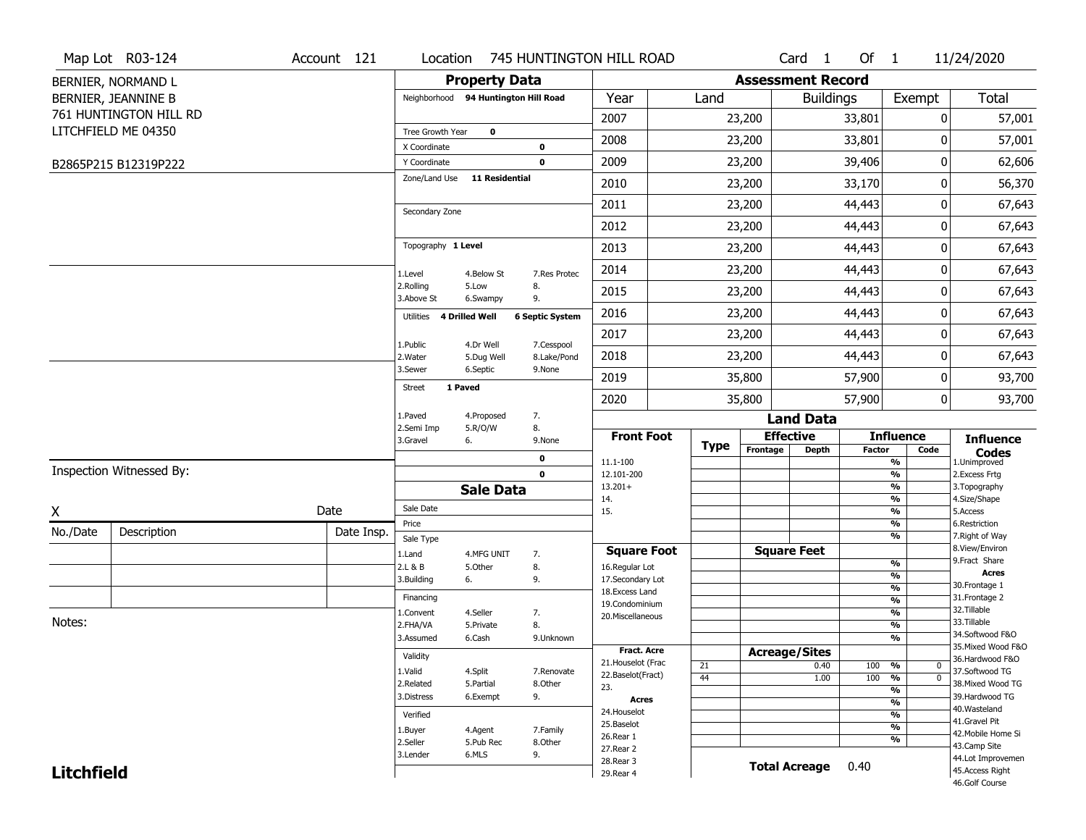|                   | Map Lot R03-124          | Account 121 |                                        |                         | Location 745 HUNTINGTON HILL ROAD |                                         |             |                          | Card <sub>1</sub> | Of 1          |                                                             | 11/24/2020                         |
|-------------------|--------------------------|-------------|----------------------------------------|-------------------------|-----------------------------------|-----------------------------------------|-------------|--------------------------|-------------------|---------------|-------------------------------------------------------------|------------------------------------|
|                   | BERNIER, NORMAND L       |             |                                        | <b>Property Data</b>    |                                   |                                         |             | <b>Assessment Record</b> |                   |               |                                                             |                                    |
|                   | BERNIER, JEANNINE B      |             | Neighborhood 94 Huntington Hill Road   |                         |                                   | Year                                    | Land        |                          | <b>Buildings</b>  |               | Exempt                                                      | Total                              |
|                   | 761 HUNTINGTON HILL RD   |             |                                        |                         |                                   | 2007                                    |             | 23,200                   |                   | 33,801        | 0                                                           | 57,001                             |
|                   | LITCHFIELD ME 04350      |             | Tree Growth Year                       | $\mathbf 0$             |                                   | 2008                                    |             | 23,200                   |                   | 33,801        | 0                                                           | 57,001                             |
|                   | B2865P215 B12319P222     |             | X Coordinate<br>Y Coordinate           |                         | 0<br>$\mathbf 0$                  | 2009                                    |             | 23,200                   |                   | 39,406        | 0                                                           | 62,606                             |
|                   |                          |             | Zone/Land Use                          | <b>11 Residential</b>   |                                   | 2010                                    |             | 23,200                   |                   | 33,170        | 0                                                           | 56,370                             |
|                   |                          |             |                                        |                         |                                   | 2011                                    |             | 23,200                   |                   | 44,443        | 0                                                           | 67,643                             |
|                   |                          |             | Secondary Zone                         |                         |                                   | 2012                                    |             | 23,200                   |                   | 44,443        | 0                                                           | 67,643                             |
|                   |                          |             | Topography 1 Level                     |                         |                                   | 2013                                    |             | 23,200                   |                   | 44,443        | 0                                                           | 67,643                             |
|                   |                          |             | 1.Level                                | 4.Below St              | 7.Res Protec                      | 2014                                    |             | 23,200                   |                   | 44,443        | 0                                                           | 67,643                             |
|                   |                          |             | 2.Rolling                              | 5.Low                   | 8.                                | 2015                                    |             | 23,200                   |                   | 44,443        | 0                                                           | 67,643                             |
|                   |                          |             | 3.Above St<br>Utilities 4 Drilled Well | 6.Swampy                | 9.<br><b>6 Septic System</b>      | 2016                                    |             | 23,200                   |                   | 44,443        | 0                                                           | 67,643                             |
|                   |                          |             |                                        |                         |                                   | 2017                                    |             | 23,200                   |                   | 44,443        | 0                                                           | 67,643                             |
|                   |                          |             | 1.Public<br>2. Water                   | 4.Dr Well<br>5.Dug Well | 7.Cesspool<br>8.Lake/Pond         | 2018                                    |             | 23,200                   |                   | 44,443        | 0                                                           | 67,643                             |
|                   |                          |             | 3.Sewer                                | 6.Septic                | 9.None                            | 2019                                    |             | 35,800                   |                   | 57,900        | 0                                                           | 93,700                             |
|                   |                          |             | 1 Paved<br>Street                      |                         |                                   | 2020                                    |             | 35,800                   |                   | 57,900        | $\mathbf 0$                                                 | 93,700                             |
|                   |                          |             | 1.Paved                                | 4.Proposed              | 7.                                |                                         |             |                          | <b>Land Data</b>  |               |                                                             |                                    |
|                   |                          |             | 2.Semi Imp<br>3.Gravel<br>6.           | 5.R/O/W                 | 8.<br>9.None                      | <b>Front Foot</b>                       | <b>Type</b> | <b>Effective</b>         |                   |               | <b>Influence</b>                                            | <b>Influence</b>                   |
|                   |                          |             |                                        |                         | $\mathbf 0$                       | 11.1-100                                |             | Frontage                 | <b>Depth</b>      | <b>Factor</b> | Code<br>$\frac{9}{6}$                                       | <b>Codes</b><br>1.Unimproved       |
|                   | Inspection Witnessed By: |             |                                        |                         | $\mathbf 0$                       | 12.101-200                              |             |                          |                   |               | $\frac{9}{6}$                                               | 2. Excess Frtg                     |
|                   |                          |             |                                        | <b>Sale Data</b>        |                                   | $13.201+$<br>14.                        |             |                          |                   |               | $\frac{9}{6}$<br>$\frac{9}{6}$                              | 3. Topography<br>4.Size/Shape      |
| X                 |                          | Date        | Sale Date                              |                         |                                   | 15.                                     |             |                          |                   |               | $\frac{9}{6}$                                               | 5.Access                           |
| No./Date          | Description              | Date Insp.  | Price<br>Sale Type                     |                         |                                   |                                         |             |                          |                   |               | $\frac{9}{6}$<br>$\frac{9}{6}$                              | 6.Restriction<br>7. Right of Way   |
|                   |                          |             | 1.Land                                 | 4.MFG UNIT              | 7.                                | <b>Square Foot</b>                      |             | <b>Square Feet</b>       |                   |               |                                                             | 8.View/Environ                     |
|                   |                          |             | 2.L & B                                | 5.Other                 | 8.                                | 16.Regular Lot                          |             |                          |                   |               | %                                                           | 9. Fract Share<br><b>Acres</b>     |
|                   |                          |             | 3.Building<br>6.                       |                         | 9.                                | 17.Secondary Lot                        |             |                          |                   |               | %<br>$\frac{9}{6}$                                          | 30. Frontage 1                     |
|                   |                          |             | Financing                              |                         |                                   | 18.Excess Land<br>19.Condominium        |             |                          |                   |               | $\frac{9}{6}$                                               | 31. Frontage 2                     |
|                   |                          |             | 1.Convent                              | 4.Seller                | 7.                                | 20.Miscellaneous                        |             |                          |                   |               | %                                                           | 32.Tillable                        |
| Notes:            |                          |             | 2.FHA/VA                               | 5.Private               | 8.                                |                                         |             |                          |                   |               | %                                                           | 33.Tillable<br>34.Softwood F&O     |
|                   |                          |             | 3.Assumed                              | 6.Cash                  | 9.Unknown                         |                                         |             |                          |                   |               | %                                                           | 35. Mixed Wood F&O                 |
|                   |                          |             | Validity                               |                         |                                   | Fract. Acre                             |             | <b>Acreage/Sites</b>     |                   |               |                                                             | 36.Hardwood F&O                    |
|                   |                          |             | 1.Valid                                | 4.Split                 | 7.Renovate                        | 21. Houselot (Frac<br>22.Baselot(Fract) | 21          |                          | 0.40              | 100 %         | 0                                                           | 37.Softwood TG                     |
|                   |                          |             | 2.Related                              | 5.Partial               | 8.Other                           | 23.                                     | 44          |                          | 1.00              | 100           | $\frac{9}{6}$<br>$\overline{0}$<br>$\overline{\frac{9}{6}}$ | 38. Mixed Wood TG                  |
|                   |                          |             | 3.Distress                             | 6.Exempt                | 9.                                | <b>Acres</b>                            |             |                          |                   |               | $\frac{9}{6}$                                               | 39.Hardwood TG                     |
|                   |                          |             | Verified                               |                         |                                   | 24. Houselot                            |             |                          |                   |               | $\frac{9}{6}$                                               | 40. Wasteland                      |
|                   |                          |             | 1.Buyer                                | 4.Agent                 | 7.Family                          | 25.Baselot                              |             |                          |                   |               | $\frac{9}{6}$                                               | 41.Gravel Pit                      |
|                   |                          |             | 2.Seller                               | 5.Pub Rec               | 8.Other                           | 26.Rear 1                               |             |                          |                   |               | $\frac{9}{6}$                                               | 42. Mobile Home Si<br>43.Camp Site |
|                   |                          | 3.Lender    | 6.MLS                                  | 9.                      | 27. Rear 2                        |                                         |             |                          |                   |               | 44.Lot Improvemen                                           |                                    |
| <b>Litchfield</b> |                          |             |                                        |                         | 28. Rear 3                        |                                         |             | <b>Total Acreage</b>     | 0.40              |               |                                                             |                                    |
|                   |                          |             |                                        |                         |                                   | 29. Rear 4                              |             |                          |                   |               |                                                             | 45.Access Right                    |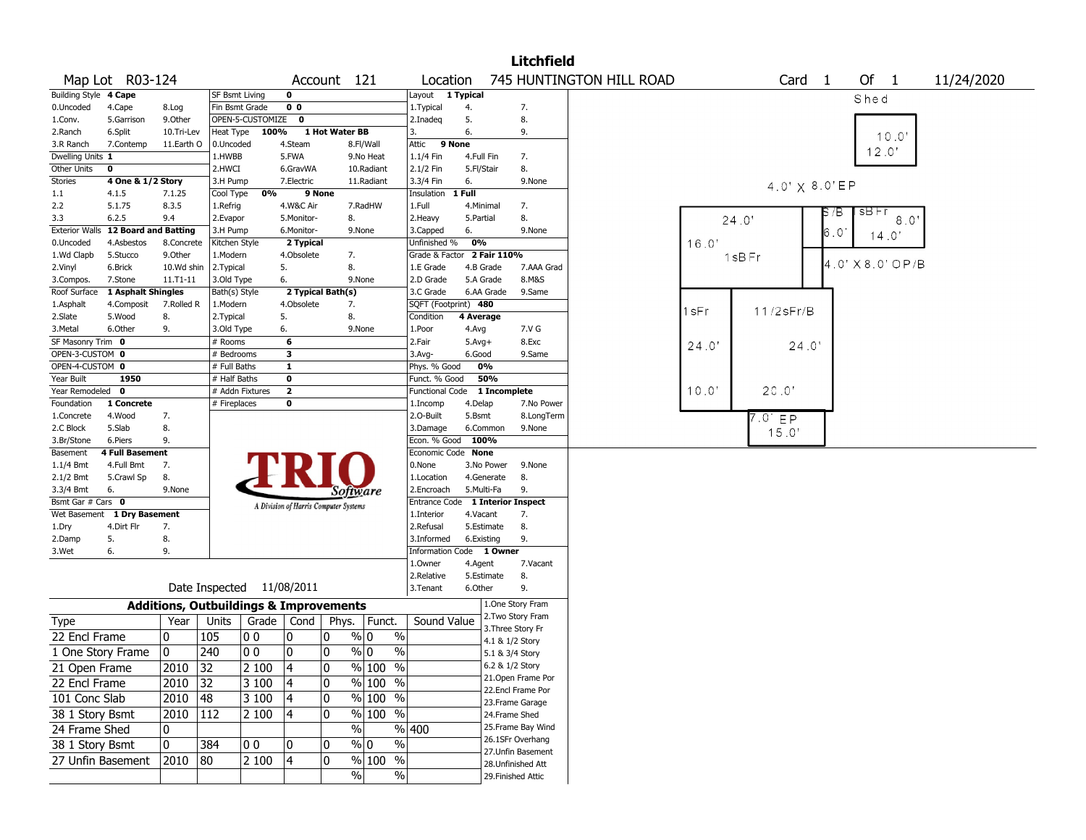|                                    |                             |              |                              |                                                   |                                       |                |                     |                                  |              |                 | <b>Litchfield</b>                     |                          |       |                 |                       |                    |            |  |
|------------------------------------|-----------------------------|--------------|------------------------------|---------------------------------------------------|---------------------------------------|----------------|---------------------|----------------------------------|--------------|-----------------|---------------------------------------|--------------------------|-------|-----------------|-----------------------|--------------------|------------|--|
|                                    | Map Lot R03-124             |              |                              |                                                   |                                       | Account 121    |                     | Location                         |              |                 |                                       | 745 HUNTINGTON HILL ROAD |       |                 | Card <sub>1</sub>     | Of<br>$\mathbf{1}$ | 11/24/2020 |  |
| Building Style 4 Cape              |                             |              | <b>SF Bsmt Living</b>        |                                                   | 0                                     |                |                     | Layout 1 Typical                 |              |                 |                                       |                          |       |                 |                       | Shed               |            |  |
| 0.Uncoded                          | 4.Cape                      | 8.Log        | Fin Bsmt Grade               |                                                   | 0 <sub>0</sub>                        |                |                     | 1.Typical                        | 4.           |                 | 7.                                    |                          |       |                 |                       |                    |            |  |
| 1.Conv.                            | 5.Garrison                  | 9.Other      |                              | OPEN-5-CUSTOMIZE                                  | $\mathbf{o}$                          |                |                     | 2.Inadeq                         | 5.           |                 | 8.                                    |                          |       |                 |                       |                    |            |  |
| 2.Ranch                            | 6.Split                     | 10.Tri-Lev   | Heat Type                    | 100%                                              |                                       | 1 Hot Water BB |                     | 3.                               | 6.           |                 | 9.                                    |                          |       |                 |                       | 10.0'              |            |  |
| 3.R Ranch                          | 7.Contemp                   | 11.Earth O   | 0.Uncoded                    |                                                   | 4.Steam                               |                | 8.Fl/Wall           | Attic                            | 9 None       |                 |                                       |                          |       |                 |                       |                    |            |  |
| Dwelling Units 1                   |                             |              | 1.HWBB                       |                                                   | 5.FWA                                 |                | 9.No Heat           | 1.1/4 Fin                        | 4.Full Fin   |                 | 7.                                    |                          |       |                 |                       | 12.0'              |            |  |
| Other Units                        | 0                           |              | 2.HWCI                       |                                                   | 6.GravWA                              |                | 10.Radiant          | 2.1/2 Fin                        | 5.Fl/Stair   |                 | 8.                                    |                          |       |                 |                       |                    |            |  |
| Stories                            | 4 One & 1/2 Story           |              | 3.H Pump                     |                                                   | 7.Electric                            |                | 11.Radiant          | 3.3/4 Fin                        | 6.           |                 | 9.None                                |                          |       |                 | $4.0' \times 8.0'$ EP |                    |            |  |
| $1.1\,$                            | 4.1.5                       | 7.1.25       | Cool Type                    | 0%                                                |                                       | 9 None         |                     | Insulation 1 Full                |              |                 |                                       |                          |       |                 |                       |                    |            |  |
| 2.2                                | 5.1.75                      | 8.3.5        | 1.Refrig                     |                                                   | 4.W&C Air                             |                | 7.RadHW             | 1.Full                           | 4.Minimal    |                 | 7.                                    |                          |       |                 | P (B                  | sB⊦r               |            |  |
| 3.3                                | 6.2.5                       | 9.4          | 2.Evapor                     |                                                   | 5.Monitor-                            |                | 8.                  | 2. Heavy                         | 5.Partial    |                 | 8.                                    |                          |       | 24.0'           |                       | 8.0'               |            |  |
| <b>Exterior Walls</b>              | <b>12 Board and Batting</b> |              | 3.H Pump                     |                                                   | 6.Monitor-                            |                | 9.None              | 3.Capped                         | 6.           |                 | 9.None                                |                          |       |                 | 6.O                   | 14.0'              |            |  |
| 0.Uncoded                          | 4.Asbestos                  | 8.Concrete   | Kitchen Style                |                                                   | 2 Typical                             |                |                     | Unfinished %                     | 0%           |                 |                                       |                          | 16.0' |                 |                       |                    |            |  |
| 1.Wd Clapb                         | 5.Stucco                    | 9.0ther      | 1.Modern                     |                                                   | 4.Obsolete                            |                | 7.                  | Grade & Factor 2 Fair 110%       |              |                 |                                       |                          |       | 1sBFr           |                       | 4.0' X 8.0' OP/B   |            |  |
| 2.Vinyl                            | 6.Brick                     | 10.Wd shin   | 2.Typical                    |                                                   | 5.                                    |                | 8.                  | 1.E Grade                        | 4.B Grade    |                 | 7.AAA Grad                            |                          |       |                 |                       |                    |            |  |
| 3.Compos.                          | 7.Stone                     | $11.71 - 11$ | 3.Old Type                   |                                                   | 6.                                    |                | 9.None              | 2.D Grade                        | 5.A Grade    |                 | 8.M&S                                 |                          |       |                 |                       |                    |            |  |
| Roof Surface                       | 1 Asphalt Shingles          |              | Bath(s) Style                |                                                   | 2 Typical Bath(s)                     |                |                     | 3.C Grade                        |              | 6.AA Grade      | 9.Same                                |                          |       |                 |                       |                    |            |  |
| 1.Asphalt                          | 4.Composit                  | 7.Rolled R   | 1.Modern                     |                                                   | 4.Obsolete                            |                | 7.                  | SQFT (Footprint) 480             |              |                 |                                       |                          | l sFr | $11/2$ s $Fr/B$ |                       |                    |            |  |
| 2.Slate                            | 5.Wood                      | 8.           | 2.Typical                    |                                                   | 5.                                    | 8.             |                     | Condition                        | 4 Average    |                 |                                       |                          |       |                 |                       |                    |            |  |
| 3.Metal                            | 6.Other                     | 9.           | 3.Old Type                   |                                                   | 6.                                    |                | 9.None              | 1.Poor                           | 4.Avg        |                 | 7.V G                                 |                          |       |                 |                       |                    |            |  |
| SF Masonry Trim 0                  |                             |              | # Rooms                      |                                                   | 6                                     |                |                     | 2.Fair                           | $5.Avg+$     |                 | 8.Exc                                 |                          | 24.0  |                 | 24.0'                 |                    |            |  |
| OPEN-3-CUSTOM 0<br>OPEN-4-CUSTOM 0 |                             |              | # Bedrooms                   |                                                   | 3                                     |                |                     | $3.$ Avg-                        | 6.Good<br>0% |                 | 9.Same                                |                          |       |                 |                       |                    |            |  |
| Year Built                         | 1950                        |              | # Full Baths<br># Half Baths |                                                   | $\mathbf{1}$<br>0                     |                |                     | Phys. % Good<br>Funct. % Good    |              | 50%             |                                       |                          |       |                 |                       |                    |            |  |
| Year Remodeled 0                   |                             |              |                              | # Addn Fixtures                                   | $\overline{\mathbf{2}}$               |                |                     | <b>Functional Code</b>           |              | 1 Incomplete    |                                       |                          | 10.0' | 20.0            |                       |                    |            |  |
| Foundation                         | 1 Concrete                  |              | # Fireplaces                 |                                                   | 0                                     |                |                     | 1.Incomp                         | 4.Delap      |                 | 7.No Power                            |                          |       |                 |                       |                    |            |  |
| 1.Concrete                         | 4.Wood                      | 7.           |                              |                                                   |                                       |                |                     | 2.O-Built                        | 5.Bsmt       |                 | 8.LongTerm                            |                          |       |                 |                       |                    |            |  |
| 2.C Block                          | 5.Slab                      | 8.           |                              |                                                   |                                       |                |                     | 3.Damage                         |              | 6.Common        | 9.None                                |                          |       | $.0'$ EP        |                       |                    |            |  |
| 3.Br/Stone                         | 6.Piers                     | 9.           |                              |                                                   |                                       |                |                     | Econ. % Good                     | 100%         |                 |                                       |                          |       | 15.0'           |                       |                    |            |  |
| Basement                           | 4 Full Basement             |              |                              |                                                   |                                       |                |                     | Economic Code None               |              |                 |                                       |                          |       |                 |                       |                    |            |  |
| 1.1/4 Bmt                          | 4.Full Bmt                  | 7.           |                              |                                                   |                                       |                |                     | 0.None                           |              | 3.No Power      | 9.None                                |                          |       |                 |                       |                    |            |  |
| 2.1/2 Bmt                          | 5.Crawl Sp                  | 8.           |                              |                                                   |                                       |                |                     | 1.Location                       |              | 4.Generate      | 8.                                    |                          |       |                 |                       |                    |            |  |
| 3.3/4 Bmt                          | 6.                          | 9.None       |                              |                                                   |                                       |                | Software            | 2.Encroach                       | 5.Multi-Fa   |                 | 9.                                    |                          |       |                 |                       |                    |            |  |
| Bsmt Gar # Cars 0                  |                             |              |                              |                                                   | A Division of Harris Computer Systems |                |                     | Entrance Code 1 Interior Inspect |              |                 |                                       |                          |       |                 |                       |                    |            |  |
| Wet Basement                       | 1 Dry Basement              |              |                              |                                                   |                                       |                |                     | 1.Interior                       | 4.Vacant     |                 | 7.                                    |                          |       |                 |                       |                    |            |  |
| 1.Dry                              | 4.Dirt Flr                  | 7.           |                              |                                                   |                                       |                |                     | 2.Refusal                        |              | 5.Estimate      | 8.                                    |                          |       |                 |                       |                    |            |  |
| 2.Damp                             | 5.                          | 8.           |                              |                                                   |                                       |                |                     | 3.Informed                       | 6.Existing   |                 | 9.                                    |                          |       |                 |                       |                    |            |  |
| 3.Wet                              | 6.                          | 9.           |                              |                                                   |                                       |                |                     | Information Code 1 Owner         |              |                 |                                       |                          |       |                 |                       |                    |            |  |
|                                    |                             |              |                              |                                                   |                                       |                |                     | 1.Owner                          | 4.Agent      |                 | 7.Vacant                              |                          |       |                 |                       |                    |            |  |
|                                    |                             |              |                              |                                                   |                                       |                |                     | 2.Relative                       | 5.Estimate   |                 | 8.                                    |                          |       |                 |                       |                    |            |  |
|                                    |                             |              |                              | Date Inspected 11/08/2011                         |                                       |                |                     | 3.Tenant                         | 6.Other      |                 | 9.                                    |                          |       |                 |                       |                    |            |  |
|                                    |                             |              |                              | <b>Additions, Outbuildings &amp; Improvements</b> |                                       |                |                     |                                  |              |                 | 1.One Story Fram<br>2. Two Story Fram |                          |       |                 |                       |                    |            |  |
| Type                               |                             | Year         | Units                        | Grade                                             | Cond                                  |                | Phys.   Funct.      | Sound Value                      |              |                 | 3. Three Story Fr                     |                          |       |                 |                       |                    |            |  |
| 22 Encl Frame                      |                             | 0            | 105                          | O O                                               | 10                                    | 10             | % 0<br>$\%$         |                                  |              | 4.1 & 1/2 Story |                                       |                          |       |                 |                       |                    |            |  |
| 1 One Story Frame                  |                             | 10           | 240                          | 00                                                | 0                                     | 10             | % 0<br>%            |                                  |              | 5.1 & 3/4 Story |                                       |                          |       |                 |                       |                    |            |  |
|                                    |                             |              |                              |                                                   |                                       | $ 0\rangle$    |                     |                                  |              |                 | 6.2 & 1/2 Story                       |                          |       |                 |                       |                    |            |  |
| 21 Open Frame                      |                             | 2010 32      |                              | 2 100                                             | $\overline{4}$                        |                | $\frac{9}{6}$ 100 % |                                  |              |                 | 21. Open Frame Por                    |                          |       |                 |                       |                    |            |  |
| 22 Encl Frame                      |                             | 2010 32      |                              | 3 100                                             | 4                                     | 10             | % 100 %             |                                  |              |                 | 22.Encl Frame Por                     |                          |       |                 |                       |                    |            |  |
| 101 Conc Slab                      |                             | 2010 48      |                              | 3 100                                             | 4                                     | 10             | % 100 %             |                                  |              |                 | 23. Frame Garage                      |                          |       |                 |                       |                    |            |  |
| 38 1 Story Bsmt                    |                             | 2010 112     |                              | 2 100                                             | 4                                     | 0              | % 100 %             |                                  |              | 24.Frame Shed   |                                       |                          |       |                 |                       |                    |            |  |
| 24 Frame Shed                      |                             | 0            |                              |                                                   |                                       |                | $\sqrt{6}$          | %  400                           |              |                 | 25. Frame Bay Wind                    |                          |       |                 |                       |                    |            |  |
|                                    |                             | 10           | 384                          | 00                                                |                                       | 10             | $\%$<br>% 0         |                                  |              |                 | 26.1SFr Overhang                      |                          |       |                 |                       |                    |            |  |
| 38 1 Story Bsmt                    |                             |              |                              |                                                   | 0                                     |                |                     |                                  |              |                 | 27.Unfin Basement                     |                          |       |                 |                       |                    |            |  |
|                                    | 27 Unfin Basement           | 2010 80      |                              | 2 100                                             | 4                                     | 10             | $%100$ %            |                                  |              |                 | 28.Unfinished Att                     |                          |       |                 |                       |                    |            |  |
|                                    |                             |              |                              |                                                   |                                       |                | %<br>$\%$           |                                  |              |                 | 29. Finished Attic                    |                          |       |                 |                       |                    |            |  |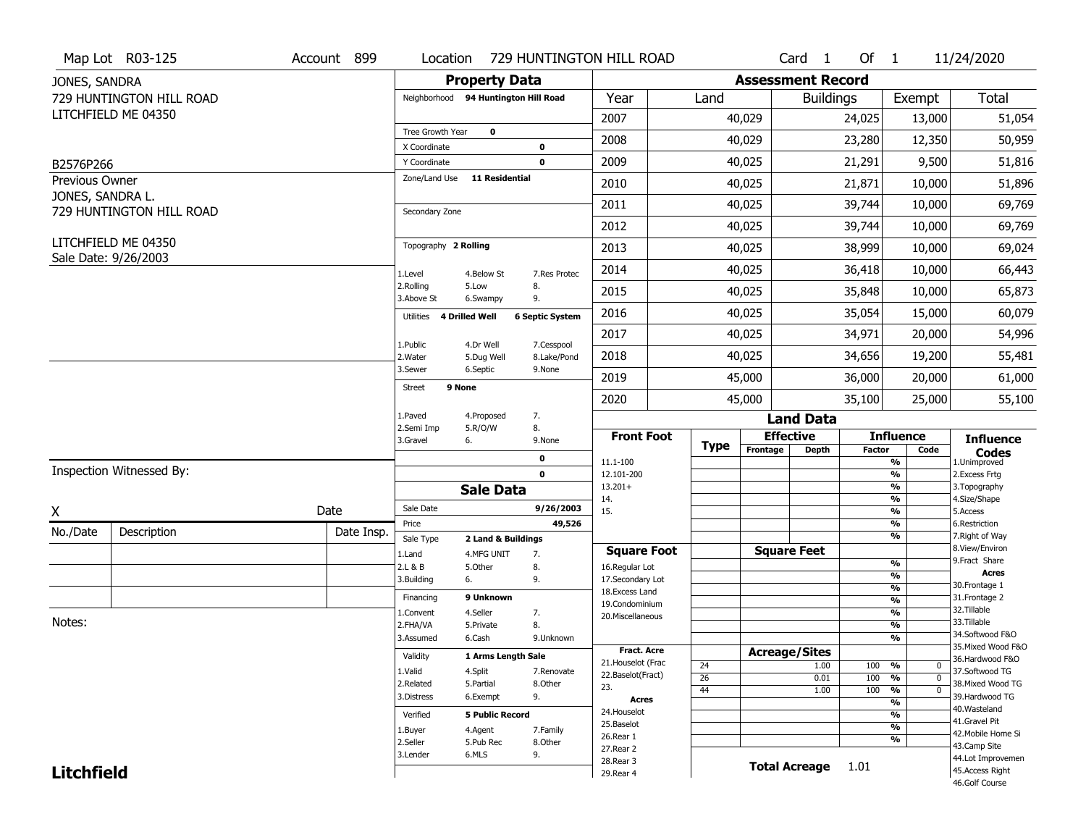|                                    | Map Lot R03-125          | Account 899 | Location                             |                         |                        | 729 HUNTINGTON HILL ROAD |                 |                          | $Card \t1$       | Of $1$        |                                           | 11/24/2020                          |
|------------------------------------|--------------------------|-------------|--------------------------------------|-------------------------|------------------------|--------------------------|-----------------|--------------------------|------------------|---------------|-------------------------------------------|-------------------------------------|
| JONES, SANDRA                      |                          |             |                                      | <b>Property Data</b>    |                        |                          |                 | <b>Assessment Record</b> |                  |               |                                           |                                     |
|                                    | 729 HUNTINGTON HILL ROAD |             | Neighborhood 94 Huntington Hill Road |                         |                        | Year                     | Land            |                          | <b>Buildings</b> |               | Exempt                                    | Total                               |
|                                    | LITCHFIELD ME 04350      |             |                                      |                         |                        | 2007                     |                 | 40,029                   |                  | 24,025        | 13,000                                    | 51,054                              |
|                                    |                          |             | Tree Growth Year                     | 0                       |                        | 2008                     |                 | 40,029                   |                  | 23,280        | 12,350                                    | 50,959                              |
|                                    |                          |             | X Coordinate                         |                         | 0                      |                          |                 |                          |                  |               |                                           |                                     |
| B2576P266                          |                          |             | Y Coordinate<br>Zone/Land Use        | <b>11 Residential</b>   | $\mathbf 0$            | 2009                     |                 | 40,025                   |                  | 21,291        | 9,500                                     | 51,816                              |
| Previous Owner<br>JONES, SANDRA L. |                          |             |                                      |                         |                        | 2010                     |                 | 40,025                   |                  | 21,871        | 10,000                                    | 51,896                              |
|                                    | 729 HUNTINGTON HILL ROAD |             | Secondary Zone                       |                         |                        | 2011                     |                 | 40,025                   |                  | 39,744        | 10,000                                    | 69,769                              |
|                                    |                          |             |                                      |                         |                        | 2012                     |                 | 40,025                   |                  | 39,744        | 10,000                                    | 69,769                              |
|                                    | LITCHFIELD ME 04350      |             | Topography 2 Rolling                 |                         |                        | 2013                     |                 | 40,025                   |                  | 38,999        | 10,000                                    | 69,024                              |
|                                    | Sale Date: 9/26/2003     |             | 1.Level                              | 4.Below St              | 7.Res Protec           | 2014                     |                 | 40,025                   |                  | 36,418        | 10,000                                    | 66,443                              |
|                                    |                          |             | 2.Rolling<br>3.Above St              | 5.Low<br>6.Swampy       | 8.<br>9.               | 2015                     |                 | 40,025                   |                  | 35,848        | 10,000                                    | 65,873                              |
|                                    |                          |             | <b>4 Drilled Well</b><br>Utilities   |                         | <b>6 Septic System</b> | 2016                     |                 | 40,025                   |                  | 35,054        | 15,000                                    | 60,079                              |
|                                    |                          |             | 1.Public                             |                         | 7.Cesspool             | 2017                     |                 | 40,025                   |                  | 34,971        | 20,000                                    | 54,996                              |
|                                    |                          |             | 2. Water                             | 4.Dr Well<br>5.Dug Well | 8.Lake/Pond            | 2018                     |                 | 40,025                   |                  | 34,656        | 19,200                                    | 55,481                              |
|                                    |                          |             | 3.Sewer                              | 6.Septic                | 9.None                 | 2019                     |                 | 45,000                   |                  | 36,000        | 20,000                                    | 61,000                              |
|                                    |                          |             | 9 None<br>Street                     |                         |                        | 2020                     |                 | 45,000                   |                  | 35,100        | 25,000                                    | 55,100                              |
|                                    |                          |             | 1.Paved                              | 4.Proposed              | 7.                     |                          |                 |                          | <b>Land Data</b> |               |                                           |                                     |
|                                    |                          |             | 2.Semi Imp<br>6.<br>3.Gravel         | 5.R/O/W                 | 8.<br>9.None           | <b>Front Foot</b>        |                 | <b>Effective</b>         |                  |               | <b>Influence</b>                          | <b>Influence</b>                    |
|                                    |                          |             |                                      |                         | 0                      | 11.1-100                 | <b>Type</b>     | Frontage                 | Depth            | <b>Factor</b> | Code<br>%                                 | <b>Codes</b><br>1.Unimproved        |
|                                    | Inspection Witnessed By: |             |                                      |                         | $\mathbf 0$            | 12.101-200               |                 |                          |                  |               | $\overline{\frac{9}{6}}$                  | 2. Excess Frtg                      |
|                                    |                          |             |                                      | <b>Sale Data</b>        |                        | $13.201+$<br>14.         |                 |                          |                  |               | %<br>%                                    | 3. Topography<br>4.Size/Shape       |
| X                                  |                          | Date        | Sale Date                            |                         | 9/26/2003              | 15.                      |                 |                          |                  |               | %                                         | 5.Access                            |
| No./Date                           | Description              | Date Insp.  | Price                                |                         | 49,526                 |                          |                 |                          |                  |               | %<br>%                                    | 6.Restriction<br>7. Right of Way    |
|                                    |                          |             | Sale Type                            | 2 Land & Buildings      |                        | <b>Square Foot</b>       |                 | <b>Square Feet</b>       |                  |               |                                           | 8.View/Environ                      |
|                                    |                          |             | 1.Land<br>2.L & B                    | 4.MFG UNIT<br>5.Other   | 7.<br>8.               | 16.Regular Lot           |                 |                          |                  |               | $\frac{9}{6}$                             | 9. Fract Share                      |
|                                    |                          |             | 3.Building<br>6.                     |                         | 9.                     | 17.Secondary Lot         |                 |                          |                  |               | %                                         | <b>Acres</b>                        |
|                                    |                          |             | Financing                            | 9 Unknown               |                        | 18. Excess Land          |                 |                          |                  |               | $\overline{\frac{9}{6}}$                  | 30.Frontage 1<br>31. Frontage 2     |
|                                    |                          |             | 1.Convent                            | 4.Seller                | 7.                     | 19.Condominium           |                 |                          |                  |               | $\overline{\frac{9}{6}}$<br>$\frac{9}{6}$ | 32. Tillable                        |
| Notes:                             |                          |             | 2.FHA/VA                             | 5.Private               | 8.                     | 20.Miscellaneous         |                 |                          |                  |               | $\overline{\frac{9}{6}}$                  | 33.Tillable                         |
|                                    |                          |             | 3.Assumed                            | 6.Cash                  | 9.Unknown              |                          |                 |                          |                  |               | %                                         | 34.Softwood F&O                     |
|                                    |                          |             | Validity                             |                         |                        | <b>Fract. Acre</b>       |                 | <b>Acreage/Sites</b>     |                  |               |                                           | 35. Mixed Wood F&O                  |
|                                    |                          |             |                                      | 1 Arms Length Sale      |                        | 21. Houselot (Frac       | 24              |                          | 1.00             | 100           | %<br>0                                    | 36.Hardwood F&O                     |
|                                    |                          |             | 1.Valid                              | 4.Split                 | 7.Renovate             | 22.Baselot(Fract)        | $\overline{26}$ |                          | 0.01             | 100           | %<br>$\mathbf 0$                          | 37.Softwood TG<br>38. Mixed Wood TG |
|                                    |                          |             | 2.Related<br>3.Distress              | 5.Partial<br>6.Exempt   | 8.Other<br>9.          | 23.                      | 44              |                          | 1.00             | 100           | %<br>$\mathbf 0$                          | 39.Hardwood TG                      |
|                                    |                          |             |                                      |                         |                        | <b>Acres</b>             |                 |                          |                  |               | $\frac{9}{6}$                             | 40. Wasteland                       |
|                                    |                          |             | Verified                             | <b>5 Public Record</b>  |                        | 24. Houselot             |                 |                          |                  |               | %                                         | 41.Gravel Pit                       |
|                                    |                          |             | 1.Buyer                              | 4.Agent                 | 7.Family               | 25.Baselot<br>26.Rear 1  |                 |                          |                  |               | %                                         | 42. Mobile Home Si                  |
|                                    |                          | 2.Seller    | 5.Pub Rec                            | 8.0ther                 | 27.Rear 2              |                          |                 |                          |                  | %             | 43.Camp Site                              |                                     |
|                                    |                          | 3.Lender    | 6.MLS                                | 9.                      | 28. Rear 3             |                          |                 |                          |                  |               | 44.Lot Improvemen                         |                                     |
|                                    |                          |             |                                      |                         |                        |                          |                 |                          |                  |               |                                           |                                     |
| <b>Litchfield</b>                  |                          |             |                                      |                         |                        | 29. Rear 4               |                 | <b>Total Acreage</b>     |                  | 1.01          |                                           | 45.Access Right<br>46.Golf Course   |